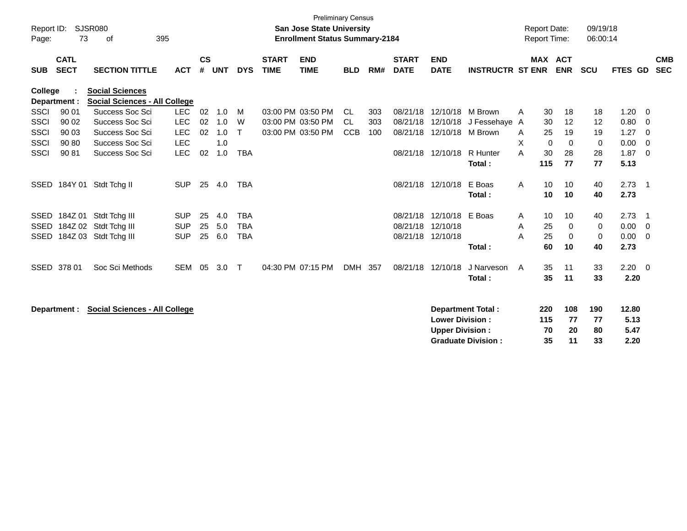|             |                                                      |                                                                |            |               |            |              |              | <b>Preliminary Census</b>             |            |     |              |                        |                           |   |                     |             |             |                |                          |            |
|-------------|------------------------------------------------------|----------------------------------------------------------------|------------|---------------|------------|--------------|--------------|---------------------------------------|------------|-----|--------------|------------------------|---------------------------|---|---------------------|-------------|-------------|----------------|--------------------------|------------|
| Report ID:  |                                                      | <b>SJSR080</b>                                                 |            |               |            |              |              | <b>San Jose State University</b>      |            |     |              |                        |                           |   | <b>Report Date:</b> |             | 09/19/18    |                |                          |            |
| Page:       | 73                                                   | 395<br>οf                                                      |            |               |            |              |              | <b>Enrollment Status Summary-2184</b> |            |     |              |                        |                           |   | Report Time:        |             | 06:00:14    |                |                          |            |
|             |                                                      |                                                                |            |               |            |              |              |                                       |            |     |              |                        |                           |   |                     |             |             |                |                          |            |
|             | <b>CATL</b>                                          |                                                                |            | $\mathsf{cs}$ |            |              | <b>START</b> | <b>END</b>                            |            |     | <b>START</b> | <b>END</b>             |                           |   | <b>MAX ACT</b>      |             |             |                |                          | <b>CMB</b> |
| <b>SUB</b>  | <b>SECT</b>                                          | <b>SECTION TITTLE</b>                                          | <b>ACT</b> | #             | <b>UNT</b> | <b>DYS</b>   | <b>TIME</b>  | <b>TIME</b>                           | <b>BLD</b> | RM# | <b>DATE</b>  | <b>DATE</b>            | <b>INSTRUCTR ST ENR</b>   |   |                     | <b>ENR</b>  | <b>SCU</b>  | <b>FTES GD</b> |                          | <b>SEC</b> |
|             |                                                      |                                                                |            |               |            |              |              |                                       |            |     |              |                        |                           |   |                     |             |             |                |                          |            |
| College     |                                                      | <b>Social Sciences</b><br><b>Social Sciences - All College</b> |            |               |            |              |              |                                       |            |     |              |                        |                           |   |                     |             |             |                |                          |            |
| <b>SSCI</b> | Department :<br>90 01                                | Success Soc Sci                                                | <b>LEC</b> | 02            | 1.0        | M            |              | 03:00 PM 03:50 PM                     | CL.        | 303 | 08/21/18     | 12/10/18               | M Brown                   |   | 30                  | 18          |             | 1.20           | - 0                      |            |
| <b>SSCI</b> | 90 02                                                | Success Soc Sci                                                | <b>LEC</b> | 02            | 1.0        | W            |              | 03:00 PM 03:50 PM                     | <b>CL</b>  |     | 08/21/18     | 12/10/18               |                           | Α | 30                  | 12          | 18<br>12    |                |                          |            |
|             |                                                      |                                                                |            |               |            | $\mathsf{T}$ |              |                                       |            | 303 |              |                        | J Fessehaye A             |   |                     |             |             | 0.80           | - 0                      |            |
| <b>SSCI</b> | 90 03                                                | Success Soc Sci                                                | <b>LEC</b> | 02            | 1.0        |              |              | 03:00 PM 03:50 PM                     | <b>CCB</b> | 100 | 08/21/18     | 12/10/18               | M Brown                   | A | 25                  | 19          | 19          | 1.27           | - 0                      |            |
| <b>SSCI</b> | 90 80                                                | Success Soc Sci                                                | <b>LEC</b> |               | 1.0        |              |              |                                       |            |     |              |                        |                           | X | $\Omega$            | $\Omega$    | $\mathbf 0$ | 0.00           | $\Omega$                 |            |
| <b>SSCI</b> | 90 81                                                | Success Soc Sci                                                | <b>LEC</b> | 02            | 1.0        | <b>TBA</b>   |              |                                       |            |     |              | 08/21/18 12/10/18      | R Hunter                  | A | 30                  | 28          | 28          | 1.87           | $\Omega$                 |            |
|             |                                                      |                                                                |            |               |            |              |              |                                       |            |     |              |                        | Total:                    |   | 115                 | 77          | 77          | 5.13           |                          |            |
| <b>SSED</b> |                                                      | 184Y 01 Stdt Tchg II                                           | <b>SUP</b> | 25            | 4.0        | <b>TBA</b>   |              |                                       |            |     |              | 08/21/18 12/10/18      | E Boas                    | A | 10                  | 10          | 40          | 2.73           | $\overline{\phantom{0}}$ |            |
|             |                                                      |                                                                |            |               |            |              |              |                                       |            |     |              |                        | Total:                    |   | 10                  | 10          | 40          | 2.73           |                          |            |
|             |                                                      |                                                                |            |               |            |              |              |                                       |            |     |              |                        |                           |   |                     |             |             |                |                          |            |
| SSED        |                                                      | 184Z 01 Stdt Tchg III                                          | <b>SUP</b> | 25            | 4.0        | <b>TBA</b>   |              |                                       |            |     | 08/21/18     | 12/10/18               | E Boas                    | Α | 10                  | 10          | 40          | 2.73           | $\overline{1}$           |            |
| SSED        | 184Z 02                                              | Stdt Tchg III                                                  | <b>SUP</b> | 25            | 5.0        | <b>TBA</b>   |              |                                       |            |     | 08/21/18     | 12/10/18               |                           | A | 25                  | $\mathbf 0$ | 0           | 0.00           | - 0                      |            |
| SSED        |                                                      | 184Z 03 Stdt Tchg III                                          | <b>SUP</b> | 25            | 6.0        | <b>TBA</b>   |              |                                       |            |     | 08/21/18     | 12/10/18               |                           | A | 25                  | $\mathbf 0$ | 0           | 0.00           | - 0                      |            |
|             |                                                      |                                                                |            |               |            |              |              |                                       |            |     |              |                        | Total:                    |   | 60                  | 10          | 40          | 2.73           |                          |            |
|             |                                                      |                                                                |            |               |            |              |              |                                       |            |     |              |                        |                           |   |                     |             |             |                |                          |            |
| SSED        | 378 01                                               | Soc Sci Methods                                                | SEM        | 05            | 3.0        | $\top$       |              | 04:30 PM 07:15 PM                     | DMH 357    |     | 08/21/18     | 12/10/18               | J Narveson                | A | 35                  | 11          | 33          | $2.20 \t 0$    |                          |            |
|             |                                                      |                                                                |            |               |            |              |              |                                       |            |     |              |                        | Total:                    |   | 35                  | 11          | 33          | 2.20           |                          |            |
|             |                                                      |                                                                |            |               |            |              |              |                                       |            |     |              |                        |                           |   |                     |             |             |                |                          |            |
|             |                                                      |                                                                |            |               |            |              |              |                                       |            |     |              |                        |                           |   |                     |             |             |                |                          |            |
|             | <b>Social Sciences - All College</b><br>Department : |                                                                |            |               |            |              |              |                                       |            |     |              |                        | <b>Department Total:</b>  |   | 220                 | 108         | 190         | 12.80          |                          |            |
|             |                                                      |                                                                |            |               |            |              |              |                                       |            |     |              | <b>Lower Division:</b> |                           |   | 115                 | 77          | 77          | 5.13           |                          |            |
|             |                                                      |                                                                |            |               |            |              |              |                                       |            |     |              | <b>Upper Division:</b> |                           |   | 70                  | 20          | 80          | 5.47           |                          |            |
|             |                                                      |                                                                |            |               |            |              |              |                                       |            |     |              |                        | <b>Graduate Division:</b> |   | 35                  | 11          | 33          | 2.20           |                          |            |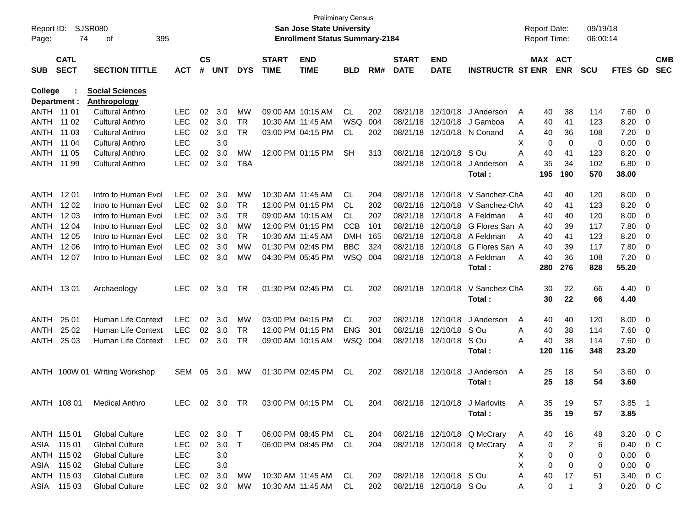| Report ID:<br>Page: | 74                         | <b>SJSR080</b><br>395<br>of   |            |                    |            |            |                             | San Jose State University<br><b>Enrollment Status Summary-2184</b> | Preliminary Census |     |                             |                           |                                  |   | <b>Report Date:</b><br><b>Report Time:</b> |                | 09/19/18<br>06:00:14 |                |                         |                          |
|---------------------|----------------------------|-------------------------------|------------|--------------------|------------|------------|-----------------------------|--------------------------------------------------------------------|--------------------|-----|-----------------------------|---------------------------|----------------------------------|---|--------------------------------------------|----------------|----------------------|----------------|-------------------------|--------------------------|
| <b>SUB</b>          | <b>CATL</b><br><b>SECT</b> | <b>SECTION TITTLE</b>         | <b>ACT</b> | $\mathsf{cs}$<br># | <b>UNT</b> | <b>DYS</b> | <b>START</b><br><b>TIME</b> | <b>END</b><br><b>TIME</b>                                          | <b>BLD</b>         | RM# | <b>START</b><br><b>DATE</b> | <b>END</b><br><b>DATE</b> | <b>INSTRUCTR ST ENR</b>          |   | MAX ACT                                    | <b>ENR</b>     | <b>SCU</b>           | <b>FTES GD</b> |                         | <b>CMB</b><br><b>SEC</b> |
| <b>College</b>      |                            | <b>Social Sciences</b>        |            |                    |            |            |                             |                                                                    |                    |     |                             |                           |                                  |   |                                            |                |                      |                |                         |                          |
|                     | Department :               | <b>Anthropology</b>           |            |                    |            |            |                             |                                                                    |                    |     |                             |                           |                                  |   |                                            |                |                      |                |                         |                          |
|                     | ANTH 11 01                 | <b>Cultural Anthro</b>        | LEC        | 02                 | 3.0        | МW         |                             | 09:00 AM 10:15 AM                                                  | CL                 | 202 |                             | 08/21/18 12/10/18         | J Anderson                       | A | 40                                         | 38             | 114                  | 7.60           | $\overline{\mathbf{0}}$ |                          |
| ANTH                | 11 02                      | Cultural Anthro               | <b>LEC</b> | 02                 | 3.0        | TR         |                             | 10:30 AM 11:45 AM                                                  | <b>WSQ</b>         | 004 |                             | 08/21/18 12/10/18         | J Gamboa                         | A | 40                                         | 41             | 123                  | 8.20           | $\overline{0}$          |                          |
| ANTH                | 11 03                      | <b>Cultural Anthro</b>        | <b>LEC</b> | 02                 | 3.0        | <b>TR</b>  |                             | 03:00 PM 04:15 PM                                                  | CL                 | 202 |                             |                           | 08/21/18 12/10/18 N Conand       | A | 40                                         | 36             | 108                  | 7.20           | $\overline{0}$          |                          |
| ANTH                | 11 04                      | <b>Cultural Anthro</b>        | <b>LEC</b> |                    | 3.0        |            |                             |                                                                    |                    |     |                             |                           |                                  | Х | 0                                          | 0              | 0                    | 0.00           | 0                       |                          |
| ANTH                | 11 05                      | <b>Cultural Anthro</b>        | <b>LEC</b> | 02                 | 3.0        | <b>MW</b>  |                             | 12:00 PM 01:15 PM                                                  | <b>SH</b>          | 313 |                             | 08/21/18 12/10/18 SOu     |                                  | Α | 40                                         | 41             | 123                  | 8.20           | 0                       |                          |
| ANTH                | 11 99                      | <b>Cultural Anthro</b>        | <b>LEC</b> | 02                 | 3.0        | TBA        |                             |                                                                    |                    |     |                             | 08/21/18 12/10/18         | J Anderson                       | A | 35                                         | 34             | 102                  | 6.80           | 0                       |                          |
|                     |                            |                               |            |                    |            |            |                             |                                                                    |                    |     |                             |                           | Total :                          |   | 195                                        | 190            | 570                  | 38.00          |                         |                          |
| ANTH                | 12 01                      | Intro to Human Evol           | <b>LEC</b> | 02                 | 3.0        | MW         |                             | 10:30 AM 11:45 AM                                                  | CL                 | 204 |                             | 08/21/18 12/10/18         | V Sanchez-ChA                    |   | 40                                         | 40             | 120                  | 8.00           | $\overline{\mathbf{0}}$ |                          |
| ANTH                | 12 02                      | Intro to Human Evol           | <b>LEC</b> | 02                 | 3.0        | TR         |                             | 12:00 PM 01:15 PM                                                  | CL.                | 202 |                             |                           | 08/21/18 12/10/18 V Sanchez-ChA  |   | 40                                         | 41             | 123                  | 8.20           | 0                       |                          |
| <b>ANTH</b>         | 12 03                      | Intro to Human Evol           | <b>LEC</b> | 02                 | 3.0        | <b>TR</b>  |                             | 09:00 AM 10:15 AM                                                  | CL.                | 202 |                             |                           | 08/21/18 12/10/18 A Feldman      | A | 40                                         | 40             | 120                  | 8.00           | 0                       |                          |
| ANTH                | 12 04                      | Intro to Human Evol           | <b>LEC</b> | 02                 | 3.0        | МW         |                             | 12:00 PM 01:15 PM                                                  | <b>CCB</b>         | 101 |                             |                           | 08/21/18 12/10/18 G Flores San A |   | 40                                         | 39             | 117                  | 7.80           | 0                       |                          |
| ANTH                | 12 05                      | Intro to Human Evol           | <b>LEC</b> | 02                 | 3.0        | TR         | 10:30 AM 11:45 AM           |                                                                    | <b>DMH</b>         | 165 |                             |                           | 08/21/18 12/10/18 A Feldman      | A | 40                                         | 41             | 123                  | 8.20           | 0                       |                          |
| ANTH                | 12 06                      | Intro to Human Evol           | <b>LEC</b> | 02                 | 3.0        | МW         |                             | 01:30 PM 02:45 PM                                                  | <b>BBC</b>         | 324 |                             |                           | 08/21/18 12/10/18 G Flores San A |   | 40                                         | 39             | 117                  | 7.80           | 0                       |                          |
| ANTH                | 12 07                      | Intro to Human Evol           | <b>LEC</b> | 02                 | 3.0        | MW         |                             | 04:30 PM 05:45 PM                                                  | WSQ 004            |     |                             |                           | 08/21/18 12/10/18 A Feldman      | A | 40                                         | 36             | 108                  | 7.20           | 0                       |                          |
|                     |                            |                               |            |                    |            |            |                             |                                                                    |                    |     |                             |                           | Total :                          |   | 280                                        | 276            | 828                  | 55.20          |                         |                          |
|                     |                            |                               |            |                    |            |            |                             |                                                                    |                    |     |                             |                           |                                  |   |                                            |                |                      |                |                         |                          |
|                     | ANTH 1301                  | Archaeology                   | <b>LEC</b> | 02                 | 3.0        | TR         |                             | 01:30 PM 02:45 PM                                                  | <b>CL</b>          | 202 |                             | 08/21/18 12/10/18         | V Sanchez-ChA                    |   | 30                                         | 22             | 66                   | $4.40 \quad 0$ |                         |                          |
|                     |                            |                               |            |                    |            |            |                             |                                                                    |                    |     |                             |                           | Total :                          |   | 30                                         | 22             | 66                   | 4.40           |                         |                          |
|                     |                            |                               |            |                    |            |            |                             |                                                                    |                    |     |                             |                           |                                  |   |                                            |                |                      |                |                         |                          |
| ANTH                | 25 01                      | <b>Human Life Context</b>     | <b>LEC</b> | 02                 | 3.0        | МW         |                             | 03:00 PM 04:15 PM                                                  | CL.                | 202 |                             | 08/21/18 12/10/18         | J Anderson                       | A | 40                                         | 40             | 120                  | 8.00           | $\overline{\mathbf{0}}$ |                          |
| ANTH                | 25 02                      | Human Life Context            | <b>LEC</b> | $02\,$             | 3.0        | TR         |                             | 12:00 PM 01:15 PM                                                  | <b>ENG</b>         | 301 |                             | 08/21/18 12/10/18 SOu     |                                  | A | 40                                         | 38             | 114                  | 7.60           | $\overline{\mathbf{0}}$ |                          |
| ANTH                | 25 03                      | Human Life Context            | <b>LEC</b> | 02                 | 3.0        | TR         |                             | 09:00 AM 10:15 AM                                                  | WSQ                | 004 |                             | 08/21/18 12/10/18         | S Ou                             | A | 40                                         | 38             | 114                  | 7.60           | 0                       |                          |
|                     |                            |                               |            |                    |            |            |                             |                                                                    |                    |     |                             |                           | Total :                          |   | 120                                        | 116            | 348                  | 23.20          |                         |                          |
|                     |                            |                               |            |                    |            |            |                             |                                                                    |                    |     |                             |                           |                                  |   |                                            |                |                      |                |                         |                          |
|                     |                            | ANTH 100W 01 Writing Workshop | SEM        | 05                 | 3.0        | МW         |                             | 01:30 PM 02:45 PM                                                  | <b>CL</b>          | 202 |                             | 08/21/18 12/10/18         | J Anderson                       | Α | 25                                         | 18             | 54                   | $3.60 \ 0$     |                         |                          |
|                     |                            |                               |            |                    |            |            |                             |                                                                    |                    |     |                             |                           | Total :                          |   | 25                                         | 18             | 54                   | 3.60           |                         |                          |
|                     |                            |                               |            |                    |            |            |                             |                                                                    |                    |     |                             |                           |                                  |   |                                            |                |                      |                |                         |                          |
|                     | ANTH 108 01                | <b>Medical Anthro</b>         | LEC        |                    | 02 3.0 TR  |            |                             | 03:00 PM 04:15 PM                                                  | .CL                | 204 |                             |                           | 08/21/18 12/10/18 J Marlovits    | A | 35                                         | 19             | 57                   | $3.85$ 1       |                         |                          |
|                     |                            |                               |            |                    |            |            |                             |                                                                    |                    |     |                             |                           | Total:                           |   | 35                                         | 19             | 57                   | 3.85           |                         |                          |
|                     | ANTH 115 01                | <b>Global Culture</b>         | LEC.       |                    | 02 3.0 T   |            |                             | 06:00 PM 08:45 PM                                                  | CL.                | 204 |                             |                           | 08/21/18 12/10/18 Q McCrary      | A | 40                                         | 16             | 48                   | 3.20 0 C       |                         |                          |
|                     | ASIA 115 01                | <b>Global Culture</b>         | <b>LEC</b> | 02                 | 3.0        | $\top$     |                             | 06:00 PM 08:45 PM                                                  | CL.                | 204 |                             |                           | 08/21/18 12/10/18 Q McCrary      | A | 0                                          | $\overline{2}$ | 6                    | 0.40 0 C       |                         |                          |
|                     | ANTH 115 02                | <b>Global Culture</b>         | <b>LEC</b> |                    | 3.0        |            |                             |                                                                    |                    |     |                             |                           |                                  | Χ | 0                                          | 0              | 0                    | $0.00 \t 0$    |                         |                          |
|                     | ASIA 115 02                | <b>Global Culture</b>         | <b>LEC</b> |                    | 3.0        |            |                             |                                                                    |                    |     |                             |                           |                                  | X | 0                                          | 0              | 0                    | $0.00 \t 0$    |                         |                          |
|                     | ANTH 115 03                | <b>Global Culture</b>         | <b>LEC</b> |                    | 02 3.0     | МW         |                             | 10:30 AM 11:45 AM                                                  | CL.                | 202 |                             | 08/21/18 12/10/18 SOu     |                                  | Α | 40                                         | 17             | 51                   | 3.40 0 C       |                         |                          |
|                     | ASIA 115 03                | <b>Global Culture</b>         | LEC        |                    | 02 3.0     | MW         |                             | 10:30 AM 11:45 AM                                                  | CL                 | 202 |                             | 08/21/18 12/10/18 SOu     |                                  | A | 0                                          | $\mathbf{1}$   | 3                    | $0.20 \t 0 C$  |                         |                          |
|                     |                            |                               |            |                    |            |            |                             |                                                                    |                    |     |                             |                           |                                  |   |                                            |                |                      |                |                         |                          |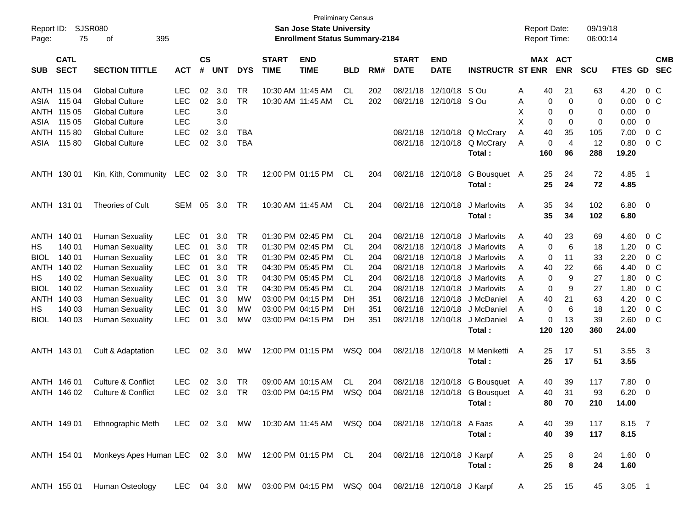| Report ID:<br>Page: | 75                         | <b>SJSR080</b><br>395<br>οf                               |            |                    |            |            |                             | <b>Preliminary Census</b><br>San Jose State University<br><b>Enrollment Status Summary-2184</b> |            |     |                             |                           |                                | <b>Report Date:</b><br><b>Report Time:</b> |     |                              | 09/19/18<br>06:00:14 |             |                          |                          |
|---------------------|----------------------------|-----------------------------------------------------------|------------|--------------------|------------|------------|-----------------------------|-------------------------------------------------------------------------------------------------|------------|-----|-----------------------------|---------------------------|--------------------------------|--------------------------------------------|-----|------------------------------|----------------------|-------------|--------------------------|--------------------------|
| <b>SUB</b>          | <b>CATL</b><br><b>SECT</b> | <b>SECTION TITTLE</b>                                     | <b>ACT</b> | $\mathsf{cs}$<br># | <b>UNT</b> | <b>DYS</b> | <b>START</b><br><b>TIME</b> | <b>END</b><br><b>TIME</b>                                                                       | <b>BLD</b> | RM# | <b>START</b><br><b>DATE</b> | <b>END</b><br><b>DATE</b> | <b>INSTRUCTR ST ENR</b>        |                                            |     | <b>MAX ACT</b><br><b>ENR</b> | <b>SCU</b>           | FTES GD     |                          | <b>CMB</b><br><b>SEC</b> |
|                     | ANTH 115 04                | <b>Global Culture</b>                                     | <b>LEC</b> | 02                 | 3.0        | TR         |                             | 10:30 AM 11:45 AM                                                                               | CL.        | 202 | 08/21/18                    | 12/10/18                  | S Ou                           | Α                                          | 40  | 21                           | 63                   | 4.20        | 0 <sup>o</sup>           |                          |
| ASIA                | 115 04                     | <b>Global Culture</b>                                     | <b>LEC</b> | 02                 | 3.0        | <b>TR</b>  |                             | 10:30 AM 11:45 AM                                                                               | CL         | 202 | 08/21/18                    | 12/10/18 S Ou             |                                | Α                                          | 0   | 0                            | 0                    | 0.00        | 0 <sup>o</sup>           |                          |
| ANTH                | 115 05                     | <b>Global Culture</b>                                     | <b>LEC</b> |                    | 3.0        |            |                             |                                                                                                 |            |     |                             |                           |                                | Χ                                          | 0   | 0                            | 0                    | 0.00        | $\mathbf 0$              |                          |
| ASIA                | 115 05                     | <b>Global Culture</b>                                     | <b>LEC</b> |                    | 3.0        |            |                             |                                                                                                 |            |     |                             |                           |                                | X                                          | 0   | 0                            | 0                    | 0.00        | $\overline{0}$           |                          |
| ANTH                | 11580                      | <b>Global Culture</b>                                     | <b>LEC</b> | 02                 | 3.0        | <b>TBA</b> |                             |                                                                                                 |            |     | 08/21/18                    | 12/10/18                  | Q McCrary                      | Α                                          | 40  | 35                           | 105                  | 7.00        | $0\,C$                   |                          |
| ASIA                | 11580                      | <b>Global Culture</b>                                     | <b>LEC</b> | 02                 | 3.0        | <b>TBA</b> |                             |                                                                                                 |            |     |                             | 08/21/18 12/10/18         | Q McCrary                      | Α                                          | 0   | $\overline{4}$               | 12                   | 0.80        | 0 <sup>o</sup>           |                          |
|                     |                            |                                                           |            |                    |            |            |                             |                                                                                                 |            |     |                             |                           | Total:                         |                                            | 160 | 96                           | 288                  | 19.20       |                          |                          |
|                     | ANTH 130 01                | Kin, Kith, Community                                      | <b>LEC</b> | 02                 | 3.0        | TR         |                             | 12:00 PM 01:15 PM                                                                               | CL         | 204 | 08/21/18                    | 12/10/18                  | G Bousquet A                   |                                            | 25  | 24                           | 72                   | 4.85        | - 1                      |                          |
|                     |                            |                                                           |            |                    |            |            |                             |                                                                                                 |            |     |                             |                           | Total:                         |                                            | 25  | 24                           | 72                   | 4.85        |                          |                          |
|                     | ANTH 131 01                | Theories of Cult                                          | <b>SEM</b> | 05                 | 3.0        | TR         |                             | 10:30 AM 11:45 AM                                                                               | CL         | 204 | 08/21/18                    | 12/10/18                  | J Marlovits                    | Α                                          | 35  | 34                           | 102                  | $6.80$ 0    |                          |                          |
|                     |                            |                                                           |            |                    |            |            |                             |                                                                                                 |            |     |                             |                           | Total:                         |                                            | 35  | 34                           | 102                  | 6.80        |                          |                          |
|                     | ANTH 140 01                | <b>Human Sexuality</b>                                    | <b>LEC</b> | 01                 | 3.0        | <b>TR</b>  |                             | 01:30 PM 02:45 PM                                                                               | CL         | 204 | 08/21/18                    | 12/10/18                  | J Marlovits                    | Α                                          | 40  | 23                           | 69                   | 4.60        | $0\,$ C                  |                          |
| HS                  | 140 01                     | <b>Human Sexuality</b>                                    | <b>LEC</b> | 01                 | 3.0        | <b>TR</b>  |                             | 01:30 PM 02:45 PM                                                                               | CL         | 204 | 08/21/18                    | 12/10/18                  | J Marlovits                    | Α                                          | 0   | 6                            | 18                   | 1.20        | 0 <sup>o</sup>           |                          |
| <b>BIOL</b>         | 140 01                     | <b>Human Sexuality</b>                                    | <b>LEC</b> | 01                 | 3.0        | <b>TR</b>  |                             | 01:30 PM 02:45 PM                                                                               | CL         | 204 | 08/21/18                    | 12/10/18                  | J Marlovits                    | Α                                          | 0   | 11                           | 33                   | 2.20        | $0\,C$                   |                          |
| ANTH                | 140 02                     | <b>Human Sexuality</b>                                    | <b>LEC</b> | 01                 | 3.0        | <b>TR</b>  |                             | 04:30 PM 05:45 PM                                                                               | CL         | 204 | 08/21/18                    | 12/10/18                  | J Marlovits                    | Α                                          | 40  | 22                           | 66                   | 4.40        | $0\,C$                   |                          |
| HS                  | 140 02                     | <b>Human Sexuality</b>                                    | <b>LEC</b> | 01                 | 3.0        | <b>TR</b>  |                             | 04:30 PM 05:45 PM                                                                               | <b>CL</b>  | 204 | 08/21/18                    | 12/10/18                  | J Marlovits                    | Α                                          | 0   | 9                            | 27                   | 1.80        | $0\,C$                   |                          |
| <b>BIOL</b>         | 140 02                     | <b>Human Sexuality</b>                                    | <b>LEC</b> | 01                 | 3.0        | <b>TR</b>  |                             | 04:30 PM 05:45 PM                                                                               | CL         | 204 | 08/21/18                    | 12/10/18                  | J Marlovits                    | Α                                          | 0   | 9                            | 27                   | 1.80        | 0 <sup>o</sup>           |                          |
|                     | ANTH 140 03                | <b>Human Sexuality</b>                                    | <b>LEC</b> | 01                 | 3.0        | <b>MW</b>  |                             | 03:00 PM 04:15 PM                                                                               | DH         | 351 | 08/21/18                    | 12/10/18                  | J McDaniel                     | Α                                          | 40  | 21                           | 63                   | 4.20        | 0 <sup>o</sup>           |                          |
| HS                  | 140 03                     | <b>Human Sexuality</b>                                    | <b>LEC</b> | 01                 | 3.0        | <b>MW</b>  |                             | 03:00 PM 04:15 PM                                                                               | DH         | 351 | 08/21/18                    | 12/10/18                  | J McDaniel                     | Α                                          | 0   | 6                            | 18                   | 1.20        | 0 <sup>o</sup>           |                          |
| <b>BIOL</b>         | 140 03                     | <b>Human Sexuality</b>                                    | <b>LEC</b> | 01                 | 3.0        | MW         |                             | 03:00 PM 04:15 PM                                                                               | DH         | 351 |                             | 08/21/18 12/10/18         | J McDaniel                     | Α                                          | 0   | 13                           | 39                   | 2.60        | 0 <sup>o</sup>           |                          |
|                     |                            |                                                           |            |                    |            |            |                             |                                                                                                 |            |     |                             |                           | Total:                         |                                            | 120 | 120                          | 360                  | 24.00       |                          |                          |
|                     | ANTH 143 01                | Cult & Adaptation                                         | <b>LEC</b> | 02                 | 3.0        | MW         |                             | 12:00 PM 01:15 PM                                                                               | WSQ 004    |     | 08/21/18                    | 12/10/18                  | M Meniketti                    | A                                          | 25  | 17                           | 51                   | 3.55        | $\overline{\mathbf{3}}$  |                          |
|                     |                            |                                                           |            |                    |            |            |                             |                                                                                                 |            |     |                             |                           | Total:                         |                                            | 25  | 17                           | 51                   | 3.55        |                          |                          |
|                     | ANTH 146 01                | <b>Culture &amp; Conflict</b>                             | <b>LEC</b> | 02                 | 3.0        | TR         |                             | 09:00 AM 10:15 AM                                                                               | CL         | 204 | 08/21/18                    | 12/10/18                  | G Bousquet A                   |                                            | 40  | 39                           | 117                  | 7.80        | $\overline{\phantom{0}}$ |                          |
|                     | ANTH 146 02                | Culture & Conflict                                        | <b>LEC</b> | 02                 | 3.0        | <b>TR</b>  |                             | 03:00 PM 04:15 PM                                                                               | WSQ 004    |     |                             |                           | 08/21/18 12/10/18 G Bousquet A |                                            | 40  | 31                           | 93                   | 6.20        | $\overline{\mathbf{0}}$  |                          |
|                     |                            |                                                           |            |                    |            |            |                             |                                                                                                 |            |     |                             |                           | Total:                         |                                            | 80  | 70                           | 210                  | 14.00       |                          |                          |
|                     | ANTH 149 01                | Ethnographic Meth LEC 02 3.0 MW 10:30 AM 11:45 AM WSQ 004 |            |                    |            |            |                             |                                                                                                 |            |     |                             | 08/21/18 12/10/18 A Faas  |                                | A                                          | 40  | 39                           | 117                  | 8.15 7      |                          |                          |
|                     |                            |                                                           |            |                    |            |            |                             |                                                                                                 |            |     |                             |                           | Total:                         |                                            | 40  | 39                           | 117                  | 8.15        |                          |                          |
|                     | ANTH 154 01                | Monkeys Apes Human LEC 02 3.0 MW 12:00 PM 01:15 PM CL 204 |            |                    |            |            |                             |                                                                                                 |            |     |                             | 08/21/18 12/10/18 J Karpf |                                | A                                          | 25  | 8                            | 24                   | $1.60 \t 0$ |                          |                          |
|                     |                            |                                                           |            |                    |            |            |                             |                                                                                                 |            |     |                             |                           | Total:                         |                                            | 25  | $\bf8$                       | 24                   | 1.60        |                          |                          |
|                     | ANTH 155 01                | Human Osteology                                           |            |                    |            |            |                             | LEC 04 3.0 MW 03:00 PM 04:15 PM WSQ 004                                                         |            |     |                             | 08/21/18 12/10/18 J Karpf |                                | A                                          | 25  | 15                           | 45                   | $3.05$ 1    |                          |                          |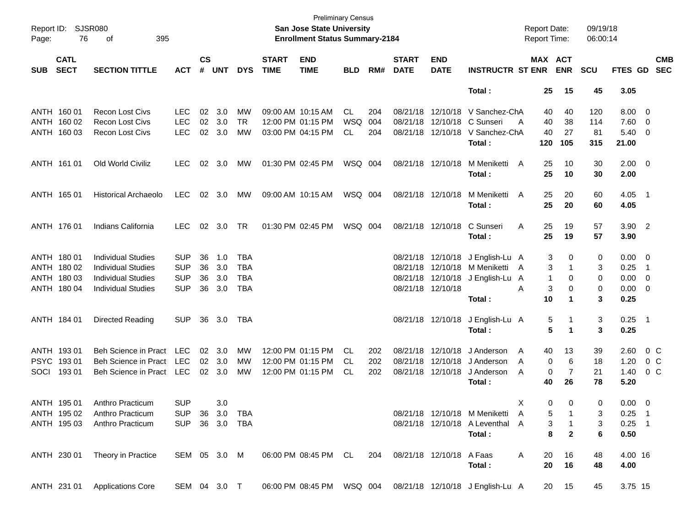| Page:       | <b>SJSR080</b><br>Report ID:<br>76<br>395<br>οf<br><b>CATL</b> |                                            |                |                    |                |            |                             | <b>Preliminary Census</b><br><b>San Jose State University</b><br><b>Enrollment Status Summary-2184</b> |            |     |                             |                           |                                                                  | <b>Report Date:</b><br>Report Time: |                      | 09/19/18<br>06:00:14 |                |                          |                          |
|-------------|----------------------------------------------------------------|--------------------------------------------|----------------|--------------------|----------------|------------|-----------------------------|--------------------------------------------------------------------------------------------------------|------------|-----|-----------------------------|---------------------------|------------------------------------------------------------------|-------------------------------------|----------------------|----------------------|----------------|--------------------------|--------------------------|
| <b>SUB</b>  | <b>SECT</b>                                                    | <b>SECTION TITTLE</b>                      | <b>ACT</b>     | $\mathsf{cs}$<br># | <b>UNT</b>     | <b>DYS</b> | <b>START</b><br><b>TIME</b> | <b>END</b><br><b>TIME</b>                                                                              | <b>BLD</b> | RM# | <b>START</b><br><b>DATE</b> | <b>END</b><br><b>DATE</b> | <b>INSTRUCTR ST ENR</b>                                          | MAX ACT                             | <b>ENR</b>           | <b>SCU</b>           | <b>FTES GD</b> |                          | <b>CMB</b><br><b>SEC</b> |
|             |                                                                |                                            |                |                    |                |            |                             |                                                                                                        |            |     |                             |                           | Total:                                                           | 25                                  | 15                   | 45                   | 3.05           |                          |                          |
|             | ANTH 160 01                                                    | <b>Recon Lost Civs</b>                     | <b>LEC</b>     | 02                 | 3.0            | MW         |                             | 09:00 AM 10:15 AM                                                                                      | CL         | 204 |                             | 08/21/18 12/10/18         | V Sanchez-ChA                                                    | 40                                  | 40                   | 120                  | $8.00 \quad 0$ |                          |                          |
|             | ANTH 160 02                                                    | Recon Lost Civs                            | <b>LEC</b>     | 02                 | 3.0            | <b>TR</b>  |                             | 12:00 PM 01:15 PM                                                                                      | WSQ        | 004 |                             | 08/21/18 12/10/18         | C Sunseri                                                        | 40<br>A                             | 38                   | 114                  | 7.60           | $\overline{\phantom{0}}$ |                          |
|             | ANTH 160 03                                                    | <b>Recon Lost Civs</b>                     | <b>LEC</b>     |                    | 02 3.0         | МW         |                             | 03:00 PM 04:15 PM                                                                                      | CL         | 204 |                             | 08/21/18 12/10/18         | V Sanchez-ChA                                                    | 40                                  | 27                   | 81                   | 5.40           | - 0                      |                          |
|             |                                                                |                                            |                |                    |                |            |                             |                                                                                                        |            |     |                             |                           | Total:                                                           | 120                                 | 105                  | 315                  | 21.00          |                          |                          |
|             | ANTH 161 01                                                    | Old World Civiliz                          | <b>LEC</b>     | 02                 | 3.0            | МW         |                             | 01:30 PM 02:45 PM                                                                                      | WSQ 004    |     |                             | 08/21/18 12/10/18         | M Meniketti                                                      | A<br>25                             | 10                   | 30                   | $2.00 \t 0$    |                          |                          |
|             |                                                                |                                            |                |                    |                |            |                             |                                                                                                        |            |     |                             |                           | Total:                                                           | 25                                  | 10                   | 30                   | 2.00           |                          |                          |
|             | ANTH 165 01                                                    | <b>Historical Archaeolo</b>                | <b>LEC</b>     |                    | $02 \quad 3.0$ | MW         |                             | 09:00 AM 10:15 AM                                                                                      | WSQ 004    |     |                             | 08/21/18 12/10/18         | M Meniketti                                                      | A<br>25                             | 20                   | 60                   | $4.05$ 1       |                          |                          |
|             |                                                                |                                            |                |                    |                |            |                             |                                                                                                        |            |     |                             |                           | Total:                                                           | 25                                  | 20                   | 60                   | 4.05           |                          |                          |
|             | ANTH 176 01                                                    | Indians California                         | <b>LEC</b>     |                    | 02 3.0         | TR         |                             | 01:30 PM 02:45 PM                                                                                      | WSQ 004    |     |                             | 08/21/18 12/10/18         | C Sunseri                                                        | Α<br>25                             | 19                   | 57                   | $3.90$ 2       |                          |                          |
|             |                                                                |                                            |                |                    |                |            |                             |                                                                                                        |            |     |                             |                           | Total:                                                           | 25                                  | 19                   | 57                   | 3.90           |                          |                          |
|             | ANTH 180 01                                                    | <b>Individual Studies</b>                  | <b>SUP</b>     | 36                 | 1.0            | <b>TBA</b> |                             |                                                                                                        |            |     |                             | 08/21/18 12/10/18         | J English-Lu A                                                   | 3                                   | 0                    | 0                    | $0.00 \quad 0$ |                          |                          |
|             | ANTH 180 02                                                    | <b>Individual Studies</b>                  | <b>SUP</b>     | 36                 | 3.0            | <b>TBA</b> |                             |                                                                                                        |            |     |                             | 08/21/18 12/10/18         | M Meniketti                                                      | 3<br>A                              | 1                    | 3                    | 0.25           | $\overline{\phantom{1}}$ |                          |
|             | ANTH 180 03                                                    | <b>Individual Studies</b>                  | <b>SUP</b>     | 36                 | 3.0            | <b>TBA</b> |                             |                                                                                                        |            |     |                             | 08/21/18 12/10/18         | J English-Lu A                                                   | 1                                   | 0                    | 0                    | 0.00           | $\overline{\mathbf{0}}$  |                          |
|             | ANTH 180 04                                                    | <b>Individual Studies</b>                  | <b>SUP</b>     | 36                 | 3.0            | <b>TBA</b> |                             |                                                                                                        |            |     |                             | 08/21/18 12/10/18         |                                                                  | Α<br>3                              | 0                    | 0                    | 0.00           | $\overline{\phantom{0}}$ |                          |
|             |                                                                |                                            |                |                    |                |            |                             |                                                                                                        |            |     |                             |                           | Total:                                                           | 10                                  | 1                    | 3                    | 0.25           |                          |                          |
|             | ANTH 184 01                                                    | Directed Reading                           | <b>SUP</b>     |                    | 36 3.0         | TBA        |                             |                                                                                                        |            |     |                             | 08/21/18 12/10/18         | J English-Lu A                                                   | 5                                   | 1                    | 3                    | $0.25$ 1       |                          |                          |
|             |                                                                |                                            |                |                    |                |            |                             |                                                                                                        |            |     |                             |                           | Total:                                                           | 5                                   | 1                    | 3                    | 0.25           |                          |                          |
|             | ANTH 193 01                                                    | <b>Beh Science in Pract</b>                | LEC            |                    | 02 3.0         | MW         |                             | 12:00 PM 01:15 PM                                                                                      | CL.        | 202 |                             | 08/21/18 12/10/18         | J Anderson                                                       | A<br>40                             | 13                   | 39                   | 2.60           | $0\,$ C                  |                          |
| <b>PSYC</b> | 19301                                                          | <b>Beh Science in Pract</b>                | LEC            |                    | 02 3.0         | MW         |                             | 12:00 PM 01:15 PM                                                                                      | CL.        | 202 |                             | 08/21/18 12/10/18         | J Anderson                                                       | 0<br>A                              | 6                    | 18                   | 1.20           | 0 C                      |                          |
| SOCI        | 19301                                                          | Beh Science in Pract                       | LEC            |                    | 02 3.0         | MW         |                             | 12:00 PM 01:15 PM                                                                                      | CL         | 202 |                             | 08/21/18 12/10/18         | J Anderson                                                       | A<br>0                              | $\overline{7}$       | 21                   | 1.40           | $0\,$ C                  |                          |
|             |                                                                |                                            |                |                    |                |            |                             |                                                                                                        |            |     |                             |                           | Total:                                                           | 40                                  | 26                   | 78                   | 5.20           |                          |                          |
|             | ANTH 195 01                                                    | Anthro Practicum                           | <b>SUP</b>     |                    | 3.0            |            |                             |                                                                                                        |            |     |                             |                           |                                                                  | X                                   | $\Omega$<br>$\Omega$ | $\Omega$             | $0.00 \quad 0$ |                          |                          |
|             | ANTH 195 02                                                    | Anthro Practicum                           | SUP 36 3.0 TBA |                    |                |            |                             |                                                                                                        |            |     |                             |                           | 08/21/18 12/10/18 M Meniketti A                                  | 5                                   |                      | 3                    | $0.25$ 1       |                          |                          |
|             |                                                                | ANTH 195 03 Anthro Practicum               | SUP 36 3.0 TBA |                    |                |            |                             |                                                                                                        |            |     |                             |                           | 08/21/18 12/10/18 A Leventhal A                                  | 3                                   | $\overline{1}$       | 3                    | $0.25$ 1       |                          |                          |
|             |                                                                |                                            |                |                    |                |            |                             |                                                                                                        |            |     |                             |                           | Total:                                                           | 8                                   | $\overline{2}$       | 6                    | 0.50           |                          |                          |
|             |                                                                | ANTH 230 01 Theory in Practice             | SEM 05 3.0 M   |                    |                |            |                             | 06:00 PM 08:45 PM CL 204 08/21/18 12/10/18 A Faas                                                      |            |     |                             |                           |                                                                  | A<br>20                             | 16                   | 48                   | 4.00 16        |                          |                          |
|             |                                                                |                                            |                |                    |                |            |                             |                                                                                                        |            |     |                             |                           | Total:                                                           | 20                                  | 16                   | 48                   | 4.00           |                          |                          |
|             |                                                                | ANTH 231 01 Applications Core SEM 04 3.0 T |                |                    |                |            |                             |                                                                                                        |            |     |                             |                           | 06:00 PM 08:45 PM WSQ 004 08/21/18 12/10/18 J English-Lu A 20 15 |                                     |                      | 45                   | 3.75 15        |                          |                          |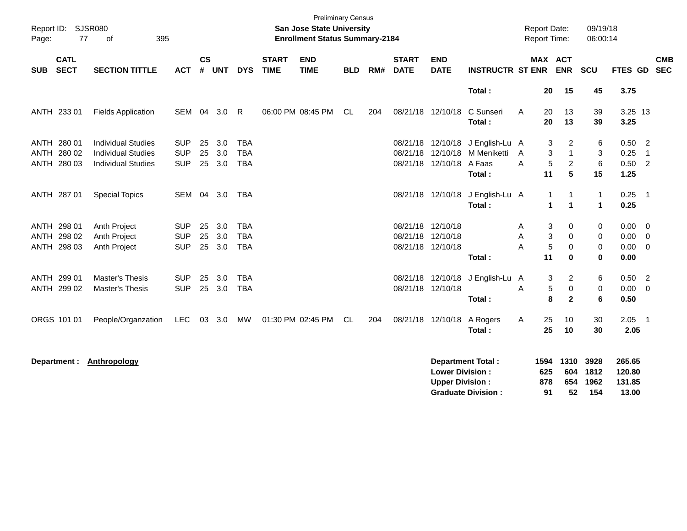| Page:      | Report ID: SJSR080<br>77                  | 395<br>of                                                                           |                                        |                |                   |                                        |                             | <b>Preliminary Census</b><br><b>San Jose State University</b><br><b>Enrollment Status Summary-2184</b> |            |     |                             |                                                             |                                                           |             | <b>Report Date:</b><br><b>Report Time:</b> |                                               | 09/19/18<br>06:00:14          |                                      |                                                     |            |
|------------|-------------------------------------------|-------------------------------------------------------------------------------------|----------------------------------------|----------------|-------------------|----------------------------------------|-----------------------------|--------------------------------------------------------------------------------------------------------|------------|-----|-----------------------------|-------------------------------------------------------------|-----------------------------------------------------------|-------------|--------------------------------------------|-----------------------------------------------|-------------------------------|--------------------------------------|-----------------------------------------------------|------------|
| <b>SUB</b> | <b>CATL</b><br><b>SECT</b>                | <b>SECTION TITTLE</b>                                                               | <b>ACT</b>                             | <b>CS</b><br># | <b>UNT</b>        | <b>DYS</b>                             | <b>START</b><br><b>TIME</b> | <b>END</b><br><b>TIME</b>                                                                              | <b>BLD</b> | RM# | <b>START</b><br><b>DATE</b> | <b>END</b><br><b>DATE</b>                                   | <b>INSTRUCTR ST ENR</b>                                   |             |                                            | MAX ACT<br><b>ENR</b>                         | <b>SCU</b>                    | FTES GD SEC                          |                                                     | <b>CMB</b> |
|            |                                           |                                                                                     |                                        |                |                   |                                        |                             |                                                                                                        |            |     |                             |                                                             | Total:                                                    |             | 20                                         | 15                                            | 45                            | 3.75                                 |                                                     |            |
|            | ANTH 233 01                               | <b>Fields Application</b>                                                           | SEM                                    |                | 04 3.0            | R                                      |                             | 06:00 PM 08:45 PM                                                                                      | CL.        | 204 |                             | 08/21/18 12/10/18                                           | C Sunseri<br>Total:                                       | A           | 20<br>20                                   | 13<br>13                                      | 39<br>39                      | 3.25 13<br>3.25                      |                                                     |            |
|            | ANTH 280 01<br>ANTH 280 02<br>ANTH 280 03 | <b>Individual Studies</b><br><b>Individual Studies</b><br><b>Individual Studies</b> | <b>SUP</b><br><b>SUP</b><br><b>SUP</b> | 25<br>25<br>25 | 3.0<br>3.0<br>3.0 | <b>TBA</b><br><b>TBA</b><br><b>TBA</b> |                             |                                                                                                        |            |     |                             | 08/21/18 12/10/18<br>08/21/18 12/10/18 A Faas               | J English-Lu A<br>08/21/18 12/10/18 M Meniketti<br>Total: | A<br>A      | 3<br>$\mathbf{3}$<br>5<br>11               | 2<br>$\mathbf{1}$<br>$\overline{2}$<br>5      | 6<br>3<br>6<br>15             | $0.50$ 2<br>0.25<br>$0.50$ 2<br>1.25 | $\overline{1}$                                      |            |
|            | ANTH 287 01                               | <b>Special Topics</b>                                                               |                                        |                | SEM 04 3.0        | <b>TBA</b>                             |                             |                                                                                                        |            |     |                             |                                                             | 08/21/18 12/10/18 J English-Lu A<br>Total:                |             | $\mathbf{1}$<br>$\mathbf{1}$               | 1<br>$\blacktriangleleft$                     | $\overline{1}$<br>$\mathbf 1$ | $0.25$ 1<br>0.25                     |                                                     |            |
|            | ANTH 298 01<br>ANTH 298 02<br>ANTH 298 03 | Anth Project<br>Anth Project<br>Anth Project                                        | <b>SUP</b><br><b>SUP</b><br><b>SUP</b> | 25<br>25<br>25 | 3.0<br>3.0<br>3.0 | TBA<br><b>TBA</b><br><b>TBA</b>        |                             |                                                                                                        |            |     |                             | 08/21/18 12/10/18<br>08/21/18 12/10/18<br>08/21/18 12/10/18 | Total:                                                    | A<br>Α<br>A | 3<br>3<br>5<br>11                          | 0<br>0<br>0<br>$\bf{0}$                       | 0<br>0<br>0<br>$\bf{0}$       | $0.00 \t 0$<br>0.00<br>0.00<br>0.00  | $\overline{\mathbf{0}}$<br>$\overline{0}$           |            |
|            | ANTH 299 01<br>ANTH 299 02                | Master's Thesis<br><b>Master's Thesis</b>                                           | <b>SUP</b><br><b>SUP</b>               | 25<br>25       | 3.0<br>3.0        | <b>TBA</b><br><b>TBA</b>               |                             |                                                                                                        |            |     |                             | 08/21/18 12/10/18<br>08/21/18 12/10/18                      | J English-Lu A<br>Total:                                  | A           | 3<br>5<br>8                                | $\overline{c}$<br>$\mathbf 0$<br>$\mathbf{2}$ | 6<br>$\mathbf 0$<br>6         | 0.50<br>0.00<br>0.50                 | $\overline{\phantom{a}}$<br>$\overline{\mathbf{0}}$ |            |
|            | ORGS 101 01                               | People/Organzation                                                                  | LEC                                    | 03             | 3.0               | <b>MW</b>                              |                             | 01:30 PM 02:45 PM                                                                                      | CL         | 204 |                             | 08/21/18 12/10/18                                           | A Rogers<br>Total:                                        | A           | 25<br>25                                   | 10<br>10                                      | 30<br>30                      | 2.05<br>2.05                         | $\overline{\phantom{0}}$ 1                          |            |
|            | Department :                              | <b>Anthropology</b>                                                                 |                                        |                |                   |                                        |                             |                                                                                                        |            |     |                             | <b>Lower Division:</b><br><b>Upper Division:</b>            | <b>Department Total:</b><br><b>Graduate Division:</b>     |             | 1594<br>625<br>878<br>91                   | 1310<br>604<br>654<br>52                      | 3928<br>1812<br>1962<br>154   | 265.65<br>120.80<br>131.85<br>13.00  |                                                     |            |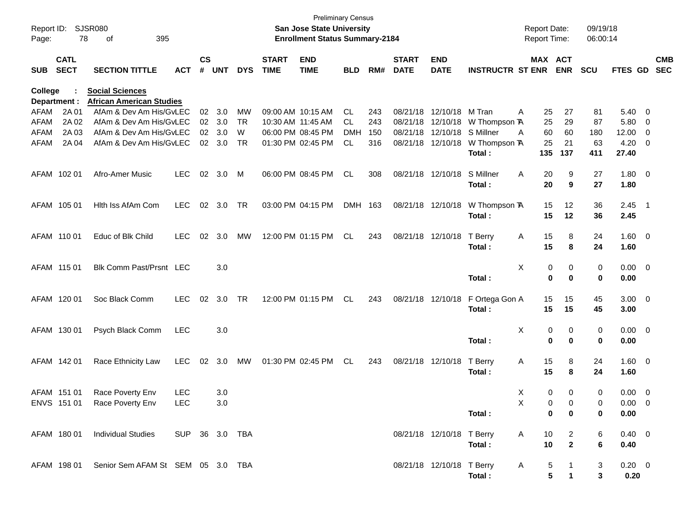| Report ID:<br>Page: | 78                         | SJSR080<br>395<br>0f                                      |                |                    |            |            |                             | <b>Preliminary Census</b><br>San Jose State University<br><b>Enrollment Status Summary-2184</b> |            |     |                             |                           |                         | <b>Report Date:</b><br>Report Time: |                              | 09/19/18<br>06:00:14 |                     |                          |                          |
|---------------------|----------------------------|-----------------------------------------------------------|----------------|--------------------|------------|------------|-----------------------------|-------------------------------------------------------------------------------------------------|------------|-----|-----------------------------|---------------------------|-------------------------|-------------------------------------|------------------------------|----------------------|---------------------|--------------------------|--------------------------|
| <b>SUB</b>          | <b>CATL</b><br><b>SECT</b> | <b>SECTION TITTLE</b>                                     | <b>ACT</b>     | $\mathsf{cs}$<br># | <b>UNT</b> | <b>DYS</b> | <b>START</b><br><b>TIME</b> | <b>END</b><br><b>TIME</b>                                                                       | <b>BLD</b> | RM# | <b>START</b><br><b>DATE</b> | <b>END</b><br><b>DATE</b> | <b>INSTRUCTR ST ENR</b> | MAX ACT                             | <b>ENR</b>                   | <b>SCU</b>           | FTES GD             |                          | <b>CMB</b><br><b>SEC</b> |
| <b>College</b>      | Department :               | <b>Social Sciences</b><br><b>African American Studies</b> |                |                    |            |            |                             |                                                                                                 |            |     |                             |                           |                         |                                     |                              |                      |                     |                          |                          |
| AFAM                | 2A 01                      | AfAm & Dev Am His/GvLEC                                   |                | 02                 | 3.0        | MW         |                             | 09:00 AM 10:15 AM                                                                               | CL         | 243 | 08/21/18                    | 12/10/18                  | M Tran                  | 25<br>Α                             | 27                           | 81                   | 5.40                | $\overline{\mathbf{0}}$  |                          |
| AFAM                | 2A 02                      | AfAm & Dev Am His/GvLEC                                   |                |                    | 02 3.0     | TR         |                             | 10:30 AM 11:45 AM                                                                               | CL         | 243 | 08/21/18                    | 12/10/18                  | W Thompson TA           | 25                                  | 29                           | 87                   | 5.80                | $\overline{\mathbf{0}}$  |                          |
| AFAM                | 2A 03                      | AfAm & Dev Am His/GvLEC                                   |                | 02                 | 3.0        | W          |                             | 06:00 PM 08:45 PM                                                                               | DMH        | 150 | 08/21/18                    | 12/10/18                  | S Millner               | 60<br>Α                             | 60                           | 180                  | 12.00               | - 0                      |                          |
| AFAM                | 2A 04                      | AfAm & Dev Am His/GvLEC                                   |                |                    | 02 3.0     | <b>TR</b>  |                             | 01:30 PM 02:45 PM                                                                               | CL         | 316 | 08/21/18                    | 12/10/18                  | W Thompson TA<br>Total: | 25<br>135                           | 21<br>137                    | 63<br>411            | 4.20<br>27.40       | $\overline{\mathbf{0}}$  |                          |
|                     | AFAM 102 01                | Afro-Amer Music                                           | <b>LEC</b>     | 02                 | 3.0        | M          |                             | 06:00 PM 08:45 PM                                                                               | CL         | 308 | 08/21/18 12/10/18           |                           | S Millner<br>Total:     | 20<br>A<br>20                       | 9<br>9                       | 27<br>27             | $1.80 \ 0$<br>1.80  |                          |                          |
|                     | AFAM 105 01                | Hith Iss AfAm Com                                         | <b>LEC</b>     | 02                 | 3.0        | TR         |                             | 03:00 PM 04:15 PM                                                                               | DMH 163    |     |                             | 08/21/18 12/10/18         | W Thompson TA           | 15                                  | 12                           | 36                   | $2.45$ 1            |                          |                          |
|                     |                            |                                                           |                |                    |            |            |                             |                                                                                                 |            |     |                             |                           | Total:                  | 15                                  | 12                           | 36                   | 2.45                |                          |                          |
|                     | AFAM 110 01                | Educ of Blk Child                                         | <b>LEC</b>     | 02                 | 3.0        | MW         |                             | 12:00 PM 01:15 PM                                                                               | CL         | 243 |                             | 08/21/18 12/10/18         | T Berry                 | 15<br>A                             | 8                            | 24                   | $1.60 \t 0$         |                          |                          |
|                     |                            |                                                           |                |                    |            |            |                             |                                                                                                 |            |     |                             |                           | Total:                  | 15                                  | 8                            | 24                   | 1.60                |                          |                          |
|                     | AFAM 115 01                | Blk Comm Past/Prsnt LEC                                   |                |                    | 3.0        |            |                             |                                                                                                 |            |     |                             |                           |                         | X<br>0                              | 0                            | 0                    | $0.00 \quad 0$      |                          |                          |
|                     |                            |                                                           |                |                    |            |            |                             |                                                                                                 |            |     |                             |                           | Total:                  | $\mathbf 0$                         | $\mathbf 0$                  | $\bf{0}$             | 0.00                |                          |                          |
|                     | AFAM 120 01                | Soc Black Comm                                            | <b>LEC</b>     | 02                 | 3.0        | TR         |                             | 12:00 PM 01:15 PM                                                                               | CL         | 243 |                             | 08/21/18 12/10/18         | F Ortega Gon A          | 15                                  | 15                           | 45                   | $3.00 \ 0$          |                          |                          |
|                     |                            |                                                           |                |                    |            |            |                             |                                                                                                 |            |     |                             |                           | Total:                  | 15                                  | 15                           | 45                   | 3.00                |                          |                          |
|                     | AFAM 130 01                | Psych Black Comm                                          | <b>LEC</b>     |                    | 3.0        |            |                             |                                                                                                 |            |     |                             |                           |                         | X<br>0                              | 0                            | 0                    | $0.00 \quad 0$      |                          |                          |
|                     |                            |                                                           |                |                    |            |            |                             |                                                                                                 |            |     |                             |                           | Total:                  | $\mathbf 0$                         | $\mathbf 0$                  | $\bf{0}$             | 0.00                |                          |                          |
|                     | AFAM 142 01                | Race Ethnicity Law                                        | <b>LEC</b>     | 02                 | 3.0        | MW         |                             | 01:30 PM 02:45 PM                                                                               | CL         | 243 | 08/21/18 12/10/18           |                           | T Berry                 | 15<br>A                             | 8                            | 24                   | $1.60 \ 0$          |                          |                          |
|                     |                            |                                                           |                |                    |            |            |                             |                                                                                                 |            |     |                             |                           | Total:                  | 15                                  | 8                            | 24                   | 1.60                |                          |                          |
|                     | AFAM 151 01                | Race Poverty Env                                          | <b>LEC</b>     |                    | 3.0        |            |                             |                                                                                                 |            |     |                             |                           |                         | Χ<br>0                              | 0                            | 0                    | 0.00                | $\overline{\phantom{0}}$ |                          |
|                     |                            | ENVS 151 01 Race Poverty Env                              | LEC            |                    | 3.0        |            |                             |                                                                                                 |            |     |                             |                           |                         | $\times$                            | $\mathbf{0}$<br>$\mathbf{0}$ | $\Omega$             | $0.00 \t 0$         |                          |                          |
|                     |                            |                                                           |                |                    |            |            |                             |                                                                                                 |            |     |                             |                           | Total:                  | $\mathbf 0$                         | 0                            | 0                    | 0.00                |                          |                          |
|                     |                            | AFAM 180 01 Individual Studies                            | SUP 36 3.0 TBA |                    |            |            |                             |                                                                                                 |            |     |                             | 08/21/18 12/10/18 T Berry |                         | $\mathsf{A}$<br>10                  | $\overline{2}$               | 6                    | $0.40 \ 0$          |                          |                          |
|                     |                            |                                                           |                |                    |            |            |                             |                                                                                                 |            |     |                             |                           | Total:                  | 10                                  | $\mathbf{2}$                 | 6                    | 0.40                |                          |                          |
|                     |                            | AFAM 198 01 Senior Sem AFAM St SEM 05 3.0 TBA             |                |                    |            |            |                             |                                                                                                 |            |     |                             | 08/21/18 12/10/18 T Berry | Total:                  | A<br>5<br>5                         | $\mathbf{1}$<br>$\mathbf{1}$ | 3<br>3               | $0.20 \t 0$<br>0.20 |                          |                          |
|                     |                            |                                                           |                |                    |            |            |                             |                                                                                                 |            |     |                             |                           |                         |                                     |                              |                      |                     |                          |                          |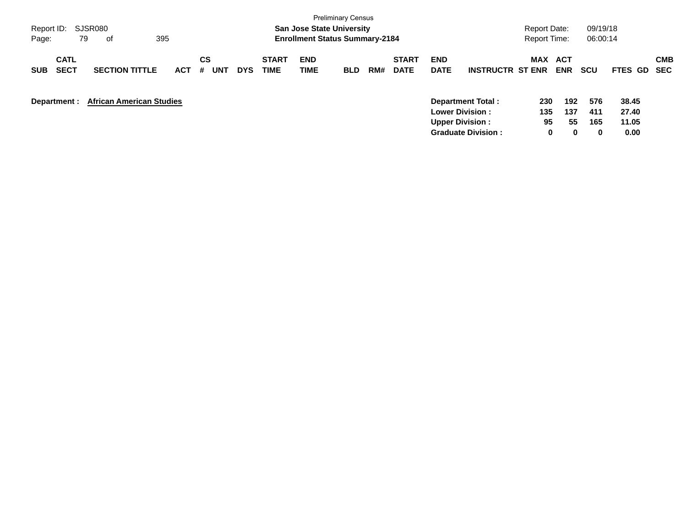|                                          |                                 |            |                |            |                      |                                       | <b>Preliminary Census</b> |     |                             |                           |                                                                       |                  |                          |                   |                         |                          |
|------------------------------------------|---------------------------------|------------|----------------|------------|----------------------|---------------------------------------|---------------------------|-----|-----------------------------|---------------------------|-----------------------------------------------------------------------|------------------|--------------------------|-------------------|-------------------------|--------------------------|
| Report ID:                               | SJSR080                         |            |                |            |                      | <b>San Jose State University</b>      |                           |     |                             |                           |                                                                       | Report Date:     |                          | 09/19/18          |                         |                          |
| 79<br>Page:                              | 0f                              | 395        |                |            |                      | <b>Enrollment Status Summary-2184</b> |                           |     |                             |                           |                                                                       | Report Time:     |                          | 06:00:14          |                         |                          |
| <b>CATL</b><br><b>SECT</b><br><b>SUB</b> | <b>SECTION TITTLE</b>           | <b>ACT</b> | CS<br>#<br>UNT | <b>DYS</b> | <b>START</b><br>TIME | <b>END</b><br>TIME                    | <b>BLD</b>                | RM# | <b>START</b><br><b>DATE</b> | <b>END</b><br><b>DATE</b> | <b>INSTRUCTR ST ENR</b>                                               | MAX              | <b>ACT</b><br><b>ENR</b> | <b>SCU</b>        | <b>FTES GD</b>          | <b>CMB</b><br><b>SEC</b> |
| Department :                             | <b>African American Studies</b> |            |                |            |                      |                                       |                           |     |                             |                           | Department Total:<br><b>Lower Division:</b><br><b>Upper Division:</b> | 230<br>135<br>95 | 192<br>137<br>55         | 576<br>411<br>165 | 38.45<br>27.40<br>11.05 |                          |
|                                          |                                 |            |                |            |                      |                                       |                           |     |                             |                           | <b>Graduate Division:</b>                                             | 0                | 0                        | $\bf{0}$          | 0.00                    |                          |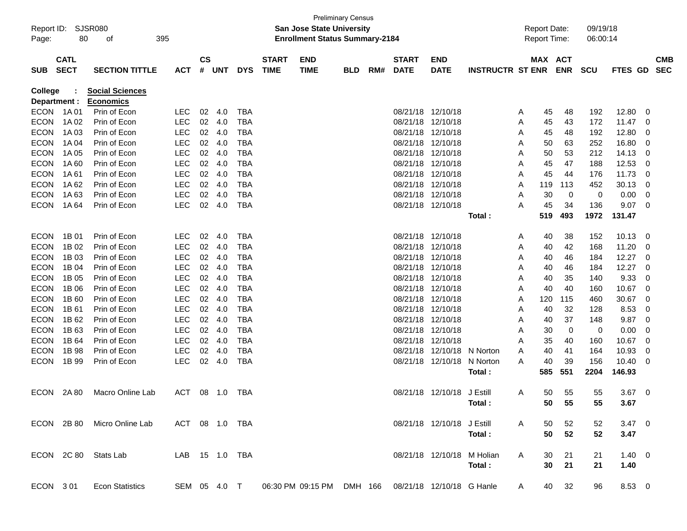| Report ID:<br>Page: | 80                         | SJSR080<br>395<br>оf   |                |                |        |            | San Jose State University<br><b>Enrollment Status Summary-2184</b> | <b>Preliminary Census</b> |     |                             |                            |                         | <b>Report Date:</b><br><b>Report Time:</b> |                       | 09/19/18<br>06:00:14 |                |   |                          |
|---------------------|----------------------------|------------------------|----------------|----------------|--------|------------|--------------------------------------------------------------------|---------------------------|-----|-----------------------------|----------------------------|-------------------------|--------------------------------------------|-----------------------|----------------------|----------------|---|--------------------------|
| <b>SUB</b>          | <b>CATL</b><br><b>SECT</b> | <b>SECTION TITTLE</b>  | <b>ACT</b>     | <b>CS</b><br># | UNT    | <b>DYS</b> | <b>START</b><br><b>END</b><br><b>TIME</b><br><b>TIME</b>           | <b>BLD</b>                | RM# | <b>START</b><br><b>DATE</b> | END<br><b>DATE</b>         | <b>INSTRUCTR ST ENR</b> |                                            | MAX ACT<br><b>ENR</b> | <b>SCU</b>           | <b>FTES GD</b> |   | <b>CMB</b><br><b>SEC</b> |
| College             |                            | <b>Social Sciences</b> |                |                |        |            |                                                                    |                           |     |                             |                            |                         |                                            |                       |                      |                |   |                          |
| Department :        |                            | <b>Economics</b>       |                |                |        |            |                                                                    |                           |     |                             |                            |                         |                                            |                       |                      |                |   |                          |
| <b>ECON</b>         | 1A 01                      | Prin of Econ           | <b>LEC</b>     | 02             | 4.0    | <b>TBA</b> |                                                                    |                           |     | 08/21/18                    | 12/10/18                   |                         | 45<br>A                                    | 48                    | 192                  | 12.80          | 0 |                          |
| <b>ECON</b>         | 1A 02                      | Prin of Econ           | <b>LEC</b>     | 02             | 4.0    | <b>TBA</b> |                                                                    |                           |     | 08/21/18                    | 12/10/18                   |                         | 45<br>A                                    | 43                    | 172                  | 11.47          | 0 |                          |
| <b>ECON</b>         | 1A 03                      | Prin of Econ           | <b>LEC</b>     |                | 02 4.0 | <b>TBA</b> |                                                                    |                           |     | 08/21/18                    | 12/10/18                   |                         | 45<br>A                                    | 48                    | 192                  | 12.80          | 0 |                          |
| <b>ECON</b>         | 1A 04                      | Prin of Econ           | <b>LEC</b>     | 02             | - 4.0  | <b>TBA</b> |                                                                    |                           |     | 08/21/18                    | 12/10/18                   |                         | 50<br>Α                                    | 63                    | 252                  | 16.80          | 0 |                          |
| <b>ECON</b>         | 1A 05                      | Prin of Econ           | <b>LEC</b>     | 02             | - 4.0  | <b>TBA</b> |                                                                    |                           |     | 08/21/18                    | 12/10/18                   |                         | 50<br>Α                                    | 53                    | 212                  | 14.13          | 0 |                          |
| <b>ECON</b>         | 1A60                       | Prin of Econ           | <b>LEC</b>     | 02             | - 4.0  | <b>TBA</b> |                                                                    |                           |     | 08/21/18                    | 12/10/18                   |                         | 45<br>Α                                    | 47                    | 188                  | 12.53          | 0 |                          |
| <b>ECON</b>         | 1A 61                      | Prin of Econ           | <b>LEC</b>     |                | 02 4.0 | <b>TBA</b> |                                                                    |                           |     | 08/21/18                    | 12/10/18                   |                         | 45<br>Α                                    | 44                    | 176                  | 11.73          | 0 |                          |
| <b>ECON</b>         | 1A 62                      | Prin of Econ           | <b>LEC</b>     | 02             | - 4.0  | <b>TBA</b> |                                                                    |                           |     | 08/21/18                    | 12/10/18                   |                         | 119<br>Α                                   | 113                   | 452                  | 30.13          | 0 |                          |
| <b>ECON</b>         | 1A63                       | Prin of Econ           | <b>LEC</b>     | 02             | 4.0    | <b>TBA</b> |                                                                    |                           |     | 08/21/18                    | 12/10/18                   |                         | 30<br>Α                                    | $\mathbf 0$           | 0                    | 0.00           | 0 |                          |
| <b>ECON</b>         | 1A 64                      | Prin of Econ           | <b>LEC</b>     | 02             | 4.0    | <b>TBA</b> |                                                                    |                           |     |                             | 08/21/18 12/10/18          |                         | 45<br>Α                                    | 34                    | 136                  | 9.07           | 0 |                          |
|                     |                            |                        |                |                |        |            |                                                                    |                           |     |                             |                            | Total:                  | 519                                        | 493                   | 1972                 | 131.47         |   |                          |
|                     |                            |                        |                |                |        |            |                                                                    |                           |     |                             |                            |                         |                                            |                       |                      |                |   |                          |
| <b>ECON</b>         | 1B 01                      | Prin of Econ           | <b>LEC</b>     | 02             | 4.0    | <b>TBA</b> |                                                                    |                           |     | 08/21/18                    | 12/10/18                   |                         | 40<br>A                                    | 38                    | 152                  | 10.13          | 0 |                          |
| <b>ECON</b>         | 1B 02                      | Prin of Econ           | <b>LEC</b>     | 02             | 4.0    | <b>TBA</b> |                                                                    |                           |     | 08/21/18                    | 12/10/18                   |                         | 40<br>A                                    | 42                    | 168                  | 11.20          | 0 |                          |
| <b>ECON</b>         | 1B 03                      | Prin of Econ           | <b>LEC</b>     |                | 02 4.0 | <b>TBA</b> |                                                                    |                           |     | 08/21/18                    | 12/10/18                   |                         | 40<br>Α                                    | 46                    | 184                  | 12.27          | 0 |                          |
| <b>ECON</b>         | 1B 04                      | Prin of Econ           | <b>LEC</b>     | 02             | - 4.0  | TBA        |                                                                    |                           |     | 08/21/18                    | 12/10/18                   |                         | 40<br>Α                                    | 46                    | 184                  | 12.27          | 0 |                          |
| <b>ECON</b>         | 1B 05                      | Prin of Econ           | <b>LEC</b>     | 02             | - 4.0  | <b>TBA</b> |                                                                    |                           |     | 08/21/18                    | 12/10/18                   |                         | 40<br>Α                                    | 35                    | 140                  | 9.33           | 0 |                          |
| <b>ECON</b>         | 1B 06                      | Prin of Econ           | <b>LEC</b>     | 02             | - 4.0  | <b>TBA</b> |                                                                    |                           |     | 08/21/18                    | 12/10/18                   |                         | 40<br>Α                                    | 40                    | 160                  | 10.67          | 0 |                          |
| <b>ECON</b>         | 1B 60                      | Prin of Econ           | <b>LEC</b>     |                | 02 4.0 | TBA        |                                                                    |                           |     | 08/21/18                    | 12/10/18                   |                         | 120<br>Α                                   | 115                   | 460                  | 30.67          | 0 |                          |
| <b>ECON</b>         | 1B 61                      | Prin of Econ           | <b>LEC</b>     | 02             | - 4.0  | TBA        |                                                                    |                           |     | 08/21/18                    | 12/10/18                   |                         | 40<br>Α                                    | 32                    | 128                  | 8.53           | 0 |                          |
| <b>ECON</b>         | 1B 62                      | Prin of Econ           | <b>LEC</b>     | 02             | - 4.0  | <b>TBA</b> |                                                                    |                           |     | 08/21/18                    | 12/10/18                   |                         | 40<br>Α                                    | 37                    | 148                  | 9.87           | 0 |                          |
| <b>ECON</b>         | 1B 63                      | Prin of Econ           | <b>LEC</b>     | 02             | - 4.0  | <b>TBA</b> |                                                                    |                           |     | 08/21/18                    | 12/10/18                   |                         | 30<br>Α                                    | 0                     | 0                    | 0.00           | 0 |                          |
| <b>ECON</b>         | 1B 64                      | Prin of Econ           | <b>LEC</b>     |                | 02 4.0 | <b>TBA</b> |                                                                    |                           |     | 08/21/18                    | 12/10/18                   |                         | 35<br>Α                                    | 40                    | 160                  | 10.67          | 0 |                          |
| <b>ECON</b>         | 1B 98                      | Prin of Econ           | <b>LEC</b>     | 02             | 4.0    | <b>TBA</b> |                                                                    |                           |     | 08/21/18                    | 12/10/18                   | N Norton                | 40<br>A                                    | 41                    | 164                  | 10.93          | 0 |                          |
| <b>ECON</b>         | 1B 99                      | Prin of Econ           | <b>LEC</b>     | 02             | 4.0    | <b>TBA</b> |                                                                    |                           |     | 08/21/18                    | 12/10/18                   | N Norton                | 40<br>A                                    | 39                    | 156                  | 10.40          | 0 |                          |
|                     |                            |                        |                |                |        |            |                                                                    |                           |     |                             |                            | Total:                  | 585                                        | 551                   | 2204                 | 146.93         |   |                          |
| <b>ECON</b>         | 2A 80                      | Macro Online Lab       | ACT            |                | 08 1.0 | TBA        |                                                                    |                           |     |                             | 08/21/18 12/10/18 J Estill |                         | 50<br>A                                    | 55                    | 55                   | 3.67           | 0 |                          |
|                     |                            |                        |                |                |        |            |                                                                    |                           |     |                             |                            | Total:                  |                                            | 50<br>55              | 55                   | 3.67           |   |                          |
|                     |                            |                        |                |                |        |            |                                                                    |                           |     |                             |                            |                         |                                            |                       |                      |                |   |                          |
|                     | ECON 2B80                  | Micro Online Lab       | ACT 08 1.0 TBA |                |        |            |                                                                    |                           |     |                             | 08/21/18 12/10/18 J Estill |                         | A<br>50                                    | 52                    | 52                   | $3.47 \ 0$     |   |                          |
|                     |                            |                        |                |                |        |            |                                                                    |                           |     |                             |                            | Total:                  | 50                                         | 52                    | 52                   | 3.47           |   |                          |
|                     |                            |                        |                |                |        |            |                                                                    |                           |     |                             |                            |                         |                                            |                       |                      |                |   |                          |
|                     |                            | ECON 2C 80 Stats Lab   | LAB 15 1.0 TBA |                |        |            |                                                                    |                           |     |                             | 08/21/18 12/10/18 M Holian |                         | A<br>30                                    | 21                    | 21                   | $1.40 \ 0$     |   |                          |
|                     |                            |                        |                |                |        |            |                                                                    |                           |     |                             |                            | Total:                  | 30                                         | 21                    | 21                   | 1.40           |   |                          |
|                     |                            |                        |                |                |        |            |                                                                    |                           |     |                             |                            |                         |                                            |                       |                      |                |   |                          |
| ECON 301            |                            | <b>Econ Statistics</b> | SEM 05 4.0 T   |                |        |            | 06:30 PM 09:15 PM DMH 166                                          |                           |     | 08/21/18 12/10/18 G Hanle   |                            |                         | 40<br>A                                    | 32                    | 96                   | 8.53 0         |   |                          |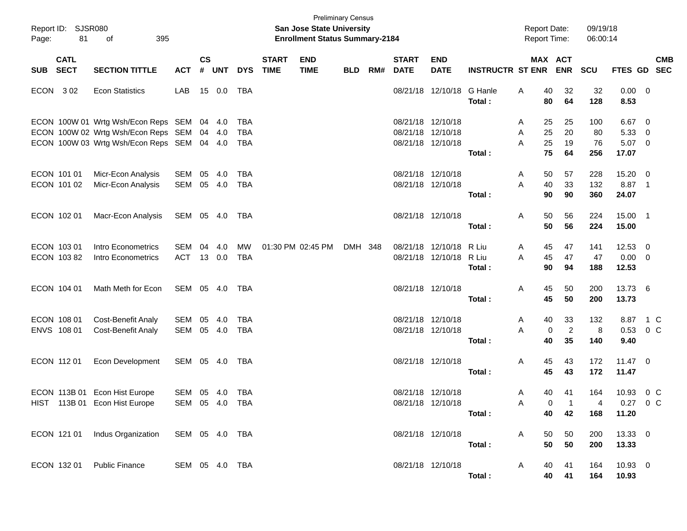| Page:      | Report ID: SJSR080<br>81   | 395<br>of                                                                                                                       |                              |                    |               |                                        |                             | <b>Preliminary Census</b><br>San Jose State University<br><b>Enrollment Status Summary-2184</b> |            |     |                                           |                               |                          | <b>Report Date:</b> |                      | <b>Report Time:</b>        | 09/19/18<br>06:00:14   |                               |                                        |                          |
|------------|----------------------------|---------------------------------------------------------------------------------------------------------------------------------|------------------------------|--------------------|---------------|----------------------------------------|-----------------------------|-------------------------------------------------------------------------------------------------|------------|-----|-------------------------------------------|-------------------------------|--------------------------|---------------------|----------------------|----------------------------|------------------------|-------------------------------|----------------------------------------|--------------------------|
| <b>SUB</b> | <b>CATL</b><br><b>SECT</b> | <b>SECTION TITTLE</b>                                                                                                           | <b>ACT</b>                   | $\mathsf{cs}$<br># | <b>UNT</b>    | <b>DYS</b>                             | <b>START</b><br><b>TIME</b> | <b>END</b><br><b>TIME</b>                                                                       | <b>BLD</b> | RM# | <b>START</b><br><b>DATE</b>               | <b>END</b><br><b>DATE</b>     | <b>INSTRUCTR ST ENR</b>  |                     |                      | MAX ACT<br><b>ENR</b>      | <b>SCU</b>             | <b>FTES GD</b>                |                                        | <b>CMB</b><br><b>SEC</b> |
| ECON 302   |                            | <b>Econ Statistics</b>                                                                                                          | LAB                          |                    | 15 0.0        | TBA                                    |                             |                                                                                                 |            |     |                                           | 08/21/18 12/10/18             | G Hanle<br>Total:        | Α                   | 40<br>80             | 32<br>64                   | 32<br>128              | 0.00<br>8.53                  | $\overline{\phantom{0}}$               |                          |
|            |                            | ECON 100W 01 Wrtg Wsh/Econ Reps SEM 04 4.0<br>ECON 100W 02 Wrtg Wsh/Econ Reps SEM<br>ECON 100W 03 Wrtg Wsh/Econ Reps SEM 04 4.0 |                              |                    | 04 4.0        | <b>TBA</b><br><b>TBA</b><br><b>TBA</b> |                             |                                                                                                 |            |     | 08/21/18<br>08/21/18<br>08/21/18 12/10/18 | 12/10/18<br>12/10/18          | Total:                   | A<br>Α<br>A         | 25<br>25<br>25<br>75 | 25<br>20<br>19<br>64       | 100<br>80<br>76<br>256 | 6.67<br>5.33<br>5.07<br>17.07 | - 0<br>- 0<br>$\overline{\phantom{0}}$ |                          |
|            | ECON 101 01<br>ECON 101 02 | Micr-Econ Analysis<br>Micr-Econ Analysis                                                                                        | SEM<br>SEM                   | 05                 | 4.0<br>05 4.0 | <b>TBA</b><br><b>TBA</b>               |                             |                                                                                                 |            |     | 08/21/18 12/10/18<br>08/21/18 12/10/18    |                               | Total:                   | A<br>A              | 50<br>40<br>90       | 57<br>33<br>90             | 228<br>132<br>360      | 15.20<br>8.87<br>24.07        | - 0<br>$\overline{\phantom{1}}$        |                          |
|            | ECON 102 01                | Macr-Econ Analysis                                                                                                              | SEM 05 4.0                   |                    |               | TBA                                    |                             |                                                                                                 |            |     | 08/21/18 12/10/18                         |                               | Total:                   | Α                   | 50<br>50             | 56<br>56                   | 224<br>224             | 15.00 1<br>15.00              |                                        |                          |
|            | ECON 103 01<br>ECON 103 82 | Intro Econometrics<br>Intro Econometrics                                                                                        | <b>SEM</b><br><b>ACT</b>     | 04                 | 4.0<br>13 0.0 | <b>MW</b><br><b>TBA</b>                |                             | 01:30 PM 02:45 PM                                                                               | DMH 348    |     | 08/21/18                                  | 12/10/18<br>08/21/18 12/10/18 | R Liu<br>R Liu<br>Total: | A<br>A              | 45<br>45<br>90       | 47<br>47<br>94             | 141<br>47<br>188       | 12.53<br>0.00<br>12.53        | - 0<br>- 0                             |                          |
|            | ECON 104 01                | Math Meth for Econ                                                                                                              | SEM 05 4.0                   |                    |               | TBA                                    |                             |                                                                                                 |            |     | 08/21/18 12/10/18                         |                               | Total:                   | Α                   | 45<br>45             | 50<br>50                   | 200<br>200             | 13.73 6<br>13.73              |                                        |                          |
|            | ECON 108 01<br>ENVS 108 01 | Cost-Benefit Analy<br><b>Cost-Benefit Analy</b>                                                                                 | <b>SEM</b><br>SEM            | 05<br>05           | 4.0<br>4.0    | <b>TBA</b><br><b>TBA</b>               |                             |                                                                                                 |            |     | 08/21/18 12/10/18<br>08/21/18 12/10/18    |                               | Total:                   | A<br>A              | 40<br>0<br>40        | 33<br>$\overline{2}$<br>35 | 132<br>8<br>140        | 8.87<br>0.53<br>9.40          | 1 C<br>$0\,$ C                         |                          |
|            | ECON 112 01                | Econ Development                                                                                                                | SEM 05 4.0                   |                    |               | TBA                                    |                             |                                                                                                 |            |     | 08/21/18 12/10/18                         |                               | Total:                   | Α                   | 45<br>45             | 43<br>43                   | 172<br>172             | $11.47 \t 0$<br>11.47         |                                        |                          |
|            |                            | ECON 113B 01 Econ Hist Europe<br>HIST 113B 01 Econ Hist Europe                                                                  | SEM 05 4.0<br>SEM 05 4.0 TBA |                    |               | TBA                                    |                             |                                                                                                 |            |     | 08/21/18 12/10/18<br>08/21/18 12/10/18    |                               | Total:                   | A<br>A              | 40<br>0<br>40        | 41<br>42                   | 164<br>168             | 10.93<br>0.27 0 C<br>11.20    | $0\,$ C                                |                          |
|            |                            | ECON 121 01 Indus Organization                                                                                                  | SEM 05 4.0 TBA               |                    |               |                                        |                             |                                                                                                 |            |     |                                           | 08/21/18 12/10/18             | Total:                   | $\mathsf{A}$        | 50<br>50             | 50<br>50                   | 200<br>200             | 13.33 0<br>13.33              |                                        |                          |
|            |                            | ECON 132 01 Public Finance                                                                                                      | SEM 05 4.0 TBA               |                    |               |                                        |                             |                                                                                                 |            |     |                                           | 08/21/18 12/10/18             | Total:                   | A                   | 40<br>40             | 41<br>41                   | 164<br>164             | 10.93 0<br>10.93              |                                        |                          |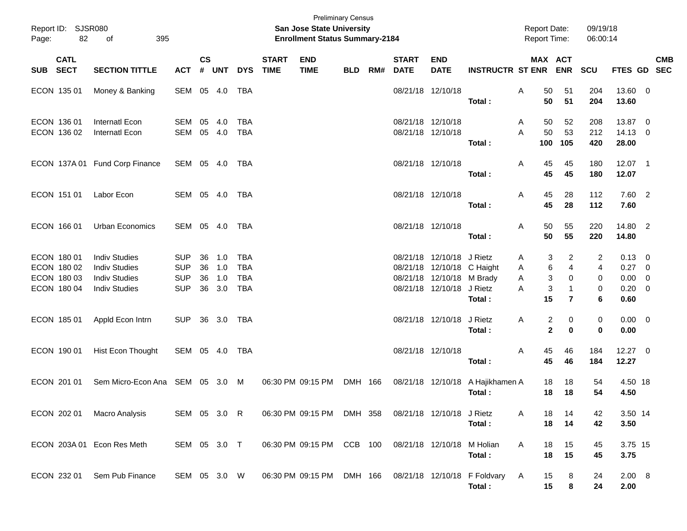| Page:    | Report ID: SJSR080<br>82                                 | 395<br>of                                                                                    |                                                      |                             |                          |                                                      |                             | <b>Preliminary Census</b><br><b>San Jose State University</b><br><b>Enrollment Status Summary-2184</b> |            |     |                                        |                                                                                                                   |                          | <b>Report Date:</b><br><b>Report Time:</b> |                                                                                | 09/19/18<br>06:00:14                        |                                                             |                         |            |
|----------|----------------------------------------------------------|----------------------------------------------------------------------------------------------|------------------------------------------------------|-----------------------------|--------------------------|------------------------------------------------------|-----------------------------|--------------------------------------------------------------------------------------------------------|------------|-----|----------------------------------------|-------------------------------------------------------------------------------------------------------------------|--------------------------|--------------------------------------------|--------------------------------------------------------------------------------|---------------------------------------------|-------------------------------------------------------------|-------------------------|------------|
| SUB SECT | <b>CATL</b>                                              | <b>SECTION TITTLE</b>                                                                        | <b>ACT</b>                                           | $\mathsf{cs}$<br>$\pmb{\#}$ | <b>UNT</b>               | <b>DYS</b>                                           | <b>START</b><br><b>TIME</b> | <b>END</b><br><b>TIME</b>                                                                              | <b>BLD</b> | RM# | <b>START</b><br><b>DATE</b>            | <b>END</b><br><b>DATE</b>                                                                                         | <b>INSTRUCTR ST ENR</b>  |                                            | MAX ACT<br><b>ENR</b>                                                          | SCU                                         | FTES GD SEC                                                 |                         | <b>CMB</b> |
|          | ECON 135 01                                              | Money & Banking                                                                              | SEM 05 4.0                                           |                             |                          | TBA                                                  |                             |                                                                                                        |            |     | 08/21/18 12/10/18                      |                                                                                                                   | Total:                   | A<br>50<br>50                              | 51<br>51                                                                       | 204<br>204                                  | 13.60 0<br>13.60                                            |                         |            |
|          | ECON 136 01<br>ECON 136 02                               | Internatl Econ<br>Internatl Econ                                                             | SEM<br>SEM                                           | 05                          | 4.0<br>05 4.0            | <b>TBA</b><br><b>TBA</b>                             |                             |                                                                                                        |            |     | 08/21/18 12/10/18<br>08/21/18 12/10/18 |                                                                                                                   | Total:                   | 50<br>A<br>50<br>A<br>100                  | 52<br>53<br>105                                                                | 208<br>212<br>420                           | 13.87 0<br>14.13 0<br>28.00                                 |                         |            |
|          |                                                          | ECON 137A 01 Fund Corp Finance                                                               | SEM 05 4.0                                           |                             |                          | TBA                                                  |                             |                                                                                                        |            |     | 08/21/18 12/10/18                      |                                                                                                                   | Total:                   | Α<br>45<br>45                              | 45<br>45                                                                       | 180<br>180                                  | 12.07 1<br>12.07                                            |                         |            |
|          | ECON 151 01                                              | Labor Econ                                                                                   | SEM 05 4.0                                           |                             |                          | TBA                                                  |                             |                                                                                                        |            |     | 08/21/18 12/10/18                      |                                                                                                                   | Total:                   | 45<br>A<br>45                              | 28<br>28                                                                       | 112<br>112                                  | 7.60 2<br>7.60                                              |                         |            |
|          | ECON 166 01                                              | Urban Economics                                                                              | SEM 05 4.0                                           |                             |                          | TBA                                                  |                             |                                                                                                        |            |     | 08/21/18 12/10/18                      |                                                                                                                   | Total:                   | 50<br>A<br>50                              | 55<br>55                                                                       | 220<br>220                                  | 14.80 2<br>14.80                                            |                         |            |
|          | ECON 180 01<br>ECON 180 02<br>ECON 180 03<br>ECON 180 04 | <b>Indiv Studies</b><br><b>Indiv Studies</b><br><b>Indiv Studies</b><br><b>Indiv Studies</b> | <b>SUP</b><br><b>SUP</b><br><b>SUP</b><br><b>SUP</b> | 36<br>36<br>36<br>36        | 1.0<br>1.0<br>1.0<br>3.0 | <b>TBA</b><br><b>TBA</b><br><b>TBA</b><br><b>TBA</b> |                             |                                                                                                        |            |     |                                        | 08/21/18 12/10/18 J Rietz<br>08/21/18 12/10/18 C Haight<br>08/21/18 12/10/18 M Brady<br>08/21/18 12/10/18 J Rietz | Total:                   | A<br>Α<br>Α<br>A<br>15                     | 2<br>3<br>6<br>$\overline{4}$<br>3<br>0<br>3<br>$\mathbf{1}$<br>$\overline{7}$ | 2<br>$\overline{\mathbf{4}}$<br>0<br>0<br>6 | $0.13 \quad 0$<br>0.27<br>$0.00 \t 0$<br>$0.20 \ 0$<br>0.60 | $\overline{\mathbf{0}}$ |            |
|          | ECON 185 01                                              | Appld Econ Intrn                                                                             | <b>SUP</b>                                           |                             | 36 3.0                   | TBA                                                  |                             |                                                                                                        |            |     |                                        | 08/21/18 12/10/18                                                                                                 | J Rietz<br>Total:        | A                                          | $\overline{c}$<br>0<br>$\mathbf{2}$<br>$\bf{0}$                                | 0<br>0                                      | $0.00 \t 0$<br>0.00                                         |                         |            |
|          | ECON 190 01                                              | Hist Econ Thought                                                                            | SEM 05 4.0                                           |                             |                          | TBA                                                  |                             |                                                                                                        |            |     | 08/21/18 12/10/18                      |                                                                                                                   | Total:                   | 45<br>A<br>45                              | 46<br>46                                                                       | 184<br>184                                  | 12.27 0<br>12.27                                            |                         |            |
|          | ECON 201 01                                              | Sem Micro-Econ Ana SEM 05 3.0 M                                                              |                                                      |                             |                          |                                                      |                             | 06:30 PM 09:15 PM                                                                                      | DMH 166    |     |                                        | 08/21/18 12/10/18                                                                                                 | A Hajikhamen A<br>Total: | 18<br>18                                   | 18<br>18                                                                       | 54<br>54                                    | 4.50 18<br>4.50                                             |                         |            |
|          | ECON 202 01                                              | Macro Analysis                                                                               | SEM 05 3.0 R                                         |                             |                          |                                                      |                             | 06:30 PM 09:15 PM DMH 358 08/21/18 12/10/18 J Rietz                                                    |            |     |                                        |                                                                                                                   | Total:                   | A<br>18<br>18                              | 14<br>14                                                                       | 42<br>42                                    | 3.50 14<br>3.50                                             |                         |            |
|          |                                                          | ECON 203A 01 Econ Res Meth                                                                   | SEM 05 3.0 T                                         |                             |                          |                                                      |                             | 06:30 PM 09:15 PM CCB 100                                                                              |            |     | 08/21/18 12/10/18                      |                                                                                                                   | M Holian<br>Total:       | 18<br>A<br>18                              | 15<br>15                                                                       | 45<br>45                                    | 3.75 15<br>3.75                                             |                         |            |
|          | ECON 232 01                                              | Sem Pub Finance                                                                              | SEM 05 3.0 W                                         |                             |                          |                                                      |                             | 06:30 PM 09:15 PM DMH 166 08/21/18 12/10/18 F Foldvary                                                 |            |     |                                        |                                                                                                                   | Total:                   | A<br>15<br>15                              | 8<br>8                                                                         | 24<br>24                                    | 2.00 8<br>2.00                                              |                         |            |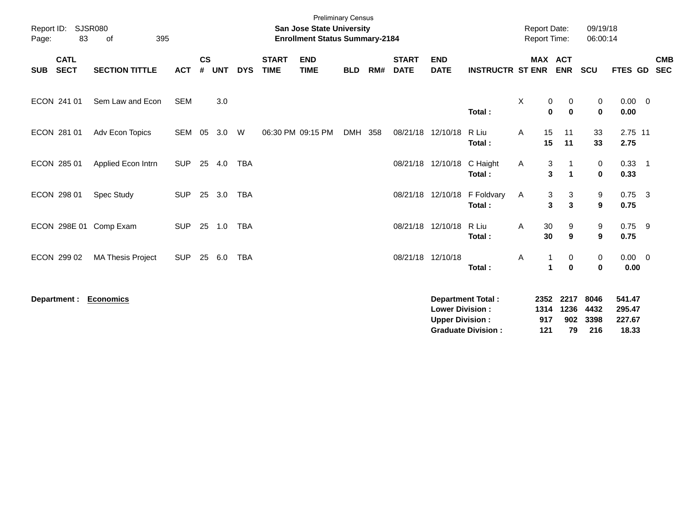| Report ID:<br>Page:                      | <b>SJSR080</b><br>83<br>395<br>of |            |                    |            |            |                             | <b>Preliminary Census</b><br><b>San Jose State University</b><br><b>Enrollment Status Summary-2184</b> |            |     |                             |                                                  |                                                       | <b>Report Date:</b><br><b>Report Time:</b> |                                   | 09/19/18<br>06:00:14            |                                     |                            |                          |
|------------------------------------------|-----------------------------------|------------|--------------------|------------|------------|-----------------------------|--------------------------------------------------------------------------------------------------------|------------|-----|-----------------------------|--------------------------------------------------|-------------------------------------------------------|--------------------------------------------|-----------------------------------|---------------------------------|-------------------------------------|----------------------------|--------------------------|
| <b>CATL</b><br><b>SECT</b><br><b>SUB</b> | <b>SECTION TITTLE</b>             | <b>ACT</b> | $\mathsf{cs}$<br># | <b>UNT</b> | <b>DYS</b> | <b>START</b><br><b>TIME</b> | <b>END</b><br><b>TIME</b>                                                                              | <b>BLD</b> | RM# | <b>START</b><br><b>DATE</b> | <b>END</b><br><b>DATE</b>                        | <b>INSTRUCTR ST ENR</b>                               |                                            | <b>MAX ACT</b><br><b>ENR</b>      | <b>SCU</b>                      | FTES GD                             |                            | <b>CMB</b><br><b>SEC</b> |
| ECON 241 01                              | Sem Law and Econ                  | <b>SEM</b> |                    | 3.0        |            |                             |                                                                                                        |            |     |                             |                                                  | Total:                                                | X                                          | 0<br>0<br>$\bf{0}$<br>$\mathbf 0$ | 0<br>$\mathbf 0$                | $0.00 \t 0$<br>0.00                 |                            |                          |
| ECON 281 01                              | Adv Econ Topics                   | SEM        | 05                 | 3.0        | W          |                             | 06:30 PM 09:15 PM                                                                                      | DMH        | 358 |                             | 08/21/18 12/10/18                                | R Liu<br>Total:                                       | A                                          | 15<br>11<br>11<br>15              | 33<br>33                        | 2.75 11<br>2.75                     |                            |                          |
| ECON 285 01                              | Applied Econ Intrn                | <b>SUP</b> | 25                 | 4.0        | <b>TBA</b> |                             |                                                                                                        |            |     |                             | 08/21/18 12/10/18                                | C Haight<br>Total:                                    | A                                          | 3<br>3<br>$\mathbf{1}$            | 0<br>$\mathbf{0}$               | 0.33<br>0.33                        | $\overline{\phantom{0}}$ 1 |                          |
| ECON 298 01                              | <b>Spec Study</b>                 | <b>SUP</b> |                    | 25 3.0     | <b>TBA</b> |                             |                                                                                                        |            |     |                             | 08/21/18 12/10/18                                | F Foldvary<br>Total:                                  | A                                          | 3<br>3<br>3<br>$\mathbf{3}$       | 9<br>9                          | $0.75$ 3<br>0.75                    |                            |                          |
| ECON 298E 01                             | Comp Exam                         | <b>SUP</b> |                    | 25 1.0     | <b>TBA</b> |                             |                                                                                                        |            |     |                             | 08/21/18 12/10/18                                | R Liu<br>Total:                                       | Α                                          | 30<br>9<br>30<br>9                | 9<br>9                          | $0.75$ 9<br>0.75                    |                            |                          |
| ECON 299 02                              | <b>MA Thesis Project</b>          | <b>SUP</b> | 25                 | 6.0        | <b>TBA</b> |                             |                                                                                                        |            |     |                             | 08/21/18 12/10/18                                | Total:                                                | Α                                          | 0<br>1<br>$\bf{0}$                | $\boldsymbol{0}$<br>$\mathbf 0$ | $0.00 \quad 0$<br>0.00              |                            |                          |
| Department :                             | <b>Economics</b>                  |            |                    |            |            |                             |                                                                                                        |            |     |                             | <b>Lower Division:</b><br><b>Upper Division:</b> | <b>Department Total:</b><br><b>Graduate Division:</b> | 1314<br>917<br>121                         | 2352 2217<br>1236<br>902<br>79    | 8046<br>4432<br>3398<br>216     | 541.47<br>295.47<br>227.67<br>18.33 |                            |                          |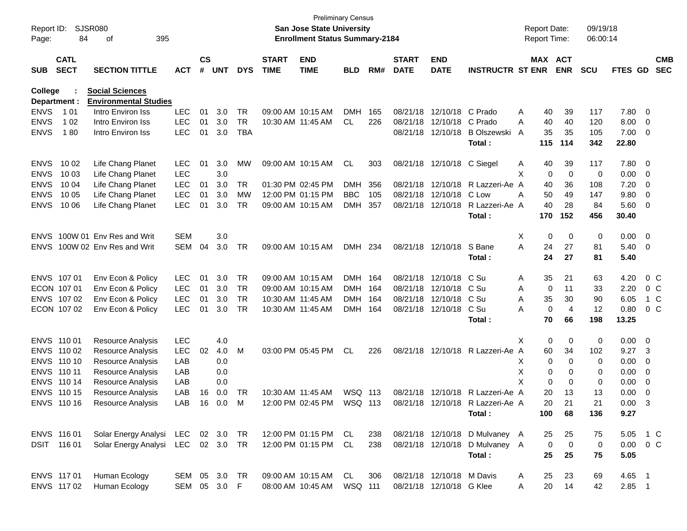| Page:       | <b>SJSR080</b><br>Report ID:<br>84<br>395<br>οf |                                                        |               |                    |        |            |                             | <b>San Jose State University</b><br><b>Enrollment Status Summary-2184</b> | <b>Preliminary Census</b> |     |                             |                            |                                  | <b>Report Date:</b><br><b>Report Time:</b> |             |                       | 09/19/18<br>06:00:14 |               |                          |                          |
|-------------|-------------------------------------------------|--------------------------------------------------------|---------------|--------------------|--------|------------|-----------------------------|---------------------------------------------------------------------------|---------------------------|-----|-----------------------------|----------------------------|----------------------------------|--------------------------------------------|-------------|-----------------------|----------------------|---------------|--------------------------|--------------------------|
| <b>SUB</b>  | <b>CATL</b><br><b>SECT</b>                      | <b>SECTION TITTLE</b>                                  | <b>ACT</b>    | $\mathsf{cs}$<br># | UNT    | <b>DYS</b> | <b>START</b><br><b>TIME</b> | <b>END</b><br><b>TIME</b>                                                 | <b>BLD</b>                | RM# | <b>START</b><br><b>DATE</b> | <b>END</b><br><b>DATE</b>  | <b>INSTRUCTR ST ENR</b>          |                                            |             | MAX ACT<br><b>ENR</b> | <b>SCU</b>           | FTES GD       |                          | <b>CMB</b><br><b>SEC</b> |
|             |                                                 |                                                        |               |                    |        |            |                             |                                                                           |                           |     |                             |                            |                                  |                                            |             |                       |                      |               |                          |                          |
| College     | Department :                                    | <b>Social Sciences</b><br><b>Environmental Studies</b> |               |                    |        |            |                             |                                                                           |                           |     |                             |                            |                                  |                                            |             |                       |                      |               |                          |                          |
| <b>ENVS</b> | 1 0 1                                           | Intro Environ Iss                                      | <b>LEC</b>    | 01                 | 3.0    | TR         |                             | 09:00 AM 10:15 AM                                                         | <b>DMH</b>                | 165 |                             | 08/21/18 12/10/18 C Prado  |                                  | A                                          | 40          | 39                    | 117                  | 7.80          | - 0                      |                          |
| <b>ENVS</b> | 1 0 2                                           | Intro Environ Iss                                      | <b>LEC</b>    | 01                 | 3.0    | <b>TR</b>  |                             | 10:30 AM 11:45 AM                                                         | CL                        | 226 |                             | 08/21/18 12/10/18 C Prado  |                                  | A                                          | 40          | 40                    | 120                  | 8.00          | - 0                      |                          |
| <b>ENVS</b> | 180                                             | Intro Environ Iss                                      | <b>LEC</b>    | 01                 | 3.0    | <b>TBA</b> |                             |                                                                           |                           |     |                             | 08/21/18 12/10/18          | <b>B Olszewski</b>               | A                                          | 35          | 35                    | 105                  | 7.00          | $\overline{\mathbf{0}}$  |                          |
|             |                                                 |                                                        |               |                    |        |            |                             |                                                                           |                           |     |                             |                            | Total:                           |                                            | 115         | 114                   | 342                  | 22.80         |                          |                          |
| <b>ENVS</b> | 10 02                                           | Life Chang Planet                                      | <b>LEC</b>    | 01                 | 3.0    | MW         |                             | 09:00 AM 10:15 AM                                                         | CL                        | 303 |                             | 08/21/18 12/10/18 C Siegel |                                  | A                                          | 40          | 39                    | 117                  | 7.80          | - 0                      |                          |
| <b>ENVS</b> | 10 03                                           | Life Chang Planet                                      | <b>LEC</b>    |                    | 3.0    |            |                             |                                                                           |                           |     |                             |                            |                                  | X                                          | 0           | $\overline{0}$        | 0                    | 0.00          | - 0                      |                          |
| <b>ENVS</b> | 10 04                                           | Life Chang Planet                                      | <b>LEC</b>    | 01                 | 3.0    | TR         |                             | 01:30 PM 02:45 PM                                                         | <b>DMH</b>                | 356 |                             |                            | 08/21/18 12/10/18 R Lazzeri-Ae A |                                            | 40          | 36                    | 108                  | 7.20          | $\overline{0}$           |                          |
| <b>ENVS</b> | 10 05                                           | Life Chang Planet                                      | <b>LEC</b>    | 01                 | 3.0    | MW         |                             | 12:00 PM 01:15 PM                                                         | <b>BBC</b>                | 105 |                             | 08/21/18 12/10/18 C Low    |                                  | Α                                          | 50          | 49                    | 147                  | 9.80          | 0                        |                          |
| <b>ENVS</b> | 10 06                                           | Life Chang Planet                                      | <b>LEC</b>    | 01                 | 3.0    | TR         |                             | 09:00 AM 10:15 AM                                                         | <b>DMH</b>                | 357 |                             |                            | 08/21/18 12/10/18 R Lazzeri-Ae A |                                            | 40          | 28                    | 84                   | 5.60          | $\overline{\mathbf{0}}$  |                          |
|             |                                                 |                                                        |               |                    |        |            |                             |                                                                           |                           |     |                             |                            | Total:                           |                                            | 170         | 152                   | 456                  | 30.40         |                          |                          |
| <b>ENVS</b> |                                                 | 100W 01 Env Res and Writ                               | <b>SEM</b>    |                    | 3.0    |            |                             |                                                                           |                           |     |                             |                            |                                  | Χ                                          | 0           | 0                     | 0                    | 0.00          | $\overline{\phantom{0}}$ |                          |
| <b>ENVS</b> |                                                 | 100W 02 Env Res and Writ                               | <b>SEM</b>    | 04                 | 3.0    | TR         |                             | 09:00 AM 10:15 AM                                                         | DMH 234                   |     |                             | 08/21/18 12/10/18          | S Bane                           | A                                          | 24          | 27                    | 81                   | 5.40          | - 0                      |                          |
|             |                                                 |                                                        |               |                    |        |            |                             |                                                                           |                           |     |                             |                            | Total:                           |                                            | 24          | 27                    | 81                   | 5.40          |                          |                          |
|             | ENVS 107 01                                     | Env Econ & Policy                                      | <b>LEC</b>    | 01                 | 3.0    | TR         |                             | 09:00 AM 10:15 AM                                                         | DMH 164                   |     |                             | 08/21/18 12/10/18          | C Su                             | A                                          | 35          | 21                    | 63                   | 4.20          |                          | $0\,$ C                  |
|             | ECON 107 01                                     | Env Econ & Policy                                      | LEC           | 01                 | 3.0    | <b>TR</b>  |                             | 09:00 AM 10:15 AM                                                         | DMH 164                   |     |                             | 08/21/18 12/10/18 C Su     |                                  | A                                          | 0           | 11                    | 33                   | 2.20          |                          | $0\,$ C                  |
|             | ENVS 107 02                                     | Env Econ & Policy                                      | <b>LEC</b>    | 01                 | 3.0    | <b>TR</b>  |                             | 10:30 AM 11:45 AM                                                         | DMH 164                   |     |                             | 08/21/18 12/10/18 C Su     |                                  | A                                          | 35          | 30                    | 90                   | 6.05          |                          | 1 C                      |
|             | ECON 107 02                                     | Env Econ & Policy                                      | <b>LEC</b>    | 01                 | 3.0    | TR.        |                             | 10:30 AM 11:45 AM                                                         | DMH 164                   |     |                             | 08/21/18 12/10/18          | C Su                             | A                                          | 0           | 4                     | 12                   | 0.80          |                          | $0\,C$                   |
|             |                                                 |                                                        |               |                    |        |            |                             |                                                                           |                           |     |                             |                            | Total:                           |                                            | 70          | 66                    | 198                  | 13.25         |                          |                          |
|             | ENVS 110 01                                     | Resource Analysis                                      | <b>LEC</b>    |                    | 4.0    |            |                             |                                                                           |                           |     |                             |                            |                                  | X                                          | 0           | 0                     | 0                    | 0.00          | - 0                      |                          |
|             | ENVS 110 02                                     | Resource Analysis                                      | LEC           | 02                 | 4.0    | M          |                             | 03:00 PM 05:45 PM                                                         | <b>CL</b>                 | 226 |                             |                            | 08/21/18 12/10/18 R Lazzeri-Ae A |                                            | 60          | 34                    | 102                  | 9.27          | 3                        |                          |
|             | ENVS 110 10                                     | Resource Analysis                                      | LAB           |                    | 0.0    |            |                             |                                                                           |                           |     |                             |                            |                                  | X                                          | 0           | 0                     | 0                    | 0.00          | 0                        |                          |
|             | ENVS 110 11                                     | Resource Analysis                                      | LAB           |                    | 0.0    |            |                             |                                                                           |                           |     |                             |                            |                                  | Χ                                          | 0           | 0                     | 0                    | 0.00          | 0                        |                          |
|             | ENVS 110 14                                     | Resource Analysis                                      | LAB           |                    | 0.0    |            |                             |                                                                           |                           |     |                             |                            |                                  | X                                          | $\mathbf 0$ | 0                     | 0                    | 0.00          | 0                        |                          |
|             | ENVS 110 15                                     | Resource Analysis                                      | LAB           | 16                 | 0.0    | TR         |                             | 10:30 AM 11:45 AM                                                         | WSQ 113                   |     |                             |                            | 08/21/18 12/10/18 R Lazzeri-Ae A |                                            | 20          | 13                    | 13                   | 0.00          | 0                        |                          |
|             | ENVS 110 16                                     | Resource Analysis                                      | LAB           |                    | 16 0.0 | M          |                             | 12:00 PM 02:45 PM                                                         | WSQ 113                   |     |                             |                            | 08/21/18 12/10/18 R Lazzeri-Ae A |                                            | 20          | 21                    | 21                   | 0.00          | 3                        |                          |
|             |                                                 |                                                        |               |                    |        |            |                             |                                                                           |                           |     |                             |                            | Total:                           |                                            | 100         | 68                    | 136                  | 9.27          |                          |                          |
|             | ENVS 116 01                                     | Solar Energy Analysi LEC 02 3.0 TR                     |               |                    |        |            |                             | 12:00 PM 01:15 PM CL                                                      |                           | 238 |                             |                            | 08/21/18 12/10/18 D Mulvaney A   |                                            | 25          | 25                    | 75                   | 5.05          | 1 C                      |                          |
|             | DSIT 116 01                                     | Solar Energy Analysi LEC 02 3.0 TR                     |               |                    |        |            |                             | 12:00 PM 01:15 PM CL                                                      |                           | 238 |                             |                            | 08/21/18 12/10/18 D Mulvaney A   |                                            | $\mathbf 0$ | $\mathbf 0$           | 0                    | $0.00 \t 0 C$ |                          |                          |
|             |                                                 |                                                        |               |                    |        |            |                             |                                                                           |                           |     |                             |                            | Total:                           |                                            | 25          | 25                    | 75                   | 5.05          |                          |                          |
|             | ENVS 117 01                                     | Human Ecology                                          | SEM 05 3.0 TR |                    |        |            |                             | 09:00 AM 10:15 AM                                                         | CL                        | 306 |                             | 08/21/18 12/10/18 M Davis  |                                  | A                                          | 25          | 23                    | 69                   | $4.65$ 1      |                          |                          |
|             | ENVS 117 02                                     | Human Ecology                                          | SEM 05 3.0 F  |                    |        |            |                             | 08:00 AM 10:45 AM                                                         | WSQ 111                   |     |                             | 08/21/18 12/10/18 G Klee   |                                  | A                                          | 20          | 14                    | 42                   | $2.85$ 1      |                          |                          |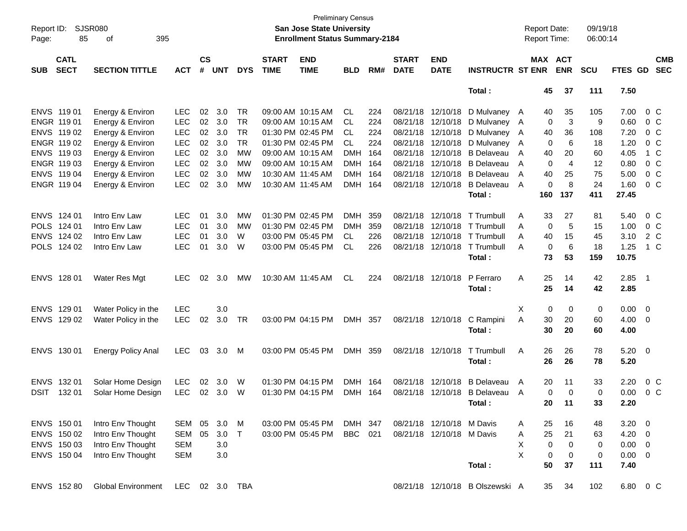| Page:       | <b>SJSR080</b><br>Report ID:<br>85<br>395<br>of<br><b>CATL</b> |                           |            |                    |            |            |                             | <b>Preliminary Census</b><br>San Jose State University<br><b>Enrollment Status Summary-2184</b> |            |     |                             |                           |                                 | <b>Report Date:</b><br><b>Report Time:</b> |                       | 09/19/18<br>06:00:14 |                |                          |                          |
|-------------|----------------------------------------------------------------|---------------------------|------------|--------------------|------------|------------|-----------------------------|-------------------------------------------------------------------------------------------------|------------|-----|-----------------------------|---------------------------|---------------------------------|--------------------------------------------|-----------------------|----------------------|----------------|--------------------------|--------------------------|
| <b>SUB</b>  | <b>SECT</b>                                                    | <b>SECTION TITTLE</b>     | <b>ACT</b> | $\mathsf{cs}$<br># | <b>UNT</b> | <b>DYS</b> | <b>START</b><br><b>TIME</b> | <b>END</b><br><b>TIME</b>                                                                       | <b>BLD</b> | RM# | <b>START</b><br><b>DATE</b> | <b>END</b><br><b>DATE</b> | <b>INSTRUCTR ST ENR</b>         |                                            | MAX ACT<br><b>ENR</b> | <b>SCU</b>           | <b>FTES GD</b> |                          | <b>CMB</b><br><b>SEC</b> |
|             |                                                                |                           |            |                    |            |            |                             |                                                                                                 |            |     |                             |                           | Total:                          |                                            | 45<br>37              | 111                  | 7.50           |                          |                          |
|             | ENVS 11901                                                     | Energy & Environ          | <b>LEC</b> | 02                 | 3.0        | TR         |                             | 09:00 AM 10:15 AM                                                                               | CL.        | 224 | 08/21/18                    | 12/10/18                  | D Mulvaney A                    | 40                                         | 35                    | 105                  | 7.00           | 0 C                      |                          |
|             | ENGR 119 01                                                    | Energy & Environ          | <b>LEC</b> | 02                 | 3.0        | TR         |                             | 09:00 AM 10:15 AM                                                                               | CL.        | 224 | 08/21/18                    | 12/10/18                  | D Mulvaney A                    |                                            | 3<br>0                | 9                    | 0.60           | $0\,$ C                  |                          |
|             | ENVS 119 02                                                    | Energy & Environ          | <b>LEC</b> | 02                 | 3.0        | TR         |                             | 01:30 PM 02:45 PM                                                                               | CL.        | 224 | 08/21/18                    | 12/10/18                  | D Mulvaney A                    | 40                                         | 36                    | 108                  | 7.20           | $0\,C$                   |                          |
|             | ENGR 119 02                                                    | Energy & Environ          | <b>LEC</b> | 02                 | 3.0        | <b>TR</b>  |                             | 01:30 PM 02:45 PM                                                                               | <b>CL</b>  | 224 | 08/21/18                    | 12/10/18                  | D Mulvaney A                    |                                            | 6<br>0                | 18                   | 1.20           | $0\,$ C                  |                          |
|             | ENVS 119 03                                                    | Energy & Environ          | <b>LEC</b> | 02                 | 3.0        | <b>MW</b>  |                             | 09:00 AM 10:15 AM                                                                               | <b>DMH</b> | 164 | 08/21/18                    | 12/10/18                  | <b>B</b> Delaveau               | 40<br>A                                    | 20                    | 60                   | 4.05           | 1 C                      |                          |
|             | ENGR 119 03                                                    | Energy & Environ          | <b>LEC</b> | 02                 | 3.0        | MW         |                             | 09:00 AM 10:15 AM                                                                               | <b>DMH</b> | 164 | 08/21/18                    | 12/10/18                  | <b>B</b> Delaveau               | A                                          | 0<br>4                | 12                   | 0.80           | 0 <sup>o</sup>           |                          |
|             | ENVS 119 04                                                    | Energy & Environ          | <b>LEC</b> | 02                 | 3.0        | MW         | 10:30 AM 11:45 AM           |                                                                                                 | <b>DMH</b> | 164 | 08/21/18                    | 12/10/18                  | <b>B</b> Delaveau               | Α<br>40                                    | 25                    | 75                   | 5.00           | $0\,C$                   |                          |
|             | ENGR 119 04                                                    | Energy & Environ          | <b>LEC</b> | 02                 | 3.0        | MW         | 10:30 AM 11:45 AM           |                                                                                                 | <b>DMH</b> | 164 | 08/21/18                    | 12/10/18                  | <b>B</b> Delaveau               | A                                          | 8<br>0                | 24                   | 1.60           | 0 C                      |                          |
|             |                                                                |                           |            |                    |            |            |                             |                                                                                                 |            |     |                             |                           | Total:                          | 160                                        | 137                   | 411                  | 27.45          |                          |                          |
|             | ENVS 124 01                                                    | Intro Env Law             | <b>LEC</b> | 01                 | 3.0        | <b>MW</b>  |                             | 01:30 PM 02:45 PM                                                                               | <b>DMH</b> | 359 | 08/21/18                    | 12/10/18                  | T Trumbull                      | 33<br>A                                    | 27                    | 81                   | 5.40           | 0 C                      |                          |
|             | POLS 124 01                                                    | Intro Env Law             | <b>LEC</b> | 01                 | 3.0        | MW         |                             | 01:30 PM 02:45 PM                                                                               | <b>DMH</b> | 359 | 08/21/18                    | 12/10/18                  | T Trumbull                      | A                                          | 0<br>5                | 15                   | 1.00           | 0 C                      |                          |
|             | ENVS 124 02                                                    | Intro Env Law             | <b>LEC</b> | 01                 | 3.0        | W          |                             | 03:00 PM 05:45 PM                                                                               | CL.        | 226 | 08/21/18                    | 12/10/18                  | T Trumbull                      | Α<br>40                                    | 15                    | 45                   | 3.10           | 2 C                      |                          |
|             | POLS 124 02                                                    | Intro Env Law             | <b>LEC</b> | 01                 | 3.0        | W          |                             | 03:00 PM 05:45 PM                                                                               | CL.        | 226 |                             | 08/21/18 12/10/18         | T Trumbull                      | A                                          | 6<br>$\mathbf 0$      | 18                   | 1.25           | 1 C                      |                          |
|             |                                                                |                           |            |                    |            |            |                             |                                                                                                 |            |     |                             |                           | Total:                          | 73                                         | 53                    | 159                  | 10.75          |                          |                          |
|             | ENVS 128 01                                                    | Water Res Mgt             | <b>LEC</b> | 02                 | 3.0        | МW         |                             | 10:30 AM 11:45 AM                                                                               | CL.        | 224 |                             | 08/21/18 12/10/18         | P Ferraro                       | Α<br>25                                    | 14                    | 42                   | 2.85           | $\overline{\phantom{1}}$ |                          |
|             |                                                                |                           |            |                    |            |            |                             |                                                                                                 |            |     |                             |                           | Total:                          | 25                                         | 14                    | 42                   | 2.85           |                          |                          |
|             | ENVS 129 01                                                    | Water Policy in the       | <b>LEC</b> |                    | 3.0        |            |                             |                                                                                                 |            |     |                             |                           |                                 | Х                                          | 0<br>0                | 0                    | $0.00 \t 0$    |                          |                          |
|             | ENVS 129 02                                                    | Water Policy in the       | <b>LEC</b> | 02                 | 3.0        | TR         |                             | 03:00 PM 04:15 PM                                                                               | DMH 357    |     |                             | 08/21/18 12/10/18         | C Rampini                       | A<br>30                                    | 20                    | 60                   | 4.00           | $\overline{\phantom{0}}$ |                          |
|             |                                                                |                           |            |                    |            |            |                             |                                                                                                 |            |     |                             |                           | Total:                          | 30                                         | 20                    | 60                   | 4.00           |                          |                          |
|             | ENVS 130 01                                                    | <b>Energy Policy Anal</b> | LEC.       | 03                 | 3.0        | M          |                             | 03:00 PM 05:45 PM                                                                               | DMH 359    |     |                             | 08/21/18 12/10/18         | T Trumbull                      | Α<br>26                                    | 26                    | 78                   | $5.20 \ 0$     |                          |                          |
|             |                                                                |                           |            |                    |            |            |                             |                                                                                                 |            |     |                             |                           | Total:                          | 26                                         | 26                    | 78                   | 5.20           |                          |                          |
|             | ENVS 132 01                                                    | Solar Home Design         | <b>LEC</b> | 02                 | 3.0        | W          |                             | 01:30 PM 04:15 PM                                                                               | DMH 164    |     | 08/21/18                    | 12/10/18                  | <b>B</b> Delaveau               | A                                          | 11<br>20              | 33                   | 2.20           | $0\,$ C                  |                          |
| <b>DSIT</b> | 132 01                                                         | Solar Home Design         | <b>LEC</b> | 02                 | 3.0        | W          |                             | 01:30 PM 04:15 PM                                                                               | <b>DMH</b> | 164 | 08/21/18                    | 12/10/18                  | <b>B</b> Delaveau               | A                                          | 0<br>$\mathbf 0$      | 0                    | 0.00           | 0 C                      |                          |
|             |                                                                |                           |            |                    |            |            |                             |                                                                                                 |            |     |                             |                           | Total:                          |                                            | 20<br>11              | 33                   | 2.20           |                          |                          |
|             | ENVS 150 01                                                    | Intro Env Thought         | SEM        | 05                 | 3.0        | M          |                             | 03:00 PM 05:45 PM                                                                               | DMH 347    |     |                             | 08/21/18 12/10/18 M Davis |                                 | 25<br>A                                    | 16                    | 48                   | $3.20 \ 0$     |                          |                          |
|             | ENVS 150 02                                                    | Intro Env Thought         | <b>SEM</b> | 05                 | 3.0        | $\top$     | 03:00 PM 05:45 PM           |                                                                                                 | <b>BBC</b> | 021 |                             | 08/21/18 12/10/18         | M Davis                         | 25<br>Α                                    | 21                    | 63                   | 4.20           | $\overline{\phantom{0}}$ |                          |
|             | ENVS 150 03                                                    | Intro Env Thought         | <b>SEM</b> |                    | 3.0        |            |                             |                                                                                                 |            |     |                             |                           |                                 | Х                                          | 0<br>0                | 0                    | $0.00 \t 0$    |                          |                          |
|             | ENVS 150 04                                                    | Intro Env Thought         | <b>SEM</b> |                    | $3.0\,$    |            |                             |                                                                                                 |            |     |                             |                           |                                 | X                                          | 0<br>0                | 0                    | $0.00 \t 0$    |                          |                          |
|             |                                                                |                           |            |                    |            |            |                             |                                                                                                 |            |     |                             |                           | Total:                          | 50                                         | 37                    | 111                  | 7.40           |                          |                          |
|             | ENVS 152 80                                                    | <b>Global Environment</b> | LEC        |                    | 02 3.0 TBA |            |                             |                                                                                                 |            |     |                             |                           | 08/21/18 12/10/18 B Olszewski A |                                            | 34<br>35              | 102                  | 6.80 0 C       |                          |                          |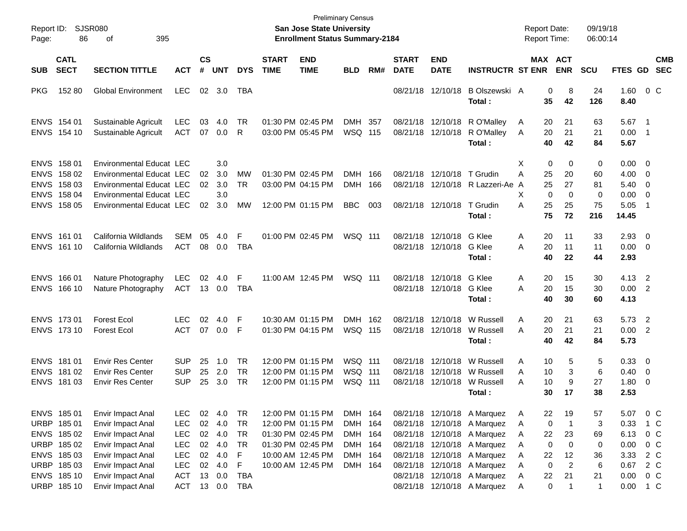| Page:      | Report ID:<br><b>SJSR080</b><br>395<br>86<br>οf<br><b>CATL</b>                                        |                                                                                                                                                               |                                                                                                |                                |                                                     |                                                                   |                             | <b>Preliminary Census</b><br><b>San Jose State University</b><br><b>Enrollment Status Summary-2184</b>                     |                                                                |                   |                             |                                                             |                                                                                                                                                                                                                       | <b>Report Date:</b><br><b>Report Time:</b>         |                                                                            | 09/19/18<br>06:00:14                      |                                                      |                                                            |                          |
|------------|-------------------------------------------------------------------------------------------------------|---------------------------------------------------------------------------------------------------------------------------------------------------------------|------------------------------------------------------------------------------------------------|--------------------------------|-----------------------------------------------------|-------------------------------------------------------------------|-----------------------------|----------------------------------------------------------------------------------------------------------------------------|----------------------------------------------------------------|-------------------|-----------------------------|-------------------------------------------------------------|-----------------------------------------------------------------------------------------------------------------------------------------------------------------------------------------------------------------------|----------------------------------------------------|----------------------------------------------------------------------------|-------------------------------------------|------------------------------------------------------|------------------------------------------------------------|--------------------------|
| <b>SUB</b> | <b>SECT</b><br><b>SECTION TITTLE</b><br><b>ACT</b>                                                    |                                                                                                                                                               |                                                                                                | $\mathsf{cs}$<br>#             | <b>UNT</b>                                          | <b>DYS</b>                                                        | <b>START</b><br><b>TIME</b> | <b>END</b><br><b>TIME</b>                                                                                                  | <b>BLD</b>                                                     | RM#               | <b>START</b><br><b>DATE</b> | <b>END</b><br><b>DATE</b>                                   | <b>INSTRUCTR ST ENR</b>                                                                                                                                                                                               |                                                    | MAX ACT<br><b>ENR</b>                                                      | <b>SCU</b>                                | FTES GD                                              |                                                            | <b>CMB</b><br><b>SEC</b> |
| <b>PKG</b> | 152 80                                                                                                | <b>Global Environment</b>                                                                                                                                     | <b>LEC</b>                                                                                     | 02                             | 3.0                                                 | TBA                                                               |                             |                                                                                                                            |                                                                |                   |                             | 08/21/18 12/10/18                                           | B Olszewski A<br>Total :                                                                                                                                                                                              | 35                                                 | 8<br>0<br>42                                                               | 24<br>126                                 | 1.60<br>8.40                                         | 0 <sup>o</sup>                                             |                          |
|            | ENVS 154 01<br>ENVS 154 10                                                                            | Sustainable Agricult<br>Sustainable Agricult                                                                                                                  | <b>LEC</b><br><b>ACT</b>                                                                       | 03<br>07                       | 4.0<br>0.0                                          | TR<br>R                                                           |                             | 01:30 PM 02:45 PM<br>03:00 PM 05:45 PM                                                                                     | DMH 357<br><b>WSQ 115</b>                                      |                   |                             | 08/21/18 12/10/18<br>08/21/18 12/10/18                      | R O'Malley<br>R O'Malley<br>Total:                                                                                                                                                                                    | A<br>A<br>40                                       | 21<br>20<br>21<br>20<br>42                                                 | 63<br>21<br>84                            | 5.67<br>0.00<br>5.67                                 | $\overline{\phantom{1}}$<br>$\overline{\phantom{0}}$       |                          |
|            | ENVS 158 01<br>ENVS 158 02<br>ENVS 158 03<br>ENVS 158 04<br>ENVS 158 05                               | <b>Environmental Educat LEC</b><br><b>Environmental Educat LEC</b><br>Environmental Educat LEC<br><b>Environmental Educat LEC</b><br>Environmental Educat LEC |                                                                                                | 02<br>02<br>02                 | 3.0<br>3.0<br>3.0<br>3.0<br>3.0                     | <b>MW</b><br><b>TR</b><br><b>MW</b>                               |                             | 01:30 PM 02:45 PM<br>03:00 PM 04:15 PM<br>12:00 PM 01:15 PM                                                                | <b>DMH</b><br><b>DMH</b><br><b>BBC</b>                         | 166<br>166<br>003 | 08/21/18                    | 12/10/18<br>08/21/18 12/10/18                               | T Grudin<br>08/21/18 12/10/18 R Lazzeri-Ae<br>T Grudin<br>Total :                                                                                                                                                     | X<br>25<br>Α<br>A<br>X<br>25<br>Α<br>75            | $\mathbf 0$<br>0<br>20<br>27<br>25<br>$\mathbf 0$<br>0<br>25<br>72         | 0<br>60<br>81<br>$\mathbf 0$<br>75<br>216 | 0.00<br>4.00<br>5.40<br>0.00<br>5.05<br>14.45        | $\overline{\mathbf{0}}$<br>0<br>0<br>$\overline{0}$<br>- 1 |                          |
|            | ENVS 161 01<br>ENVS 161 10                                                                            | California Wildlands<br>California Wildlands                                                                                                                  | <b>SEM</b><br><b>ACT</b>                                                                       | 05<br>08                       | 4.0<br>0.0                                          | F<br><b>TBA</b>                                                   |                             | 01:00 PM 02:45 PM                                                                                                          | WSQ 111                                                        |                   |                             | 08/21/18 12/10/18<br>08/21/18 12/10/18                      | G Klee<br>G Klee<br>Total :                                                                                                                                                                                           | 20<br>A<br>20<br>A<br>40                           | 11<br>11<br>22                                                             | 33<br>11<br>44                            | 2.93<br>0.00<br>2.93                                 | $\overline{0}$<br>$\overline{0}$                           |                          |
|            | ENVS 166 01<br>ENVS 166 10                                                                            | Nature Photography<br>Nature Photography                                                                                                                      | <b>LEC</b><br><b>ACT</b>                                                                       | 02<br>13                       | 4.0<br>0.0                                          | F<br><b>TBA</b>                                                   |                             | 11:00 AM 12:45 PM                                                                                                          | WSQ 111                                                        |                   |                             | 08/21/18 12/10/18<br>08/21/18 12/10/18                      | G Klee<br>G Klee<br>Total :                                                                                                                                                                                           | Α<br>20<br>20<br>A<br>40                           | 15<br>15<br>30                                                             | 30<br>30<br>60                            | 4.13<br>0.00<br>4.13                                 | $\overline{\phantom{0}}$<br>$\overline{2}$                 |                          |
|            | ENVS 173 01<br>ENVS 173 10                                                                            | <b>Forest Ecol</b><br><b>Forest Ecol</b>                                                                                                                      | <b>LEC</b><br><b>ACT</b>                                                                       | 02<br>07                       | 4.0<br>0.0                                          | F<br>-F                                                           |                             | 10:30 AM 01:15 PM<br>01:30 PM 04:15 PM                                                                                     | DMH 162<br><b>WSQ 115</b>                                      |                   |                             | 08/21/18 12/10/18<br>08/21/18 12/10/18                      | W Russell<br>W Russell<br>Total:                                                                                                                                                                                      | Α<br>20<br>20<br>A<br>40                           | 21<br>21<br>42                                                             | 63<br>21<br>84                            | 5.73<br>0.00<br>5.73                                 | $\overline{2}$<br>$\overline{\phantom{0}}$                 |                          |
|            | ENVS 181 01<br>ENVS 181 02<br>ENVS 181 03                                                             | <b>Envir Res Center</b><br><b>Envir Res Center</b><br><b>Envir Res Center</b>                                                                                 | <b>SUP</b><br><b>SUP</b><br><b>SUP</b>                                                         | 25<br>25<br>25                 | 1.0<br>2.0<br>3.0                                   | <b>TR</b><br><b>TR</b><br><b>TR</b>                               |                             | 12:00 PM 01:15 PM<br>12:00 PM 01:15 PM<br>12:00 PM 01:15 PM                                                                | <b>WSQ 111</b><br><b>WSQ 111</b><br><b>WSQ 111</b>             |                   |                             | 08/21/18 12/10/18<br>08/21/18 12/10/18<br>08/21/18 12/10/18 | W Russell<br>W Russell<br>W Russell<br>Total :                                                                                                                                                                        | A<br>A<br>10<br>10<br>A                            | 5<br>10<br>3<br>9<br>17<br>30                                              | 5<br>6<br>27<br>38                        | 0.33<br>0.40<br>1.80<br>2.53                         | $\overline{\mathbf{0}}$<br>0<br>0                          |                          |
|            | ENVS 185 01<br>URBP 185 01<br>ENVS 185 02<br>URBP 185 02<br>ENVS 185 03<br>URBP 185 03<br>ENVS 185 10 | Envir Impact Anal<br>Envir Impact Anal<br>Envir Impact Anal<br>Envir Impact Anal<br>Envir Impact Anal<br>Envir Impact Anal                                    | <b>LEC</b><br><b>LEC</b><br><b>LEC</b><br><b>LEC</b><br><b>LEC</b><br><b>LEC</b><br><b>ACT</b> | 02<br>02<br>$02\,$<br>02<br>13 | 4.0<br>4.0<br>02 4.0<br>02 4.0<br>4.0<br>4.0<br>0.0 | TR<br><b>TR</b><br><b>TR</b><br><b>TR</b><br>F<br>F<br><b>TBA</b> |                             | 12:00 PM 01:15 PM<br>12:00 PM 01:15 PM<br>01:30 PM 02:45 PM<br>01:30 PM 02:45 PM<br>10:00 AM 12:45 PM<br>10:00 AM 12:45 PM | DMH 164<br>DMH 164<br>DMH 164<br>DMH 164<br>DMH 164<br>DMH 164 |                   |                             |                                                             | 08/21/18 12/10/18 A Marquez<br>08/21/18 12/10/18 A Marquez<br>08/21/18 12/10/18 A Marquez<br>08/21/18 12/10/18 A Marquez<br>08/21/18 12/10/18 A Marquez<br>08/21/18 12/10/18 A Marquez<br>08/21/18 12/10/18 A Marquez | 22<br>A<br>Α<br>22<br>A<br>Α<br>22<br>A<br>Α<br>22 | 19<br>0<br>-1<br>23<br>0<br>$\mathbf 0$<br>12<br>$\overline{2}$<br>0<br>21 | 57<br>3<br>69<br>0<br>36<br>6<br>21       | 5.07<br>0.33<br>6.13<br>0.00<br>3.33<br>0.67<br>0.00 | 0 <sup>o</sup><br>0 <sup>o</sup><br>2 C<br>2 C<br>$0\,C$   | $1\,C$<br>0 <sup>C</sup> |
|            | URBP 185 10                                                                                           | Envir Impact Anal<br>Envir Impact Anal                                                                                                                        | ACT                                                                                            |                                | 13 0.0                                              | <b>TBA</b>                                                        |                             |                                                                                                                            |                                                                |                   |                             |                                                             | 08/21/18 12/10/18 A Marquez                                                                                                                                                                                           | Α<br>Α                                             | 0<br>1                                                                     | $\mathbf{1}$                              | 0.00                                                 | $1\,C$                                                     |                          |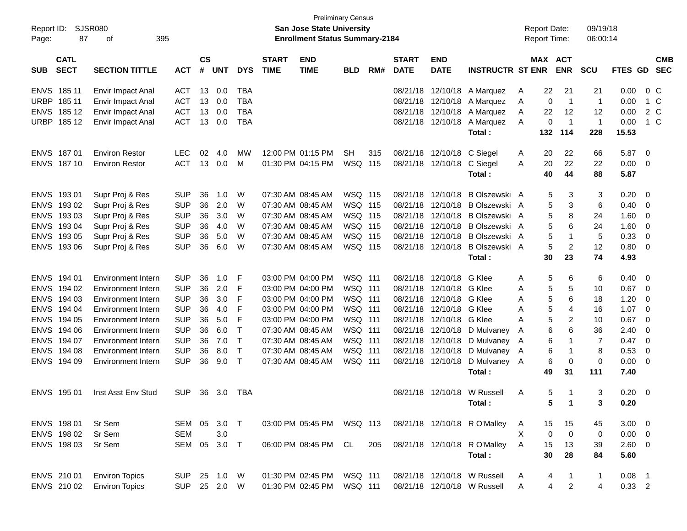| Report ID:<br>Page: | 87                         | SJSR080<br>395<br>οf      |                         |            |            |                             |                           | <b>San Jose State University</b><br><b>Enrollment Status Summary-2184</b> | <b>Preliminary Census</b> |                             |                           |                         |                              |         | <b>Report Date:</b><br>Report Time: |                | 09/19/18<br>06:00:14 |             |                          |         |
|---------------------|----------------------------|---------------------------|-------------------------|------------|------------|-----------------------------|---------------------------|---------------------------------------------------------------------------|---------------------------|-----------------------------|---------------------------|-------------------------|------------------------------|---------|-------------------------------------|----------------|----------------------|-------------|--------------------------|---------|
| <b>SUB</b>          | <b>CATL</b><br><b>SECT</b> | <b>ACT</b>                | <b>CS</b><br>$\pmb{\#}$ | <b>UNT</b> | <b>DYS</b> | <b>START</b><br><b>TIME</b> | <b>END</b><br><b>TIME</b> | <b>BLD</b>                                                                | RM#                       | <b>START</b><br><b>DATE</b> | <b>END</b><br><b>DATE</b> | <b>INSTRUCTR ST ENR</b> |                              | MAX ACT | <b>ENR</b>                          | <b>SCU</b>     | <b>FTES GD</b>       |             | <b>CMB</b><br><b>SEC</b> |         |
| <b>ENVS</b>         | 185 11                     | Envir Impact Anal         | <b>ACT</b>              | 13         | 0.0        | <b>TBA</b>                  |                           |                                                                           |                           |                             | 08/21/18                  | 12/10/18                | A Marquez                    | A       | 22                                  | 21             | 21                   | 0.00        |                          | $0\,$ C |
| <b>URBP</b>         | 185 11                     | Envir Impact Anal         | <b>ACT</b>              | 13         | 0.0        | <b>TBA</b>                  |                           |                                                                           |                           |                             | 08/21/18                  | 12/10/18                | A Marquez                    | A       | 0                                   | $\mathbf{1}$   | $\overline{1}$       | 0.00        |                          | 1 C     |
| <b>ENVS</b>         | 185 12                     | Envir Impact Anal         | <b>ACT</b>              | 13         | 0.0        | <b>TBA</b>                  |                           |                                                                           |                           |                             | 08/21/18                  | 12/10/18                | A Marquez                    | Α       | 22                                  | 12             | 12                   | 0.00        |                          | 2 C     |
| <b>URBP</b>         | 185 12                     | Envir Impact Anal         | <b>ACT</b>              | 13         | 0.0        | <b>TBA</b>                  |                           |                                                                           |                           |                             |                           | 08/21/18 12/10/18       | A Marquez                    | Α       | 0                                   | $\overline{1}$ | $\overline{1}$       | 0.00        |                          | 1 C     |
|                     |                            |                           |                         |            |            |                             |                           |                                                                           |                           |                             |                           |                         | Total:                       |         | 132                                 | 114            | 228                  | 15.53       |                          |         |
| <b>ENVS</b>         | 18701                      | <b>Environ Restor</b>     | <b>LEC</b>              | 02         | 4.0        | MW                          |                           | 12:00 PM 01:15 PM                                                         | <b>SH</b>                 | 315                         | 08/21/18                  | 12/10/18                | C Siegel                     | A       | 20                                  | 22             | 66                   | 5.87        | $\overline{\mathbf{0}}$  |         |
| ENVS 187 10         |                            | <b>Environ Restor</b>     | <b>ACT</b>              | 13         | 0.0        | м                           |                           | 01:30 PM 04:15 PM                                                         | WSQ 115                   |                             |                           | 08/21/18 12/10/18       | C Siegel                     | A       | 20                                  | 22             | 22                   | 0.00        | $\overline{\mathbf{0}}$  |         |
|                     |                            |                           |                         |            |            |                             |                           |                                                                           |                           |                             |                           |                         | Total:                       |         | 40                                  | 44             | 88                   | 5.87        |                          |         |
| <b>ENVS</b>         | 19301                      | Supr Proj & Res           | <b>SUP</b>              | 36         | 1.0        | W                           |                           | 07:30 AM 08:45 AM                                                         | WSQ 115                   |                             | 08/21/18                  | 12/10/18                | B Olszewski A                |         | 5                                   | 3              | 3                    | 0.20        | $\overline{\mathbf{0}}$  |         |
| <b>ENVS</b>         | 193 02                     | Supr Proj & Res           | <b>SUP</b>              | 36         | 2.0        | W                           |                           | 07:30 AM 08:45 AM                                                         | WSQ 115                   |                             | 08/21/18                  | 12/10/18                | B Olszewski A                |         | 5                                   | 3              | 6                    | 0.40        | 0                        |         |
| <b>ENVS</b>         | 193 03                     | Supr Proj & Res           | <b>SUP</b>              | 36         | 3.0        | W                           |                           | 07:30 AM 08:45 AM                                                         | WSQ 115                   |                             | 08/21/18                  | 12/10/18                | B Olszewski A                |         | 5                                   | 8              | 24                   | 1.60        | 0                        |         |
| <b>ENVS</b>         | 193 04                     | Supr Proj & Res           | <b>SUP</b>              | 36         | 4.0        | W                           |                           | 07:30 AM 08:45 AM                                                         | WSQ 115                   |                             | 08/21/18                  | 12/10/18                | B Olszewski A                |         | 5                                   | 6              | 24                   | 1.60        | 0                        |         |
| <b>ENVS</b>         | 193 05                     | Supr Proj & Res           | <b>SUP</b>              | 36         | 5.0        | W                           |                           | 07:30 AM 08:45 AM                                                         | <b>WSQ 115</b>            |                             | 08/21/18                  | 12/10/18                | <b>B Olszewski</b>           | A       | 5                                   | 1              | 5                    | 0.33        | 0                        |         |
| <b>ENVS</b>         | 193 06                     | Supr Proj & Res           | <b>SUP</b>              | 36         | 6.0        | W                           |                           | 07:30 AM 08:45 AM                                                         | WSQ 115                   |                             | 08/21/18                  | 12/10/18                | B Olszewski A                |         | 5                                   | $\overline{c}$ | 12                   | 0.80        | 0                        |         |
|                     |                            |                           |                         |            |            |                             |                           |                                                                           |                           |                             |                           |                         | Total:                       |         | 30                                  | 23             | 74                   | 4.93        |                          |         |
| <b>ENVS</b>         | 194 01                     | <b>Environment Intern</b> | <b>SUP</b>              | 36         | 1.0        | F                           |                           | 03:00 PM 04:00 PM                                                         | WSQ 111                   |                             | 08/21/18                  | 12/10/18                | G Klee                       | Α       | 5                                   | 6              | 6                    | 0.40        | 0                        |         |
| <b>ENVS</b>         | 194 02                     | Environment Intern        | <b>SUP</b>              | 36         | 2.0        | F                           |                           | 03:00 PM 04:00 PM                                                         | WSQ 111                   |                             | 08/21/18                  | 12/10/18                | G Klee                       | Α       | 5                                   | 5              | 10                   | 0.67        | - 0                      |         |
| <b>ENVS</b>         | 194 03                     | <b>Environment Intern</b> | <b>SUP</b>              | 36         | 3.0        | F                           |                           | 03:00 PM 04:00 PM                                                         | <b>WSQ 111</b>            |                             | 08/21/18                  | 12/10/18                | G Klee                       | Α       | 5                                   | 6              | 18                   | 1.20        | 0                        |         |
| <b>ENVS</b>         | 194 04                     | Environment Intern        | <b>SUP</b>              | 36         | 4.0        | F                           |                           | 03:00 PM 04:00 PM                                                         | WSQ 111                   |                             | 08/21/18                  | 12/10/18                | G Klee                       | Α       | 5                                   | 4              | 16                   | 1.07        | 0                        |         |
| <b>ENVS</b>         | 194 05                     | <b>Environment Intern</b> | <b>SUP</b>              | 36         | 5.0        | F                           |                           | 03:00 PM 04:00 PM                                                         | WSQ 111                   |                             | 08/21/18                  | 12/10/18                | G Klee                       | Α       | 5                                   | 2              | 10                   | 0.67        | 0                        |         |
| <b>ENVS</b>         | 194 06                     | Environment Intern        | <b>SUP</b>              | 36         | 6.0        | т                           |                           | 07:30 AM 08:45 AM                                                         | <b>WSQ 111</b>            |                             | 08/21/18                  | 12/10/18                | D Mulvaney                   | A       | 6                                   | 6              | 36                   | 2.40        | 0                        |         |
| <b>ENVS</b>         | 194 07                     | Environment Intern        | <b>SUP</b>              | 36         | 7.0        | Т                           |                           | 07:30 AM 08:45 AM                                                         | WSQ 111                   |                             | 08/21/18                  | 12/10/18                | D Mulvaney                   | A       | 6                                   | 1              | 7                    | 0.47        | 0                        |         |
| <b>ENVS</b>         | 194 08                     | Environment Intern        | <b>SUP</b>              | 36         | 8.0        | т                           |                           | 07:30 AM 08:45 AM                                                         | WSQ 111                   |                             | 08/21/18                  | 12/10/18                | D Mulvaney                   | A       | 6                                   | $\mathbf 1$    | 8                    | 0.53        | 0                        |         |
| <b>ENVS</b>         | 194 09                     | Environment Intern        | <b>SUP</b>              | 36         | 9.0        | $\mathsf{T}$                |                           | 07:30 AM 08:45 AM                                                         | <b>WSQ 111</b>            |                             |                           | 08/21/18 12/10/18       | D Mulvaney                   | A       | 6                                   | 0              | 0                    | 0.00        | 0                        |         |
|                     |                            |                           |                         |            |            |                             |                           |                                                                           |                           |                             |                           |                         | Total:                       |         | 49                                  | 31             | 111                  | 7.40        |                          |         |
| ENVS 195 01         |                            | Inst Asst Env Stud        | <b>SUP</b>              | 36         | 3.0        | TBA                         |                           |                                                                           |                           |                             |                           | 08/21/18 12/10/18       | W Russell                    | A       | 5                                   | -1             | 3                    | 0.20        | - 0                      |         |
|                     |                            |                           |                         |            |            |                             |                           |                                                                           |                           |                             |                           |                         | Total:                       |         | 5.                                  | 1              | 3.                   | 0.20        |                          |         |
| ENVS 198 01         |                            | Sr Sem                    | SEM                     | 05         | 3.0 T      |                             |                           | 03:00 PM 05:45 PM WSQ 113                                                 |                           |                             |                           |                         | 08/21/18 12/10/18 R O'Malley | A       | 15                                  | 15             | 45                   | $3.00 \ 0$  |                          |         |
| ENVS 198 02         |                            | Sr Sem                    | <b>SEM</b>              |            | 3.0        |                             |                           |                                                                           |                           |                             |                           |                         |                              | Χ       | $\mathbf 0$                         | $\mathbf 0$    | 0                    | $0.00 \t 0$ |                          |         |
| ENVS 198 03         |                            | Sr Sem                    | SEM                     | 05         | 3.0        | $\top$                      |                           | 06:00 PM 08:45 PM                                                         | CL                        | 205                         |                           |                         | 08/21/18 12/10/18 R O'Malley | A       | 15                                  | 13             | 39                   | 2.60 0      |                          |         |
|                     |                            |                           |                         |            |            |                             |                           |                                                                           |                           |                             |                           |                         | Total:                       |         | 30                                  | 28             | 84                   | 5.60        |                          |         |
| ENVS 210 01         |                            | <b>Environ Topics</b>     | <b>SUP</b>              |            | 25 1.0     | W                           |                           | 01:30 PM 02:45 PM                                                         | <b>WSQ 111</b>            |                             |                           |                         | 08/21/18 12/10/18 W Russell  | A       | 4                                   | $\mathbf{1}$   | $\mathbf{1}$         | $0.08$ 1    |                          |         |
| ENVS 210 02         |                            | <b>Environ Topics</b>     | <b>SUP</b>              |            | 25 2.0     | W                           |                           | 01:30 PM 02:45 PM                                                         | WSQ 111                   |                             |                           |                         | 08/21/18 12/10/18 W Russell  | A       | 4                                   | $\overline{c}$ | 4                    | 0.33 2      |                          |         |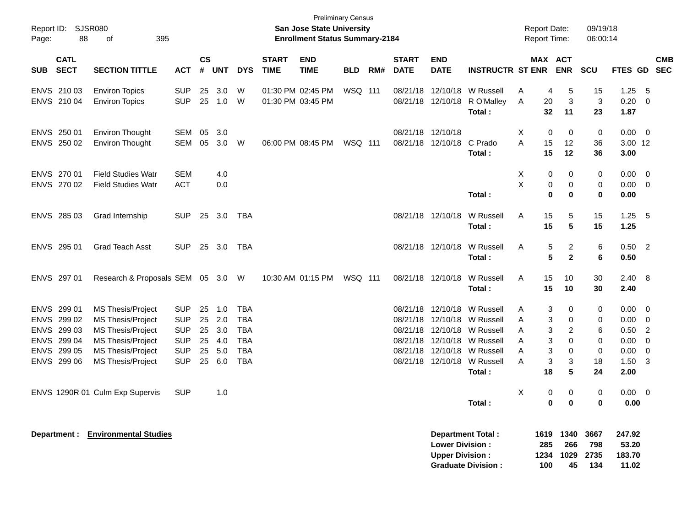| Page:      | Report ID: SJSR080<br>88   | 395<br>0f                                     |                          |                |            |                          |                             | <b>San Jose State University</b><br><b>Enrollment Status Summary-2184</b> | <b>Preliminary Census</b> |     |                             |                                                  |                                                       |        |                            | <b>Report Date:</b><br>Report Time: | 09/19/18<br>06:00:14       |                                    |                            |            |
|------------|----------------------------|-----------------------------------------------|--------------------------|----------------|------------|--------------------------|-----------------------------|---------------------------------------------------------------------------|---------------------------|-----|-----------------------------|--------------------------------------------------|-------------------------------------------------------|--------|----------------------------|-------------------------------------|----------------------------|------------------------------------|----------------------------|------------|
| <b>SUB</b> | <b>CATL</b><br><b>SECT</b> | <b>SECTION TITTLE</b>                         | <b>ACT</b>               | <b>CS</b><br># | <b>UNT</b> | <b>DYS</b>               | <b>START</b><br><b>TIME</b> | <b>END</b><br><b>TIME</b>                                                 | <b>BLD</b>                | RM# | <b>START</b><br><b>DATE</b> | <b>END</b><br><b>DATE</b>                        | <b>INSTRUCTR ST ENR</b>                               |        |                            | MAX ACT<br><b>ENR</b>               | <b>SCU</b>                 | FTES GD SEC                        |                            | <b>CMB</b> |
|            | ENVS 21003                 | <b>Environ Topics</b>                         | <b>SUP</b>               | 25             | 3.0        | W                        |                             | 01:30 PM 02:45 PM                                                         | WSQ 111                   |     |                             | 08/21/18 12/10/18                                | W Russell                                             | A      | 4                          | 5                                   | 15                         | 1.25                               | - 5                        |            |
|            | ENVS 210 04                | <b>Environ Topics</b>                         | <b>SUP</b>               |                | 25 1.0     | W                        |                             | 01:30 PM 03:45 PM                                                         |                           |     |                             | 08/21/18 12/10/18                                | R O'Malley<br>Total:                                  | Α      | 20<br>32                   | 3<br>11                             | $\mathbf{3}$<br>23         | 0.20<br>1.87                       | $\overline{0}$             |            |
|            | ENVS 250 01                | <b>Environ Thought</b>                        | SEM                      | 05             | 3.0        |                          |                             |                                                                           |                           |     |                             | 08/21/18 12/10/18                                |                                                       | X      | $\Omega$                   | $\Omega$                            | $\mathbf 0$                | 0.00                               | $\overline{\mathbf{0}}$    |            |
|            | ENVS 250 02                | <b>Environ Thought</b>                        | <b>SEM</b>               | 05             | 3.0        | W                        |                             | 06:00 PM 08:45 PM                                                         | WSQ 111                   |     |                             | 08/21/18 12/10/18                                | C Prado<br>Total:                                     | A      | 15<br>15                   | 12<br>12                            | 36<br>36                   | 3.00 12<br>3.00                    |                            |            |
|            | ENVS 270 01                | <b>Field Studies Watr</b>                     | <b>SEM</b>               |                | 4.0        |                          |                             |                                                                           |                           |     |                             |                                                  |                                                       | X      | 0                          | 0                                   | 0                          | 0.00                               | 0                          |            |
|            | ENVS 270 02                | <b>Field Studies Watr</b>                     | ACT                      |                | 0.0        |                          |                             |                                                                           |                           |     |                             |                                                  | Total:                                                | X      | $\mathsf 0$<br>$\mathbf 0$ | $\mathbf 0$<br>$\bf{0}$             | $\mathbf 0$<br>$\bf{0}$    | 0.00<br>0.00                       | $\overline{\mathbf{0}}$    |            |
|            | ENVS 285 03                | Grad Internship                               | <b>SUP</b>               | 25             | 3.0        | TBA                      |                             |                                                                           |                           |     |                             | 08/21/18 12/10/18                                | W Russell<br>Total:                                   | A      | 15<br>15                   | 5<br>5                              | 15<br>15                   | 1.25<br>1.25                       | 5                          |            |
|            | ENVS 295 01                | <b>Grad Teach Asst</b>                        | <b>SUP</b>               |                | 25 3.0     | TBA                      |                             |                                                                           |                           |     |                             | 08/21/18 12/10/18                                | W Russell<br>Total:                                   | A      | 5<br>$5\phantom{.0}$       | 2<br>$\mathbf{2}$                   | $\,6$<br>6                 | 0.50<br>0.50                       | $\overline{2}$             |            |
|            | ENVS 297 01                | Research & Proposals SEM 05 3.0 W             |                          |                |            |                          |                             | 10:30 AM 01:15 PM                                                         | WSQ 111                   |     |                             | 08/21/18 12/10/18                                | W Russell<br>Total:                                   | A      | 15<br>15                   | 10<br>10                            | 30<br>30                   | 2.40<br>2.40                       | - 8                        |            |
|            | ENVS 299 01                | <b>MS Thesis/Project</b>                      | <b>SUP</b>               | 25             | 1.0        | <b>TBA</b>               |                             |                                                                           |                           |     |                             |                                                  | 08/21/18 12/10/18 W Russell                           | Α      | 3                          | 0                                   | 0                          | 0.00                               | 0                          |            |
|            | ENVS 299 02                | <b>MS Thesis/Project</b>                      | <b>SUP</b>               | 25             | 2.0        | <b>TBA</b>               |                             |                                                                           |                           |     |                             |                                                  | 08/21/18 12/10/18 W Russell                           | A      | 3                          | 0                                   | $\mathbf 0$                | 0.00                               | $\mathbf{0}$               |            |
|            | ENVS 299 03                | <b>MS Thesis/Project</b>                      | <b>SUP</b>               | 25             | 3.0        | <b>TBA</b>               |                             |                                                                           |                           |     |                             |                                                  | 08/21/18 12/10/18 W Russell                           | A      | 3                          | $\overline{c}$                      | 6                          | 0.50                               | $\overline{2}$             |            |
|            | ENVS 299 04<br>ENVS 299 05 | MS Thesis/Project<br><b>MS Thesis/Project</b> | <b>SUP</b><br><b>SUP</b> | 25<br>25       | 4.0<br>5.0 | <b>TBA</b><br><b>TBA</b> |                             |                                                                           |                           |     |                             | 08/21/18 12/10/18                                | W Russell<br>08/21/18 12/10/18 W Russell              | Α<br>A | 3<br>3                     | $\Omega$<br>$\mathbf 0$             | $\mathbf 0$<br>$\mathbf 0$ | 0.00<br>0.00                       | $\mathbf 0$<br>$\mathbf 0$ |            |
|            | ENVS 299 06                | MS Thesis/Project                             | <b>SUP</b>               | 25             | 6.0        | <b>TBA</b>               |                             |                                                                           |                           |     |                             |                                                  | 08/21/18 12/10/18 W Russell                           | A      | 3                          | 3                                   | 18                         | 1.50                               | 3                          |            |
|            |                            |                                               |                          |                |            |                          |                             |                                                                           |                           |     |                             |                                                  | Total:                                                |        | 18                         | 5                                   | 24                         | 2.00                               |                            |            |
|            |                            | ENVS 1290R 01 Culm Exp Supervis               | <b>SUP</b>               |                | 1.0        |                          |                             |                                                                           |                           |     |                             |                                                  | Total:                                                | Χ      | 0<br>$\mathbf 0$           | 0<br>$\bf{0}$                       | 0<br>$\mathbf 0$           | $0.00\,$<br>0.00                   | - 0                        |            |
|            |                            | Department : Environmental Studies            |                          |                |            |                          |                             |                                                                           |                           |     |                             | <b>Lower Division:</b><br><b>Upper Division:</b> | <b>Department Total:</b><br><b>Graduate Division:</b> |        | 1619<br>285<br>1234<br>100 | 1340<br>266<br>1029<br>45           | 3667<br>798<br>2735<br>134 | 247.92<br>53.20<br>183.70<br>11.02 |                            |            |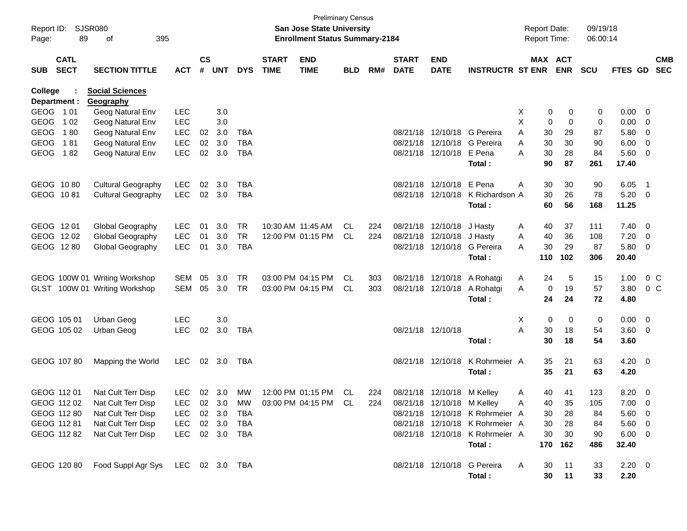| Report ID:<br>Page: | 89                         | <b>SJSR080</b><br>395<br>οf          |                |                    |            |            |                             | <b>Preliminary Census</b><br>San Jose State University<br><b>Enrollment Status Summary-2184</b> |            |     |                             |                            |                                 |        | <b>Report Date:</b><br><b>Report Time:</b> |            | 09/19/18<br>06:00:14 |             |                            |            |
|---------------------|----------------------------|--------------------------------------|----------------|--------------------|------------|------------|-----------------------------|-------------------------------------------------------------------------------------------------|------------|-----|-----------------------------|----------------------------|---------------------------------|--------|--------------------------------------------|------------|----------------------|-------------|----------------------------|------------|
| <b>SUB</b>          | <b>CATL</b><br><b>SECT</b> | <b>SECTION TITTLE</b>                | <b>ACT</b>     | $\mathsf{cs}$<br># | <b>UNT</b> | <b>DYS</b> | <b>START</b><br><b>TIME</b> | <b>END</b><br><b>TIME</b>                                                                       | <b>BLD</b> | RM# | <b>START</b><br><b>DATE</b> | <b>END</b><br><b>DATE</b>  | <b>INSTRUCTR ST ENR</b>         |        | MAX ACT                                    | <b>ENR</b> | <b>SCU</b>           | FTES GD SEC |                            | <b>CMB</b> |
| College             |                            | <b>Social Sciences</b>               |                |                    |            |            |                             |                                                                                                 |            |     |                             |                            |                                 |        |                                            |            |                      |             |                            |            |
| GEOG 101            | Department :               | Geography                            | <b>LEC</b>     |                    | 3.0        |            |                             |                                                                                                 |            |     |                             |                            |                                 |        |                                            |            |                      | 0.00        | - 0                        |            |
| <b>GEOG</b>         | 1 0 2                      | Geog Natural Env<br>Geog Natural Env | <b>LEC</b>     |                    | 3.0        |            |                             |                                                                                                 |            |     |                             |                            |                                 | Х<br>X | 0<br>0                                     | 0<br>0     | 0<br>0               | 0.00        | 0                          |            |
| <b>GEOG</b>         | 180                        | Geog Natural Env                     | <b>LEC</b>     | 02                 | 3.0        | TBA        |                             |                                                                                                 |            |     |                             |                            | 08/21/18 12/10/18 G Pereira     | A      | 30                                         | 29         | 87                   | 5.80        | 0                          |            |
| <b>GEOG</b>         | 181                        | Geog Natural Env                     | <b>LEC</b>     | 02                 | 3.0        | <b>TBA</b> |                             |                                                                                                 |            |     |                             |                            | 08/21/18 12/10/18 G Pereira     | A      | 30                                         | 30         | 90                   | 6.00        | - 0                        |            |
| GEOG                | 182                        | Geog Natural Env                     | <b>LEC</b>     | 02                 | 3.0        | <b>TBA</b> |                             |                                                                                                 |            |     |                             | 08/21/18 12/10/18 E Pena   |                                 | A      | 30                                         | 28         | 84                   | 5.60        | $\overline{\mathbf{0}}$    |            |
|                     |                            |                                      |                |                    |            |            |                             |                                                                                                 |            |     |                             |                            | Total:                          |        | 90                                         | 87         | 261                  | 17.40       |                            |            |
|                     |                            |                                      |                |                    |            |            |                             |                                                                                                 |            |     |                             |                            |                                 |        |                                            |            |                      |             |                            |            |
| GEOG 1080           |                            | <b>Cultural Geography</b>            | <b>LEC</b>     | 02                 | 3.0        | TBA        |                             |                                                                                                 |            |     |                             | 08/21/18 12/10/18 E Pena   |                                 | A      | 30                                         | 30         | 90                   | 6.05        | $\overline{\phantom{0}}$ 1 |            |
| GEOG 1081           |                            | <b>Cultural Geography</b>            | <b>LEC</b>     | 02                 | 3.0        | <b>TBA</b> |                             |                                                                                                 |            |     |                             | 08/21/18 12/10/18          | K Richardson A                  |        | 30                                         | 26         | 78                   | 5.20        | $\overline{\mathbf{0}}$    |            |
|                     |                            |                                      |                |                    |            |            |                             |                                                                                                 |            |     |                             |                            | Total:                          |        | 60                                         | 56         | 168                  | 11.25       |                            |            |
|                     |                            |                                      |                |                    |            |            |                             |                                                                                                 |            |     |                             |                            |                                 |        |                                            |            |                      |             |                            |            |
| GEOG 1201           |                            | Global Geography                     | <b>LEC</b>     | 01                 | 3.0        | TR.        |                             | 10:30 AM 11:45 AM                                                                               | CL         | 224 |                             | 08/21/18 12/10/18          | J Hasty                         | A      | 40                                         | 37         | 111                  | 7.40        | - 0                        |            |
|                     | GEOG 1202                  | Global Geography                     | <b>LEC</b>     | 01                 | 3.0        | <b>TR</b>  |                             | 12:00 PM 01:15 PM                                                                               | CL         | 224 |                             | 08/21/18 12/10/18          | J Hasty                         | Α      | 40                                         | 36         | 108                  | 7.20        | - 0                        |            |
|                     | GEOG 1280                  | Global Geography                     | <b>LEC</b>     | 01                 | 3.0        | <b>TBA</b> |                             |                                                                                                 |            |     |                             | 08/21/18 12/10/18          | G Pereira                       | A      | 30                                         | 29         | 87                   | 5.80        | $\overline{\mathbf{0}}$    |            |
|                     |                            |                                      |                |                    |            |            |                             |                                                                                                 |            |     |                             |                            | Total:                          |        | 110                                        | 102        | 306                  | 20.40       |                            |            |
|                     |                            |                                      |                |                    |            |            |                             |                                                                                                 |            |     |                             |                            |                                 |        |                                            |            |                      |             |                            |            |
|                     |                            | GEOG 100W 01 Writing Workshop        | <b>SEM</b>     | 05                 | 3.0        | <b>TR</b>  |                             | 03:00 PM 04:15 PM                                                                               | CL.        | 303 |                             | 08/21/18 12/10/18          | A Rohatgi                       | A      | 24                                         | 5          | 15                   | 1.00        | 0 <sup>o</sup>             |            |
|                     |                            | GLST 100W 01 Writing Workshop        | <b>SEM</b>     | 05                 | 3.0        | <b>TR</b>  |                             | 03:00 PM 04:15 PM                                                                               | CL.        | 303 |                             | 08/21/18 12/10/18          | A Rohatgi                       | A      | 0                                          | 19         | 57                   | 3.80        | 0 <sup>o</sup>             |            |
|                     |                            |                                      |                |                    |            |            |                             |                                                                                                 |            |     |                             |                            | Total:                          |        | 24                                         | 24         | 72                   | 4.80        |                            |            |
|                     | GEOG 105 01                | Urban Geog                           | <b>LEC</b>     |                    | 3.0        |            |                             |                                                                                                 |            |     |                             |                            |                                 | Χ      | 0                                          | 0          | 0                    | 0.00        | $\overline{\mathbf{0}}$    |            |
|                     | GEOG 105 02                | Urban Geog                           | <b>LEC</b>     | 02                 | 3.0        | <b>TBA</b> |                             |                                                                                                 |            |     | 08/21/18 12/10/18           |                            |                                 | A      | 30                                         | 18         | 54                   | 3.60 0      |                            |            |
|                     |                            |                                      |                |                    |            |            |                             |                                                                                                 |            |     |                             |                            | Total:                          |        | 30                                         | 18         | 54                   | 3.60        |                            |            |
|                     |                            |                                      |                |                    |            |            |                             |                                                                                                 |            |     |                             |                            |                                 |        |                                            |            |                      |             |                            |            |
|                     | GEOG 107 80                | Mapping the World                    | <b>LEC</b>     | 02                 | 3.0        | TBA        |                             |                                                                                                 |            |     |                             | 08/21/18 12/10/18          | K Rohrmeier A                   |        | 35                                         | 21         | 63                   | $4.20 \ 0$  |                            |            |
|                     |                            |                                      |                |                    |            |            |                             |                                                                                                 |            |     |                             |                            | Total:                          |        | 35                                         | 21         | 63                   | 4.20        |                            |            |
|                     |                            |                                      |                |                    |            |            |                             |                                                                                                 |            |     |                             |                            |                                 |        |                                            |            |                      |             |                            |            |
|                     | GEOG 112 01                | Nat Cult Terr Disp                   | LEC            |                    | 02 3.0     | MW         |                             | 12:00 PM 01:15 PM                                                                               | CL         | 224 |                             | 08/21/18 12/10/18 M Kelley |                                 | A      | 40                                         | 41         | 123                  | 8.20        | $\overline{\mathbf{0}}$    |            |
|                     | GEOG 112 02                | Nat Cult Terr Disp                   | <b>LEC</b>     |                    | 02 3.0     | MW         |                             | 03:00 PM 04:15 PM CL                                                                            |            | 224 |                             | 08/21/18 12/10/18 M Kelley |                                 | Α      | 40                                         | 35         | 105                  | 7.00        | $\overline{\mathbf{0}}$    |            |
|                     | GEOG 112 80                | Nat Cult Terr Disp                   | <b>LEC</b>     |                    | 02 3.0     | TBA        |                             |                                                                                                 |            |     |                             |                            | 08/21/18 12/10/18 K Rohrmeier A |        | 30                                         | 28         | 84                   | 5.60 0      |                            |            |
|                     | GEOG 112 81                | Nat Cult Terr Disp                   | <b>LEC</b>     |                    | 02 3.0     | TBA        |                             |                                                                                                 |            |     |                             |                            | 08/21/18 12/10/18 K Rohrmeier A |        | 30                                         | 28         | 84                   | $5.60$ 0    |                            |            |
|                     | GEOG 112 82                | Nat Cult Terr Disp                   | <b>LEC</b>     |                    | 02 3.0 TBA |            |                             |                                                                                                 |            |     |                             |                            | 08/21/18 12/10/18 K Rohrmeier A |        | 30                                         | 30         | 90                   | $6.00 \t 0$ |                            |            |
|                     |                            |                                      |                |                    |            |            |                             |                                                                                                 |            |     |                             |                            | Total:                          |        | 170                                        | 162        | 486                  | 32.40       |                            |            |
|                     |                            |                                      |                |                    |            |            |                             |                                                                                                 |            |     |                             |                            |                                 |        |                                            |            |                      |             |                            |            |
|                     | GEOG 120 80                | Food Suppl Agr Sys                   | LEC 02 3.0 TBA |                    |            |            |                             |                                                                                                 |            |     |                             |                            | 08/21/18 12/10/18 G Pereira     | A      | 30                                         | 11         | 33                   | $2.20 \t 0$ |                            |            |
|                     |                            |                                      |                |                    |            |            |                             |                                                                                                 |            |     |                             |                            | Total:                          |        | 30                                         | 11         | 33                   | 2.20        |                            |            |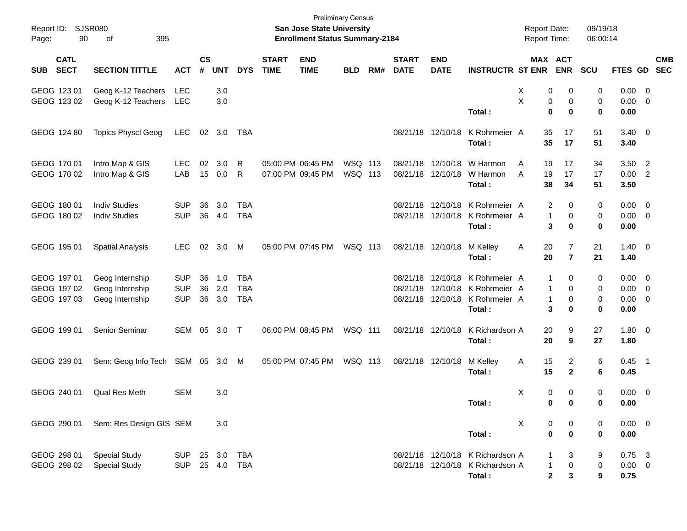| Report ID: SJSR080<br>Page:               | 90                         | 395<br>of                                             |                                        |                |                   |                                        |                             | <b>Preliminary Census</b><br>San Jose State University<br><b>Enrollment Status Summary-2184</b> |                    |     |                             |                                        |                                                                                                                 | <b>Report Date:</b><br>Report Time: |                                                                       | 09/19/18<br>06:00:14            |                                 |                                                         |            |
|-------------------------------------------|----------------------------|-------------------------------------------------------|----------------------------------------|----------------|-------------------|----------------------------------------|-----------------------------|-------------------------------------------------------------------------------------------------|--------------------|-----|-----------------------------|----------------------------------------|-----------------------------------------------------------------------------------------------------------------|-------------------------------------|-----------------------------------------------------------------------|---------------------------------|---------------------------------|---------------------------------------------------------|------------|
| SUB                                       | <b>CATL</b><br><b>SECT</b> | <b>SECTION TITTLE</b>                                 | <b>ACT</b>                             | <b>CS</b><br># | <b>UNT</b>        | <b>DYS</b>                             | <b>START</b><br><b>TIME</b> | <b>END</b><br><b>TIME</b>                                                                       | <b>BLD</b>         | RM# | <b>START</b><br><b>DATE</b> | <b>END</b><br><b>DATE</b>              | <b>INSTRUCTR ST ENR ENR</b>                                                                                     |                                     | MAX ACT                                                               | <b>SCU</b>                      | FTES GD SEC                     |                                                         | <b>CMB</b> |
| GEOG 123 01<br>GEOG 123 02                |                            | Geog K-12 Teachers<br>Geog K-12 Teachers              | LEC<br>LEC                             |                | 3.0<br>3.0        |                                        |                             |                                                                                                 |                    |     |                             |                                        | Total:                                                                                                          | х<br>X                              | 0<br>0<br>0<br>0<br>$\bf{0}$<br>0                                     | 0<br>0<br>$\mathbf 0$           | 0.00<br>0.00<br>0.00            | $\overline{0}$<br>$\overline{\mathbf{0}}$               |            |
| GEOG 124 80                               |                            | <b>Topics Physcl Geog</b>                             | LEC                                    |                | 02 3.0            | TBA                                    |                             |                                                                                                 |                    |     |                             | 08/21/18 12/10/18                      | K Rohrmeier A<br>Total:                                                                                         | 35<br>35                            | 17<br>17                                                              | 51<br>51                        | $3.40 \ 0$<br>3.40              |                                                         |            |
| GEOG 170 01<br>GEOG 170 02                |                            | Intro Map & GIS<br>Intro Map & GIS                    | <b>LEC</b><br>LAB                      | 02<br>15       | 3.0<br>0.0        | R<br>R                                 |                             | 05:00 PM 06:45 PM<br>07:00 PM 09:45 PM                                                          | WSQ 113<br>WSQ 113 |     |                             | 08/21/18 12/10/18<br>08/21/18 12/10/18 | W Harmon<br>W Harmon<br>Total:                                                                                  | 19<br>A<br>A<br>19<br>38            | 17<br>17<br>34                                                        | 34<br>17<br>51                  | 3.50<br>0.00<br>3.50            | $\overline{2}$<br>$\overline{\phantom{0}}$              |            |
| GEOG 180 01<br>GEOG 180 02                |                            | <b>Indiv Studies</b><br><b>Indiv Studies</b>          | <b>SUP</b><br><b>SUP</b>               | 36<br>36       | 3.0<br>4.0        | <b>TBA</b><br><b>TBA</b>               |                             |                                                                                                 |                    |     |                             | 08/21/18 12/10/18                      | 08/21/18 12/10/18 K Rohrmeier A<br>K Rohrmeier A<br>Total:                                                      |                                     | 2<br>$\Omega$<br>1<br>0<br>3<br>0                                     | $\mathbf 0$<br>0<br>$\mathbf 0$ | 0.00<br>0.00<br>0.00            | $\overline{\mathbf{0}}$<br>$\overline{\mathbf{0}}$      |            |
| GEOG 195 01                               |                            | <b>Spatial Analysis</b>                               | <b>LEC</b>                             |                | $02 \quad 3.0$    | M                                      |                             | 05:00 PM 07:45 PM                                                                               | WSQ 113            |     |                             | 08/21/18 12/10/18                      | M Kelley<br>Total:                                                                                              | 20<br>A<br>20                       | 7<br>$\overline{7}$                                                   | 21<br>21                        | $1.40 \ 0$<br>1.40              |                                                         |            |
| GEOG 197 01<br>GEOG 197 02<br>GEOG 197 03 |                            | Geog Internship<br>Geog Internship<br>Geog Internship | <b>SUP</b><br><b>SUP</b><br><b>SUP</b> | 36<br>36<br>36 | 1.0<br>2.0<br>3.0 | <b>TBA</b><br><b>TBA</b><br><b>TBA</b> |                             |                                                                                                 |                    |     |                             |                                        | 08/21/18 12/10/18 K Rohrmeier A<br>08/21/18 12/10/18 K Rohrmeier A<br>08/21/18 12/10/18 K Rohrmeier A<br>Total: |                                     | -1<br>0<br>$\mathbf{1}$<br>$\mathbf 0$<br>$\mathbf{1}$<br>0<br>3<br>0 | 0<br>0<br>0<br>0                | 0.00<br>0.00<br>0.00<br>0.00    | $\overline{\mathbf{0}}$<br>0<br>$\overline{\mathbf{0}}$ |            |
| GEOG 199 01                               |                            | Senior Seminar                                        | SEM                                    | 05             | 3.0               | $\top$                                 |                             | 06:00 PM 08:45 PM                                                                               | WSQ 111            |     |                             | 08/21/18 12/10/18                      | K Richardson A<br>Total:                                                                                        | 20<br>20                            | 9<br>9                                                                | 27<br>27                        | $1.80 \ 0$<br>1.80              |                                                         |            |
| GEOG 239 01                               |                            | Sem: Geog Info Tech                                   | SEM 05 3.0                             |                |                   | M                                      |                             | 05:00 PM 07:45 PM                                                                               | WSQ 113            |     |                             | 08/21/18 12/10/18                      | M Kelley<br>Total:                                                                                              | 15<br>Α<br>15                       | 2<br>$\mathbf{2}$                                                     | 6<br>6                          | $0.45$ 1<br>0.45                |                                                         |            |
| GEOG 240 01                               |                            | Qual Res Meth                                         | <b>SEM</b>                             |                | 3.0               |                                        |                             |                                                                                                 |                    |     |                             |                                        | Total:                                                                                                          | X                                   | 0<br>$\mathbf 0$<br>0<br>0                                            | 0<br>0                          | $0.00 \t 0$<br>0.00             |                                                         |            |
| GEOG 290 01                               |                            | Sem: Res Design GIS SEM                               |                                        |                | 3.0               |                                        |                             |                                                                                                 |                    |     |                             |                                        | Total:                                                                                                          | X                                   | $\boldsymbol{0}$<br>0<br>$\mathbf 0$<br>$\mathbf 0$                   | 0<br>0                          | $0.00 \t 0$<br>0.00             |                                                         |            |
| GEOG 298 01<br>GEOG 298 02                |                            | <b>Special Study</b><br><b>Special Study</b>          | SUP<br><b>SUP</b>                      |                | 25 3.0<br>25 4.0  | TBA<br>TBA                             |                             |                                                                                                 |                    |     |                             |                                        | 08/21/18 12/10/18 K Richardson A<br>08/21/18 12/10/18 K Richardson A<br>Total:                                  |                                     | 3<br>$\pmb{0}$<br>1<br>$\mathbf 2$<br>3                               | 9<br>$\pmb{0}$<br>9             | $0.75$ 3<br>$0.00 \t 0$<br>0.75 |                                                         |            |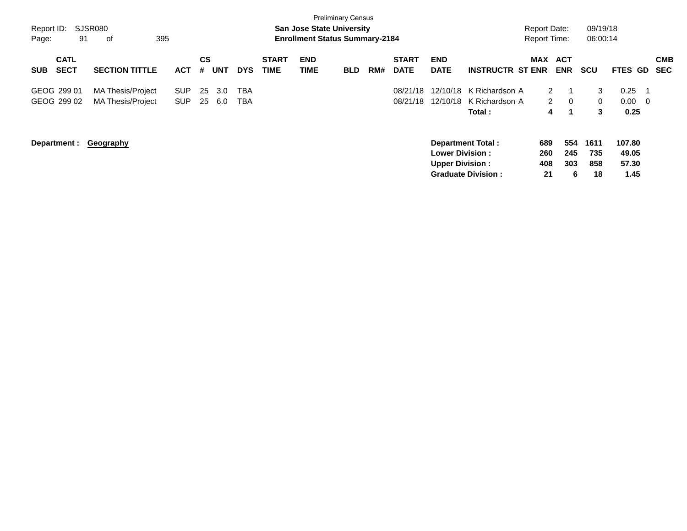|             |                            |                          |            |                |            |            |                             |                    | <b>Preliminary Census</b>             |     |                             |                           |                           |                      |                |              |                 |                          |
|-------------|----------------------------|--------------------------|------------|----------------|------------|------------|-----------------------------|--------------------|---------------------------------------|-----|-----------------------------|---------------------------|---------------------------|----------------------|----------------|--------------|-----------------|--------------------------|
| Report ID:  |                            | SJSR080                  |            |                |            |            |                             |                    | <b>San Jose State University</b>      |     |                             |                           |                           | <b>Report Date:</b>  |                | 09/19/18     |                 |                          |
| Page:       | 91                         | 395<br>оf                |            |                |            |            |                             |                    | <b>Enrollment Status Summary-2184</b> |     |                             |                           |                           | <b>Report Time:</b>  |                | 06:00:14     |                 |                          |
| <b>SUB</b>  | <b>CATL</b><br><b>SECT</b> | <b>SECTION TITTLE</b>    | ACT        | <b>CS</b><br># | <b>UNT</b> | <b>DYS</b> | <b>START</b><br><b>TIME</b> | <b>END</b><br>TIME | <b>BLD</b>                            | RM# | <b>START</b><br><b>DATE</b> | <b>END</b><br><b>DATE</b> | <b>INSTRUCTR ST ENR</b>   | MAX ACT              | <b>ENR</b>     | <b>SCU</b>   | FTES GD         | <b>CMB</b><br><b>SEC</b> |
| GEOG 299 01 |                            | <b>MA Thesis/Project</b> | <b>SUP</b> | 25             | 3.0        | <b>TBA</b> |                             |                    |                                       |     | 08/21/18                    | 12/10/18                  | K Richardson A            | $\mathbf{2}^{\circ}$ |                | 3            | 0.25            | -1                       |
|             | GEOG 299 02                | <b>MA Thesis/Project</b> | <b>SUP</b> | 25             | 6.0        | TBA        |                             |                    |                                       |     | 08/21/18                    | 12/10/18                  | K Richardson A            | $\mathbf{2}$         | $\overline{0}$ | $\mathbf{0}$ | 0.00            | - 0                      |
|             |                            |                          |            |                |            |            |                             |                    |                                       |     |                             |                           | Total:                    | 4                    |                | 3            | 0.25            |                          |
|             | Department :               | <b>Geography</b>         |            |                |            |            |                             |                    |                                       |     |                             | <b>Lower Division:</b>    | <b>Department Total:</b>  | 689<br>260           | 554<br>245     | 1611<br>735  | 107.80<br>49.05 |                          |
|             |                            |                          |            |                |            |            |                             |                    |                                       |     |                             | <b>Upper Division:</b>    |                           | 408                  | 303            | 858          | 57.30           |                          |
|             |                            |                          |            |                |            |            |                             |                    |                                       |     |                             |                           | <b>Graduate Division:</b> | 21                   | 6              | 18           | 1.45            |                          |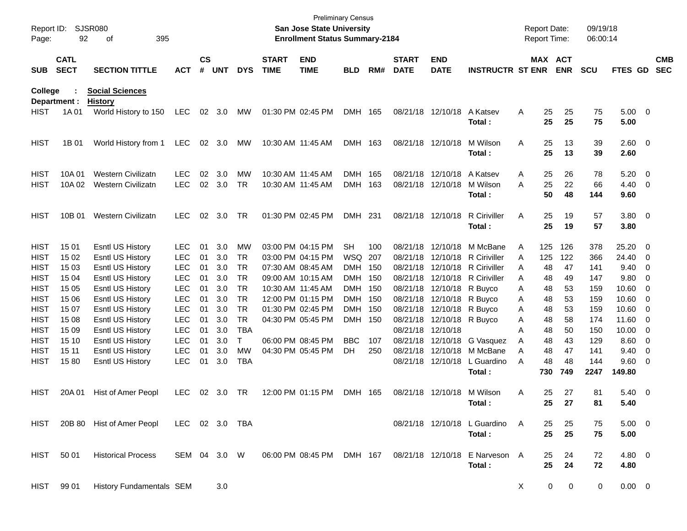| Report ID:<br>Page:                                                                                                                           | 92                                                                                                      | SJSR080<br>395<br>of                                                                                                                                                                                                                                |                                                                                                                                                                      |                                                                      |                                                                                  |                                                                                                   |                             | <b>San Jose State University</b><br><b>Enrollment Status Summary-2184</b>                                                                                                                                      | <b>Preliminary Census</b>                                                                                  |                                   |                             |                                                                                                                                                                                 |                                                                                                                                                                                           |                                                          | <b>Report Date:</b><br>Report Time:                                    |                                                                        | 09/19/18<br>06:00:14                                                             |                                                                                                       |                                                                                                                                                                                                                                                                      |                          |
|-----------------------------------------------------------------------------------------------------------------------------------------------|---------------------------------------------------------------------------------------------------------|-----------------------------------------------------------------------------------------------------------------------------------------------------------------------------------------------------------------------------------------------------|----------------------------------------------------------------------------------------------------------------------------------------------------------------------|----------------------------------------------------------------------|----------------------------------------------------------------------------------|---------------------------------------------------------------------------------------------------|-----------------------------|----------------------------------------------------------------------------------------------------------------------------------------------------------------------------------------------------------------|------------------------------------------------------------------------------------------------------------|-----------------------------------|-----------------------------|---------------------------------------------------------------------------------------------------------------------------------------------------------------------------------|-------------------------------------------------------------------------------------------------------------------------------------------------------------------------------------------|----------------------------------------------------------|------------------------------------------------------------------------|------------------------------------------------------------------------|----------------------------------------------------------------------------------|-------------------------------------------------------------------------------------------------------|----------------------------------------------------------------------------------------------------------------------------------------------------------------------------------------------------------------------------------------------------------------------|--------------------------|
| <b>SUB</b>                                                                                                                                    | <b>CATL</b><br><b>SECT</b>                                                                              | <b>SECTION TITTLE</b>                                                                                                                                                                                                                               | <b>ACT</b>                                                                                                                                                           | $\mathsf{cs}$<br>#                                                   | <b>UNT</b>                                                                       | <b>DYS</b>                                                                                        | <b>START</b><br><b>TIME</b> | <b>END</b><br><b>TIME</b>                                                                                                                                                                                      | <b>BLD</b>                                                                                                 | RM#                               | <b>START</b><br><b>DATE</b> | <b>END</b><br><b>DATE</b>                                                                                                                                                       | <b>INSTRUCTR ST ENR</b>                                                                                                                                                                   |                                                          |                                                                        | MAX ACT<br><b>ENR</b>                                                  | <b>SCU</b>                                                                       | FTES GD                                                                                               |                                                                                                                                                                                                                                                                      | <b>CMB</b><br><b>SEC</b> |
| <b>College</b>                                                                                                                                | Department :                                                                                            | <b>Social Sciences</b><br><b>History</b>                                                                                                                                                                                                            |                                                                                                                                                                      |                                                                      |                                                                                  |                                                                                                   |                             |                                                                                                                                                                                                                |                                                                                                            |                                   |                             |                                                                                                                                                                                 |                                                                                                                                                                                           |                                                          |                                                                        |                                                                        |                                                                                  |                                                                                                       |                                                                                                                                                                                                                                                                      |                          |
| HIST                                                                                                                                          | 1A 01                                                                                                   | World History to 150                                                                                                                                                                                                                                | <b>LEC</b>                                                                                                                                                           |                                                                      | 02 3.0                                                                           | МW                                                                                                |                             | 01:30 PM 02:45 PM                                                                                                                                                                                              | DMH 165                                                                                                    |                                   |                             | 08/21/18 12/10/18                                                                                                                                                               | A Katsev<br>Total :                                                                                                                                                                       | Α                                                        | 25<br>25                                                               | 25<br>25                                                               | 75<br>75                                                                         | $5.00 \t 0$<br>5.00                                                                                   |                                                                                                                                                                                                                                                                      |                          |
| <b>HIST</b>                                                                                                                                   | 1B 01                                                                                                   | World History from 1                                                                                                                                                                                                                                | <b>LEC</b>                                                                                                                                                           | 02                                                                   | 3.0                                                                              | <b>MW</b>                                                                                         |                             | 10:30 AM 11:45 AM                                                                                                                                                                                              | DMH 163                                                                                                    |                                   |                             | 08/21/18 12/10/18                                                                                                                                                               | M Wilson<br>Total :                                                                                                                                                                       | Α                                                        | 25<br>25                                                               | 13<br>13                                                               | 39<br>39                                                                         | 2.60 0<br>2.60                                                                                        |                                                                                                                                                                                                                                                                      |                          |
| <b>HIST</b><br>HIST                                                                                                                           | 10A 01<br>10A 02                                                                                        | <b>Western Civilizatn</b><br><b>Western Civilizatn</b>                                                                                                                                                                                              | <b>LEC</b><br><b>LEC</b>                                                                                                                                             | 02<br>02                                                             | 3.0<br>3.0                                                                       | MW<br>TR                                                                                          |                             | 10:30 AM 11:45 AM<br>10:30 AM 11:45 AM                                                                                                                                                                         | DMH<br>DMH                                                                                                 | 165<br>163                        |                             | 08/21/18 12/10/18<br>08/21/18 12/10/18                                                                                                                                          | A Katsev<br>M Wilson<br>Total :                                                                                                                                                           | Α<br>Α                                                   | 25<br>25<br>50                                                         | 26<br>22<br>48                                                         | 78<br>66<br>144                                                                  | 5.20<br>$4.40 \ 0$<br>9.60                                                                            | $\overline{\phantom{0}}$                                                                                                                                                                                                                                             |                          |
| HIST                                                                                                                                          | 10B 01                                                                                                  | <b>Western Civilizatn</b>                                                                                                                                                                                                                           | <b>LEC</b>                                                                                                                                                           | 02                                                                   | 3.0                                                                              | TR                                                                                                |                             | 01:30 PM 02:45 PM                                                                                                                                                                                              | DMH 231                                                                                                    |                                   |                             | 08/21/18 12/10/18                                                                                                                                                               | R Ciriviller<br>Total :                                                                                                                                                                   | Α                                                        | 25<br>25                                                               | 19<br>19                                                               | 57<br>57                                                                         | $3.80\ 0$<br>3.80                                                                                     |                                                                                                                                                                                                                                                                      |                          |
| <b>HIST</b><br><b>HIST</b><br><b>HIST</b><br>HIST<br>HIST<br><b>HIST</b><br>HIST<br><b>HIST</b><br><b>HIST</b><br><b>HIST</b><br>HIST<br>HIST | 15 01<br>15 02<br>15 03<br>15 04<br>15 05<br>15 06<br>15 07<br>15 08<br>15 09<br>15 10<br>15 11<br>1580 | <b>Esntl US History</b><br>Esntl US History<br>Esntl US History<br>Esntl US History<br>Esntl US History<br>Esntl US History<br>Esntl US History<br>Esntl US History<br>Esntl US History<br>Esntl US History<br>Esntl US History<br>Esntl US History | <b>LEC</b><br><b>LEC</b><br><b>LEC</b><br><b>LEC</b><br><b>LEC</b><br><b>LEC</b><br><b>LEC</b><br><b>LEC</b><br><b>LEC</b><br><b>LEC</b><br><b>LEC</b><br><b>LEC</b> | 01<br>01<br>01<br>01<br>01<br>01<br>01<br>01<br>01<br>01<br>01<br>01 | 3.0<br>3.0<br>3.0<br>3.0<br>3.0<br>3.0<br>3.0<br>3.0<br>3.0<br>3.0<br>3.0<br>3.0 | MW<br>TR<br>TR<br>TR<br>TR<br>TR<br>TR<br><b>TR</b><br><b>TBA</b><br>т<br><b>MW</b><br><b>TBA</b> |                             | 03:00 PM 04:15 PM<br>03:00 PM 04:15 PM<br>07:30 AM 08:45 AM<br>09:00 AM 10:15 AM<br>10:30 AM 11:45 AM<br>12:00 PM 01:15 PM<br>01:30 PM 02:45 PM<br>04:30 PM 05:45 PM<br>06:00 PM 08:45 PM<br>04:30 PM 05:45 PM | <b>SH</b><br>WSQ<br>DMH 150<br>DMH 150<br>DMH 150<br>DMH 150<br>DMH 150<br><b>DMH</b><br><b>BBC</b><br>DH. | 100<br>207<br>- 150<br>107<br>250 |                             | 08/21/18 12/10/18 R Buyco<br>08/21/18 12/10/18 R Buyco<br>08/21/18 12/10/18 R Buyco<br>08/21/18 12/10/18 R Buyco<br>08/21/18 12/10/18<br>08/21/18 12/10/18<br>08/21/18 12/10/18 | 08/21/18 12/10/18 M McBane<br>08/21/18 12/10/18 R Ciriviller<br>08/21/18 12/10/18 R Ciriviller<br>08/21/18 12/10/18 R Ciriviller<br>G Vasquez<br>08/21/18 12/10/18 M McBane<br>L Guardino | Α<br>Α<br>A<br>A<br>Α<br>Α<br>Α<br>Α<br>A<br>Α<br>A<br>Α | 125<br>125<br>48<br>48<br>48<br>48<br>48<br>48<br>48<br>48<br>48<br>48 | 126<br>122<br>47<br>49<br>53<br>53<br>53<br>58<br>50<br>43<br>47<br>48 | 378<br>366<br>141<br>147<br>159<br>159<br>159<br>174<br>150<br>129<br>141<br>144 | 25.20<br>24.40<br>9.40<br>9.80<br>10.60<br>10.60<br>10.60<br>11.60<br>10.00<br>8.60<br>9.40<br>9.60 0 | $\overline{\phantom{0}}$<br>$\overline{\phantom{0}}$<br>$\overline{\phantom{0}}$<br>- 0<br>- 0<br>$\overline{\phantom{0}}$<br>$\overline{\phantom{0}}$<br>$\overline{\phantom{0}}$<br>$\overline{\phantom{0}}$<br>$\overline{\mathbf{0}}$<br>$\overline{\mathbf{0}}$ |                          |
| <b>HIST</b>                                                                                                                                   | 20A 01                                                                                                  | Hist of Amer Peopl                                                                                                                                                                                                                                  | <b>LEC</b>                                                                                                                                                           | 02                                                                   | 3.0                                                                              | TR                                                                                                |                             | 12:00 PM 01:15 PM                                                                                                                                                                                              | DMH 165                                                                                                    |                                   |                             | 08/21/18 12/10/18                                                                                                                                                               | Total :<br>M Wilson<br>Total:                                                                                                                                                             | Α                                                        | 730<br>25<br>25                                                        | 749<br>27<br>27                                                        | 2247<br>81<br>81                                                                 | 149.80<br>$5.40 \ 0$<br>5.40                                                                          |                                                                                                                                                                                                                                                                      |                          |
| HIST                                                                                                                                          |                                                                                                         | 20B 80 Hist of Amer Peopl LEC 02 3.0 TBA                                                                                                                                                                                                            |                                                                                                                                                                      |                                                                      |                                                                                  |                                                                                                   |                             |                                                                                                                                                                                                                |                                                                                                            |                                   |                             |                                                                                                                                                                                 | 08/21/18 12/10/18 L Guardino A<br>Total:                                                                                                                                                  |                                                          | 25<br>25                                                               | 25<br>25                                                               | 75<br>75                                                                         | $5.00 \t 0$<br>5.00                                                                                   |                                                                                                                                                                                                                                                                      |                          |
| HIST                                                                                                                                          | 50 01                                                                                                   | <b>Historical Process</b>                                                                                                                                                                                                                           | SEM 04 3.0 W                                                                                                                                                         |                                                                      |                                                                                  |                                                                                                   |                             | 06:00 PM 08:45 PM DMH 167                                                                                                                                                                                      |                                                                                                            |                                   |                             |                                                                                                                                                                                 | 08/21/18 12/10/18 E Narveson A<br>Total:                                                                                                                                                  |                                                          | 25<br>25                                                               | 24<br>24                                                               | 72<br>72                                                                         | 4.80 0<br>4.80                                                                                        |                                                                                                                                                                                                                                                                      |                          |
| HIST                                                                                                                                          | 99 01                                                                                                   | History Fundamentals SEM                                                                                                                                                                                                                            |                                                                                                                                                                      |                                                                      | 3.0                                                                              |                                                                                                   |                             |                                                                                                                                                                                                                |                                                                                                            |                                   |                             |                                                                                                                                                                                 |                                                                                                                                                                                           | X                                                        | $\overline{0}$                                                         | $\mathbf 0$                                                            | 0                                                                                | $0.00 \t 0$                                                                                           |                                                                                                                                                                                                                                                                      |                          |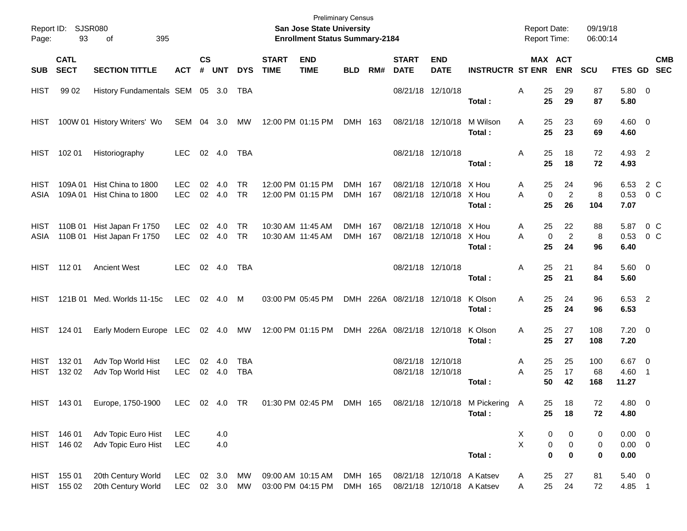| Page:                      | Report ID: SJSR080<br>93   | 395<br>of                                        |                          |                             |                  |                          |                             | San Jose State University<br><b>Enrollment Status Summary-2184</b> | <b>Preliminary Census</b> |     |                             |                                                          |                         | <b>Report Date:</b><br><b>Report Time:</b> |                                              | 09/19/18<br>06:00:14 |                                    |                           |
|----------------------------|----------------------------|--------------------------------------------------|--------------------------|-----------------------------|------------------|--------------------------|-----------------------------|--------------------------------------------------------------------|---------------------------|-----|-----------------------------|----------------------------------------------------------|-------------------------|--------------------------------------------|----------------------------------------------|----------------------|------------------------------------|---------------------------|
| <b>SUB</b>                 | <b>CATL</b><br><b>SECT</b> | <b>SECTION TITTLE</b>                            | <b>ACT</b>               | $\mathsf{cs}$<br>$\pmb{\#}$ | <b>UNT</b>       | <b>DYS</b>               | <b>START</b><br><b>TIME</b> | <b>END</b><br><b>TIME</b>                                          | <b>BLD</b>                | RM# | <b>START</b><br><b>DATE</b> | <b>END</b><br><b>DATE</b>                                | <b>INSTRUCTR ST ENR</b> |                                            | MAX ACT<br><b>ENR</b>                        | SCU                  |                                    | <b>CMB</b><br>FTES GD SEC |
| <b>HIST</b>                | 99 02                      | History Fundamentals SEM 05 3.0                  |                          |                             |                  | TBA                      |                             |                                                                    |                           |     |                             | 08/21/18 12/10/18                                        | Total:                  | 25<br>Α<br>25                              | 29<br>29                                     | 87<br>87             | 5.80 0<br>5.80                     |                           |
| HIST                       |                            | 100W 01 History Writers' Wo                      | SEM 04 3.0               |                             |                  | MW                       |                             | 12:00 PM 01:15 PM                                                  | DMH 163                   |     |                             | 08/21/18 12/10/18                                        | M Wilson<br>Total:      | 25<br>A<br>25                              | 23<br>23                                     | 69<br>69             | $4.60 \ 0$<br>4.60                 |                           |
| HIST                       | 102 01                     | Historiography                                   | <b>LEC</b>               |                             | 02 4.0           | TBA                      |                             |                                                                    |                           |     |                             | 08/21/18 12/10/18                                        | Total:                  | 25<br>Α<br>25                              | 18<br>18                                     | 72<br>72             | 4.93 2<br>4.93                     |                           |
| HIST<br>ASIA               | 109A 01<br>109A 01         | Hist China to 1800<br>Hist China to 1800         | <b>LEC</b><br><b>LEC</b> | 02<br>02                    | 4.0<br>4.0       | <b>TR</b><br><b>TR</b>   |                             | 12:00 PM 01:15 PM<br>12:00 PM 01:15 PM                             | DMH 167<br>DMH 167        |     | 08/21/18                    | 12/10/18 X Hou<br>08/21/18 12/10/18 X Hou                | Total:                  | 25<br>A<br>A<br>$\mathbf 0$<br>25          | 24<br>$\overline{2}$<br>26                   | 96<br>8<br>104       | 6.53<br>0.53<br>7.07               | 2 C<br>$0\,$ C            |
| <b>HIST</b><br>ASIA        | 110B 01                    | 110B 01 Hist Japan Fr 1750<br>Hist Japan Fr 1750 | <b>LEC</b><br><b>LEC</b> | 02                          | 4.0<br>02 4.0    | <b>TR</b><br><b>TR</b>   |                             | 10:30 AM 11:45 AM<br>10:30 AM 11:45 AM                             | DMH 167<br>DMH 167        |     | 08/21/18                    | 12/10/18 X Hou<br>08/21/18 12/10/18 X Hou                | Total:                  | 25<br>A<br>A<br>$\mathbf 0$<br>25          | 22<br>$\overline{2}$<br>24                   | 88<br>8<br>96        | 5.87<br>0.53<br>6.40               | 0 C<br>$0\,$ C            |
|                            | HIST 11201                 | <b>Ancient West</b>                              | LEC.                     |                             | 02 4.0           | TBA                      |                             |                                                                    |                           |     |                             | 08/21/18 12/10/18                                        | Total:                  | 25<br>A<br>25                              | 21<br>21                                     | 84<br>84             | $5.60 \quad 0$<br>5.60             |                           |
| <b>HIST</b>                |                            | 121B 01 Med. Worlds 11-15c                       | LEC                      |                             | 02 4.0 M         |                          |                             | 03:00 PM 05:45 PM                                                  |                           |     | DMH 226A 08/21/18 12/10/18  |                                                          | K Olson<br>Total:       | 25<br>A<br>25                              | 24<br>24                                     | 96<br>96             | 6.53 2<br>6.53                     |                           |
| HIST                       | 124 01                     | Early Modern Europe LEC                          |                          |                             | 02 4.0           | МW                       |                             | 12:00 PM 01:15 PM                                                  |                           |     | DMH 226A 08/21/18 12/10/18  |                                                          | K Olson<br>Total:       | 25<br>A<br>25                              | 27<br>27                                     | 108<br>108           | $7.20 \t 0$<br>7.20                |                           |
| <b>HIST</b><br><b>HIST</b> | 132 01<br>132 02           | Adv Top World Hist<br>Adv Top World Hist         | <b>LEC</b><br><b>LEC</b> | 02                          | 4.0<br>02 4.0    | <b>TBA</b><br><b>TBA</b> |                             |                                                                    |                           |     |                             | 08/21/18 12/10/18<br>08/21/18 12/10/18                   | Total :                 | 25<br>A<br>25<br>A<br>50                   | 25<br>17<br>42                               | 100<br>68<br>168     | $6.67$ 0<br>4.60 1<br>11.27        |                           |
|                            |                            | HIST 143 01 Europe, 1750-1900                    |                          |                             |                  |                          |                             | LEC 02 4.0 TR  01:30 PM  02:45 PM  DMH  165  08/21/18  12/10/18    |                           |     |                             |                                                          | M Pickering A<br>Total: | 25<br>25                                   | $18$<br>18                                   | 72<br>72             | 4.80 0<br>4.80                     |                           |
|                            | HIST 146 01<br>HIST 146 02 | Adv Topic Euro Hist<br>Adv Topic Euro Hist       | <b>LEC</b><br><b>LEC</b> |                             | 4.0<br>4.0       |                          |                             |                                                                    |                           |     |                             |                                                          | Total:                  | X<br>$\mathsf{x}$<br>$\bf{0}$              | 0<br>0<br>$\pmb{0}$<br>$\pmb{0}$<br>$\bf{0}$ | 0<br>0<br>0          | $0.00 \t 0$<br>$0.00 \t 0$<br>0.00 |                           |
| <b>HIST</b>                | HIST 155 01<br>155 02      | 20th Century World<br>20th Century World         | <b>LEC</b><br><b>LEC</b> |                             | 02 3.0<br>02 3.0 | МW<br>MW                 |                             | 09:00 AM 10:15 AM<br>03:00 PM 04:15 PM                             | DMH 165<br>DMH 165        |     |                             | 08/21/18 12/10/18 A Katsev<br>08/21/18 12/10/18 A Katsev |                         | 25<br>A<br>25<br>Α                         | 27<br>24                                     | 81<br>72             | 5.40 0<br>4.85 1                   |                           |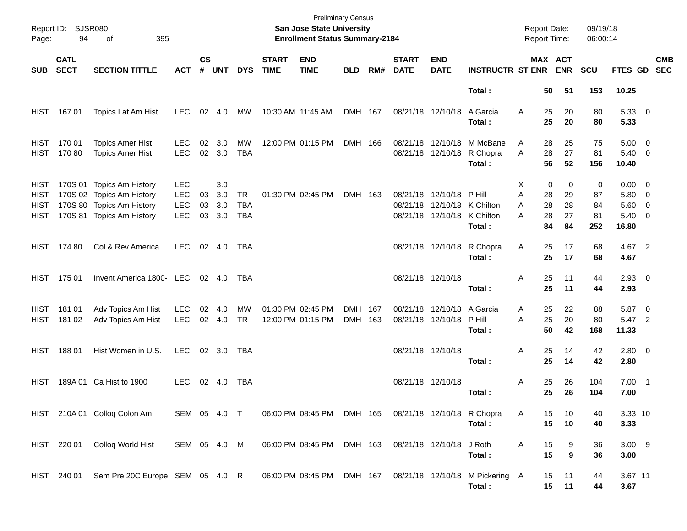| Report ID:<br>Page:                 | <b>SJSR080</b><br>94       | 395<br>οf                                                                                                       |                                                      |                    |                          |                                       |                             | <b>Preliminary Census</b><br>San Jose State University<br><b>Enrollment Status Summary-2184</b> |                    |     |                             |                                                                                 |                                           | <b>Report Date:</b><br>Report Time:                     |                           | 09/19/18<br>06:00:14       |                                                           |                          |                          |
|-------------------------------------|----------------------------|-----------------------------------------------------------------------------------------------------------------|------------------------------------------------------|--------------------|--------------------------|---------------------------------------|-----------------------------|-------------------------------------------------------------------------------------------------|--------------------|-----|-----------------------------|---------------------------------------------------------------------------------|-------------------------------------------|---------------------------------------------------------|---------------------------|----------------------------|-----------------------------------------------------------|--------------------------|--------------------------|
| <b>SUB</b>                          | <b>CATL</b><br><b>SECT</b> | <b>SECTION TITTLE</b>                                                                                           | <b>ACT</b>                                           | $\mathsf{cs}$<br># | <b>UNT</b>               | <b>DYS</b>                            | <b>START</b><br><b>TIME</b> | <b>END</b><br><b>TIME</b>                                                                       | <b>BLD</b>         | RM# | <b>START</b><br><b>DATE</b> | <b>END</b><br><b>DATE</b>                                                       | <b>INSTRUCTR ST ENR</b>                   | MAX ACT                                                 | <b>ENR</b>                | <b>SCU</b>                 | <b>FTES GD</b>                                            |                          | <b>CMB</b><br><b>SEC</b> |
|                                     |                            |                                                                                                                 |                                                      |                    |                          |                                       |                             |                                                                                                 |                    |     |                             |                                                                                 | Total:                                    | 50                                                      | 51                        | 153                        | 10.25                                                     |                          |                          |
| HIST                                | 16701                      | Topics Lat Am Hist                                                                                              | <b>LEC</b>                                           | 02                 | 4.0                      | MW                                    |                             | 10:30 AM 11:45 AM                                                                               | DMH 167            |     |                             | 08/21/18 12/10/18                                                               | A Garcia<br>Total:                        | Α<br>25<br>25                                           | 20<br>20                  | 80<br>80                   | 5.33 0<br>5.33                                            |                          |                          |
| HIST<br>HIST                        | 170 01<br>17080            | <b>Topics Amer Hist</b><br><b>Topics Amer Hist</b>                                                              | <b>LEC</b><br><b>LEC</b>                             | 02<br>02           | 3.0<br>3.0               | MW<br><b>TBA</b>                      |                             | 12:00 PM 01:15 PM                                                                               | DMH 166            |     |                             | 08/21/18 12/10/18<br>08/21/18 12/10/18                                          | M McBane<br>R Chopra<br>Total:            | 28<br>Α<br>A<br>28<br>56                                | 25<br>27<br>52            | 75<br>81<br>156            | $5.00 \t 0$<br>$5.40 \ 0$<br>10.40                        |                          |                          |
| <b>HIST</b><br>HIST<br>HIST<br>HIST | 170S 01                    | <b>Topics Am History</b><br>170S 02 Topics Am History<br>170S 80 Topics Am History<br>170S 81 Topics Am History | <b>LEC</b><br><b>LEC</b><br><b>LEC</b><br><b>LEC</b> | 03<br>03<br>03     | 3.0<br>3.0<br>3.0<br>3.0 | <b>TR</b><br><b>TBA</b><br><b>TBA</b> |                             | 01:30 PM 02:45 PM                                                                               | DMH 163            |     |                             | 08/21/18 12/10/18<br>08/21/18 12/10/18 K Chilton<br>08/21/18 12/10/18 K Chilton | P Hill<br>Total:                          | $\mathbf 0$<br>х<br>A<br>28<br>28<br>A<br>28<br>А<br>84 | 0<br>29<br>28<br>27<br>84 | 0<br>87<br>84<br>81<br>252 | $0.00 \quad 0$<br>5.80 0<br>5.60 0<br>$5.40 \ 0$<br>16.80 |                          |                          |
| HIST                                | 174 80                     | Col & Rev America                                                                                               | <b>LEC</b>                                           |                    | $02 \quad 4.0$           | TBA                                   |                             |                                                                                                 |                    |     |                             | 08/21/18 12/10/18                                                               | R Chopra<br>Total:                        | Α<br>25<br>25                                           | 17<br>17                  | 68<br>68                   | 4.67 2<br>4.67                                            |                          |                          |
| HIST                                | 175 01                     | Invent America 1800- LEC                                                                                        |                                                      |                    | $02 \quad 4.0$           | TBA                                   |                             |                                                                                                 |                    |     | 08/21/18 12/10/18           |                                                                                 | Total:                                    | Α<br>25<br>25                                           | 11<br>11                  | 44<br>44                   | $2.93$ 0<br>2.93                                          |                          |                          |
| <b>HIST</b><br>HIST                 | 181 01<br>181 02           | Adv Topics Am Hist<br>Adv Topics Am Hist                                                                        | <b>LEC</b><br><b>LEC</b>                             | 02                 | 4.0<br>02 4.0            | MW<br><b>TR</b>                       |                             | 01:30 PM 02:45 PM<br>12:00 PM 01:15 PM                                                          | DMH 167<br>DMH 163 |     |                             | 08/21/18 12/10/18 A Garcia<br>08/21/18 12/10/18                                 | P Hill<br>Total:                          | 25<br>Α<br>A<br>25<br>50                                | 22<br>20<br>42            | 88<br>80<br>168            | 5.87<br>5.47 2<br>11.33                                   | $\overline{\phantom{0}}$ |                          |
| HIST                                | 18801                      | Hist Women in U.S.                                                                                              | <b>LEC</b>                                           |                    | $02 \quad 3.0$           | TBA                                   |                             |                                                                                                 |                    |     | 08/21/18 12/10/18           |                                                                                 | Total:                                    | Α<br>25<br>25                                           | 14<br>14                  | 42<br>42                   | $2.80 \t 0$<br>2.80                                       |                          |                          |
| HIST                                | 189A 01                    | Ca Hist to 1900                                                                                                 | <b>LEC</b>                                           | 02                 | -4.0                     | TBA                                   |                             |                                                                                                 |                    |     | 08/21/18 12/10/18           |                                                                                 | Total:                                    | 25<br>Α<br>25                                           | 26<br>26                  | 104<br>104                 | $7.00$ 1<br>7.00                                          |                          |                          |
|                                     |                            | HIST 210A 01 Colloq Colon Am                                                                                    | SEM 05 4.0 T                                         |                    |                          |                                       |                             | 06:00 PM 08:45 PM DMH 165 08/21/18 12/10/18 R Chopra                                            |                    |     |                             |                                                                                 | Total:                                    | 15<br>Α<br>15                                           | 10<br>10                  | 40<br>40                   | 3.33 10<br>3.33                                           |                          |                          |
|                                     | HIST 220 01                | Colloq World Hist                                                                                               | SEM 05 4.0 M                                         |                    |                          |                                       |                             | 06:00 PM 08:45 PM                                                                               | DMH 163            |     | 08/21/18 12/10/18           |                                                                                 | J Roth<br>Total:                          | Α<br>15<br>15                                           | 9<br>9                    | 36<br>36                   | $3.00$ 9<br>3.00                                          |                          |                          |
|                                     | HIST 240 01                | Sem Pre 20C Europe SEM 05 4.0 R                                                                                 |                                                      |                    |                          |                                       |                             | 06:00 PM 08:45 PM DMH 167                                                                       |                    |     |                             |                                                                                 | 08/21/18 12/10/18 M Pickering A<br>Total: | 15<br>15                                                | 11<br>11                  | 44<br>44                   | 3.67 11<br>3.67                                           |                          |                          |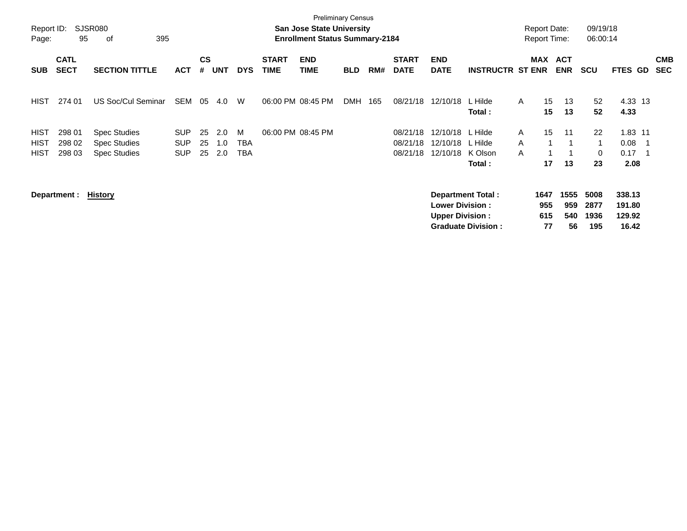| Report ID:<br>Page:                       | 95                         | <b>SJSR080</b><br>395<br>0f                                       |                                        |                    |                   |                               |                             | <b>Preliminary Census</b><br><b>San Jose State University</b><br><b>Enrollment Status Summary-2184</b> |            |     |                                  |                                                  |                                                       | <b>Report Date:</b> | <b>Report Time:</b>      |                          | 09/19/18<br>06:00:14          |                                     |     |                          |
|-------------------------------------------|----------------------------|-------------------------------------------------------------------|----------------------------------------|--------------------|-------------------|-------------------------------|-----------------------------|--------------------------------------------------------------------------------------------------------|------------|-----|----------------------------------|--------------------------------------------------|-------------------------------------------------------|---------------------|--------------------------|--------------------------|-------------------------------|-------------------------------------|-----|--------------------------|
| <b>SUB</b>                                | <b>CATL</b><br><b>SECT</b> | <b>SECTION TITTLE</b>                                             | <b>ACT</b>                             | $\mathsf{cs}$<br># | <b>UNT</b>        | <b>DYS</b>                    | <b>START</b><br><b>TIME</b> | <b>END</b><br><b>TIME</b>                                                                              | <b>BLD</b> | RM# | <b>START</b><br><b>DATE</b>      | <b>END</b><br><b>DATE</b>                        | <b>INSTRUCTR ST ENR</b>                               | MAX                 | <b>ACT</b><br><b>ENR</b> |                          | <b>SCU</b>                    | FTES GD                             |     | <b>CMB</b><br><b>SEC</b> |
| <b>HIST</b>                               | 274 01                     | US Soc/Cul Seminar                                                | SEM                                    | 05                 | 4.0               | W                             |                             | 06:00 PM 08:45 PM                                                                                      | <b>DMH</b> | 165 | 08/21/18                         | 12/10/18                                         | L Hilde<br>Total:                                     | A                   | 15<br>15                 | 13<br>13                 | 52<br>52                      | 4.33 13<br>4.33                     |     |                          |
| <b>HIST</b><br><b>HIST</b><br><b>HIST</b> | 298 01<br>298 02<br>298 03 | <b>Spec Studies</b><br><b>Spec Studies</b><br><b>Spec Studies</b> | <b>SUP</b><br><b>SUP</b><br><b>SUP</b> | 25<br>25<br>25     | 2.0<br>1.0<br>2.0 | M<br><b>TBA</b><br><b>TBA</b> |                             | 06:00 PM 08:45 PM                                                                                      |            |     | 08/21/18<br>08/21/18<br>08/21/18 | 12/10/18<br>12/10/18<br>12/10/18                 | L Hilde<br>L Hilde<br>K Olson<br>Total:               | A<br>A<br>A         | 15<br>17                 | 11<br>-1<br>13           | 22<br>$\mathbf{1}$<br>0<br>23 | 1.83 11<br>0.08<br>0.17<br>2.08     | - 1 |                          |
|                                           | Department :               | <b>History</b>                                                    |                                        |                    |                   |                               |                             |                                                                                                        |            |     |                                  | <b>Lower Division:</b><br><b>Upper Division:</b> | <b>Department Total:</b><br><b>Graduate Division:</b> | 1647                | 955<br>615<br>77         | 1555<br>959<br>540<br>56 | 5008<br>2877<br>1936<br>195   | 338.13<br>191.80<br>129.92<br>16.42 |     |                          |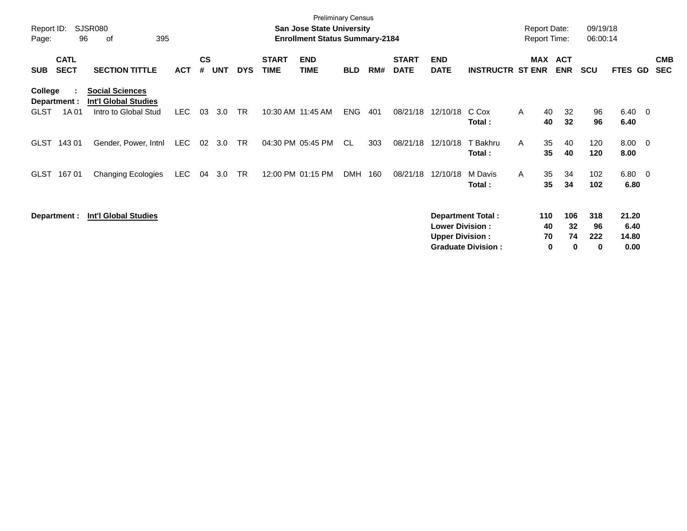| Report ID:<br>Page:                    | 96                         | SJSR080<br>395<br>οf                                                          |            |                    |            |            |                             | <b>Preliminary Census</b><br><b>San Jose State University</b><br><b>Enrollment Status Summary-2184</b> |            |     |                             |                                                  |                                                       |   | <b>Report Date:</b><br><b>Report Time:</b> |                             | 09/19/18<br>06:00:14  |                                |                          |                          |
|----------------------------------------|----------------------------|-------------------------------------------------------------------------------|------------|--------------------|------------|------------|-----------------------------|--------------------------------------------------------------------------------------------------------|------------|-----|-----------------------------|--------------------------------------------------|-------------------------------------------------------|---|--------------------------------------------|-----------------------------|-----------------------|--------------------------------|--------------------------|--------------------------|
| <b>SUB</b>                             | <b>CATL</b><br><b>SECT</b> | <b>SECTION TITTLE</b>                                                         | <b>ACT</b> | $\mathsf{cs}$<br># | <b>UNT</b> | <b>DYS</b> | <b>START</b><br><b>TIME</b> | <b>END</b><br><b>TIME</b>                                                                              | <b>BLD</b> | RM# | <b>START</b><br><b>DATE</b> | <b>END</b><br><b>DATE</b>                        | <b>INSTRUCTR ST ENR</b>                               |   | <b>MAX</b>                                 | <b>ACT</b><br><b>ENR</b>    | <b>SCU</b>            | FTES GD                        |                          | <b>CMB</b><br><b>SEC</b> |
| College<br>Department :<br><b>GLST</b> | 1A 01                      | <b>Social Sciences</b><br><b>Int'l Global Studies</b><br>Intro to Global Stud | LEC.       | 03                 | 3.0        | <b>TR</b>  |                             | 10:30 AM 11:45 AM                                                                                      | <b>ENG</b> | 401 | 08/21/18                    | 12/10/18                                         | C Cox<br>Total:                                       | A | 40<br>40                                   | 32<br>32                    | 96<br>96              | $6.40\quad 0$<br>6.40          |                          |                          |
| <b>GLST</b>                            | 143 01                     | Gender, Power, Intnl                                                          | LEC        | 02                 | 3.0        | <b>TR</b>  |                             | 04:30 PM 05:45 PM                                                                                      | CL         | 303 | 08/21/18                    | 12/10/18                                         | T Bakhru<br>Total:                                    | A | 35<br>35                                   | 40<br>40                    | 120<br>120            | 8.00<br>8.00                   | $\overline{\phantom{0}}$ |                          |
| <b>GLST</b>                            | 16701                      | <b>Changing Ecologies</b>                                                     | LEC        | 04                 | 3.0        | <b>TR</b>  |                             | 12:00 PM 01:15 PM                                                                                      | <b>DMH</b> | 160 | 08/21/18                    | 12/10/18                                         | M Davis<br>Total:                                     | A | 35<br>35                                   | 34<br>34                    | 102<br>102            | $6.80\quad 0$<br>6.80          |                          |                          |
|                                        | Department :               | <b>Int'l Global Studies</b>                                                   |            |                    |            |            |                             |                                                                                                        |            |     |                             | <b>Lower Division:</b><br><b>Upper Division:</b> | <b>Department Total:</b><br><b>Graduate Division:</b> |   | 110<br>40<br>70<br>0                       | 106<br>32<br>74<br>$\bf{0}$ | 318<br>96<br>222<br>0 | 21.20<br>6.40<br>14.80<br>0.00 |                          |                          |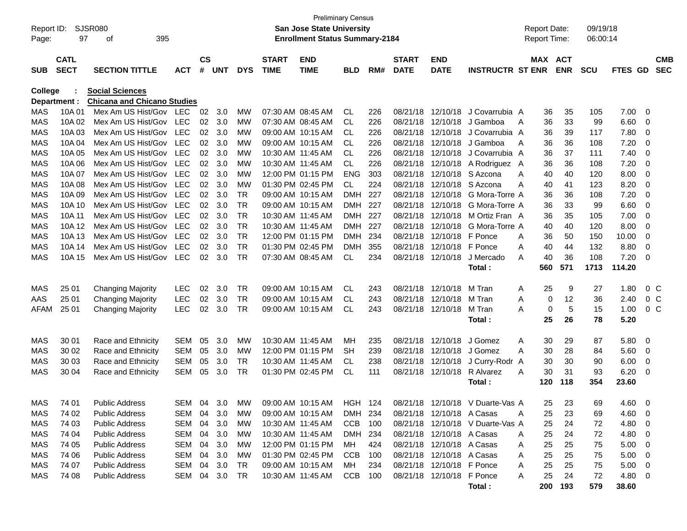|              |             |                                    |            |               |            |            |              | <b>Preliminary Census</b>             |                |     |              |                           |                                  |   |                     |            |            |                |                          |            |
|--------------|-------------|------------------------------------|------------|---------------|------------|------------|--------------|---------------------------------------|----------------|-----|--------------|---------------------------|----------------------------------|---|---------------------|------------|------------|----------------|--------------------------|------------|
| Report ID:   |             | SJSR080                            |            |               |            |            |              | <b>San Jose State University</b>      |                |     |              |                           |                                  |   | <b>Report Date:</b> |            | 09/19/18   |                |                          |            |
| Page:        | 97          | 395<br>οf                          |            |               |            |            |              | <b>Enrollment Status Summary-2184</b> |                |     |              |                           |                                  |   | <b>Report Time:</b> |            | 06:00:14   |                |                          |            |
|              |             |                                    |            |               |            |            |              |                                       |                |     |              |                           |                                  |   |                     |            |            |                |                          |            |
|              | <b>CATL</b> |                                    |            | $\mathsf{cs}$ |            |            | <b>START</b> | <b>END</b>                            |                |     | <b>START</b> | <b>END</b>                |                                  |   | MAX ACT             |            |            |                |                          | <b>CMB</b> |
| <b>SUB</b>   | <b>SECT</b> | <b>SECTION TITTLE</b>              | <b>ACT</b> | #             | <b>UNT</b> | <b>DYS</b> | <b>TIME</b>  | <b>TIME</b>                           | BLD            | RM# | <b>DATE</b>  | <b>DATE</b>               | <b>INSTRUCTR ST ENR</b>          |   |                     | <b>ENR</b> | <b>SCU</b> | <b>FTES GD</b> |                          | <b>SEC</b> |
| College      |             | <b>Social Sciences</b>             |            |               |            |            |              |                                       |                |     |              |                           |                                  |   |                     |            |            |                |                          |            |
| Department : |             | <b>Chicana and Chicano Studies</b> |            |               |            |            |              |                                       |                |     |              |                           |                                  |   |                     |            |            |                |                          |            |
| MAS          | 10A 01      | Mex Am US Hist/Gov                 | <b>LEC</b> | 02            | 3.0        | <b>MW</b>  |              | 07:30 AM 08:45 AM                     | CL             | 226 | 08/21/18     | 12/10/18                  | J Covarrubia A                   |   | 36                  | 35         | 105        | 7.00           | 0                        |            |
| <b>MAS</b>   | 10A 02      | Mex Am US Hist/Gov                 | <b>LEC</b> | 02            | 3.0        | <b>MW</b>  |              | 07:30 AM 08:45 AM                     | CL             | 226 | 08/21/18     | 12/10/18                  | J Gamboa                         | A | 36                  | 33         | 99         | 6.60           | 0                        |            |
| <b>MAS</b>   | 10A03       | Mex Am US Hist/Gov                 | <b>LEC</b> | 02            | 3.0        | МW         |              | 09:00 AM 10:15 AM                     | CL             | 226 | 08/21/18     | 12/10/18                  | J Covarrubia A                   |   | 36                  | 39         | 117        | 7.80           | 0                        |            |
| <b>MAS</b>   | 10A 04      | Mex Am US Hist/Gov                 | <b>LEC</b> | 02            | 3.0        | МW         |              | 09:00 AM 10:15 AM                     | CL             | 226 | 08/21/18     | 12/10/18                  | J Gamboa                         | A | 36                  | 36         | 108        | 7.20           | 0                        |            |
| <b>MAS</b>   | 10A 05      | Mex Am US Hist/Gov                 | <b>LEC</b> | 02            | 3.0        | МW         |              | 10:30 AM 11:45 AM                     | CL             | 226 | 08/21/18     | 12/10/18                  | J Covarrubia A                   |   | 36                  | 37         | 111        | 7.40           | 0                        |            |
| <b>MAS</b>   | 10A 06      | Mex Am US Hist/Gov                 | <b>LEC</b> | 02            | 3.0        | МW         |              | 10:30 AM 11:45 AM                     | <b>CL</b>      | 226 | 08/21/18     | 12/10/18                  | A Rodriguez A                    |   | 36                  | 36         | 108        | 7.20           | 0                        |            |
| <b>MAS</b>   | 10A 07      | Mex Am US Hist/Gov                 | <b>LEC</b> | 02            | 3.0        | МW         |              | 12:00 PM 01:15 PM                     | <b>ENG</b>     | 303 | 08/21/18     | 12/10/18                  | S Azcona                         | A | 40                  | 40         | 120        | 8.00           | 0                        |            |
| <b>MAS</b>   | 10A 08      | Mex Am US Hist/Gov                 | <b>LEC</b> | 02            | 3.0        | МW         |              | 01:30 PM 02:45 PM                     | <b>CL</b>      | 224 | 08/21/18     | 12/10/18                  | S Azcona                         | A | 40                  | 41         | 123        | 8.20           | 0                        |            |
| <b>MAS</b>   | 10A 09      | Mex Am US Hist/Gov                 | <b>LEC</b> | 02            | 3.0        | <b>TR</b>  |              | 09:00 AM 10:15 AM                     | <b>DMH</b>     | 227 | 08/21/18     | 12/10/18                  | G Mora-Torre A                   |   | 36                  | 36         | 108        | 7.20           | 0                        |            |
| <b>MAS</b>   | 10A 10      | Mex Am US Hist/Gov                 | <b>LEC</b> | 02            | 3.0        | <b>TR</b>  |              | 09:00 AM 10:15 AM                     | <b>DMH</b>     | 227 | 08/21/18     | 12/10/18                  | G Mora-Torre A                   |   | 36                  | 33         | 99         | 6.60           | 0                        |            |
| <b>MAS</b>   | 10A 11      | Mex Am US Hist/Gov                 | <b>LEC</b> | 02            | 3.0        | <b>TR</b>  |              | 10:30 AM 11:45 AM                     | <b>DMH</b>     | 227 | 08/21/18     | 12/10/18                  | M Ortiz Fran A                   |   | 36                  | 35         | 105        | 7.00           | 0                        |            |
| <b>MAS</b>   | 10A 12      | Mex Am US Hist/Gov                 | <b>LEC</b> | 02            | 3.0        | <b>TR</b>  |              | 10:30 AM 11:45 AM                     | <b>DMH</b>     | 227 | 08/21/18     | 12/10/18                  | G Mora-Torre A                   |   | 40                  | 40         | 120        | 8.00           | 0                        |            |
| <b>MAS</b>   | 10A 13      | Mex Am US Hist/Gov                 | <b>LEC</b> | 02            | 3.0        | <b>TR</b>  |              | 12:00 PM 01:15 PM                     | <b>DMH</b>     | 234 | 08/21/18     | 12/10/18                  | F Ponce                          | A | 36                  | 50         | 150        | 10.00          | 0                        |            |
| <b>MAS</b>   | 10A 14      | Mex Am US Hist/Gov                 | <b>LEC</b> | 02            | 3.0        | <b>TR</b>  |              | 01:30 PM 02:45 PM                     | <b>DMH</b>     | 355 | 08/21/18     | 12/10/18                  | F Ponce                          | A | 40                  | 44         | 132        | 8.80           | 0                        |            |
| <b>MAS</b>   | 10A 15      | Mex Am US Hist/Gov                 | <b>LEC</b> | 02            | 3.0        | <b>TR</b>  |              | 07:30 AM 08:45 AM                     | <b>CL</b>      | 234 | 08/21/18     | 12/10/18                  | J Mercado                        | A | 40                  | 36         | 108        | 7.20           | 0                        |            |
|              |             |                                    |            |               |            |            |              |                                       |                |     |              |                           | Total:                           |   | 560                 | 571        | 1713       | 114.20         |                          |            |
| MAS          | 25 01       | <b>Changing Majority</b>           | <b>LEC</b> | 02            | 3.0        | <b>TR</b>  |              | 09:00 AM 10:15 AM                     | <b>CL</b>      | 243 | 08/21/18     | 12/10/18                  | M Tran                           | Α | 25                  | 9          | 27         | 1.80           | 0 <sup>C</sup>           |            |
| AAS          | 25 01       | <b>Changing Majority</b>           | <b>LEC</b> | 02            | 3.0        | <b>TR</b>  |              | 09:00 AM 10:15 AM                     | <b>CL</b>      | 243 | 08/21/18     | 12/10/18                  | M Tran                           | A | 0                   | 12         | 36         | 2.40           | 0 <sup>C</sup>           |            |
| AFAM         | 25 01       | <b>Changing Majority</b>           | <b>LEC</b> | 02            | 3.0        | <b>TR</b>  |              | 09:00 AM 10:15 AM                     | <b>CL</b>      | 243 |              | 08/21/18 12/10/18         | M Tran                           | A | 0                   | 5          | 15         | 1.00           | 0 <sup>C</sup>           |            |
|              |             |                                    |            |               |            |            |              |                                       |                |     |              |                           | Total:                           |   | 25                  | 26         | 78         | 5.20           |                          |            |
|              |             |                                    |            |               |            |            |              |                                       |                |     |              |                           |                                  |   |                     |            |            |                |                          |            |
| MAS          | 30 01       | Race and Ethnicity                 | <b>SEM</b> | 05            | 3.0        | MW         |              | 10:30 AM 11:45 AM                     | MН             | 235 | 08/21/18     | 12/10/18                  | J Gomez                          | A | 30                  | 29         | 87         | 5.80           | - 0                      |            |
| MAS          | 30 02       | Race and Ethnicity                 | <b>SEM</b> | 05            | 3.0        | <b>MW</b>  |              | 12:00 PM 01:15 PM                     | <b>SH</b>      | 239 | 08/21/18     | 12/10/18                  | J Gomez                          | A | 30                  | 28         | 84         | 5.60           | 0                        |            |
| MAS          | 30 03       | Race and Ethnicity                 | <b>SEM</b> | 05            | 3.0        | <b>TR</b>  |              | 10:30 AM 11:45 AM                     | <b>CL</b>      | 238 | 08/21/18     | 12/10/18                  | J Curry-Rodr                     | A | 30                  | 30         | 90         | 6.00           | 0                        |            |
| <b>MAS</b>   | 30 04       | Race and Ethnicity                 | <b>SEM</b> | 05            | 3.0        | <b>TR</b>  |              | 01:30 PM 02:45 PM                     | <b>CL</b>      | 111 |              | 08/21/18 12/10/18         | R Alvarez                        | A | 30                  | 31         | 93         | 6.20           | 0                        |            |
|              |             |                                    |            |               |            |            |              |                                       |                |     |              |                           | Total:                           |   | 120                 | 118        | 354        | 23.60          |                          |            |
|              |             |                                    |            |               |            |            |              |                                       |                |     |              |                           |                                  |   |                     |            |            |                |                          |            |
| MAS          | 74 01       | <b>Public Address</b>              | SEM        |               | 04 3.0     | MW         |              | 09:00 AM 10:15 AM                     | <b>HGH 124</b> |     |              |                           | 08/21/18 12/10/18 V Duarte-Vas A |   | 25                  | 23         | 69         | $4.60$ 0       |                          |            |
| MAS          | 74 02       | <b>Public Address</b>              | SEM        | 04            | 3.0        | МW         |              | 09:00 AM 10:15 AM                     | DMH 234        |     |              | 08/21/18 12/10/18 A Casas |                                  | A | 25                  | 23         | 69         | 4.60           | - 0                      |            |
| MAS          | 74 03       | <b>Public Address</b>              | SEM        | 04            | 3.0        | МW         |              | 10:30 AM 11:45 AM                     | CCB 100        |     |              |                           | 08/21/18 12/10/18 V Duarte-Vas A |   | 25                  | 24         | 72         | 4.80           | $\overline{\phantom{0}}$ |            |
| MAS          | 74 04       | <b>Public Address</b>              | SEM        | 04            | 3.0        | МW         |              | 10:30 AM 11:45 AM                     | DMH 234        |     |              | 08/21/18 12/10/18 A Casas |                                  | A | 25                  | 24         | 72         | 4.80           | $\overline{\phantom{0}}$ |            |
| MAS          | 74 05       | <b>Public Address</b>              | SEM        | 04            | 3.0        | MW         |              | 12:00 PM 01:15 PM                     | MH.            | 424 |              | 08/21/18 12/10/18 A Casas |                                  | A | 25                  | 25         | 75         | 5.00           | $\overline{\phantom{0}}$ |            |
| MAS          | 74 06       | <b>Public Address</b>              | SEM        | 04            | 3.0        | MW         |              | 01:30 PM 02:45 PM                     | CCB 100        |     |              | 08/21/18 12/10/18 A Casas |                                  | A | 25                  | 25         | 75         | 5.00           | $\overline{\phantom{0}}$ |            |
| MAS          | 74 07       | <b>Public Address</b>              | SEM        | 04            | 3.0        | TR         |              | 09:00 AM 10:15 AM                     | MH             | 234 |              | 08/21/18 12/10/18 F Ponce |                                  | A | 25                  | 25         | 75         | 5.00           | $\overline{\phantom{0}}$ |            |
| MAS          | 74 08       | <b>Public Address</b>              | SEM 04     |               | 3.0        | TR         |              | 10:30 AM 11:45 AM                     | CCB 100        |     |              | 08/21/18 12/10/18 F Ponce |                                  | A | 25                  | 24         | 72         | 4.80 0         |                          |            |
|              |             |                                    |            |               |            |            |              |                                       |                |     |              |                           | Total:                           |   | 200                 | 193        | 579        | 38.60          |                          |            |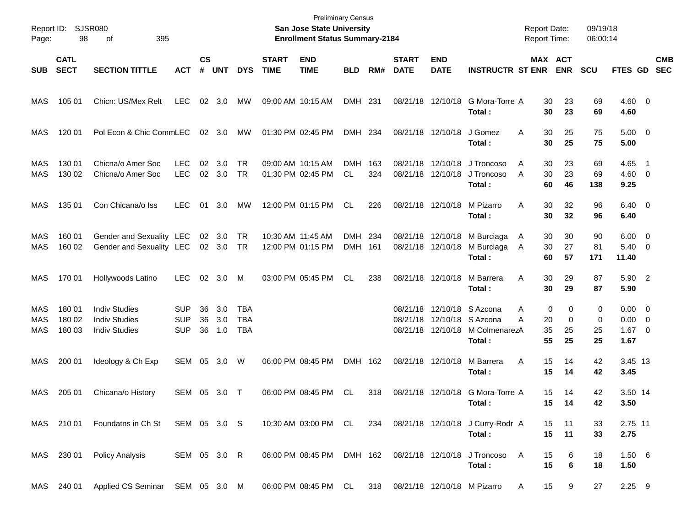| Report ID:<br>Page: | 98                         | SJSR080<br>395<br>οf                                                 |                                        |                    |                   |                          |                             | <b>Preliminary Census</b><br>San Jose State University<br><b>Enrollment Status Summary-2184</b> |                          |            |                                  |                               |                                                          | <b>Report Date:</b><br><b>Report Time:</b> |                         | 09/19/18<br>06:00:14 |                                     |                                                      |                          |
|---------------------|----------------------------|----------------------------------------------------------------------|----------------------------------------|--------------------|-------------------|--------------------------|-----------------------------|-------------------------------------------------------------------------------------------------|--------------------------|------------|----------------------------------|-------------------------------|----------------------------------------------------------|--------------------------------------------|-------------------------|----------------------|-------------------------------------|------------------------------------------------------|--------------------------|
| <b>SUB</b>          | <b>CATL</b><br><b>SECT</b> | <b>SECTION TITTLE</b>                                                | <b>ACT</b>                             | $\mathsf{cs}$<br># | <b>UNT</b>        | <b>DYS</b>               | <b>START</b><br><b>TIME</b> | <b>END</b><br><b>TIME</b>                                                                       | <b>BLD</b>               | RM#        | <b>START</b><br><b>DATE</b>      | <b>END</b><br><b>DATE</b>     | <b>INSTRUCTR ST ENR</b>                                  |                                            | MAX ACT<br><b>ENR</b>   | <b>SCU</b>           | <b>FTES GD</b>                      |                                                      | <b>CMB</b><br><b>SEC</b> |
| MAS                 | 105 01                     | Chicn: US/Mex Relt                                                   | <b>LEC</b>                             |                    | 02 3.0            | МW                       |                             | 09:00 AM 10:15 AM                                                                               | DMH 231                  |            |                                  | 08/21/18 12/10/18             | G Mora-Torre A<br>Total:                                 | 30<br>30                                   | 23<br>23                | 69<br>69             | $4.60 \quad 0$<br>4.60              |                                                      |                          |
| MAS                 | 120 01                     | Pol Econ & Chic CommLEC                                              |                                        |                    | 02 3.0            | МW                       |                             | 01:30 PM 02:45 PM                                                                               | DMH 234                  |            |                                  | 08/21/18 12/10/18             | J Gomez<br>Total:                                        | A<br>30<br>30                              | 25<br>25                | 75<br>75             | $5.00 \t 0$<br>5.00                 |                                                      |                          |
| MAS<br>MAS          | 130 01<br>130 02           | Chicna/o Amer Soc<br>Chicna/o Amer Soc                               | <b>LEC</b><br><b>LEC</b>               | 02                 | 3.0<br>02 3.0     | TR<br>TR                 |                             | 09:00 AM 10:15 AM<br>01:30 PM 02:45 PM                                                          | <b>DMH</b><br>CL         | 163<br>324 | 08/21/18<br>08/21/18             | 12/10/18<br>12/10/18          | J Troncoso<br>J Troncoso<br>Total:                       | A<br>30<br>A<br>30<br>60                   | 23<br>23<br>46          | 69<br>69<br>138      | 4.65<br>$4.60$ 0<br>9.25            | - 1                                                  |                          |
| MAS                 | 135 01                     | Con Chicana/o Iss                                                    | LEC.                                   | 01                 | 3.0               | MW                       |                             | 12:00 PM 01:15 PM                                                                               | CL                       | 226        |                                  | 08/21/18 12/10/18             | M Pizarro<br>Total:                                      | Α<br>30<br>30                              | 32<br>32                | 96<br>96             | $6.40 \quad 0$<br>6.40              |                                                      |                          |
| MAS<br>MAS          | 160 01<br>160 02           | Gender and Sexuality LEC<br>Gender and Sexuality LEC                 |                                        | 02                 | 3.0<br>02 3.0 TR  | TR                       |                             | 10:30 AM 11:45 AM<br>12:00 PM 01:15 PM                                                          | <b>DMH</b><br><b>DMH</b> | 234<br>161 | 08/21/18                         | 12/10/18<br>08/21/18 12/10/18 | M Burciaga<br>M Burciaga<br>Total:                       | 30<br>A<br>30<br>A<br>60                   | 30<br>27<br>57          | 90<br>81<br>171      | 6.00<br>5.40<br>11.40               | $\overline{\phantom{0}}$<br>$\overline{\phantom{0}}$ |                          |
| MAS                 | 170 01                     | Hollywoods Latino                                                    | LEC.                                   |                    | 02 3.0            | M                        |                             | 03:00 PM 05:45 PM                                                                               | CL.                      | 238        |                                  | 08/21/18 12/10/18             | M Barrera<br>Total:                                      | Α<br>30<br>30                              | 29<br>29                | 87<br>87             | 5.90 2<br>5.90                      |                                                      |                          |
| MAS<br>MAS<br>MAS   | 180 01<br>180 02<br>180 03 | <b>Indiv Studies</b><br><b>Indiv Studies</b><br><b>Indiv Studies</b> | <b>SUP</b><br><b>SUP</b><br><b>SUP</b> | 36<br>36<br>36     | 3.0<br>3.0<br>1.0 | TBA<br><b>TBA</b><br>TBA |                             |                                                                                                 |                          |            | 08/21/18<br>08/21/18<br>08/21/18 | 12/10/18<br>12/10/18          | S Azcona<br>12/10/18 S Azcona<br>M ColmenarezA<br>Total: | A<br>A<br>20<br>35<br>55                   | 0<br>0<br>0<br>25<br>25 | 0<br>0<br>25<br>25   | $0.00 \t 0$<br>0.00<br>1.67<br>1.67 | $\overline{\mathbf{0}}$<br>$\overline{\mathbf{0}}$   |                          |
| MAS                 | 200 01                     | Ideology & Ch Exp                                                    | SEM                                    | 05                 | 3.0               | W                        |                             | 06:00 PM 08:45 PM                                                                               | DMH 162                  |            |                                  | 08/21/18 12/10/18             | M Barrera<br>Total:                                      | Α<br>15<br>15                              | 14<br>14                | 42<br>42             | 3.45 13<br>3.45                     |                                                      |                          |
| MAS                 | 205 01                     | Chicana/o History                                                    | SEM                                    | 05                 | 3.0               | $\top$                   |                             | 06:00 PM 08:45 PM                                                                               | CL.                      | 318        | 08/21/18                         | 12/10/18                      | G Mora-Torre A<br>Total:                                 | 15                                         | 14<br>15<br>14          | 42<br>42             | 3.50 14<br>3.50                     |                                                      |                          |
|                     | MAS 210 01                 | Foundatns in Ch St                                                   | SEM 05 3.0 S                           |                    |                   |                          |                             | 10:30 AM 03:00 PM CL                                                                            |                          | 234        |                                  |                               | 08/21/18 12/10/18 J Curry-Rodr A<br>Total:               | 15                                         | 15<br>11<br>11          | 33<br>33             | 2.75 11<br>2.75                     |                                                      |                          |
| MAS                 | 230 01                     | <b>Policy Analysis</b>                                               | SEM 05 3.0 R                           |                    |                   |                          |                             | 06:00 PM 08:45 PM DMH 162                                                                       |                          |            |                                  | 08/21/18 12/10/18             | J Troncoso<br>Total:                                     | A<br>15<br>15                              | 6<br>6                  | 18<br>18             | 1.50 6<br>1.50                      |                                                      |                          |
|                     | MAS 240 01                 | Applied CS Seminar SEM 05 3.0 M                                      |                                        |                    |                   |                          |                             | 06:00 PM 08:45 PM CL                                                                            |                          | 318        |                                  |                               | 08/21/18 12/10/18 M Pizarro                              | 15<br>A                                    | 9                       | 27                   | $2.25$ 9                            |                                                      |                          |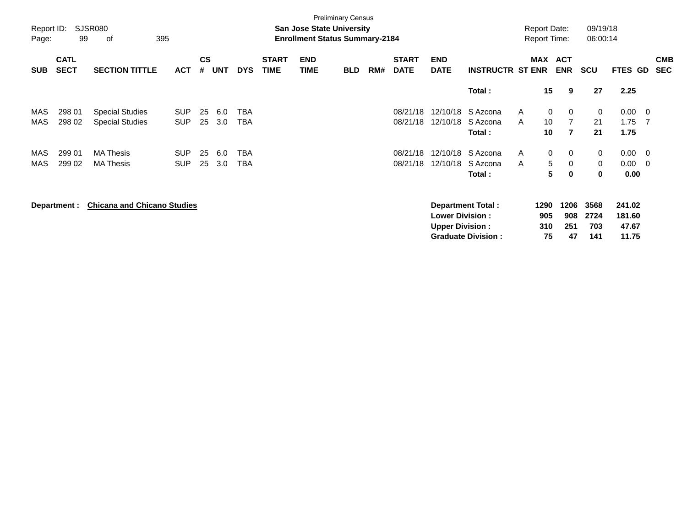| Report ID: |                            | <b>SJSR080</b>                     |            |                |            |            |                             | <b>San Jose State University</b>      | <b>Preliminary Census</b> |     |                             |                           |                           |              | <b>Report Date:</b> |                   | 09/19/18   |             |                          |                          |
|------------|----------------------------|------------------------------------|------------|----------------|------------|------------|-----------------------------|---------------------------------------|---------------------------|-----|-----------------------------|---------------------------|---------------------------|--------------|---------------------|-------------------|------------|-------------|--------------------------|--------------------------|
| Page:      | 99                         | 395<br>of                          |            |                |            |            |                             | <b>Enrollment Status Summary-2184</b> |                           |     |                             |                           |                           |              | <b>Report Time:</b> |                   | 06:00:14   |             |                          |                          |
| <b>SUB</b> | <b>CATL</b><br><b>SECT</b> | <b>SECTION TITTLE</b>              | <b>ACT</b> | <b>CS</b><br># | <b>UNT</b> | <b>DYS</b> | <b>START</b><br><b>TIME</b> | <b>END</b><br><b>TIME</b>             | <b>BLD</b>                | RM# | <b>START</b><br><b>DATE</b> | <b>END</b><br><b>DATE</b> | <b>INSTRUCTR ST ENR</b>   |              | MAX                 | ACT<br><b>ENR</b> | <b>SCU</b> | FTES GD     |                          | <b>CMB</b><br><b>SEC</b> |
|            |                            |                                    |            |                |            |            |                             |                                       |                           |     |                             |                           | Total:                    |              | 15                  | 9                 | 27         | 2.25        |                          |                          |
| MAS        | 298 01                     | <b>Special Studies</b>             | <b>SUP</b> | 25             | 6.0        | <b>TBA</b> |                             |                                       |                           |     | 08/21/18                    | 12/10/18                  | S Azcona                  | A            | 0                   | 0                 | 0          | 0.00        | $\overline{\phantom{0}}$ |                          |
| MAS        | 298 02                     | <b>Special Studies</b>             | <b>SUP</b> | 25             | 3.0        | <b>TBA</b> |                             |                                       |                           |     | 08/21/18                    | 12/10/18                  | S Azcona                  | A            | 10                  | $\overline{7}$    | 21         | 1.75        | - 7                      |                          |
|            |                            |                                    |            |                |            |            |                             |                                       |                           |     |                             |                           | Total:                    |              | 10                  | $\overline{7}$    | 21         | 1.75        |                          |                          |
| MAS        | 299 01                     | <b>MA Thesis</b>                   | <b>SUP</b> | 25             | 6.0        | TBA        |                             |                                       |                           |     | 08/21/18                    | 12/10/18                  | S Azcona                  | A            | 0                   | 0                 | 0          | $0.00 \t 0$ |                          |                          |
| MAS        | 299 02                     | <b>MA Thesis</b>                   | <b>SUP</b> | 25             | 3.0        | TBA        |                             |                                       |                           |     | 08/21/18                    | 12/10/18                  | S Azcona                  | $\mathsf{A}$ | 5                   | 0                 | 0          | 0.00        | - 0                      |                          |
|            |                            |                                    |            |                |            |            |                             |                                       |                           |     |                             |                           | Total:                    |              | 5                   | 0                 | 0          | 0.00        |                          |                          |
|            | Department :               | <b>Chicana and Chicano Studies</b> |            |                |            |            |                             |                                       |                           |     |                             |                           | <b>Department Total:</b>  |              | 1290                | 1206              | 3568       | 241.02      |                          |                          |
|            |                            |                                    |            |                |            |            |                             |                                       |                           |     |                             | <b>Lower Division :</b>   |                           |              | 905                 | 908               | 2724       | 181.60      |                          |                          |
|            |                            |                                    |            |                |            |            |                             |                                       |                           |     |                             | <b>Upper Division:</b>    |                           |              | 310                 | 251               | 703        | 47.67       |                          |                          |
|            |                            |                                    |            |                |            |            |                             |                                       |                           |     |                             |                           | <b>Graduate Division:</b> |              | 75                  | 47                | 141        | 11.75       |                          |                          |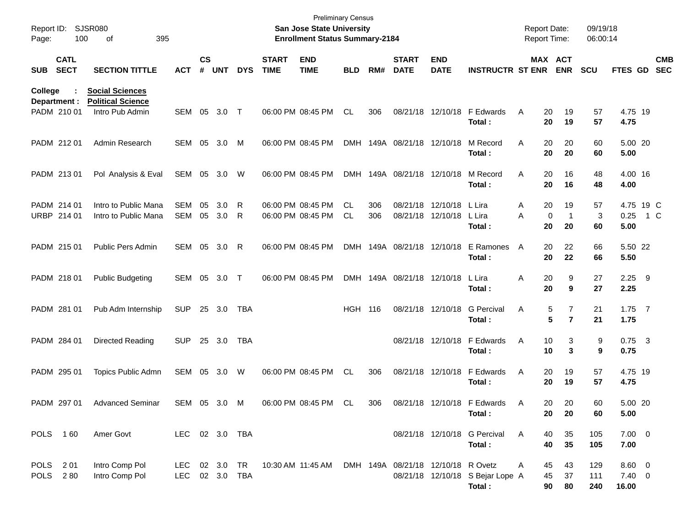| Page:          | Report ID: SJSR080<br>100   | 395<br>οf                                                             |                             |                    |            |            |                                        | <b>Preliminary Census</b><br>San Jose State University<br><b>Enrollment Status Summary-2184</b> |            |            |                                    |                           |                                            | <b>Report Date:</b><br><b>Report Time:</b> |                               | 09/19/18<br>06:00:14 |                                  |                          |  |
|----------------|-----------------------------|-----------------------------------------------------------------------|-----------------------------|--------------------|------------|------------|----------------------------------------|-------------------------------------------------------------------------------------------------|------------|------------|------------------------------------|---------------------------|--------------------------------------------|--------------------------------------------|-------------------------------|----------------------|----------------------------------|--------------------------|--|
| <b>SUB</b>     | <b>CATL</b><br><b>SECT</b>  | <b>SECTION TITTLE</b>                                                 | <b>ACT</b>                  | $\mathsf{cs}$<br># | <b>UNT</b> | <b>DYS</b> | <b>START</b><br><b>TIME</b>            | <b>END</b><br><b>TIME</b>                                                                       | <b>BLD</b> | RM#        | <b>START</b><br><b>DATE</b>        | <b>END</b><br><b>DATE</b> | <b>INSTRUCTR ST ENR</b>                    |                                            | MAX ACT<br><b>ENR</b>         | <b>SCU</b>           | FTES GD                          | <b>CMB</b><br><b>SEC</b> |  |
| <b>College</b> | Department :<br>PADM 210 01 | <b>Social Sciences</b><br><b>Political Science</b><br>Intro Pub Admin | SEM                         | 05                 | 3.0        | $\top$     | 06:00 PM 08:45 PM                      |                                                                                                 | CL         | 306        |                                    | 08/21/18 12/10/18         | F Edwards<br>Total:                        | 20<br>Α<br>20                              | 19<br>19                      | 57<br>57             | 4.75 19<br>4.75                  |                          |  |
|                | PADM 212 01                 | Admin Research                                                        | SEM                         | 05                 | 3.0        | M          | 06:00 PM 08:45 PM                      |                                                                                                 |            |            | DMH 149A 08/21/18 12/10/18         |                           | M Record<br>Total:                         | 20<br>Α<br>20                              | 20<br>20                      | 60<br>60             | 5.00 20<br>5.00                  |                          |  |
|                | PADM 213 01                 | Pol Analysis & Eval                                                   | SEM                         | 05                 | 3.0        | W          | 06:00 PM 08:45 PM                      |                                                                                                 |            |            | DMH 149A 08/21/18 12/10/18         |                           | M Record<br>Total:                         | 20<br>Α<br>20                              | 16<br>16                      | 48<br>48             | 4.00 16<br>4.00                  |                          |  |
|                | PADM 214 01<br>URBP 214 01  | Intro to Public Mana<br>Intro to Public Mana                          | <b>SEM</b><br>SEM           | 05<br>05           | 3.0<br>3.0 | R<br>R     | 06:00 PM 08:45 PM<br>06:00 PM 08:45 PM |                                                                                                 | CL<br>CL   | 306<br>306 | 08/21/18 12/10/18                  | 08/21/18 12/10/18         | L Lira<br>L Lira<br>Total :                | 20<br>Α<br>0<br>A<br>20                    | 19<br>$\mathbf{1}$<br>20      | 57<br>3<br>60        | 0.25<br>5.00                     | 4.75 19 C<br>1 C         |  |
|                | PADM 215 01                 | Public Pers Admin                                                     | SEM                         | 05                 | 3.0        | R          | 06:00 PM 08:45 PM                      |                                                                                                 |            |            | DMH 149A 08/21/18 12/10/18         |                           | E Ramones<br>Total:                        | A<br>20<br>20                              | 22<br>22                      | 66<br>66             | 5.50 22<br>5.50                  |                          |  |
|                | PADM 218 01                 | <b>Public Budgeting</b>                                               | SEM                         | 05                 | 3.0        | $\top$     | 06:00 PM 08:45 PM                      |                                                                                                 |            |            | DMH 149A 08/21/18 12/10/18         |                           | L Lira<br>Total:                           | 20<br>Α<br>20                              | 9<br>9                        | 27<br>27             | $2.25$ 9<br>2.25                 |                          |  |
|                | PADM 281 01                 | Pub Adm Internship                                                    | <b>SUP</b>                  |                    | 25 3.0     | TBA        |                                        |                                                                                                 | <b>HGH</b> | 116        | 08/21/18 12/10/18                  |                           | <b>G</b> Percival<br>Total:                | Α                                          | 7<br>5<br>5<br>$\overline{7}$ | 21<br>21             | $1.75$ 7<br>1.75                 |                          |  |
|                | PADM 284 01                 | Directed Reading                                                      | <b>SUP</b>                  |                    | 25 3.0     | TBA        |                                        |                                                                                                 |            |            |                                    | 08/21/18 12/10/18         | F Edwards<br>Total:                        | Α<br>10<br>10                              | 3<br>3                        | 9<br>9               | $0.75$ 3<br>0.75                 |                          |  |
|                | PADM 295 01                 | Topics Public Admn                                                    | SEM                         | 05                 | 3.0        | W          | 06:00 PM 08:45 PM                      |                                                                                                 | <b>CL</b>  | 306        |                                    | 08/21/18 12/10/18         | F Edwards<br>Total :                       | Α<br>20<br>20                              | 19<br>19                      | 57<br>57             | 4.75 19<br>4.75                  |                          |  |
|                | PADM 297 01                 | <b>Advanced Seminar</b>                                               | SEM 05 3.0 M                |                    |            |            |                                        | 06:00 PM 08:45 PM                                                                               | .CL        | 306        |                                    | 08/21/18 12/10/18         | F Edwards<br>Total:                        | 20<br>A<br>20                              | 20<br>20                      | 60<br>60             | 5.00 20<br>5.00                  |                          |  |
|                | POLS 160                    | Amer Govt                                                             | LEC 02 3.0 TBA              |                    |            |            |                                        |                                                                                                 |            |            |                                    |                           | 08/21/18 12/10/18 G Percival<br>Total:     | A<br>40<br>40                              | 35<br>35                      | 105<br>105           | $7.00 \t 0$<br>7.00              |                          |  |
|                | POLS 201<br>POLS 280        | Intro Comp Pol<br>Intro Comp Pol                                      | LEC 02 3.0 TR<br><b>LEC</b> |                    | 02 3.0 TBA |            |                                        | 10:30 AM 11:45 AM                                                                               |            |            | DMH 149A 08/21/18 12/10/18 R Ovetz |                           | 08/21/18 12/10/18 S Bejar Lope A<br>Total: | 45<br>A<br>45<br>90                        | 43<br>37<br>80                | 129<br>111<br>240    | $8.60\ 0$<br>$7.40 \ 0$<br>16.00 |                          |  |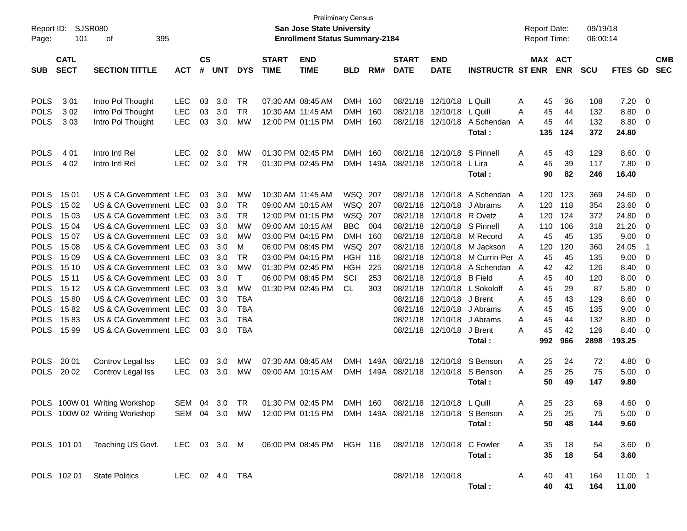| Report ID:  | <b>SJSR080</b> |                               |                |           |            |            |                                       | <b>San Jose State University</b>                                    | <b>Preliminary Census</b> |      |                            |                   |                         | <b>Report Date:</b> |            | 09/19/18   |                |                         |            |
|-------------|----------------|-------------------------------|----------------|-----------|------------|------------|---------------------------------------|---------------------------------------------------------------------|---------------------------|------|----------------------------|-------------------|-------------------------|---------------------|------------|------------|----------------|-------------------------|------------|
| Page:       | 101            |                               |                |           |            |            | <b>Enrollment Status Summary-2184</b> |                                                                     |                           |      |                            |                   | Report Time:            |                     | 06:00:14   |            |                |                         |            |
|             | <b>CATL</b>    |                               |                | <b>CS</b> |            |            | <b>START</b>                          | <b>END</b>                                                          |                           |      | <b>START</b>               | <b>END</b>        |                         |                     | MAX ACT    |            |                |                         | <b>CMB</b> |
| <b>SUB</b>  | <b>SECT</b>    | <b>SECTION TITTLE</b>         | <b>ACT</b>     | #         | <b>UNT</b> | <b>DYS</b> | <b>TIME</b>                           | <b>TIME</b>                                                         | <b>BLD</b>                | RM#  | <b>DATE</b>                | <b>DATE</b>       | <b>INSTRUCTR ST ENR</b> |                     | <b>ENR</b> | <b>SCU</b> | FTES GD        |                         | <b>SEC</b> |
|             |                |                               |                |           |            |            |                                       |                                                                     |                           |      |                            |                   |                         |                     |            |            |                |                         |            |
| <b>POLS</b> | 301            | Intro Pol Thought             | <b>LEC</b>     | 03        | 3.0        | TR         |                                       | 07:30 AM 08:45 AM                                                   | <b>DMH</b>                | 160  | 08/21/18                   | 12/10/18          | L Quill                 | 45<br>Α             | 36         | 108        | 7.20           | - 0                     |            |
| <b>POLS</b> | 302            | Intro Pol Thought             | LEC            | 03        | 3.0        | <b>TR</b>  |                                       | 10:30 AM 11:45 AM                                                   | <b>DMH</b>                | 160  | 08/21/18                   | 12/10/18          | L Quill                 | 45<br>Α             | 44         | 132        | 8.80           | 0                       |            |
| <b>POLS</b> | 303            | Intro Pol Thought             | <b>LEC</b>     | 03        | 3.0        | <b>MW</b>  |                                       | 12:00 PM 01:15 PM                                                   | <b>DMH</b>                | 160  | 08/21/18                   | 12/10/18          | A Schendan              | 45<br>A             | 44         | 132        | 8.80           | $\overline{\mathbf{0}}$ |            |
|             |                |                               |                |           |            |            |                                       |                                                                     |                           |      |                            |                   | Total:                  | 135                 | 124        | 372        | 24.80          |                         |            |
| <b>POLS</b> | 401            | Intro Intl Rel                | <b>LEC</b>     | 02        | 3.0        | MW         |                                       | 01:30 PM 02:45 PM                                                   | <b>DMH</b>                | 160  | 08/21/18                   | 12/10/18          | S Pinnell               | 45<br>A             | 43         | 129        | 8.60           | $\overline{\mathbf{0}}$ |            |
| <b>POLS</b> | 4 0 2          | Intro Intl Rel                | <b>LEC</b>     | 02        | 3.0        | <b>TR</b>  |                                       | 01:30 PM 02:45 PM                                                   | <b>DMH</b>                | 149A | 08/21/18                   | 12/10/18          | L Lira                  | 45<br>Α             | 39         | 117        | 7.80           | $\overline{\mathbf{0}}$ |            |
|             |                |                               |                |           |            |            |                                       |                                                                     |                           |      |                            |                   | Total:                  | 90                  | 82         | 246        | 16.40          |                         |            |
| <b>POLS</b> | 15 01          | US & CA Government LEC        |                | 03        | 3.0        | МW         |                                       | 10:30 AM 11:45 AM                                                   | WSQ                       | 207  | 08/21/18                   | 12/10/18          | A Schendan A            | 120                 | 123        | 369        | 24.60          | 0                       |            |
| <b>POLS</b> | 15 02          | US & CA Government LEC        |                | 03        | 3.0        | <b>TR</b>  |                                       | 09:00 AM 10:15 AM                                                   | WSQ                       | 207  | 08/21/18                   | 12/10/18          | J Abrams                | 120<br>A            | 118        | 354        | 23.60          | 0                       |            |
| <b>POLS</b> | 15 03          | US & CA Government LEC        |                | 03        | 3.0        | <b>TR</b>  |                                       | 12:00 PM 01:15 PM                                                   | <b>WSQ</b>                | 207  | 08/21/18                   | 12/10/18          | R Ovetz                 | 120<br>Α            | 124        | 372        | 24.80          | 0                       |            |
| <b>POLS</b> | 15 04          | US & CA Government LEC        |                | 03        | 3.0        | <b>MW</b>  |                                       | 09:00 AM 10:15 AM                                                   | <b>BBC</b>                | 004  | 08/21/18                   |                   | 12/10/18 S Pinnell      | 110<br>A            | 106        | 318        | 21.20          | 0                       |            |
| <b>POLS</b> | 15 07          | US & CA Government LEC        |                | 03        | 3.0        | <b>MW</b>  |                                       | 03:00 PM 04:15 PM                                                   | <b>DMH</b>                | 160  | 08/21/18                   | 12/10/18          | M Record                | 45<br>A             | 45         | 135        | 9.00           | 0                       |            |
| <b>POLS</b> | 15 08          | US & CA Government LEC        |                | 03        | 3.0        | M          |                                       | 06:00 PM 08:45 PM                                                   | <b>WSQ</b>                | 207  | 08/21/18                   | 12/10/18          | M Jackson               | 120<br>A            | 120        | 360        | 24.05          | $\overline{\mathbf{1}}$ |            |
| <b>POLS</b> | 15 09          | US & CA Government LEC        |                | 03        | 3.0        | <b>TR</b>  |                                       | 03:00 PM 04:15 PM                                                   | <b>HGH</b>                | 116  | 08/21/18                   | 12/10/18          | M Currin-Per A          | 45                  | 45         | 135        | 9.00           | 0                       |            |
| <b>POLS</b> | 15 10          | US & CA Government LEC        |                | 03        | 3.0        | <b>MW</b>  |                                       | 01:30 PM 02:45 PM                                                   | <b>HGH</b>                | 225  | 08/21/18                   | 12/10/18          | A Schendan A            | 42                  | 42         | 126        | 8.40           | 0                       |            |
| <b>POLS</b> | 15 11          | US & CA Government LEC        |                | 03        | 3.0        | T          |                                       | 06:00 PM 08:45 PM                                                   | SCI                       | 253  | 08/21/18                   | 12/10/18          | <b>B</b> Field          | 45<br>Α             | 40         | 120        | 8.00           | 0                       |            |
| <b>POLS</b> | 15 12          | US & CA Government LEC        |                | 03        | 3.0        | <b>MW</b>  |                                       | 01:30 PM 02:45 PM                                                   | <b>CL</b>                 | 303  | 08/21/18                   | 12/10/18          | L Sokoloff              | 45<br>A             | 29         | 87         | 5.80           | 0                       |            |
| <b>POLS</b> | 1580           | US & CA Government LEC        |                | 03        | 3.0        | <b>TBA</b> |                                       |                                                                     |                           |      | 08/21/18                   | 12/10/18          | J Brent                 | 45<br>A             | 43         | 129        | 8.60           | 0                       |            |
| <b>POLS</b> | 1582           | US & CA Government LEC        |                | 03        | 3.0        | <b>TBA</b> |                                       |                                                                     |                           |      | 08/21/18                   | 12/10/18          | J Abrams                | 45<br>A             | 45         | 135        | 9.00           | 0                       |            |
| <b>POLS</b> | 1583           | US & CA Government LEC        |                | 03        | 3.0        | <b>TBA</b> |                                       |                                                                     |                           |      | 08/21/18                   | 12/10/18          | J Abrams                | 45<br>Α             | 44         | 132        | 8.80           | 0                       |            |
| <b>POLS</b> | 15 99          | US & CA Government LEC        |                | 03        | 3.0        | <b>TBA</b> |                                       |                                                                     |                           |      |                            | 08/21/18 12/10/18 | J Brent                 | 45<br>Α             | 42         | 126        | 8.40           | 0                       |            |
|             |                |                               |                |           |            |            |                                       |                                                                     |                           |      |                            |                   | Total:                  | 992                 | 966        | 2898       | 193.25         |                         |            |
| <b>POLS</b> | 20 01          | Controv Legal Iss             | <b>LEC</b>     | 03        | 3.0        | MW         |                                       | 07:30 AM 08:45 AM                                                   | <b>DMH</b>                | 149A | 08/21/18                   | 12/10/18          | S Benson                | 25<br>A             | 24         | 72         | 4.80           | 0                       |            |
| <b>POLS</b> | 20 02          | Controv Legal Iss             | <b>LEC</b>     | 03        | 3.0        | MW         |                                       | 09:00 AM 10:15 AM                                                   |                           |      | DMH 149A 08/21/18 12/10/18 |                   | S Benson                | 25<br>Α             | 25         | 75         | 5.00           | $\overline{\mathbf{0}}$ |            |
|             |                |                               |                |           |            |            |                                       |                                                                     |                           |      |                            |                   | Total:                  | 50                  | 49         | 147        | 9.80           |                         |            |
|             |                | POLS 100W 01 Writing Workshop |                |           |            |            |                                       | SEM 04 3.0 TR  01:30 PM 02:45 PM  DMH  160                          |                           |      | 08/21/18 12/10/18 L Quill  |                   |                         | 25<br>$\mathsf{A}$  | 23         | 69         | 4.60 0         |                         |            |
|             |                | POLS 100W 02 Writing Workshop |                |           |            |            |                                       | SEM 04 3.0 MW 12:00 PM 01:15 PM DMH 149A 08/21/18 12/10/18 S Benson |                           |      |                            |                   |                         | A<br>25             | 25         | 75         | $5.00 \quad 0$ |                         |            |
|             |                |                               |                |           |            |            |                                       |                                                                     |                           |      |                            |                   | Total:                  | 50                  | 48         | 144        | 9.60           |                         |            |
|             |                | POLS 101 01 Teaching US Govt. |                |           |            |            |                                       |                                                                     |                           |      |                            |                   |                         | A<br>35             | 18         | 54         | $3.60 \quad 0$ |                         |            |
|             |                |                               |                |           |            |            |                                       |                                                                     |                           |      |                            |                   | Total:                  | 35                  | 18         | 54         | 3.60           |                         |            |
|             |                | POLS 102 01 State Politics    | LEC 02 4.0 TBA |           |            |            |                                       |                                                                     |                           |      |                            | 08/21/18 12/10/18 |                         | A<br>40             | 41         | 164        | 11.00 1        |                         |            |
|             |                |                               |                |           |            |            |                                       |                                                                     |                           |      |                            |                   | Total:                  | 40                  | 41         | 164        | 11.00          |                         |            |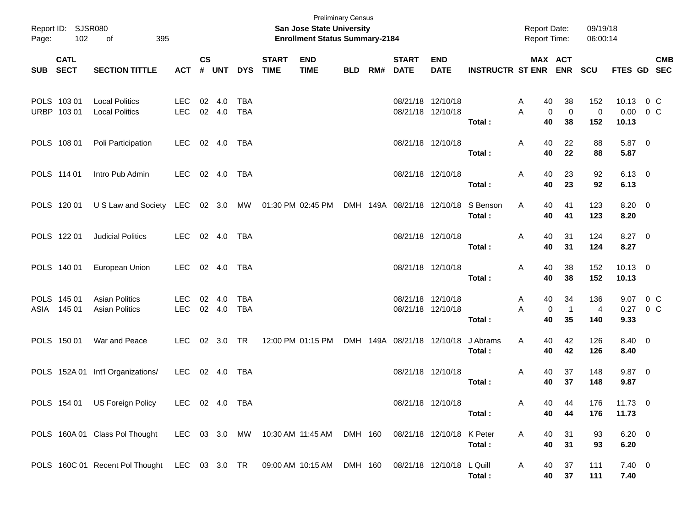| Page:    | Report ID: SJSR080<br>102  | 395<br>οf                                                                                         |                          |                    |                  |                          |                             | <b>Preliminary Census</b><br><b>San Jose State University</b><br><b>Enrollment Status Summary-2184</b> |            |     |                             |                                        |                         | <b>Report Date:</b><br><b>Report Time:</b> |                          | 09/19/18<br>06:00:14    |                                     |                           |
|----------|----------------------------|---------------------------------------------------------------------------------------------------|--------------------------|--------------------|------------------|--------------------------|-----------------------------|--------------------------------------------------------------------------------------------------------|------------|-----|-----------------------------|----------------------------------------|-------------------------|--------------------------------------------|--------------------------|-------------------------|-------------------------------------|---------------------------|
| SUB SECT | <b>CATL</b>                | <b>SECTION TITTLE</b>                                                                             | <b>ACT</b>               | $\mathsf{cs}$<br># | <b>UNT</b>       | <b>DYS</b>               | <b>START</b><br><b>TIME</b> | <b>END</b><br><b>TIME</b>                                                                              | <b>BLD</b> | RM# | <b>START</b><br><b>DATE</b> | <b>END</b><br><b>DATE</b>              | <b>INSTRUCTR ST ENR</b> |                                            | MAX ACT<br><b>ENR</b>    | <b>SCU</b>              |                                     | <b>CMB</b><br>FTES GD SEC |
|          | POLS 103 01<br>URBP 103 01 | <b>Local Politics</b><br><b>Local Politics</b>                                                    | <b>LEC</b><br><b>LEC</b> | 02                 | 4.0<br>02 4.0    | <b>TBA</b><br><b>TBA</b> |                             |                                                                                                        |            |     |                             | 08/21/18 12/10/18<br>08/21/18 12/10/18 | Total:                  | A<br>40<br>0<br>A<br>40                    | 38<br>$\mathbf 0$<br>38  | 152<br>$\pmb{0}$<br>152 | 10.13 0 C<br>$0.00 \t 0 C$<br>10.13 |                           |
|          | POLS 108 01                | Poli Participation                                                                                | LEC.                     |                    | 02 4.0           | TBA                      |                             |                                                                                                        |            |     |                             | 08/21/18 12/10/18                      | Total:                  | 40<br>A<br>40                              | 22<br>22                 | 88<br>88                | 5.87 0<br>5.87                      |                           |
|          | POLS 114 01                | Intro Pub Admin                                                                                   | LEC.                     |                    | 02 4.0           | TBA                      |                             |                                                                                                        |            |     |                             | 08/21/18 12/10/18                      | Total:                  | 40<br>A<br>40                              | 23<br>23                 | 92<br>92                | $6.13$ 0<br>6.13                    |                           |
|          | POLS 120 01                | U S Law and Society LEC 02 3.0 MW 01:30 PM 02:45 PM                                               |                          |                    |                  |                          |                             |                                                                                                        |            |     | DMH 149A 08/21/18 12/10/18  |                                        | S Benson<br>Total:      | Α<br>40<br>40                              | 41<br>41                 | 123<br>123              | 8.20 0<br>8.20                      |                           |
|          | POLS 122 01                | <b>Judicial Politics</b>                                                                          | LEC.                     |                    | 02 4.0           | TBA                      |                             |                                                                                                        |            |     |                             | 08/21/18 12/10/18                      | Total:                  | 40<br>A<br>40                              | 31<br>31                 | 124<br>124              | 8.27 0<br>8.27                      |                           |
|          | POLS 140 01                | European Union                                                                                    | LEC.                     |                    | 02 4.0           | TBA                      |                             |                                                                                                        |            |     |                             | 08/21/18 12/10/18                      | Total:                  | 40<br>A<br>40                              | 38<br>38                 | 152<br>152              | $10.13$ 0<br>10.13                  |                           |
|          | POLS 145 01<br>ASIA 145 01 | <b>Asian Politics</b><br><b>Asian Politics</b>                                                    | <b>LEC</b><br><b>LEC</b> |                    | 02 4.0<br>02 4.0 | <b>TBA</b><br><b>TBA</b> |                             |                                                                                                        |            |     |                             | 08/21/18 12/10/18<br>08/21/18 12/10/18 | Total:                  | 40<br>A<br>0<br>A<br>40                    | 34<br>$\mathbf{1}$<br>35 | 136<br>4<br>140         | 9.07 0 C<br>0.27 0 C<br>9.33        |                           |
|          | POLS 150 01                | War and Peace                                                                                     | LEC.                     |                    | 02 3.0 TR        |                          |                             | 12:00 PM 01:15 PM                                                                                      |            |     | DMH 149A 08/21/18 12/10/18  |                                        | J Abrams<br>Total:      | Α<br>40<br>40                              | 42<br>42                 | 126<br>126              | 8.40 0<br>8.40                      |                           |
|          |                            | POLS 152A 01 Int'l Organizations/                                                                 | LEC                      |                    |                  | 02  4.0  TBA             |                             |                                                                                                        |            |     |                             | 08/21/18 12/10/18                      | Total:                  | 40<br>A<br>40                              | 37<br>37                 | 148<br>148              | $9.87$ 0<br>9.87                    |                           |
|          | POLS 154 01                | US Foreign Policy                                                                                 | LEC 02 4.0 TBA           |                    |                  |                          |                             |                                                                                                        |            |     |                             | 08/21/18 12/10/18                      | Total :                 | 40.<br>A<br>40                             | 44<br>44                 | 176<br>176              | 11.73 0<br>11.73                    |                           |
|          |                            | POLS 160A 01 Class Pol Thought LEC 03 3.0 MW 10:30 AM 11:45 AM DMH 160 08/21/18 12/10/18 K Peter  |                          |                    |                  |                          |                             |                                                                                                        |            |     |                             |                                        | Total:                  | A<br>40<br>40                              | 31<br>31                 | 93<br>93                | $6.20 \ 0$<br>6.20                  |                           |
|          |                            | POLS 160C 01 Recent Pol Thought LEC 03 3.0 TR 09:00 AM 10:15 AM DMH 160 08/21/18 12/10/18 L Quill |                          |                    |                  |                          |                             |                                                                                                        |            |     |                             |                                        | Total:                  | A<br>40<br>40                              | 37<br>37                 | 111<br>111              | $7.40 \quad 0$<br>7.40              |                           |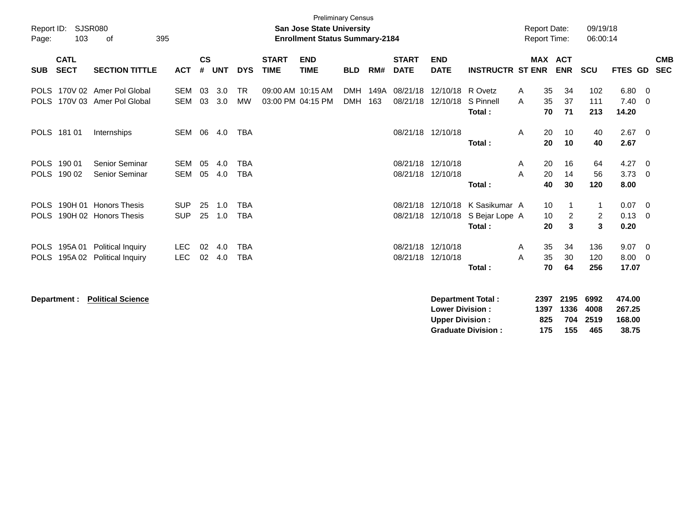|             |              |                          |            |               |            |            |              | <b>Preliminary Census</b>             |            |      |              |                        |                          |                     |              |                |                |                  |                          |
|-------------|--------------|--------------------------|------------|---------------|------------|------------|--------------|---------------------------------------|------------|------|--------------|------------------------|--------------------------|---------------------|--------------|----------------|----------------|------------------|--------------------------|
| Report ID:  |              | <b>SJSR080</b>           |            |               |            |            |              | <b>San Jose State University</b>      |            |      |              |                        |                          | <b>Report Date:</b> |              |                | 09/19/18       |                  |                          |
| Page:       | 103          | οf                       | 395        |               |            |            |              | <b>Enrollment Status Summary-2184</b> |            |      |              |                        |                          | <b>Report Time:</b> |              |                | 06:00:14       |                  |                          |
|             | <b>CATL</b>  |                          |            | $\mathsf{cs}$ |            |            | <b>START</b> | <b>END</b>                            |            |      | <b>START</b> | <b>END</b>             |                          |                     |              | <b>MAX ACT</b> |                |                  | <b>CMB</b>               |
| <b>SUB</b>  | <b>SECT</b>  | <b>SECTION TITTLE</b>    | <b>ACT</b> | #             | <b>UNT</b> | <b>DYS</b> | <b>TIME</b>  | <b>TIME</b>                           | <b>BLD</b> | RM#  | <b>DATE</b>  | <b>DATE</b>            | <b>INSTRUCTR ST ENR</b>  |                     |              | <b>ENR</b>     | <b>SCU</b>     | FTES GD          | <b>SEC</b>               |
| <b>POLS</b> |              | 170V 02 Amer Pol Global  | <b>SEM</b> | 03            | 3.0        | <b>TR</b>  |              | 09:00 AM 10:15 AM                     | <b>DMH</b> | 149A | 08/21/18     | 12/10/18 R Ovetz       |                          | A                   | 35           | 34             | 102            | 6.80             | - 0                      |
| <b>POLS</b> |              | 170V 03 Amer Pol Global  | <b>SEM</b> | 03            | 3.0        | <b>MW</b>  |              | 03:00 PM 04:15 PM                     | <b>DMH</b> | 163  | 08/21/18     | 12/10/18               | S Pinnell                | A                   | 35           | 37             | 111            | 7.40             | - 0                      |
|             |              |                          |            |               |            |            |              |                                       |            |      |              |                        | Total:                   |                     | 70           | 71             | 213            | 14.20            |                          |
|             | POLS 181 01  | Internships              | <b>SEM</b> | 06            | 4.0        | <b>TBA</b> |              |                                       |            |      |              | 08/21/18 12/10/18      |                          | A                   | 20           | 10             | 40             | 2.67             | $\overline{\phantom{0}}$ |
|             |              |                          |            |               |            |            |              |                                       |            |      |              |                        | Total:                   |                     | 20           | 10             | 40             | 2.67             |                          |
| <b>POLS</b> | 190 01       | Senior Seminar           | <b>SEM</b> | 05            | 4.0        | <b>TBA</b> |              |                                       |            |      | 08/21/18     | 12/10/18               |                          | A                   | 20           | 16             | 64             | 4.27             | - 0                      |
| <b>POLS</b> | 190 02       | Senior Seminar           | <b>SEM</b> | 05            | 4.0        | <b>TBA</b> |              |                                       |            |      | 08/21/18     | 12/10/18               |                          | A                   | 20           | 14             | 56             | 3.73             | - 0                      |
|             |              |                          |            |               |            |            |              |                                       |            |      |              |                        | Total:                   |                     | 40           | 30             | 120            | 8.00             |                          |
| <b>POLS</b> |              | 190H 01 Honors Thesis    | <b>SUP</b> | 25            | 1.0        | <b>TBA</b> |              |                                       |            |      | 08/21/18     | 12/10/18               | K Sasikumar A            |                     | 10           |                | 1              | 0.07             | $\overline{\mathbf{0}}$  |
| <b>POLS</b> |              | 190H 02 Honors Thesis    | <b>SUP</b> | 25            | 1.0        | <b>TBA</b> |              |                                       |            |      | 08/21/18     | 12/10/18               | S Bejar Lope A           |                     | 10           | $\overline{2}$ | $\overline{2}$ | 0.13             | - 0                      |
|             |              |                          |            |               |            |            |              |                                       |            |      |              |                        | Total:                   |                     | 20           | 3              | $\mathbf{3}$   | 0.20             |                          |
| <b>POLS</b> | 195A 01      | <b>Political Inquiry</b> | <b>LEC</b> | 02            | 4.0        | <b>TBA</b> |              |                                       |            |      | 08/21/18     | 12/10/18               |                          | A                   | 35           | 34             | 136            | 9.07             | - 0                      |
| <b>POLS</b> | 195A 02      | Political Inquiry        | <b>LEC</b> | 02            | 4.0        | <b>TBA</b> |              |                                       |            |      | 08/21/18     | 12/10/18               |                          | A                   | 35           | 30             | 120            | 8.00             | - 0                      |
|             |              |                          |            |               |            |            |              |                                       |            |      |              |                        | Total:                   |                     | 70           | 64             | 256            | 17.07            |                          |
|             |              |                          |            |               |            |            |              |                                       |            |      |              |                        |                          |                     |              |                |                |                  |                          |
|             | Department : | <b>Political Science</b> |            |               |            |            |              |                                       |            |      |              | <b>Lower Division:</b> | <b>Department Total:</b> |                     | 2397<br>1397 | 2195<br>1336   | 6992<br>4008   | 474.00<br>267.25 |                          |

**Upper Division : 825 704 2519 168.00<br>
Graduate Division : 175 155 465 38.75 Graduate Division : 175 155 465 38.75**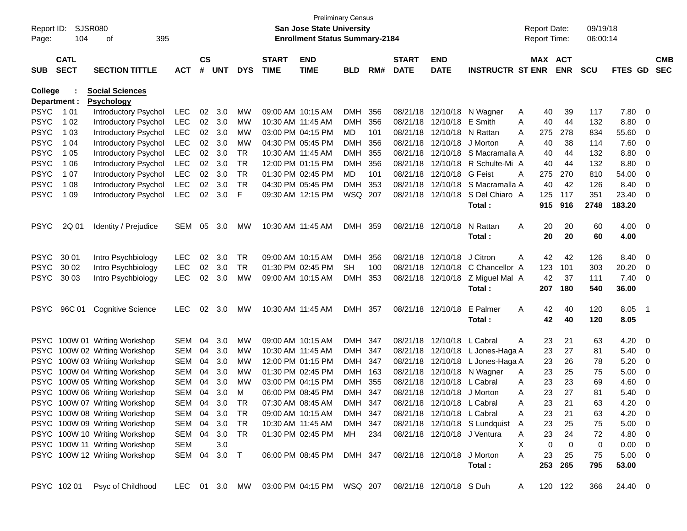| Report ID:<br>Page: | 104          | SJSR080<br>395<br>οf          |               |           |            |            |                   | San Jose State University<br><b>Enrollment Status Summary-2184</b> | <b>Preliminary Census</b> |      |              |                            |                                  |   | <b>Report Date:</b><br>Report Time: |            | 09/19/18<br>06:00:14 |                |                          |            |
|---------------------|--------------|-------------------------------|---------------|-----------|------------|------------|-------------------|--------------------------------------------------------------------|---------------------------|------|--------------|----------------------------|----------------------------------|---|-------------------------------------|------------|----------------------|----------------|--------------------------|------------|
|                     | <b>CATL</b>  |                               |               | <b>CS</b> |            |            | <b>START</b>      | <b>END</b>                                                         |                           |      | <b>START</b> | <b>END</b>                 |                                  |   | MAX ACT                             |            |                      |                |                          | <b>CMB</b> |
| <b>SUB</b>          | <b>SECT</b>  | <b>SECTION TITTLE</b>         | <b>ACT</b>    | #         | <b>UNT</b> | <b>DYS</b> | <b>TIME</b>       | <b>TIME</b>                                                        | <b>BLD</b>                | RM#  | <b>DATE</b>  | <b>DATE</b>                | <b>INSTRUCTR ST ENR</b>          |   |                                     | <b>ENR</b> | SCU                  | <b>FTES GD</b> |                          | <b>SEC</b> |
| <b>College</b>      |              | <b>Social Sciences</b>        |               |           |            |            |                   |                                                                    |                           |      |              |                            |                                  |   |                                     |            |                      |                |                          |            |
|                     | Department : | <b>Psychology</b>             |               |           |            |            |                   |                                                                    |                           |      |              |                            |                                  |   |                                     |            |                      |                |                          |            |
| <b>PSYC</b>         | 1 0 1        | Introductory Psychol          | <b>LEC</b>    | 02        | 3.0        | МW         |                   | 09:00 AM 10:15 AM                                                  | <b>DMH</b>                | 356  |              |                            | 08/21/18 12/10/18 N Wagner       | A | 40                                  | 39         | 117                  | 7.80           | - 0                      |            |
| <b>PSYC</b>         | 1 0 2        | Introductory Psychol          | LEC           | 02        | 3.0        | МW         | 10:30 AM 11:45 AM |                                                                    | DMH                       | 356  |              | 08/21/18 12/10/18          | E Smith                          | Α | 40                                  | 44         | 132                  | 8.80           | 0                        |            |
| <b>PSYC</b>         | 1 0 3        | Introductory Psychol          | LEC           | 02        | 3.0        | MW         |                   | 03:00 PM 04:15 PM                                                  | MD                        | 101  |              | 08/21/18 12/10/18          | N Rattan                         | A | 275                                 | 278        | 834                  | 55.60          | 0                        |            |
| <b>PSYC</b>         | 1 04         | Introductory Psychol          | <b>LEC</b>    | 02        | 3.0        | MW         |                   | 04:30 PM 05:45 PM                                                  | DMH.                      | 356  |              | 08/21/18 12/10/18          | J Morton                         | A | 40                                  | 38         | 114                  | 7.60           | 0                        |            |
| <b>PSYC</b>         | 1 0 5        | Introductory Psychol          | LEC           | 02        | 3.0        | TR         | 10:30 AM 11:45 AM |                                                                    | DMH.                      | 355  | 08/21/18     | 12/10/18                   | S Macramalla A                   |   | 40                                  | 44         | 132                  | 8.80           | 0                        |            |
| <b>PSYC</b>         | 1 0 6        | Introductory Psychol          | <b>LEC</b>    | 02        | 3.0        | <b>TR</b>  |                   | 12:00 PM 01:15 PM                                                  | DMH.                      | 356  | 08/21/18     | 12/10/18                   | R Schulte-Mi A                   |   | 40                                  | 44         | 132                  | 8.80           | 0                        |            |
| <b>PSYC</b>         | 1 0 7        | Introductory Psychol          | <b>LEC</b>    | 02        | 3.0        | <b>TR</b>  |                   | 01:30 PM 02:45 PM                                                  | MD                        | 101  |              | 08/21/18 12/10/18          | G Feist                          | Α | 275                                 | 270        | 810                  | 54.00          | 0                        |            |
| <b>PSYC</b>         | 1 0 8        | Introductory Psychol          | <b>LEC</b>    | 02        | 3.0        | <b>TR</b>  |                   | 04:30 PM 05:45 PM                                                  | <b>DMH</b>                | 353  |              | 08/21/18 12/10/18          | S Macramalla A                   |   | 40                                  | 42         | 126                  | 8.40           | 0                        |            |
| <b>PSYC</b>         | 1 0 9        | Introductory Psychol          | <b>LEC</b>    | 02        | 3.0        | F          |                   | 09:30 AM 12:15 PM                                                  | WSQ 207                   |      |              | 08/21/18 12/10/18          | S Del Chiaro A                   |   | 125                                 | 117        | 351                  | 23.40          | 0                        |            |
|                     |              |                               |               |           |            |            |                   |                                                                    |                           |      |              |                            | Total:                           |   | 915                                 | 916        | 2748                 | 183.20         |                          |            |
| <b>PSYC</b>         | 2Q 01        | Identity / Prejudice          | <b>SEM</b>    | 05        | 3.0        | <b>MW</b>  | 10:30 AM 11:45 AM |                                                                    | <b>DMH</b>                | 359  |              | 08/21/18 12/10/18          | N Rattan                         | A | 20                                  | 20         | 60                   | $4.00 \ 0$     |                          |            |
|                     |              |                               |               |           |            |            |                   |                                                                    |                           |      |              |                            | Total :                          |   | 20                                  | 20         | 60                   | 4.00           |                          |            |
|                     |              |                               |               |           |            |            |                   |                                                                    |                           |      |              |                            |                                  |   |                                     |            |                      |                |                          |            |
| <b>PSYC</b>         | 30 01        | Intro Psychbiology            | <b>LEC</b>    | 02        | 3.0        | TR         |                   | 09:00 AM 10:15 AM                                                  | <b>DMH</b>                | 356  |              | 08/21/18 12/10/18          | J Citron                         | A | 42                                  | 42         | 126                  | 8.40           | - 0                      |            |
| <b>PSYC</b>         | 30 02        | Intro Psychbiology            | <b>LEC</b>    | 02        | 3.0        | <b>TR</b>  |                   | 01:30 PM 02:45 PM                                                  | SН                        | 100  |              | 08/21/18 12/10/18          | C Chancellor A                   |   | 123                                 | 101        | 303                  | 20.20          | $\overline{0}$           |            |
| <b>PSYC</b>         | 30 03        | Intro Psychbiology            | <b>LEC</b>    | 02        | 3.0        | МW         |                   | 09:00 AM 10:15 AM                                                  | DMH.                      | 353  |              |                            | 08/21/18 12/10/18 Z Miguel Mal A |   | 42                                  | 37         | 111                  | 7.40           | 0                        |            |
|                     |              |                               |               |           |            |            |                   |                                                                    |                           |      |              |                            | Total:                           |   | 207                                 | 180        | 540                  | 36.00          |                          |            |
| <b>PSYC</b>         | 96C 01       | <b>Cognitive Science</b>      | <b>LEC</b>    | 02        | 3.0        | <b>MW</b>  | 10:30 AM 11:45 AM |                                                                    | DMH 357                   |      |              | 08/21/18 12/10/18          | E Palmer                         | A | 42                                  | 40         | 120                  | 8.05           | - 1                      |            |
|                     |              |                               |               |           |            |            |                   |                                                                    |                           |      |              |                            | Total :                          |   | 42                                  | 40         | 120                  | 8.05           |                          |            |
|                     |              |                               |               |           |            |            |                   |                                                                    |                           |      |              |                            |                                  |   |                                     |            |                      |                |                          |            |
| <b>PSYC</b>         |              | 100W 01 Writing Workshop      | <b>SEM</b>    | 04        | 3.0        | MW         |                   | 09:00 AM 10:15 AM                                                  | DMH 347                   |      |              | 08/21/18 12/10/18          | L Cabral                         | A | 23                                  | 21         | 63                   | 4.20           | $\overline{\mathbf{0}}$  |            |
| <b>PSYC</b>         |              | 100W 02 Writing Workshop      | <b>SEM</b>    | 04        | 3.0        | МW         | 10:30 AM 11:45 AM |                                                                    | DMH                       | -347 |              | 08/21/18 12/10/18          | L Jones-Haga A                   |   | 23                                  | 27         | 81                   | 5.40           | 0                        |            |
| <b>PSYC</b>         |              | 100W 03 Writing Workshop      | <b>SEM</b>    | 04        | 3.0        | МW         |                   | 12:00 PM 01:15 PM                                                  | <b>DMH</b>                | 347  |              | 08/21/18 12/10/18          | L Jones-Haga A                   |   | 23                                  | 26         | 78                   | 5.20           | 0                        |            |
| <b>PSYC</b>         |              | 100W 04 Writing Workshop      | <b>SEM</b>    | 04        | 3.0        | MW         |                   | 01:30 PM 02:45 PM                                                  | <b>DMH</b>                | 163  |              | 08/21/18 12/10/18          | N Wagner                         | A | 23                                  | 25         | 75                   | 5.00           | 0                        |            |
| <b>PSYC</b>         |              | 100W 05 Writing Workshop      | <b>SEM</b>    | 04        | 3.0        | МW         |                   | 03:00 PM 04:15 PM                                                  | <b>DMH</b>                | 355  |              | 08/21/18 12/10/18          | L Cabral                         | Α | 23                                  | 23         | 69                   | 4.60           | 0                        |            |
| <b>PSYC</b>         |              | 100W 06 Writing Workshop      | <b>SEM</b>    | 04        | 3.0        | M          |                   | 06:00 PM 08:45 PM                                                  | <b>DMH</b>                | 347  |              | 08/21/18 12/10/18 J Morton |                                  | A | 23                                  | 27         | 81                   | 5.40           | 0                        |            |
|                     |              | PSYC 100W 07 Writing Workshop | SEM           | 04        | 3.0        | TR         |                   | 07:30 AM_08:45 AM                                                  | <b>DMH</b>                | 347  |              | 08/21/18 12/10/18 L Cabral |                                  | А | 23.                                 | 21         | 63                   | 4.20           | $\Omega$                 |            |
|                     |              | PSYC 100W 08 Writing Workshop | SEM           |           | 04 3.0     | TR         |                   | 09:00 AM 10:15 AM                                                  | DMH 347                   |      |              | 08/21/18 12/10/18 L Cabral |                                  | A | 23                                  | 21         | 63                   | 4.20           | $\overline{\mathbf{0}}$  |            |
|                     |              | PSYC 100W 09 Writing Workshop | SEM           | 04        | 3.0        | TR         | 10:30 AM 11:45 AM |                                                                    | DMH 347                   |      |              |                            | 08/21/18 12/10/18 S Lundquist    | A | 23                                  | 25         | 75                   | 5.00           | $\overline{\phantom{0}}$ |            |
|                     |              | PSYC 100W 10 Writing Workshop | SEM           | 04        | 3.0        | TR         |                   | 01:30 PM 02:45 PM                                                  | MН                        | 234  |              |                            | 08/21/18 12/10/18 J Ventura      | A | 23                                  | 24         | 72                   | 4.80           | $\overline{\mathbf{0}}$  |            |
|                     |              | PSYC 100W 11 Writing Workshop | <b>SEM</b>    |           | 3.0        |            |                   |                                                                    |                           |      |              |                            |                                  | Χ | 0                                   | 0          | 0                    | $0.00 \t 0$    |                          |            |
|                     |              | PSYC 100W 12 Writing Workshop | SEM           | 04        | 3.0        | $\top$     |                   | 06:00 PM 08:45 PM                                                  | DMH 347                   |      |              | 08/21/18 12/10/18          | J Morton                         | A | 23                                  | 25         | 75                   | $5.00 \t 0$    |                          |            |
|                     |              |                               |               |           |            |            |                   |                                                                    |                           |      |              |                            | Total:                           |   | 253                                 | 265        | 795                  | 53.00          |                          |            |
|                     | PSYC 102 01  | Psyc of Childhood             | LEC 01 3.0 MW |           |            |            |                   | 03:00 PM 04:15 PM                                                  | WSQ 207                   |      |              | 08/21/18 12/10/18 S Duh    |                                  | A |                                     | 120 122    | 366                  | 24.40 0        |                          |            |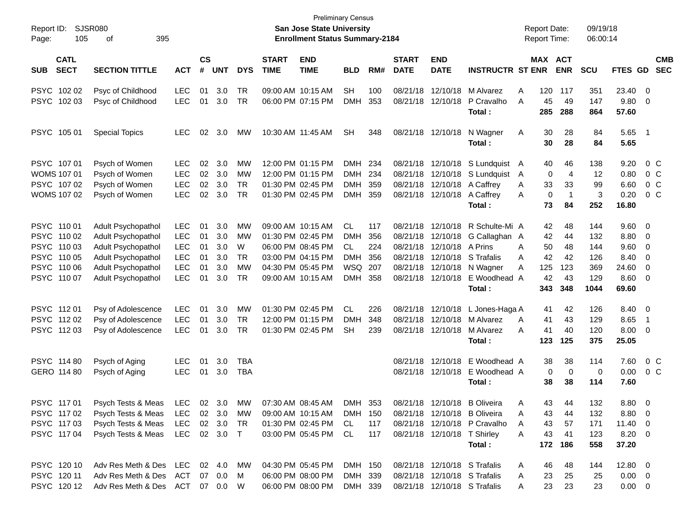| Report ID:<br>Page: | 105                        | <b>SJSR080</b><br>395<br>οf      |              |                |            |            |                             | <b>San Jose State University</b><br><b>Enrollment Status Summary-2184</b> | <b>Preliminary Census</b> |     |                             |                              |                                  | <b>Report Date:</b><br><b>Report Time:</b> |           |                       | 09/19/18<br>06:00:14 |                |                          |                          |
|---------------------|----------------------------|----------------------------------|--------------|----------------|------------|------------|-----------------------------|---------------------------------------------------------------------------|---------------------------|-----|-----------------------------|------------------------------|----------------------------------|--------------------------------------------|-----------|-----------------------|----------------------|----------------|--------------------------|--------------------------|
| <b>SUB</b>          | <b>CATL</b><br><b>SECT</b> | <b>SECTION TITTLE</b>            | <b>ACT</b>   | <b>CS</b><br># | <b>UNT</b> | <b>DYS</b> | <b>START</b><br><b>TIME</b> | <b>END</b><br><b>TIME</b>                                                 | <b>BLD</b>                | RM# | <b>START</b><br><b>DATE</b> | <b>END</b><br><b>DATE</b>    | <b>INSTRUCTR ST ENR</b>          |                                            |           | MAX ACT<br><b>ENR</b> | <b>SCU</b>           | FTES GD        |                          | <b>CMB</b><br><b>SEC</b> |
| PSYC 102 02         |                            | Psyc of Childhood                | <b>LEC</b>   | 01             | 3.0        | <b>TR</b>  |                             | 09:00 AM 10:15 AM                                                         | <b>SH</b>                 | 100 | 08/21/18                    | 12/10/18                     | M Alvarez                        | Α                                          | 120       | 117                   | 351                  | 23.40 0        |                          |                          |
| PSYC 102 03         |                            | Psyc of Childhood                | <b>LEC</b>   | 01             | 3.0        | <b>TR</b>  |                             | 06:00 PM 07:15 PM                                                         | <b>DMH</b>                | 353 | 08/21/18                    | 12/10/18                     | P Cravalho<br>Total:             | A                                          | 45<br>285 | 49<br>288             | 147<br>864           | 9.80<br>57.60  | - 0                      |                          |
| PSYC 105 01         |                            | <b>Special Topics</b>            | <b>LEC</b>   | 02             | 3.0        | MW         |                             | 10:30 AM 11:45 AM                                                         | <b>SH</b>                 | 348 |                             | 08/21/18 12/10/18            | N Wagner<br>Total:               | Α                                          | 30<br>30  | 28<br>28              | 84<br>84             | 5.65 1<br>5.65 |                          |                          |
| PSYC 107 01         |                            | Psych of Women                   | <b>LEC</b>   | 02             | 3.0        | MW         |                             | 12:00 PM 01:15 PM                                                         | DMH                       | 234 |                             |                              | 08/21/18 12/10/18 S Lundquist A  |                                            | 40        | 46                    | 138                  | 9.20           |                          | 0 <sup>o</sup>           |
| <b>WOMS 107 01</b>  |                            | Psych of Women                   | <b>LEC</b>   | 02             | 3.0        | MW         |                             | 12:00 PM 01:15 PM                                                         | <b>DMH</b>                | 234 | 08/21/18                    |                              | 12/10/18 S Lundquist             | A                                          | 0         | $\overline{4}$        | 12                   | 0.80           |                          | 0 <sup>o</sup>           |
| PSYC 107 02         |                            | Psych of Women                   | <b>LEC</b>   | 02             | 3.0        | <b>TR</b>  |                             | 01:30 PM 02:45 PM                                                         | <b>DMH</b>                | 359 |                             | 08/21/18 12/10/18 A Caffrey  |                                  | A                                          | 33        | 33                    | 99                   | 6.60           |                          | $0\,C$                   |
| WOMS 107 02         |                            | Psych of Women                   | <b>LEC</b>   | 02             | 3.0        | <b>TR</b>  |                             | 01:30 PM 02:45 PM                                                         | <b>DMH</b>                | 359 |                             | 08/21/18 12/10/18            | A Caffrey                        | A                                          | 0         | $\mathbf 1$           | 3                    | 0.20           |                          | 0 <sup>o</sup>           |
|                     |                            |                                  |              |                |            |            |                             |                                                                           |                           |     |                             |                              | Total:                           |                                            | 73        | 84                    | 252                  | 16.80          |                          |                          |
| PSYC 110 01         |                            | Adult Psychopathol               | <b>LEC</b>   | 01             | 3.0        | MW         |                             | 09:00 AM 10:15 AM                                                         | <b>CL</b>                 | 117 |                             |                              | 08/21/18 12/10/18 R Schulte-Mi A |                                            | 42        | 48                    | 144                  | 9.60 0         |                          |                          |
| PSYC 110 02         |                            | Adult Psychopathol               | <b>LEC</b>   | 01             | 3.0        | MW         |                             | 01:30 PM 02:45 PM                                                         | <b>DMH</b>                | 356 | 08/21/18                    |                              | 12/10/18 G Callaghan A           |                                            | 42        | 44                    | 132                  | 8.80           | $\overline{\phantom{0}}$ |                          |
| PSYC 110 03         |                            | Adult Psychopathol               | <b>LEC</b>   | 01             | 3.0        | W          |                             | 06:00 PM 08:45 PM                                                         | CL                        | 224 | 08/21/18                    | 12/10/18 A Prins             |                                  | Α                                          | 50        | 48                    | 144                  | 9.60           | $\overline{\phantom{0}}$ |                          |
| PSYC 110 05         |                            | Adult Psychopathol               | <b>LEC</b>   | 01             | 3.0        | <b>TR</b>  |                             | 03:00 PM 04:15 PM                                                         | <b>DMH</b>                | 356 | 08/21/18                    |                              | 12/10/18 S Trafalis              | Α                                          | 42        | 42                    | 126                  | 8.40           | $\overline{\mathbf{0}}$  |                          |
| PSYC 110 06         |                            | Adult Psychopathol               | <b>LEC</b>   | 01             | 3.0        | MW         |                             | 04:30 PM 05:45 PM                                                         | WSQ 207                   |     |                             |                              | 08/21/18 12/10/18 N Wagner       | A                                          | 125       | 123                   | 369                  | 24.60 0        |                          |                          |
| PSYC 110 07         |                            | Adult Psychopathol               | <b>LEC</b>   | 01             | 3.0        | <b>TR</b>  |                             | 09:00 AM 10:15 AM                                                         | <b>DMH</b>                | 358 |                             | 08/21/18 12/10/18            | E Woodhead A                     |                                            | 42        | 43                    | 129                  | $8.60$ 0       |                          |                          |
|                     |                            |                                  |              |                |            |            |                             |                                                                           |                           |     |                             |                              | Total:                           |                                            | 343       | 348                   | 1044                 | 69.60          |                          |                          |
| PSYC 11201          |                            | Psy of Adolescence               | <b>LEC</b>   | 01             | 3.0        | MW         |                             | 01:30 PM 02:45 PM                                                         | <b>CL</b>                 | 226 |                             | 08/21/18 12/10/18            | L Jones-Haga A                   |                                            | 41        | 42                    | 126                  | 8.40 0         |                          |                          |
| PSYC 11202          |                            | Psy of Adolescence               | <b>LEC</b>   | 01             | 3.0        | <b>TR</b>  |                             | 12:00 PM 01:15 PM                                                         | <b>DMH</b>                | 348 |                             | 08/21/18 12/10/18            | M Alvarez                        | A                                          | 41        | 43                    | 129                  | 8.65           | $\overline{\phantom{1}}$ |                          |
| PSYC 11203          |                            | Psy of Adolescence               | <b>LEC</b>   | 01             | 3.0        | <b>TR</b>  |                             | 01:30 PM 02:45 PM                                                         | SН                        | 239 |                             | 08/21/18 12/10/18            | M Alvarez                        | A                                          | 41        | 40                    | 120                  | $8.00 \t 0$    |                          |                          |
|                     |                            |                                  |              |                |            |            |                             |                                                                           |                           |     |                             |                              | Total :                          |                                            | 123       | 125                   | 375                  | 25.05          |                          |                          |
| PSYC 114 80         |                            | Psych of Aging                   | <b>LEC</b>   | 01             | 3.0        | <b>TBA</b> |                             |                                                                           |                           |     | 08/21/18                    |                              | 12/10/18 E Woodhead A            |                                            | 38        | 38                    | 114                  | 7.60           |                          | 0 <sup>o</sup>           |
| GERO 114 80         |                            | Psych of Aging                   | <b>LEC</b>   | 01             | 3.0        | <b>TBA</b> |                             |                                                                           |                           |     |                             |                              | 08/21/18 12/10/18 E Woodhead A   |                                            | 0         | 0                     | 0                    | 0.00           |                          | $0\,C$                   |
|                     |                            |                                  |              |                |            |            |                             |                                                                           |                           |     |                             |                              | Total :                          |                                            | 38        | 38                    | 114                  | 7.60           |                          |                          |
| PSYC 11701          |                            | Psych Tests & Meas               |              |                | LEC 02 3.0 | MW         |                             | 07:30 AM 08:45 AM                                                         | DMH 353                   |     |                             |                              | 08/21/18 12/10/18 B Oliveira     | A                                          | 43        | 44                    | 132                  | 8.80 0         |                          |                          |
| PSYC 11702          |                            | Psych Tests & Meas LEC 02 3.0 MW |              |                |            |            |                             | 09:00 AM 10:15 AM                                                         | DMH 150                   |     |                             |                              | 08/21/18 12/10/18 B Oliveira     | Α                                          | 43        | 44                    | 132                  | $8.80\ 0$      |                          |                          |
| PSYC 11703          |                            | Psych Tests & Meas               | LEC          |                | 02 3.0     | TR         |                             | 01:30 PM 02:45 PM                                                         | CL                        | 117 |                             |                              | 08/21/18 12/10/18 P Cravalho     | A                                          | 43        | 57                    | 171                  | $11.40 \t 0$   |                          |                          |
| PSYC 117 04         |                            | Psych Tests & Meas               | LEC 02 3.0 T |                |            |            |                             | 03:00 PM 05:45 PM CL                                                      |                           | 117 |                             | 08/21/18 12/10/18 T Shirley  |                                  | A                                          | 43        | 41                    | 123                  | 8.20 0         |                          |                          |
|                     |                            |                                  |              |                |            |            |                             |                                                                           |                           |     |                             |                              | Total:                           |                                            | 172       | 186                   | 558                  | 37.20          |                          |                          |
| PSYC 120 10         |                            | Adv Res Meth & Des LEC 02 4.0 MW |              |                |            |            |                             | 04:30 PM 05:45 PM                                                         | DMH 150                   |     |                             | 08/21/18 12/10/18 S Trafalis |                                  | A                                          | 46        | 48                    | 144                  | $12.80 \t 0$   |                          |                          |
| PSYC 120 11         |                            | Adv Res Meth & Des ACT           |              |                | 07 0.0     | M          |                             | 06:00 PM 08:00 PM                                                         | DMH 339                   |     |                             | 08/21/18 12/10/18 S Trafalis |                                  | A                                          | 23        | 25                    | 25                   | $0.00 \t 0$    |                          |                          |
|                     | PSYC 12012                 | Adv Res Meth & Des ACT 07 0.0 W  |              |                |            |            |                             | 06:00 PM 08:00 PM                                                         | DMH 339                   |     |                             |                              | 08/21/18 12/10/18 S Trafalis     | A                                          | 23        | 23                    | 23                   | $0.00 \t 0$    |                          |                          |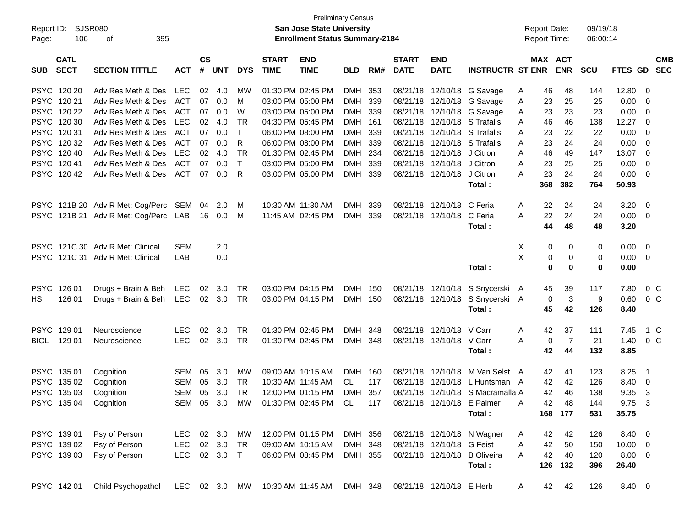| Page:      | Report ID: SJSR080<br>106                 | 395<br>οf                                                                       |                                    |                    |                       |                              |                             | San Jose State University<br><b>Enrollment Status Summary-2184</b>                                | <b>Preliminary Census</b>        |                            |                             |                                                                                              |                                                                                                                                               |             | <b>Report Date:</b><br><b>Report Time:</b> |                                 | 09/19/18<br>06:00:14            |                                                |                                                     |            |
|------------|-------------------------------------------|---------------------------------------------------------------------------------|------------------------------------|--------------------|-----------------------|------------------------------|-----------------------------|---------------------------------------------------------------------------------------------------|----------------------------------|----------------------------|-----------------------------|----------------------------------------------------------------------------------------------|-----------------------------------------------------------------------------------------------------------------------------------------------|-------------|--------------------------------------------|---------------------------------|---------------------------------|------------------------------------------------|-----------------------------------------------------|------------|
| <b>SUB</b> | <b>CATL</b><br><b>SECT</b>                | <b>SECTION TITTLE</b>                                                           | <b>ACT</b>                         | $\mathsf{cs}$<br># | <b>UNT</b>            | <b>DYS</b>                   | <b>START</b><br><b>TIME</b> | <b>END</b><br><b>TIME</b>                                                                         | <b>BLD</b>                       | RM#                        | <b>START</b><br><b>DATE</b> | <b>END</b><br><b>DATE</b>                                                                    | <b>INSTRUCTR ST ENR</b>                                                                                                                       |             | MAX ACT                                    | <b>ENR</b>                      | <b>SCU</b>                      | FTES GD SEC                                    |                                                     | <b>CMB</b> |
|            | PSYC 120 20<br>PSYC 120 21<br>PSYC 120 22 | Adv Res Meth & Des LEC<br>Adv Res Meth & Des<br>Adv Res Meth & Des ACT          | ACT                                | 02<br>07<br>07     | -4.0<br>0.0<br>0.0    | <b>MW</b><br>M<br>W          |                             | 01:30 PM 02:45 PM<br>03:00 PM 05:00 PM<br>03:00 PM 05:00 PM                                       | DMH 353<br><b>DMH</b><br>DMH 339 | 339                        |                             |                                                                                              | 08/21/18 12/10/18 G Savage<br>08/21/18 12/10/18 G Savage<br>08/21/18 12/10/18 G Savage                                                        | A<br>A<br>A | 46<br>23<br>23                             | 48<br>25<br>23                  | 144<br>25<br>23                 | 12.80<br>$0.00 \t 0$<br>$0.00 \t 0$            | $\overline{\phantom{0}}$                            |            |
|            | PSYC 120 30<br>PSYC 12031<br>PSYC 120 32  | Adv Res Meth & Des<br>Adv Res Meth & Des<br>Adv Res Meth & Des                  | <b>LEC</b><br>ACT<br>ACT           | 02<br>07<br>07     | 4.0<br>0.0<br>0.0     | TR<br>$\mathsf{T}$<br>R      |                             | 04:30 PM 05:45 PM<br>06:00 PM 08:00 PM<br>06:00 PM 08:00 PM                                       | DMH 161<br><b>DMH</b><br>DMH 339 | - 339                      |                             | 08/21/18 12/10/18 S Trafalis<br>08/21/18 12/10/18 S Trafalis<br>08/21/18 12/10/18 S Trafalis |                                                                                                                                               | A<br>A<br>A | 46<br>23<br>23                             | 46<br>22<br>24                  | 138<br>22<br>24                 | 12.27<br>0.00<br>$0.00 \t 0$                   | - 0<br>$\overline{\phantom{0}}$                     |            |
|            | PSYC 120 40<br>PSYC 12041<br>PSYC 12042   | Adv Res Meth & Des<br>Adv Res Meth & Des<br>Adv Res Meth & Des ACT              | <b>LEC</b><br><b>ACT</b>           | 02<br>07<br>07     | 4.0<br>0.0<br>0.0     | TR<br>$\top$<br>-R           |                             | 01:30 PM 02:45 PM<br>03:00 PM 05:00 PM<br>03:00 PM 05:00 PM                                       | DMH 234<br><b>DMH</b><br>DMH 339 | 339                        |                             | 08/21/18 12/10/18 J Citron<br>08/21/18 12/10/18 J Citron<br>08/21/18 12/10/18 J Citron       |                                                                                                                                               | A<br>Α<br>A | 46<br>23<br>23                             | 49<br>25<br>24                  | 147<br>25<br>24                 | 13.07<br>0.00<br>$0.00 \t 0$                   | $\overline{\phantom{0}}$<br>$\overline{\mathbf{0}}$ |            |
|            |                                           |                                                                                 |                                    |                    |                       |                              | 10:30 AM 11:30 AM           |                                                                                                   | <b>DMH</b>                       | 339                        |                             | 08/21/18 12/10/18                                                                            | Total:<br>C Feria                                                                                                                             |             | 368<br>22                                  | 382<br>24                       | 764                             | 50.93<br>3.20                                  | $\overline{\phantom{0}}$                            |            |
|            |                                           | PSYC 121B 20 Adv R Met: Cog/Perc SEM 04<br>PSYC 121B 21 Adv R Met: Cog/Perc LAB |                                    |                    | 2.0<br>16  0.0        | M<br>M                       |                             | 11:45 AM 02:45 PM                                                                                 | DMH 339                          |                            |                             | 08/21/18 12/10/18 C Feria                                                                    | Total:                                                                                                                                        | A<br>A      | 22<br>44                                   | 24<br>48                        | 24<br>24<br>48                  | $0.00 \t 0$<br>3.20                            |                                                     |            |
|            |                                           | PSYC 121C 30 Adv R Met: Clinical<br>PSYC 121C 31 Adv R Met: Clinical            | <b>SEM</b><br>LAB                  |                    | 2.0<br>0.0            |                              |                             |                                                                                                   |                                  |                            |                             |                                                                                              | Total:                                                                                                                                        | Χ<br>X      | 0<br>0<br>0                                | 0<br>0<br>$\bf{0}$              | 0<br>0<br>0                     | $0.00 \t 0$<br>$0.00 \t 0$<br>0.00             |                                                     |            |
| HS         | PSYC 126 01<br>126 01                     | Drugs + Brain & Beh LEC<br>Drugs + Brain & Beh LEC 02 3.0 TR                    |                                    |                    | 02 3.0                | TR                           |                             | 03:00 PM 04:15 PM<br>03:00 PM 04:15 PM                                                            | DMH 150<br>DMH 150               |                            |                             |                                                                                              | 08/21/18 12/10/18 S Snycerski A<br>08/21/18 12/10/18 S Snycerski A<br>Total:                                                                  |             | 45<br>0<br>45                              | 39<br>3<br>42                   | 117<br>9<br>126                 | 7.80<br>0.60<br>8.40                           | $0\,C$<br>0 <sup>o</sup>                            |            |
|            | PSYC 129 01<br>BIOL 129 01                | Neuroscience<br>Neuroscience                                                    | <b>LEC</b><br><b>LEC</b>           | 02                 | 3.0<br>02 3.0         | TR<br>TR                     |                             | 01:30 PM 02:45 PM<br>01:30 PM 02:45 PM                                                            | <b>DMH</b><br>DMH 348            | -348                       |                             | 08/21/18 12/10/18<br>08/21/18 12/10/18 V Carr                                                | V Carr<br>Total:                                                                                                                              | A<br>A      | 42<br>0<br>42                              | 37<br>-7<br>44                  | 111<br>21<br>132                | 7.45<br>1.40<br>8.85                           | 1 C<br>0 <sup>o</sup>                               |            |
|            | PSYC 135 01<br>PSYC 135 02<br>PSYC 135 03 | Cognition<br>Cognition<br>Cognition<br>PSYC 135 04 Cognition                    | <b>SEM</b><br><b>SEM</b><br>SEM    | 05<br>05<br>05     | 3.0<br>3.0<br>3.0     | <b>MW</b><br>TR<br><b>TR</b> |                             | 09:00 AM 10:15 AM<br>10:30 AM 11:45 AM<br>12:00 PM 01:15 PM<br>SEM 05 3.0 MW 01:30 PM 02:45 PM CL | <b>DMH</b><br>CL.<br><b>DMH</b>  | - 160<br>117<br>357<br>117 |                             |                                                                                              | 08/21/18 12/10/18 M Van Selst A<br>08/21/18 12/10/18 L Huntsman A<br>08/21/18 12/10/18 S Macramalla A<br>08/21/18 12/10/18 E Palmer<br>Total: | A           | 42<br>42<br>42<br>42                       | 41<br>42<br>46<br>48<br>168 177 | 123<br>126<br>138<br>144<br>531 | 8.25<br>8.40 0<br>9.35<br>9.75 3<br>35.75      | $\overline{\phantom{1}}$<br>- 3                     |            |
|            | PSYC 139 01<br>PSYC 139 02<br>PSYC 139 03 | Psy of Person<br>Psy of Person<br>Psy of Person                                 | LEC 02 3.0 MW<br>LEC<br><b>LEC</b> |                    | 02 3.0 TR<br>02 3.0 T |                              |                             | 12:00 PM 01:15 PM<br>09:00 AM 10:15 AM<br>06:00 PM 08:45 PM                                       | DMH 356<br>DMH 348<br>DMH 355    |                            |                             | 08/21/18 12/10/18 G Feist                                                                    | 08/21/18 12/10/18 N Wagner<br>08/21/18 12/10/18 B Oliveira<br>Total:                                                                          | A<br>Α<br>A | 42<br>42<br>42<br>126                      | 42<br>50<br>40<br>132           | 126<br>150<br>120<br>396        | 8.40 0<br>$10.00 \t 0$<br>$8.00 \t 0$<br>26.40 |                                                     |            |
|            | PSYC 142 01                               | Child Psychopathol                                                              | LEC 02 3.0 MW                      |                    |                       |                              |                             | 10:30 AM 11:45 AM                                                                                 | DMH 348                          |                            |                             | 08/21/18 12/10/18 E Herb                                                                     |                                                                                                                                               | A           | 42                                         | 42                              | 126                             | 8.40 0                                         |                                                     |            |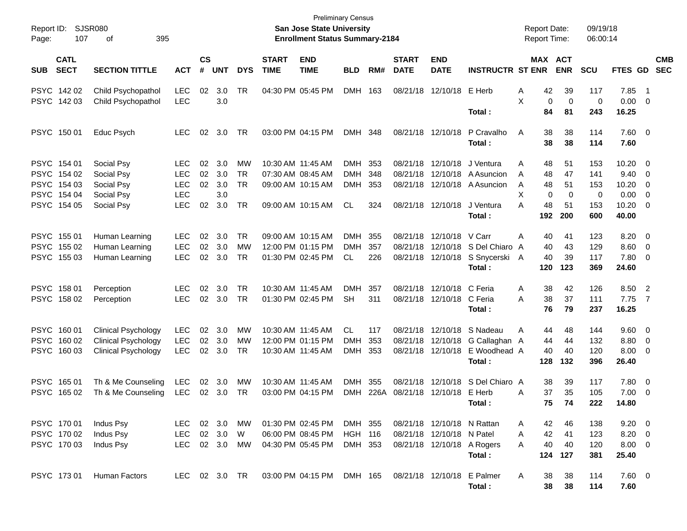| Report ID:<br>107<br>Page:               | <b>SJSR080</b><br>οf<br>395              |                   |                    |            |            |                             | <b>San Jose State University</b><br><b>Enrollment Status Summary-2184</b> | <b>Preliminary Census</b> |      |                             |                            |                                      | <b>Report Date:</b><br><b>Report Time:</b> |                       | 09/19/18<br>06:00:14 |                       |                          |                          |
|------------------------------------------|------------------------------------------|-------------------|--------------------|------------|------------|-----------------------------|---------------------------------------------------------------------------|---------------------------|------|-----------------------------|----------------------------|--------------------------------------|--------------------------------------------|-----------------------|----------------------|-----------------------|--------------------------|--------------------------|
| <b>CATL</b><br><b>SECT</b><br><b>SUB</b> | <b>SECTION TITTLE</b>                    | <b>ACT</b>        | $\mathsf{cs}$<br># | <b>UNT</b> | <b>DYS</b> | <b>START</b><br><b>TIME</b> | <b>END</b><br><b>TIME</b>                                                 | <b>BLD</b>                | RM#  | <b>START</b><br><b>DATE</b> | <b>END</b><br><b>DATE</b>  | <b>INSTRUCTR ST ENR</b>              |                                            | MAX ACT<br><b>ENR</b> | <b>SCU</b>           | <b>FTES GD</b>        |                          | <b>CMB</b><br><b>SEC</b> |
| PSYC 142 02<br>PSYC 142 03               | Child Psychopathol<br>Child Psychopathol | <b>LEC</b><br>LEC | 02                 | 3.0<br>3.0 | <b>TR</b>  |                             | 04:30 PM 05:45 PM                                                         | <b>DMH</b>                | 163  | 08/21/18                    | 12/10/18 E Herb            |                                      | 42<br>Α<br>X<br>$\mathbf 0$                | 39<br>$\mathbf 0$     | 117<br>0             | 7.85<br>$0.00 \t 0$   | - 1                      |                          |
|                                          |                                          |                   |                    |            |            |                             |                                                                           |                           |      |                             |                            | Total:                               | 84                                         | 81                    | 243                  | 16.25                 |                          |                          |
| PSYC 150 01                              | Educ Psych                               | LEC               | 02                 | 3.0        | TR         |                             | 03:00 PM 04:15 PM                                                         | DMH 348                   |      |                             | 08/21/18 12/10/18          | P Cravalho<br>Total:                 | 38<br>A<br>38                              | 38<br>38              | 114<br>114           | 7.60 0<br>7.60        |                          |                          |
| PSYC 154 01                              | Social Psy                               | LEC               | 02                 | 3.0        | МW         |                             | 10:30 AM 11:45 AM                                                         | DMH                       | 353  | 08/21/18                    | 12/10/18                   | J Ventura                            | 48<br>Α                                    | 51                    | 153                  | $10.20 \t 0$          |                          |                          |
| PSYC 154 02                              | Social Psy                               | <b>LEC</b>        | 02                 | 3.0        | <b>TR</b>  |                             | 07:30 AM 08:45 AM                                                         | <b>DMH</b>                | 348  | 08/21/18                    |                            | 12/10/18 A Asuncion                  | 48<br>A                                    | 47                    | 141                  | 9.40                  | $\overline{\phantom{0}}$ |                          |
| PSYC 154 03                              | Social Psy                               | <b>LEC</b>        | 02                 | 3.0        | <b>TR</b>  |                             | 09:00 AM 10:15 AM                                                         | <b>DMH</b>                | 353  |                             |                            | 08/21/18 12/10/18 A Asuncion         | 48<br>A                                    | 51                    | 153                  | 10.20                 | - 0                      |                          |
| PSYC 154 04                              | Social Psy                               | <b>LEC</b>        |                    | 3.0        |            |                             |                                                                           |                           |      |                             |                            |                                      | X<br>0                                     | $\mathbf 0$           | $\mathbf 0$          | 0.00                  | $\overline{\mathbf{0}}$  |                          |
| PSYC 154 05                              | Social Psy                               | LEC               | 02                 | 3.0        | <b>TR</b>  |                             | 09:00 AM 10:15 AM                                                         | <b>CL</b>                 | 324  |                             | 08/21/18 12/10/18          | J Ventura<br>Total:                  | A<br>48<br>192                             | 51<br>200             | 153<br>600           | $10.20 \t 0$<br>40.00 |                          |                          |
| PSYC 155 01                              | Human Learning                           | <b>LEC</b>        | 02                 | 3.0        | TR.        |                             | 09:00 AM 10:15 AM                                                         | <b>DMH</b>                | 355  | 08/21/18                    | 12/10/18 V Carr            |                                      | Α<br>40                                    | 41                    | 123                  | $8.20 \ 0$            |                          |                          |
| PSYC 155 02                              | Human Learning                           | <b>LEC</b>        | 02                 | 3.0        | <b>MW</b>  |                             | 12:00 PM 01:15 PM                                                         | <b>DMH</b>                | 357  | 08/21/18                    |                            | 12/10/18 S Del Chiaro                | 40<br>A                                    | 43                    | 129                  | $8.60 \quad 0$        |                          |                          |
| PSYC 155 03                              | Human Learning                           | <b>LEC</b>        | 02                 | 3.0        | TR         |                             | 01:30 PM 02:45 PM                                                         | CL                        | 226  |                             | 08/21/18 12/10/18          | S Snycerski A<br>Total:              | 40<br>120                                  | 39<br>123             | 117<br>369           | 7.80 0<br>24.60       |                          |                          |
| PSYC 158 01                              | Perception                               | LEC               | 02                 | 3.0        | TR         |                             | 10:30 AM 11:45 AM                                                         | <b>DMH</b>                | 357  | 08/21/18                    | 12/10/18 C Feria           |                                      | 38<br>Α                                    | 42                    | 126                  | 8.50 2                |                          |                          |
| PSYC 158 02                              | Perception                               | <b>LEC</b>        | 02                 | 3.0        | <b>TR</b>  |                             | 01:30 PM 02:45 PM                                                         | <b>SH</b>                 | 311  |                             | 08/21/18 12/10/18 C Feria  |                                      | 38<br>A                                    | 37                    | 111                  | 7.75                  | $\overline{7}$           |                          |
|                                          |                                          |                   |                    |            |            |                             |                                                                           |                           |      |                             |                            | Total:                               | 76                                         | 79                    | 237                  | 16.25                 |                          |                          |
| PSYC 160 01                              | <b>Clinical Psychology</b>               | <b>LEC</b>        | 02                 | 3.0        | МW         |                             | 10:30 AM 11:45 AM                                                         | CL                        | 117  | 08/21/18                    |                            | 12/10/18 S Nadeau                    | 44<br>Α                                    | 48                    | 144                  | $9.60 \quad 0$        |                          |                          |
| PSYC 160 02                              | <b>Clinical Psychology</b>               | <b>LEC</b>        | 02                 | 3.0        | МW         |                             | 12:00 PM 01:15 PM                                                         | <b>DMH</b>                | 353  | 08/21/18                    |                            | 12/10/18 G Callaghan A               | 44                                         | 44                    | 132                  | 8.80                  | $\overline{\phantom{0}}$ |                          |
| PSYC 160 03                              | <b>Clinical Psychology</b>               | LEC               | 02                 | 3.0        | TR         |                             | 10:30 AM 11:45 AM                                                         | <b>DMH</b>                | 353  |                             |                            | 08/21/18 12/10/18 E Woodhead A       | 40                                         | 40                    | 120                  | $8.00 \t 0$           |                          |                          |
|                                          |                                          |                   |                    |            |            |                             |                                                                           |                           |      |                             |                            | Total:                               | 128                                        | 132                   | 396                  | 26.40                 |                          |                          |
| PSYC 165 01                              | Th & Me Counseling                       | LEC               | 02                 | 3.0        | МW         |                             | 10:30 AM 11:45 AM                                                         | <b>DMH</b>                | 355  | 08/21/18                    | 12/10/18                   | S Del Chiaro A                       | 38                                         | 39                    | 117                  | 7.80 0                |                          |                          |
| PSYC 165 02                              | Th & Me Counseling                       | <b>LEC</b>        | 02                 | 3.0        | TR         |                             | 03:00 PM 04:15 PM                                                         | <b>DMH</b>                | 226A |                             | 08/21/18 12/10/18 E Herb   |                                      | 37<br>Α                                    | 35                    | 105                  | $7.00 \t 0$           |                          |                          |
|                                          |                                          |                   |                    |            |            |                             |                                                                           |                           |      |                             |                            | Total:                               | 75                                         | 74                    | 222                  | 14.80                 |                          |                          |
| PSYC 170 01                              | Indus Psy                                | <b>LEC</b>        |                    | 02 3.0     | МW         |                             | 01:30 PM 02:45 PM                                                         | DMH 355                   |      |                             | 08/21/18 12/10/18 N Rattan |                                      | 42<br>A                                    | 46                    | 138                  | $9.20 \ 0$            |                          |                          |
| PSYC 170 02                              | Indus Psy                                | <b>LEC</b>        |                    | 02 3.0     | W          |                             | 06:00 PM 08:45 PM                                                         | HGH 116                   |      |                             | 08/21/18 12/10/18 N Patel  |                                      | 42<br>A                                    | 41                    | 123                  | $8.20 \ 0$            |                          |                          |
| PSYC 170 03                              | Indus Psy                                | LEC               |                    | 02 3.0     | MW         |                             | 04:30 PM 05:45 PM                                                         | DMH 353                   |      |                             | 08/21/18 12/10/18 A Rogers | Total:                               | 40<br>A<br>124                             | 40<br>127             | 120<br>381           | $8.00 \t 0$<br>25.40  |                          |                          |
| PSYC 17301                               | Human Factors                            | LEC 02 3.0 TR     |                    |            |            |                             | 03:00 PM 04:15 PM                                                         | DMH 165                   |      |                             |                            | 08/21/18 12/10/18 E Palmer<br>Total: | 38<br>A<br>38                              | 38<br>38              | 114<br>114           | $7.60$ 0<br>7.60      |                          |                          |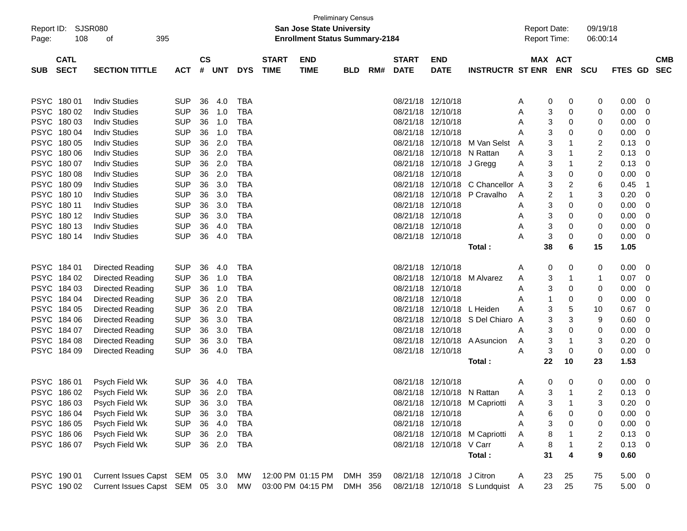|                                          |                                    |            |               |            |            |                             |                                       | <b>Preliminary Census</b> |     |                             |                            |                                 |                     |                       |                |             |                          |                          |
|------------------------------------------|------------------------------------|------------|---------------|------------|------------|-----------------------------|---------------------------------------|---------------------------|-----|-----------------------------|----------------------------|---------------------------------|---------------------|-----------------------|----------------|-------------|--------------------------|--------------------------|
| Report ID:                               | <b>SJSR080</b>                     |            |               |            |            |                             | San Jose State University             |                           |     |                             |                            |                                 | <b>Report Date:</b> |                       | 09/19/18       |             |                          |                          |
| Page:                                    | 108<br>395<br>οf                   |            |               |            |            |                             | <b>Enrollment Status Summary-2184</b> |                           |     |                             |                            |                                 | <b>Report Time:</b> |                       | 06:00:14       |             |                          |                          |
|                                          |                                    |            | $\mathsf{cs}$ |            |            |                             |                                       |                           |     |                             |                            |                                 |                     |                       |                |             |                          |                          |
| <b>CATL</b><br><b>SECT</b><br><b>SUB</b> | <b>SECTION TITTLE</b>              | <b>ACT</b> | #             | <b>UNT</b> | <b>DYS</b> | <b>START</b><br><b>TIME</b> | <b>END</b><br><b>TIME</b>             | <b>BLD</b>                | RM# | <b>START</b><br><b>DATE</b> | <b>END</b><br><b>DATE</b>  | <b>INSTRUCTR ST ENR</b>         |                     | MAX ACT<br><b>ENR</b> | <b>SCU</b>     | FTES GD     |                          | <b>CMB</b><br><b>SEC</b> |
|                                          |                                    |            |               |            |            |                             |                                       |                           |     |                             |                            |                                 |                     |                       |                |             |                          |                          |
|                                          |                                    |            |               |            |            |                             |                                       |                           |     |                             |                            |                                 |                     |                       |                |             |                          |                          |
| PSYC 180 01                              | <b>Indiv Studies</b>               | <b>SUP</b> | 36            | 4.0        | <b>TBA</b> |                             |                                       |                           |     | 08/21/18                    | 12/10/18                   |                                 | A                   | 0<br>0                | 0              | 0.00        | - 0                      |                          |
| <b>PSYC</b><br>180 02                    | <b>Indiv Studies</b>               | <b>SUP</b> | 36            | 1.0        | <b>TBA</b> |                             |                                       |                           |     | 08/21/18                    | 12/10/18                   |                                 | A                   | 3<br>0                | 0              | 0.00        | 0                        |                          |
| <b>PSYC</b><br>180 03                    | <b>Indiv Studies</b>               | <b>SUP</b> | 36            | 1.0        | <b>TBA</b> |                             |                                       |                           |     | 08/21/18                    | 12/10/18                   |                                 | A                   | 3<br>0                | 0              | 0.00        | 0                        |                          |
| <b>PSYC</b><br>180 04                    | <b>Indiv Studies</b>               | <b>SUP</b> | 36            | 1.0        | <b>TBA</b> |                             |                                       |                           |     | 08/21/18                    | 12/10/18                   |                                 | A                   | 3<br>0                | 0              | 0.00        | 0                        |                          |
| <b>PSYC</b><br>180 05                    | <b>Indiv Studies</b>               | <b>SUP</b> | 36            | 2.0        | <b>TBA</b> |                             |                                       |                           |     | 08/21/18                    | 12/10/18                   | M Van Selst                     | A                   | 3<br>1                | 2              | 0.13        | 0                        |                          |
| <b>PSYC</b><br>180 06                    | <b>Indiv Studies</b>               | <b>SUP</b> | 36            | 2.0        | <b>TBA</b> |                             |                                       |                           |     | 08/21/18                    | 12/10/18                   | N Rattan                        | A                   | 3<br>-1               | $\overline{c}$ | 0.13        | 0                        |                          |
| <b>PSYC</b><br>180 07                    | <b>Indiv Studies</b>               | <b>SUP</b> | 36            | 2.0        | <b>TBA</b> |                             |                                       |                           |     | 08/21/18                    | 12/10/18                   | J Gregg                         | A                   | 3<br>1                | $\overline{c}$ | 0.13        | 0                        |                          |
| <b>PSYC</b><br>180 08                    | <b>Indiv Studies</b>               | <b>SUP</b> | 36            | 2.0        | <b>TBA</b> |                             |                                       |                           |     | 08/21/18                    | 12/10/18                   |                                 | A                   | 3<br>0                | 0              | 0.00        | 0                        |                          |
| <b>PSYC</b><br>180 09                    | <b>Indiv Studies</b>               | <b>SUP</b> | 36            | 3.0        | <b>TBA</b> |                             |                                       |                           |     | 08/21/18                    | 12/10/18                   | C Chancellor A                  |                     | 2<br>3                | 6              | 0.45        | $\overline{1}$           |                          |
| <b>PSYC</b><br>180 10                    | <b>Indiv Studies</b>               | <b>SUP</b> | 36            | 3.0        | <b>TBA</b> |                             |                                       |                           |     | 08/21/18                    | 12/10/18                   | P Cravalho                      | A                   | 2<br>1                | 3              | 0.20        | 0                        |                          |
| <b>PSYC</b><br>180 11                    | <b>Indiv Studies</b>               | <b>SUP</b> | 36            | 3.0        | <b>TBA</b> |                             |                                       |                           |     | 08/21/18                    | 12/10/18                   |                                 | A                   | 3<br>0                | 0              | 0.00        | 0                        |                          |
| <b>PSYC</b><br>180 12                    | <b>Indiv Studies</b>               | <b>SUP</b> | 36            | 3.0        | <b>TBA</b> |                             |                                       |                           |     | 08/21/18                    | 12/10/18                   |                                 | A                   | 3<br>0                | 0              | 0.00        | 0                        |                          |
| <b>PSYC</b><br>180 13                    | <b>Indiv Studies</b>               | <b>SUP</b> | 36            | 4.0        | <b>TBA</b> |                             |                                       |                           |     | 08/21/18                    | 12/10/18                   |                                 | A                   | 3<br>0                | 0              | 0.00        | 0                        |                          |
| PSYC 180 14                              | <b>Indiv Studies</b>               | <b>SUP</b> | 36            | 4.0        | <b>TBA</b> |                             |                                       |                           |     |                             | 08/21/18 12/10/18          |                                 | A                   | 3<br>0                | 0              | 0.00        | 0                        |                          |
|                                          |                                    |            |               |            |            |                             |                                       |                           |     |                             |                            | Total:                          |                     | 38<br>6               | 15             | 1.05        |                          |                          |
|                                          |                                    |            |               |            |            |                             |                                       |                           |     |                             |                            |                                 |                     |                       |                |             |                          |                          |
| PSYC 184 01                              | <b>Directed Reading</b>            | <b>SUP</b> | 36            | 4.0        | <b>TBA</b> |                             |                                       |                           |     | 08/21/18                    | 12/10/18                   |                                 | A                   | 0<br>0                | 0              | 0.00        | 0                        |                          |
| PSYC 184 02                              | <b>Directed Reading</b>            | <b>SUP</b> | 36            | 1.0        | <b>TBA</b> |                             |                                       |                           |     | 08/21/18                    | 12/10/18                   | M Alvarez                       | A                   | 3<br>$\mathbf 1$      | 1              | 0.07        | 0                        |                          |
| <b>PSYC</b><br>184 03                    | <b>Directed Reading</b>            | <b>SUP</b> | 36            | 1.0        | <b>TBA</b> |                             |                                       |                           |     | 08/21/18                    | 12/10/18                   |                                 | A                   | 3<br>0                | 0              | 0.00        | 0                        |                          |
| <b>PSYC</b><br>184 04                    | Directed Reading                   | <b>SUP</b> | 36            | 2.0        | <b>TBA</b> |                             |                                       |                           |     | 08/21/18                    | 12/10/18                   |                                 | A                   | 0<br>1                | 0              | 0.00        | 0                        |                          |
| <b>PSYC</b><br>184 05                    | Directed Reading                   | <b>SUP</b> | 36            | 2.0        | <b>TBA</b> |                             |                                       |                           |     | 08/21/18                    | 12/10/18                   | L Heiden                        | A                   | 3<br>5                | 10             | 0.67        | 0                        |                          |
| <b>PSYC</b><br>184 06                    | Directed Reading                   | <b>SUP</b> | 36            | 3.0        | <b>TBA</b> |                             |                                       |                           |     | 08/21/18                    | 12/10/18                   | S Del Chiaro A                  |                     | 3<br>3                | 9              | 0.60        | 0                        |                          |
| <b>PSYC</b><br>184 07                    | Directed Reading                   | <b>SUP</b> | 36            | 3.0        | <b>TBA</b> |                             |                                       |                           |     | 08/21/18                    | 12/10/18                   |                                 | A                   | 3<br>0                | 0              | 0.00        | 0                        |                          |
| <b>PSYC</b><br>184 08                    | Directed Reading                   | <b>SUP</b> | 36            | 3.0        | <b>TBA</b> |                             |                                       |                           |     | 08/21/18                    | 12/10/18                   | A Asuncion                      | A                   | 3<br>1                | 3              | 0.20        | 0                        |                          |
| PSYC 184 09                              | <b>Directed Reading</b>            | <b>SUP</b> | 36            | 4.0        | <b>TBA</b> |                             |                                       |                           |     |                             | 08/21/18 12/10/18          |                                 | A                   | 3<br>0                | 0              | 0.00        | 0                        |                          |
|                                          |                                    |            |               |            |            |                             |                                       |                           |     |                             |                            | Total :                         |                     | 22<br>10              | 23             | 1.53        |                          |                          |
|                                          |                                    |            |               |            |            |                             |                                       |                           |     |                             |                            |                                 |                     |                       |                |             |                          |                          |
| PSYC 186 01                              | Psych Field Wk                     | <b>SUP</b> | 36            | 4.0        | <b>TBA</b> |                             |                                       |                           |     | 08/21/18                    | 12/10/18                   |                                 | A                   | 0<br>0                | 0              | 0.00        | - 0                      |                          |
| PSYC 186 02                              | Psych Field Wk                     | <b>SUP</b> | 36            | 2.0        | <b>TBA</b> |                             |                                       |                           |     |                             | 08/21/18 12/10/18          | N Rattan                        | A                   | 3<br>$\mathbf 1$      | 2              | 0.13        | 0                        |                          |
| PSYC 18603                               | Psych Field Wk                     | <b>SUP</b> |               | 36 3.0     | <b>TBA</b> |                             |                                       |                           |     |                             |                            | 08/21/18 12/10/18 M Capriotti   | Α                   | 3<br>1                | 3              | 0.20        | $\overline{0}$           |                          |
| PSYC 18604                               | Psych Field Wk                     | <b>SUP</b> |               | 36 3.0     | TBA        |                             |                                       |                           |     |                             | 08/21/18 12/10/18          |                                 | A                   | 0<br>6                | 0              | $0.00 \t 0$ |                          |                          |
| PSYC 186 05                              | Psych Field Wk                     | <b>SUP</b> |               | 36 4.0     | TBA        |                             |                                       |                           |     |                             | 08/21/18 12/10/18          |                                 | A                   | 3<br>0                | 0              | 0.00        | $\overline{\phantom{0}}$ |                          |
| PSYC 186 06                              | Psych Field Wk                     | <b>SUP</b> |               | 36 2.0     | TBA        |                             |                                       |                           |     |                             |                            | 08/21/18 12/10/18 M Capriotti   | A                   | 8<br>$\mathbf{1}$     | 2              | 0.13        | $\overline{\phantom{0}}$ |                          |
| PSYC 18607                               | Psych Field Wk                     | <b>SUP</b> |               | 36 2.0     | TBA        |                             |                                       |                           |     |                             | 08/21/18 12/10/18 V Carr   |                                 | Α                   | 8<br>$\mathbf{1}$     | $\overline{c}$ | $0.13 \ 0$  |                          |                          |
|                                          |                                    |            |               |            |            |                             |                                       |                           |     |                             |                            | Total:                          |                     | 31<br>4               | 9              | 0.60        |                          |                          |
|                                          |                                    |            |               |            |            |                             |                                       |                           |     |                             |                            |                                 |                     |                       |                |             |                          |                          |
| PSYC 190 01                              | Current Issues Capst SEM 05 3.0 MW |            |               |            |            |                             | 12:00 PM 01:15 PM DMH 359             |                           |     |                             | 08/21/18 12/10/18 J Citron |                                 | A                   | 23<br>25              | 75             | $5.00 \t 0$ |                          |                          |
| PSYC 190 02                              | Current Issues Capst SEM 05 3.0 MW |            |               |            |            |                             | 03:00 PM 04:15 PM DMH 356             |                           |     |                             |                            | 08/21/18 12/10/18 S Lundquist A |                     | 23<br>25              | 75             | $5.00 \t 0$ |                          |                          |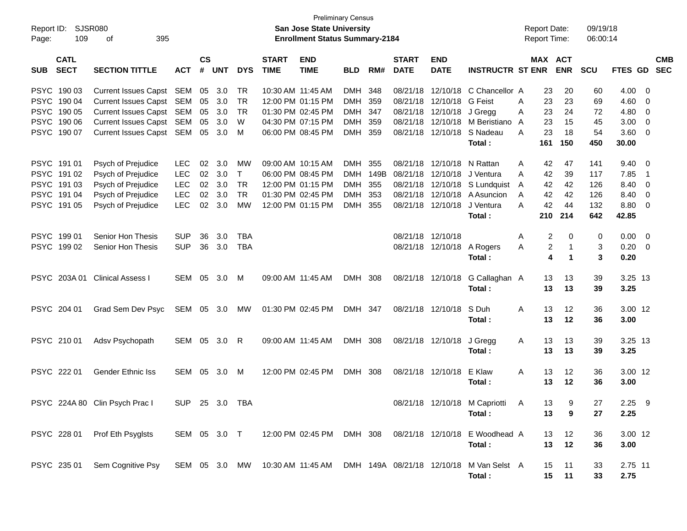| Report ID:<br>109<br>Page:                                                                  | <b>SJSR080</b><br>395<br>оf                                                                                  |                                                                    |                            |                                 |                                              |                             | <b>Preliminary Census</b><br><b>San Jose State University</b><br><b>Enrollment Status Summary-2184</b> |                                               |                                      |                                              |                                                                   |                                                                                    | <b>Report Date:</b><br><b>Report Time:</b>                 |                                                                                | 09/19/18<br>06:00:14                   |                                               |                                                                                                 |                          |
|---------------------------------------------------------------------------------------------|--------------------------------------------------------------------------------------------------------------|--------------------------------------------------------------------|----------------------------|---------------------------------|----------------------------------------------|-----------------------------|--------------------------------------------------------------------------------------------------------|-----------------------------------------------|--------------------------------------|----------------------------------------------|-------------------------------------------------------------------|------------------------------------------------------------------------------------|------------------------------------------------------------|--------------------------------------------------------------------------------|----------------------------------------|-----------------------------------------------|-------------------------------------------------------------------------------------------------|--------------------------|
| <b>CATL</b><br><b>SECT</b><br><b>SUB</b>                                                    | <b>SECTION TITTLE</b>                                                                                        | <b>ACT</b>                                                         | $\mathsf{cs}$<br>#         | <b>UNT</b>                      | <b>DYS</b>                                   | <b>START</b><br><b>TIME</b> | <b>END</b><br><b>TIME</b>                                                                              | <b>BLD</b>                                    | RM#                                  | <b>START</b><br><b>DATE</b>                  | <b>END</b><br><b>DATE</b>                                         | <b>INSTRUCTR ST ENR</b>                                                            |                                                            | MAX ACT<br><b>ENR</b>                                                          | <b>SCU</b>                             | FTES GD                                       |                                                                                                 | <b>CMB</b><br><b>SEC</b> |
| PSYC 190 03<br>PSYC 190 04<br>PSYC 190 05<br><b>PSYC</b><br>190 06                          | Current Issues Capst SEM<br>Current Issues Capst SEM<br>Current Issues Capst SEM<br>Current Issues Capst SEM |                                                                    | 05<br>05<br>05<br>05       | 3.0<br>3.0<br>3.0<br>3.0        | TR<br><b>TR</b><br><b>TR</b><br>W            |                             | 10:30 AM 11:45 AM<br>12:00 PM 01:15 PM<br>01:30 PM 02:45 PM<br>04:30 PM 07:15 PM                       | DMH<br>DMH<br>DMH<br>DMH                      | 348<br>359<br>347<br>359             | 08/21/18<br>08/21/18<br>08/21/18<br>08/21/18 | 12/10/18<br>12/10/18<br>12/10/18                                  | 12/10/18 C Chancellor A<br><b>G</b> Feist<br>J Gregg<br>M Beristiano               | 23<br>Α<br>23<br>A<br>23<br>A                              | 20<br>23<br>23<br>24<br>15                                                     | 60<br>69<br>72<br>45                   | 4.00<br>4.60<br>4.80<br>3.00                  | $\overline{\mathbf{0}}$<br>$\overline{\mathbf{0}}$<br>$\overline{\mathbf{0}}$<br>$\overline{0}$ |                          |
| PSYC 190 07                                                                                 | Current Issues Capst SEM                                                                                     |                                                                    | 05                         | 3.0                             | M                                            |                             | 06:00 PM 08:45 PM                                                                                      | DMH                                           | 359                                  | 08/21/18                                     | 12/10/18                                                          | S Nadeau<br>Total:                                                                 | 23<br>Α<br>161                                             | 18<br>150                                                                      | 54<br>450                              | 3.60<br>30.00                                 | $\overline{\mathbf{0}}$                                                                         |                          |
| PSYC 191 01<br>PSYC 191 02<br><b>PSYC</b><br>191 03<br><b>PSYC</b><br>191 04<br>PSYC 191 05 | Psych of Prejudice<br>Psych of Prejudice<br>Psych of Prejudice<br>Psych of Prejudice<br>Psych of Prejudice   | <b>LEC</b><br><b>LEC</b><br><b>LEC</b><br><b>LEC</b><br><b>LEC</b> | 02<br>02<br>02<br>02<br>02 | 3.0<br>3.0<br>3.0<br>3.0<br>3.0 | МW<br>$\top$<br><b>TR</b><br><b>TR</b><br>MW |                             | 09:00 AM 10:15 AM<br>06:00 PM 08:45 PM<br>12:00 PM 01:15 PM<br>01:30 PM 02:45 PM<br>12:00 PM 01:15 PM  | DMH<br><b>DMH</b><br><b>DMH</b><br><b>DMH</b> | 355<br>DMH 149B<br>355<br>353<br>355 | 08/21/18<br>08/21/18<br>08/21/18<br>08/21/18 | 12/10/18<br>12/10/18<br>12/10/18<br>12/10/18<br>08/21/18 12/10/18 | N Rattan<br>J Ventura<br>S Lundquist<br>A Asuncion<br>J Ventura<br>Total:          | 42<br>A<br>42<br>A<br>42<br>A<br>42<br>A<br>42<br>Α<br>210 | 47<br>39<br>42<br>42<br>44<br>214                                              | 141<br>117<br>126<br>126<br>132<br>642 | 9.40<br>7.85<br>8.40<br>8.40<br>8.80<br>42.85 | - 0<br>$\overline{1}$<br>$\overline{0}$<br>$\overline{0}$<br>$\overline{\mathbf{0}}$            |                          |
| PSYC 19901<br>PSYC 199 02                                                                   | Senior Hon Thesis<br>Senior Hon Thesis                                                                       | <b>SUP</b><br><b>SUP</b>                                           | 36<br>36                   | 3.0<br>3.0                      | <b>TBA</b><br><b>TBA</b>                     |                             |                                                                                                        |                                               |                                      |                                              | 08/21/18 12/10/18                                                 | 08/21/18 12/10/18 A Rogers<br>Total:                                               | Α<br>Α                                                     | $\overline{\mathbf{c}}$<br>$\Omega$<br>$\overline{\mathbf{c}}$<br>-1<br>4<br>1 | 0<br>3<br>3                            | 0.00<br>$0.20 \ 0$<br>0.20                    | $\overline{\mathbf{0}}$                                                                         |                          |
|                                                                                             | PSYC 203A 01 Clinical Assess I                                                                               | SEM                                                                | 05                         | 3.0                             | M                                            |                             | 09:00 AM 11:45 AM                                                                                      | DMH 308                                       |                                      |                                              | 08/21/18 12/10/18                                                 | G Callaghan A<br>Total:                                                            | 13                                                         | 13<br>13<br>13                                                                 | 39<br>39                               | 3.25 13<br>3.25                               |                                                                                                 |                          |
| PSYC 204 01                                                                                 | Grad Sem Dev Psyc                                                                                            | SEM 05 3.0                                                         |                            |                                 | МW                                           |                             | 01:30 PM 02:45 PM                                                                                      | DMH 347                                       |                                      |                                              | 08/21/18 12/10/18                                                 | S Duh<br>Total:                                                                    | A<br>13<br>13                                              | $12 \,$<br>12                                                                  | 36<br>36                               | 3.00 12<br>3.00                               |                                                                                                 |                          |
| PSYC 210 01                                                                                 | Adsv Psychopath                                                                                              | SEM                                                                | 05                         | 3.0                             | R                                            |                             | 09:00 AM 11:45 AM                                                                                      | DMH 308                                       |                                      |                                              | 08/21/18 12/10/18                                                 | J Gregg<br>Total:                                                                  | Α<br>13<br>13                                              | 13<br>13                                                                       | 39<br>39                               | 3.25 13<br>3.25                               |                                                                                                 |                          |
| PSYC 222 01                                                                                 | <b>Gender Ethnic Iss</b>                                                                                     | SEM                                                                | 05                         | 3.0                             | M                                            |                             | 12:00 PM 02:45 PM                                                                                      | DMH                                           | 308                                  |                                              | 08/21/18 12/10/18                                                 | E Klaw<br>Total:                                                                   | A<br>13<br>13                                              | $12 \,$<br>12                                                                  | 36<br>36                               | 3.00 12<br>3.00                               |                                                                                                 |                          |
|                                                                                             | PSYC 224A 80 Clin Psych Prac I                                                                               | SUP 25 3.0 TBA                                                     |                            |                                 |                                              |                             |                                                                                                        |                                               |                                      |                                              |                                                                   | 08/21/18 12/10/18 M Capriotti A<br>Total :                                         | 13                                                         | 13<br>9<br>9                                                                   | 27<br>27                               | $2.25$ 9<br>2.25                              |                                                                                                 |                          |
|                                                                                             | PSYC 228 01 Prof Eth Psyglsts                                                                                |                                                                    |                            |                                 |                                              |                             |                                                                                                        |                                               |                                      |                                              |                                                                   | SEM 05 3.0 T 12:00 PM 02:45 PM DMH 308 08/21/18 12/10/18 E Woodhead A<br>Total:    |                                                            | 12<br>13<br>13<br>12                                                           | 36<br>36                               | 3.00 12<br>3.00                               |                                                                                                 |                          |
|                                                                                             | PSYC 235 01 Sem Cognitive Psy                                                                                |                                                                    |                            |                                 |                                              |                             |                                                                                                        |                                               |                                      |                                              |                                                                   | SEM 05 3.0 MW 10:30 AM 11:45 AM DMH 149A 08/21/18 12/10/18 M Van Selst A<br>Total: |                                                            | 15<br>11<br>15<br>11                                                           | 33<br>33                               | 2.75 11<br>2.75                               |                                                                                                 |                          |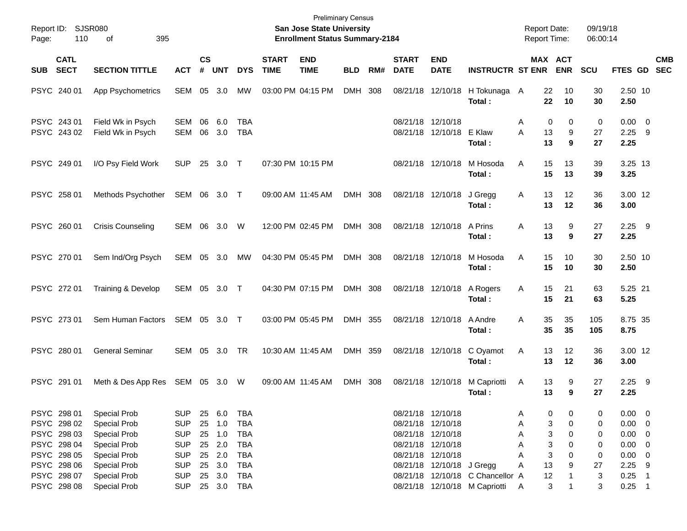| Report ID: SJSR080<br>110<br>Page:                       | 395<br>οf                                                                  |                                                      |                |                                      |                                               |                             | <b>San Jose State University</b><br><b>Enrollment Status Summary-2184</b> | <b>Preliminary Census</b> |     |                             |                                                                                  |                                                                   | <b>Report Date:</b><br><b>Report Time:</b> |                                      | 09/19/18<br>06:00:14 |                                                          |            |
|----------------------------------------------------------|----------------------------------------------------------------------------|------------------------------------------------------|----------------|--------------------------------------|-----------------------------------------------|-----------------------------|---------------------------------------------------------------------------|---------------------------|-----|-----------------------------|----------------------------------------------------------------------------------|-------------------------------------------------------------------|--------------------------------------------|--------------------------------------|----------------------|----------------------------------------------------------|------------|
| <b>CATL</b><br><b>SECT</b><br><b>SUB</b>                 | <b>SECTION TITTLE</b>                                                      | <b>ACT</b>                                           | <b>CS</b><br># | <b>UNT</b>                           | <b>DYS</b>                                    | <b>START</b><br><b>TIME</b> | <b>END</b><br><b>TIME</b>                                                 | <b>BLD</b>                | RM# | <b>START</b><br><b>DATE</b> | <b>END</b><br><b>DATE</b>                                                        | <b>INSTRUCTR ST ENR</b>                                           |                                            | MAX ACT<br><b>ENR</b>                | <b>SCU</b>           | FTES GD SEC                                              | <b>CMB</b> |
| PSYC 240 01                                              | App Psychometrics                                                          | SEM                                                  | 05             | 3.0                                  | MW                                            |                             | 03:00 PM 04:15 PM                                                         | DMH 308                   |     |                             | 08/21/18 12/10/18                                                                | H Tokunaga A<br>Total :                                           |                                            | 22<br>10<br>22<br>10                 | 30<br>30             | 2.50 10<br>2.50                                          |            |
| PSYC 243 01<br>PSYC 243 02                               | Field Wk in Psych<br>Field Wk in Psych                                     | SEM<br>SEM                                           | 06<br>06       | 6.0<br>3.0                           | TBA<br><b>TBA</b>                             |                             |                                                                           |                           |     |                             | 08/21/18 12/10/18<br>08/21/18 12/10/18                                           | E Klaw<br>Total:                                                  | A<br>A                                     | 0<br>0<br>13<br>9<br>13<br>9         | 0<br>27<br>27        | $0.00 \t 0$<br>$2.25$ 9<br>2.25                          |            |
| PSYC 249 01                                              | I/O Psy Field Work                                                         | <b>SUP</b>                                           | 25             | 3.0                                  | $\top$                                        |                             | 07:30 PM 10:15 PM                                                         |                           |     |                             | 08/21/18 12/10/18                                                                | M Hosoda<br>Total:                                                | A                                          | 15<br>13<br>15<br>13                 | 39<br>39             | 3.25 13<br>3.25                                          |            |
| PSYC 258 01                                              | Methods Psychother                                                         | SEM 06 3.0 T                                         |                |                                      |                                               |                             | 09:00 AM 11:45 AM                                                         | DMH 308                   |     |                             | 08/21/18 12/10/18                                                                | J Gregg<br>Total:                                                 | A                                          | 13<br>12<br>12<br>13                 | 36<br>36             | 3.00 12<br>3.00                                          |            |
| PSYC 260 01                                              | <b>Crisis Counseling</b>                                                   | SEM 06                                               |                | 3.0                                  | W                                             |                             | 12:00 PM 02:45 PM                                                         | DMH 308                   |     |                             | 08/21/18 12/10/18                                                                | A Prins<br>Total:                                                 | A                                          | 13<br>9<br>13<br>9                   | 27<br>27             | $2.25$ 9<br>2.25                                         |            |
| PSYC 270 01                                              | Sem Ind/Org Psych                                                          | SEM 05 3.0                                           |                |                                      | MW                                            |                             | 04:30 PM 05:45 PM                                                         | DMH 308                   |     |                             | 08/21/18 12/10/18                                                                | M Hosoda<br>Total:                                                | A                                          | 15<br>10<br>15<br>10                 | 30<br>30             | 2.50 10<br>2.50                                          |            |
| PSYC 272 01                                              | Training & Develop                                                         | SEM 05 3.0 T                                         |                |                                      |                                               |                             | 04:30 PM 07:15 PM                                                         | DMH 308                   |     |                             | 08/21/18 12/10/18                                                                | A Rogers<br>Total:                                                | Α                                          | 15<br>21<br>15<br>21                 | 63<br>63             | 5.25 21<br>5.25                                          |            |
| PSYC 273 01                                              | Sem Human Factors                                                          | SEM 05 3.0 T                                         |                |                                      |                                               |                             | 03:00 PM 05:45 PM                                                         | DMH 355                   |     |                             | 08/21/18 12/10/18                                                                | A Andre<br>Total :                                                | A                                          | 35<br>35<br>35<br>35                 | 105<br>105           | 8.75 35<br>8.75                                          |            |
| PSYC 280 01                                              | <b>General Seminar</b>                                                     | SEM 05                                               |                | 3.0                                  | TR                                            |                             | 10:30 AM 11:45 AM                                                         | DMH 359                   |     |                             | 08/21/18 12/10/18                                                                | C Oyamot<br>Total:                                                | Α                                          | 12<br>13<br>13<br>12                 | 36<br>36             | 3.00 12<br>3.00                                          |            |
| PSYC 291 01                                              | Meth & Des App Res SEM 05 3.0 W                                            |                                                      |                |                                      |                                               |                             | 09:00 AM 11:45 AM                                                         | DMH 308                   |     |                             | 08/21/18 12/10/18                                                                | M Capriotti<br>Total:                                             | A                                          | 13<br>9<br>13<br>9                   | 27<br>27             | $2.25$ 9<br>2.25                                         |            |
| PSYC 298 01<br>PSYC 298 02<br>PSYC 298 03<br>PSYC 298 04 | <b>Special Prob</b><br>Special Prob<br>Special Prob<br><b>Special Prob</b> | <b>SUP</b><br><b>SUP</b><br><b>SUP</b><br><b>SUP</b> |                | 25 6.0<br>25 1.0<br>25 1.0<br>25 2.0 | TBA<br><b>TBA</b><br><b>TBA</b><br><b>TBA</b> |                             |                                                                           |                           |     |                             | 08/21/18 12/10/18<br>08/21/18 12/10/18<br>08/21/18 12/10/18<br>08/21/18 12/10/18 |                                                                   | Α<br>Α<br>Α<br>А                           | 0<br>0<br>3<br>0<br>3<br>0<br>3<br>0 | 0<br>0<br>0<br>0     | $0.00 \t 0$<br>$0.00 \t 0$<br>$0.00 \t 0$<br>$0.00 \t 0$ |            |
| PSYC 298 05<br>PSYC 298 06<br>PSYC 298 07<br>PSYC 298 08 | Special Prob<br>Special Prob<br>Special Prob<br>Special Prob               | <b>SUP</b><br><b>SUP</b><br><b>SUP</b><br><b>SUP</b> | 25<br>25       | 25 2.0<br>3.0<br>3.0                 | TBA<br>TBA<br>TBA<br>25 3.0 TBA               |                             |                                                                           |                           |     |                             | 08/21/18 12/10/18<br>08/21/18 12/10/18 J Gregg                                   | 08/21/18 12/10/18 C Chancellor A<br>08/21/18 12/10/18 M Capriotti | А<br>Α<br>A                                | 3<br>0<br>13<br>9<br>12<br>3<br>1    | 0<br>27<br>3<br>3    | $0.00 \t 0$<br>$2.25$ 9<br>$0.25$ 1<br>$0.25$ 1          |            |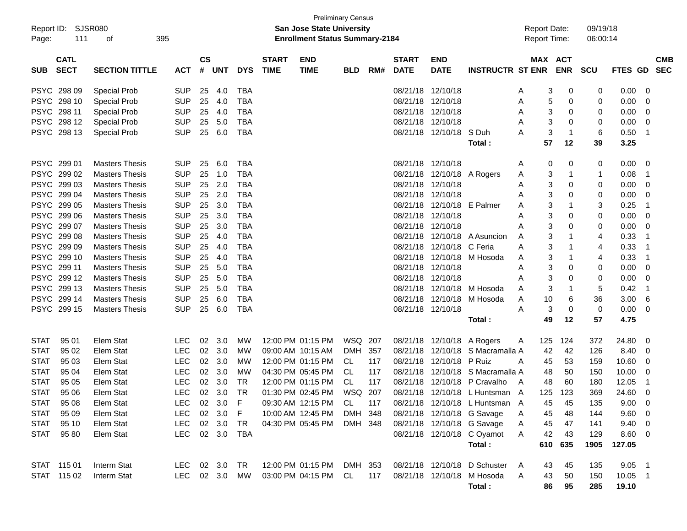| Report ID:<br>Page: | 111                        | <b>SJSR080</b><br>395<br>оf |            |                    |            |            |                             | <b>Preliminary Census</b><br><b>San Jose State University</b><br><b>Enrollment Status Summary-2184</b> |            |     |                             |                           |                                | <b>Report Date:</b><br><b>Report Time:</b> |     |                       | 09/19/18<br>06:00:14 |                |                         |                          |
|---------------------|----------------------------|-----------------------------|------------|--------------------|------------|------------|-----------------------------|--------------------------------------------------------------------------------------------------------|------------|-----|-----------------------------|---------------------------|--------------------------------|--------------------------------------------|-----|-----------------------|----------------------|----------------|-------------------------|--------------------------|
| <b>SUB</b>          | <b>CATL</b><br><b>SECT</b> | <b>SECTION TITTLE</b>       | <b>ACT</b> | $\mathsf{cs}$<br># | <b>UNT</b> | <b>DYS</b> | <b>START</b><br><b>TIME</b> | <b>END</b><br><b>TIME</b>                                                                              | <b>BLD</b> | RM# | <b>START</b><br><b>DATE</b> | <b>END</b><br><b>DATE</b> | <b>INSTRUCTR ST ENR</b>        |                                            |     | MAX ACT<br><b>ENR</b> | <b>SCU</b>           | <b>FTES GD</b> |                         | <b>CMB</b><br><b>SEC</b> |
|                     | PSYC 298 09                | <b>Special Prob</b>         | <b>SUP</b> | 25                 | 4.0        | <b>TBA</b> |                             |                                                                                                        |            |     | 08/21/18                    | 12/10/18                  |                                | A                                          | 3   | 0                     | 0                    | 0.00           | 0                       |                          |
|                     | PSYC 298 10                | <b>Special Prob</b>         | <b>SUP</b> | 25                 | 4.0        | <b>TBA</b> |                             |                                                                                                        |            |     | 08/21/18                    | 12/10/18                  |                                | Α                                          | 5   | 0                     | 0                    | 0.00           | 0                       |                          |
|                     | PSYC 298 11                | <b>Special Prob</b>         | <b>SUP</b> | 25                 | 4.0        | <b>TBA</b> |                             |                                                                                                        |            |     | 08/21/18                    | 12/10/18                  |                                | Α                                          | 3   | 0                     | 0                    | 0.00           | 0                       |                          |
|                     | PSYC 298 12                | <b>Special Prob</b>         | <b>SUP</b> | 25                 | 5.0        | <b>TBA</b> |                             |                                                                                                        |            |     | 08/21/18                    | 12/10/18                  |                                | Α                                          | 3   | 0                     | 0                    | 0.00           | 0                       |                          |
|                     | PSYC 298 13                | <b>Special Prob</b>         | <b>SUP</b> | 25                 | 6.0        | <b>TBA</b> |                             |                                                                                                        |            |     | 08/21/18                    | 12/10/18                  | S Duh                          | Α                                          | 3   | $\mathbf{1}$          | 6                    | 0.50           | $\overline{1}$          |                          |
|                     |                            |                             |            |                    |            |            |                             |                                                                                                        |            |     |                             |                           | Total:                         |                                            | 57  | 12                    | 39                   | 3.25           |                         |                          |
|                     | PSYC 299 01                | <b>Masters Thesis</b>       | <b>SUP</b> | 25                 | 6.0        | <b>TBA</b> |                             |                                                                                                        |            |     | 08/21/18                    | 12/10/18                  |                                | A                                          | 0   | 0                     | 0                    | 0.00           | 0                       |                          |
|                     | PSYC 299 02                | <b>Masters Thesis</b>       | <b>SUP</b> | 25                 | 1.0        | <b>TBA</b> |                             |                                                                                                        |            |     | 08/21/18                    | 12/10/18                  | A Rogers                       | Α                                          | 3   | $\mathbf{1}$          | 1                    | 0.08           | $\overline{1}$          |                          |
|                     | PSYC 299 03                | <b>Masters Thesis</b>       | <b>SUP</b> | 25                 | 2.0        | <b>TBA</b> |                             |                                                                                                        |            |     | 08/21/18                    | 12/10/18                  |                                | Α                                          | 3   | 0                     | 0                    | 0.00           | 0                       |                          |
|                     | PSYC 299 04                | <b>Masters Thesis</b>       | <b>SUP</b> | 25                 | 2.0        | <b>TBA</b> |                             |                                                                                                        |            |     | 08/21/18                    | 12/10/18                  |                                | Α                                          | 3   | 0                     | 0                    | 0.00           | 0                       |                          |
|                     | PSYC 299 05                | <b>Masters Thesis</b>       | <b>SUP</b> | 25                 | 3.0        | <b>TBA</b> |                             |                                                                                                        |            |     | 08/21/18                    | 12/10/18                  | E Palmer                       | Α                                          | 3   | -1                    | 3                    | 0.25           | -1                      |                          |
|                     | PSYC 299 06                | <b>Masters Thesis</b>       | <b>SUP</b> | 25                 | 3.0        | <b>TBA</b> |                             |                                                                                                        |            |     | 08/21/18                    | 12/10/18                  |                                | Α                                          | 3   | 0                     | 0                    | 0.00           | 0                       |                          |
|                     | PSYC 299 07                | <b>Masters Thesis</b>       | <b>SUP</b> | 25                 | 3.0        | <b>TBA</b> |                             |                                                                                                        |            |     | 08/21/18                    | 12/10/18                  |                                | Α                                          | 3   | 0                     | 0                    | 0.00           | 0                       |                          |
|                     | PSYC 299 08                | <b>Masters Thesis</b>       | <b>SUP</b> | 25                 | 4.0        | <b>TBA</b> |                             |                                                                                                        |            |     | 08/21/18                    | 12/10/18                  | A Asuncion                     | Α                                          | 3   | 1                     | 4                    | 0.33           | -1                      |                          |
|                     | PSYC 299 09                | <b>Masters Thesis</b>       | <b>SUP</b> | 25                 | 4.0        | <b>TBA</b> |                             |                                                                                                        |            |     | 08/21/18                    | 12/10/18                  | C Feria                        | Α                                          | 3   | -1                    | 4                    | 0.33           | -1                      |                          |
|                     | PSYC 299 10                | <b>Masters Thesis</b>       | <b>SUP</b> | 25                 | 4.0        | <b>TBA</b> |                             |                                                                                                        |            |     | 08/21/18                    | 12/10/18                  | M Hosoda                       | Α                                          | 3   | -1                    | 4                    | 0.33           | -1                      |                          |
|                     | PSYC 299 11                | <b>Masters Thesis</b>       | <b>SUP</b> | 25                 | 5.0        | <b>TBA</b> |                             |                                                                                                        |            |     | 08/21/18                    | 12/10/18                  |                                | Α                                          | 3   | 0                     | 0                    | 0.00           | 0                       |                          |
|                     | PSYC 299 12                | <b>Masters Thesis</b>       | <b>SUP</b> | 25                 | 5.0        | <b>TBA</b> |                             |                                                                                                        |            |     | 08/21/18                    | 12/10/18                  |                                | Α                                          | 3   | 0                     | 0                    | 0.00           | 0                       |                          |
|                     | PSYC 299 13                | <b>Masters Thesis</b>       | <b>SUP</b> | 25                 | 5.0        | <b>TBA</b> |                             |                                                                                                        |            |     | 08/21/18                    | 12/10/18                  | M Hosoda                       | Α                                          | 3   | $\mathbf{1}$          | 5                    | 0.42           | -1                      |                          |
|                     | PSYC 299 14                | <b>Masters Thesis</b>       | <b>SUP</b> | 25                 | 6.0        | <b>TBA</b> |                             |                                                                                                        |            |     | 08/21/18                    | 12/10/18                  | M Hosoda                       | A                                          | 10  | 6                     | 36                   | 3.00           | 6                       |                          |
|                     | PSYC 299 15                | <b>Masters Thesis</b>       | <b>SUP</b> | 25                 | 6.0        | <b>TBA</b> |                             |                                                                                                        |            |     |                             | 08/21/18 12/10/18         |                                | Α                                          | 3   | 0                     | 0                    | 0.00           | 0                       |                          |
|                     |                            |                             |            |                    |            |            |                             |                                                                                                        |            |     |                             |                           | Total:                         |                                            | 49  | 12                    | 57                   | 4.75           |                         |                          |
| <b>STAT</b>         | 95 01                      | <b>Elem Stat</b>            | <b>LEC</b> | 02                 | 3.0        | <b>MW</b>  |                             | 12:00 PM 01:15 PM                                                                                      | WSQ 207    |     | 08/21/18                    | 12/10/18                  | A Rogers                       | A                                          | 125 | 124                   | 372                  | 24.80          | 0                       |                          |
| <b>STAT</b>         | 95 02                      | <b>Elem Stat</b>            | <b>LEC</b> | 02                 | 3.0        | MW         |                             | 09:00 AM 10:15 AM                                                                                      | DMH 357    |     | 08/21/18                    | 12/10/18                  | S Macramalla A                 |                                            | 42  | 42                    | 126                  | 8.40           | 0                       |                          |
| <b>STAT</b>         | 95 03                      | Elem Stat                   | <b>LEC</b> | 02                 | 3.0        | <b>MW</b>  |                             | 12:00 PM 01:15 PM                                                                                      | CL         | 117 | 08/21/18                    | 12/10/18                  | P Ruiz                         | A                                          | 45  | 53                    | 159                  | 10.60          | 0                       |                          |
| <b>STAT</b>         | 95 04                      | Elem Stat                   | LEC        | 02                 | 3.0        | MW         |                             | 04:30 PM 05:45 PM                                                                                      | CL         | 117 | 08/21/18                    | 12/10/18                  | S Macramalla A                 |                                            | 48  | 50                    | 150                  | 10.00          | 0                       |                          |
| <b>STAT</b>         | 95 05                      | Elem Stat                   | <b>LEC</b> | 02                 | 3.0        | TR         |                             | 12:00 PM 01:15 PM                                                                                      | CL         | 117 | 08/21/18                    | 12/10/18                  | P Cravalho                     | A                                          | 48  | 60                    | 180                  | 12.05          | -1                      |                          |
| <b>STAT</b>         | 95 06                      | <b>Elem Stat</b>            | <b>LEC</b> |                    | 02 3.0     | <b>TR</b>  |                             | 01:30 PM 02:45 PM                                                                                      | WSQ 207    |     |                             |                           | 08/21/18 12/10/18 L Huntsman A |                                            | 125 | 123                   | 369                  | 24.60          | 0                       |                          |
| <b>STAT</b>         | 95 08                      | Elem Stat                   | LEC        |                    | 02 3.0     | $-F$       |                             | 09:30 AM 12:15 PM                                                                                      | CL         | 117 |                             |                           | 08/21/18 12/10/18 L Huntsman A |                                            | 45  | 45                    | 135                  | $9.00 \t 0$    |                         |                          |
| <b>STAT</b>         | 95 09                      | Elem Stat                   | <b>LEC</b> |                    | 02 3.0     | -F         |                             | 10:00 AM 12:45 PM                                                                                      | DMH 348    |     |                             |                           | 08/21/18 12/10/18 G Savage     | Α                                          | 45  | 48                    | 144                  | 9.60           | 0                       |                          |
| <b>STAT</b>         | 95 10                      | Elem Stat                   | <b>LEC</b> |                    | 02 3.0     | TR         |                             | 04:30 PM 05:45 PM                                                                                      | DMH 348    |     |                             |                           | 08/21/18 12/10/18 G Savage     | Α                                          | 45  | 47                    | 141                  | 9.40           | - 0                     |                          |
| <b>STAT</b>         | 95 80                      | Elem Stat                   | <b>LEC</b> |                    |            | 02 3.0 TBA |                             |                                                                                                        |            |     |                             |                           | 08/21/18 12/10/18 C Oyamot     | A                                          | 42  | 43                    | 129                  | 8.60           | $\overline{\mathbf{0}}$ |                          |
|                     |                            |                             |            |                    |            |            |                             |                                                                                                        |            |     |                             |                           | Total:                         |                                            |     | 610 635               | 1905                 | 127.05         |                         |                          |
|                     | STAT 115 01                | Interm Stat                 | LEC 02 3.0 |                    |            | TR         |                             | 12:00 PM 01:15 PM DMH 353                                                                              |            |     |                             |                           | 08/21/18 12/10/18 D Schuster   | - A                                        | 43  | 45                    | 135                  | $9.05$ 1       |                         |                          |
|                     | STAT 115 02                | Interm Stat                 | LEC        |                    | 02 3.0     | MW         |                             | 03:00 PM 04:15 PM CL                                                                                   |            | 117 |                             |                           | 08/21/18 12/10/18 M Hosoda     | A                                          | 43  | 50                    | 150                  | 10.05 1        |                         |                          |
|                     |                            |                             |            |                    |            |            |                             |                                                                                                        |            |     |                             |                           | Total:                         |                                            | 86  | 95                    | 285                  | 19.10          |                         |                          |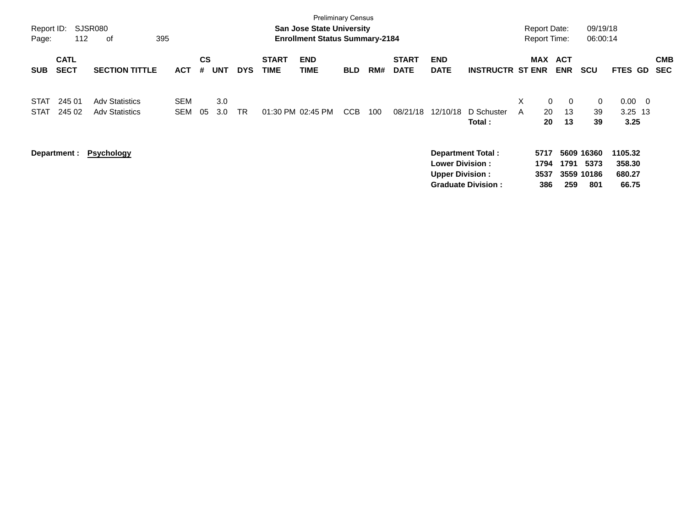| Report ID:<br>Page:        | 112                        | SJSR080<br>395<br>of                           |                          |                |            |            |                             | <b>Preliminary Census</b><br><b>San Jose State University</b><br><b>Enrollment Status Summary-2184</b> |            |     |                             |                                                  |                                                       | <b>Report Date:</b><br><b>Report Time:</b> |                            |                            | 09/19/18<br>06:00:14                    |                                      |                          |
|----------------------------|----------------------------|------------------------------------------------|--------------------------|----------------|------------|------------|-----------------------------|--------------------------------------------------------------------------------------------------------|------------|-----|-----------------------------|--------------------------------------------------|-------------------------------------------------------|--------------------------------------------|----------------------------|----------------------------|-----------------------------------------|--------------------------------------|--------------------------|
| <b>SUB</b>                 | <b>CATL</b><br><b>SECT</b> | <b>SECTION TITTLE</b>                          | <b>ACT</b>               | <b>CS</b><br># | UNT        | <b>DYS</b> | <b>START</b><br><b>TIME</b> | <b>END</b><br>TIME                                                                                     | <b>BLD</b> | RM# | <b>START</b><br><b>DATE</b> | <b>END</b><br><b>DATE</b>                        | <b>INSTRUCTR ST ENR</b>                               |                                            | MAX ACT<br><b>ENR</b>      |                            | <b>SCU</b>                              | FTES GD                              | <b>CMB</b><br><b>SEC</b> |
| <b>STAT</b><br><b>STAT</b> | 245 01<br>245 02           | <b>Adv Statistics</b><br><b>Adv Statistics</b> | <b>SEM</b><br><b>SEM</b> | 05             | 3.0<br>3.0 | <b>TR</b>  | 01:30 PM 02:45 PM           |                                                                                                        | CCB        | 100 | 08/21/18                    | 12/10/18                                         | D Schuster<br>Total :                                 | X<br>A                                     | $\overline{0}$<br>20<br>20 | $\overline{0}$<br>13<br>13 | $\mathbf 0$<br>39<br>39                 | $0.00 \t 0$<br>$3.25$ 13<br>3.25     |                          |
|                            | Department :               | <b>Psychology</b>                              |                          |                |            |            |                             |                                                                                                        |            |     |                             | <b>Lower Division:</b><br><b>Upper Division:</b> | <b>Department Total:</b><br><b>Graduate Division:</b> | 5717<br>1794<br>3537                       | 386                        | 1791<br>259                | 5609 16360<br>5373<br>3559 10186<br>801 | 1105.32<br>358.30<br>680.27<br>66.75 |                          |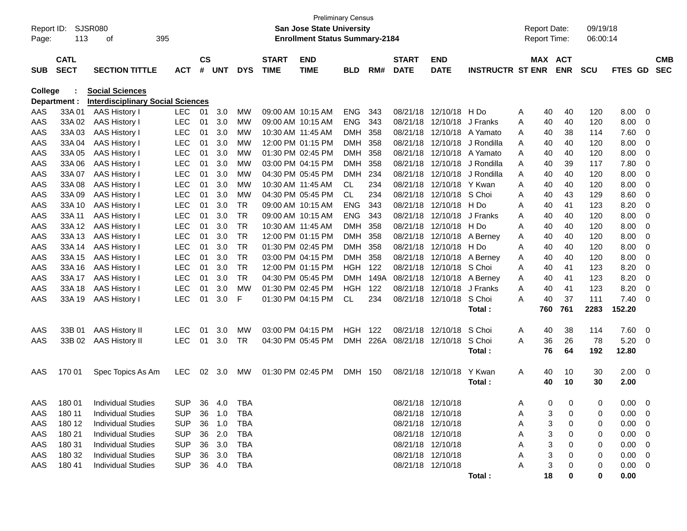| Report ID:<br>Page: | 113          | <b>SJSR080</b><br>395<br>οf              |            |               |            |            |                   | <b>San Jose State University</b><br><b>Enrollment Status Summary-2184</b> | <b>Preliminary Census</b> |      |                        |                   |                         | <b>Report Date:</b><br><b>Report Time:</b> |        |            | 09/19/18<br>06:00:14 |                |                          |            |
|---------------------|--------------|------------------------------------------|------------|---------------|------------|------------|-------------------|---------------------------------------------------------------------------|---------------------------|------|------------------------|-------------------|-------------------------|--------------------------------------------|--------|------------|----------------------|----------------|--------------------------|------------|
|                     |              |                                          |            |               |            |            |                   |                                                                           |                           |      |                        |                   |                         |                                            |        |            |                      |                |                          |            |
|                     | <b>CATL</b>  |                                          |            | $\mathsf{cs}$ |            |            | <b>START</b>      | <b>END</b>                                                                |                           |      | <b>START</b>           | <b>END</b>        |                         |                                            |        | MAX ACT    |                      |                |                          | <b>CMB</b> |
| <b>SUB</b>          | <b>SECT</b>  | <b>SECTION TITTLE</b>                    | <b>ACT</b> | #             | <b>UNT</b> | <b>DYS</b> | <b>TIME</b>       | <b>TIME</b>                                                               | <b>BLD</b>                | RM#  | <b>DATE</b>            | <b>DATE</b>       | <b>INSTRUCTR ST ENR</b> |                                            |        | <b>ENR</b> | <b>SCU</b>           | FTES GD        |                          | <b>SEC</b> |
| College             |              | <b>Social Sciences</b>                   |            |               |            |            |                   |                                                                           |                           |      |                        |                   |                         |                                            |        |            |                      |                |                          |            |
|                     | Department : | <b>Interdisciplinary Social Sciences</b> |            |               |            |            |                   |                                                                           |                           |      |                        |                   |                         |                                            |        |            |                      |                |                          |            |
| AAS                 | 33A 01       | AAS History I                            | <b>LEC</b> | 01            | 3.0        | МW         | 09:00 AM 10:15 AM |                                                                           | <b>ENG</b>                | 343  | 08/21/18               | 12/10/18          | H Do                    | A                                          | 40     | 40         | 120                  | 8.00           | 0                        |            |
| AAS                 | 33A 02       | AAS History I                            | <b>LEC</b> | 01            | 3.0        | <b>MW</b>  | 09:00 AM 10:15 AM |                                                                           | <b>ENG</b>                | 343  | 08/21/18               | 12/10/18          | J Franks                | A                                          | 40     | 40         | 120                  | 8.00           | 0                        |            |
| AAS                 | 33A03        | AAS History I                            | <b>LEC</b> | 01            | 3.0        | МW         |                   | 10:30 AM 11:45 AM                                                         | <b>DMH</b>                | 358  | 08/21/18               | 12/10/18          | A Yamato                | A                                          | 40     | 38         | 114                  | 7.60           | 0                        |            |
| AAS                 | 33A 04       | <b>AAS History I</b>                     | <b>LEC</b> | 01            | 3.0        | МW         |                   | 12:00 PM 01:15 PM                                                         | <b>DMH</b>                | 358  | 08/21/18               | 12/10/18          | J Rondilla              | A                                          | 40     | 40         | 120                  | 8.00           | 0                        |            |
| AAS                 | 33A 05       | <b>AAS History I</b>                     | <b>LEC</b> | 01            | 3.0        | МW         |                   | 01:30 PM 02:45 PM                                                         | <b>DMH</b>                | 358  | 08/21/18               | 12/10/18          | A Yamato                | A                                          | 40     | 40         | 120                  | 8.00           | 0                        |            |
| AAS                 | 33A 06       | AAS History I                            | <b>LEC</b> | 01            | 3.0        | <b>MW</b>  |                   | 03:00 PM 04:15 PM                                                         | <b>DMH</b>                | 358  | 08/21/18               | 12/10/18          | J Rondilla              | A                                          | 40     | 39         | 117                  | 7.80           | 0                        |            |
| AAS                 | 33A 07       | <b>AAS History I</b>                     | <b>LEC</b> | 01            | 3.0        | <b>MW</b>  |                   | 04:30 PM 05:45 PM                                                         | <b>DMH</b>                | 234  | 08/21/18               | 12/10/18          | J Rondilla              | A                                          | 40     | 40         | 120                  | 8.00           | 0                        |            |
| AAS                 | 33A 08       | <b>AAS History I</b>                     | <b>LEC</b> | 01            | 3.0        | МW         | 10:30 AM 11:45 AM |                                                                           | <b>CL</b>                 | 234  | 08/21/18               | 12/10/18          | Y Kwan                  | A                                          | 40     | 40         | 120                  | 8.00           | 0                        |            |
| AAS                 | 33A 09       | AAS History I                            | <b>LEC</b> | 01            | 3.0        | <b>MW</b>  |                   | 04:30 PM 05:45 PM                                                         | <b>CL</b>                 | 234  | 08/21/18               | 12/10/18          | S Choi                  | A                                          | 40     | 43         | 129                  | 8.60           | 0                        |            |
| AAS                 | 33A 10       | AAS History I                            | <b>LEC</b> | 01            | 3.0        | <b>TR</b>  | 09:00 AM 10:15 AM |                                                                           | <b>ENG</b>                | 343  | 08/21/18               | 12/10/18          | H Do                    | A                                          | 40     | 41         | 123                  | 8.20           | 0                        |            |
| AAS                 | 33A 11       | <b>AAS History I</b>                     | <b>LEC</b> | 01            | 3.0        | <b>TR</b>  | 09:00 AM 10:15 AM |                                                                           | <b>ENG</b>                | 343  | 08/21/18               | 12/10/18          | J Franks                | A                                          | 40     | 40         | 120                  | 8.00           | 0                        |            |
| AAS                 | 33A 12       | <b>AAS History I</b>                     | <b>LEC</b> | 01            | 3.0        | <b>TR</b>  |                   | 10:30 AM 11:45 AM                                                         | <b>DMH</b>                | 358  | 08/21/18               | 12/10/18          | H Do                    | A                                          | 40     | 40         | 120                  | 8.00           | 0                        |            |
| AAS                 | 33A 13       | <b>AAS History I</b>                     | <b>LEC</b> | 01            | 3.0        | <b>TR</b>  |                   | 12:00 PM 01:15 PM                                                         | <b>DMH</b>                | 358  | 08/21/18               | 12/10/18          | A Berney                | A                                          | 40     | 40         | 120                  | 8.00           | 0                        |            |
| AAS                 | 33A 14       | <b>AAS History I</b>                     | <b>LEC</b> | 01            | 3.0        | <b>TR</b>  |                   | 01:30 PM 02:45 PM                                                         | <b>DMH</b>                | 358  | 08/21/18               | 12/10/18          | H Do                    | A                                          | 40     | 40         | 120                  | 8.00           | 0                        |            |
| AAS                 | 33A 15       | <b>AAS History I</b>                     | <b>LEC</b> | 01            | 3.0        | <b>TR</b>  |                   | 03:00 PM 04:15 PM                                                         | <b>DMH</b>                | 358  | 08/21/18               | 12/10/18          | A Berney                | A                                          | 40     | 40         | 120                  | 8.00           | 0                        |            |
| AAS                 | 33A 16       | AAS History I                            | <b>LEC</b> | 01            | 3.0        | <b>TR</b>  |                   | 12:00 PM 01:15 PM                                                         | <b>HGH</b>                | 122  | 08/21/18               | 12/10/18          | S Choi                  | A                                          | 40     | 41         | 123                  | 8.20           | 0                        |            |
| AAS                 | 33A 17       | AAS History I                            | <b>LEC</b> | 01            | 3.0        | <b>TR</b>  |                   | 04:30 PM 05:45 PM                                                         | <b>DMH</b>                | 149A | 08/21/18               | 12/10/18          | A Berney                | A                                          | 40     | 41         | 123                  | 8.20           | 0                        |            |
| AAS                 | 33A 18       | AAS History I                            | <b>LEC</b> | 01            | 3.0        | <b>MW</b>  |                   | 01:30 PM 02:45 PM                                                         | <b>HGH</b>                | 122  | 08/21/18               | 12/10/18          | J Franks                | A                                          | 40     | 41         | 123                  | 8.20           | 0                        |            |
| AAS                 | 33A 19       | <b>AAS History I</b>                     | <b>LEC</b> | 01            | 3.0        | F          |                   | 01:30 PM 04:15 PM                                                         | <b>CL</b>                 | 234  |                        | 08/21/18 12/10/18 | S Choi                  | A                                          | 40     | 37         | 111                  | 7.40           | -0                       |            |
|                     |              |                                          |            |               |            |            |                   |                                                                           |                           |      |                        |                   | Total:                  |                                            | 760    | 761        | 2283                 | 152.20         |                          |            |
| AAS                 | 33B 01       | <b>AAS History II</b>                    | <b>LEC</b> | 01            | 3.0        | <b>MW</b>  |                   | 03:00 PM 04:15 PM                                                         | <b>HGH</b>                | 122  | 08/21/18               | 12/10/18          | S Choi                  | Α                                          | 40     | 38         | 114                  | 7.60           | 0                        |            |
| AAS                 | 33B 02       | <b>AAS History II</b>                    | <b>LEC</b> | 01            | 3.0        | <b>TR</b>  |                   | 04:30 PM 05:45 PM                                                         | <b>DMH</b>                |      | 226A 08/21/18 12/10/18 |                   | S Choi                  | A                                          | 36     | 26         | 78                   | 5.20           | - 0                      |            |
|                     |              |                                          |            |               |            |            |                   |                                                                           |                           |      |                        |                   | Total:                  |                                            | 76     | 64         | 192                  | 12.80          |                          |            |
| AAS                 | 170 01       | Spec Topics As Am                        | <b>LEC</b> | 02            | 3.0        | MW         |                   | 01:30 PM 02:45 PM                                                         | DMH 150                   |      |                        | 08/21/18 12/10/18 | Y Kwan                  | A                                          | 40     | 10         | 30                   | 2.00           | $\overline{\mathbf{0}}$  |            |
|                     |              |                                          |            |               |            |            |                   |                                                                           |                           |      |                        |                   | Total:                  |                                            | 40     | 10         | 30                   | 2.00           |                          |            |
|                     |              |                                          |            |               |            |            |                   |                                                                           |                           |      |                        |                   |                         |                                            |        |            |                      |                |                          |            |
| AAS                 | 180 01       | <b>Individual Studies</b>                | <b>SUP</b> |               | 36 4.0     | <b>TBA</b> |                   |                                                                           |                           |      | 08/21/18 12/10/18      |                   |                         | A                                          | $\cap$ | 0          | $\Omega$             | $0.00 \t 0$    |                          |            |
| AAS                 | 180 11       | <b>Individual Studies</b>                | <b>SUP</b> | 36            | 1.0        | TBA        |                   |                                                                           |                           |      | 08/21/18 12/10/18      |                   |                         | Α                                          | 3      | 0          | 0                    | 0.00           | $\overline{\phantom{0}}$ |            |
| AAS                 | 180 12       | <b>Individual Studies</b>                | <b>SUP</b> | 36            | 1.0        | <b>TBA</b> |                   |                                                                           |                           |      | 08/21/18 12/10/18      |                   |                         | Α                                          |        | 0          | 0                    | 0.00           | $\overline{\mathbf{0}}$  |            |
| AAS                 | 180 21       | <b>Individual Studies</b>                | <b>SUP</b> | 36            | 2.0        | TBA        |                   |                                                                           |                           |      | 08/21/18 12/10/18      |                   |                         | A                                          |        | 0          | 0                    | 0.00           | $\overline{\mathbf{0}}$  |            |
| AAS                 | 180 31       | <b>Individual Studies</b>                | <b>SUP</b> |               | 36 3.0     | TBA        |                   |                                                                           |                           |      | 08/21/18 12/10/18      |                   |                         | A                                          |        | 0          | 0                    | 0.00           | $\overline{\mathbf{0}}$  |            |
| AAS                 | 180 32       | <b>Individual Studies</b>                | <b>SUP</b> | 36            | 3.0        | TBA        |                   |                                                                           |                           |      | 08/21/18 12/10/18      |                   |                         | А                                          |        |            | 0                    | 0.00           | $\overline{\mathbf{0}}$  |            |
| AAS                 | 180 41       | <b>Individual Studies</b>                | <b>SUP</b> |               | 36 4.0     | TBA        |                   |                                                                           |                           |      | 08/21/18 12/10/18      |                   |                         | A                                          |        |            | 0                    | $0.00 \quad 0$ |                          |            |
|                     |              |                                          |            |               |            |            |                   |                                                                           |                           |      |                        |                   | Total:                  |                                            | 18     | 0          | 0                    | 0.00           |                          |            |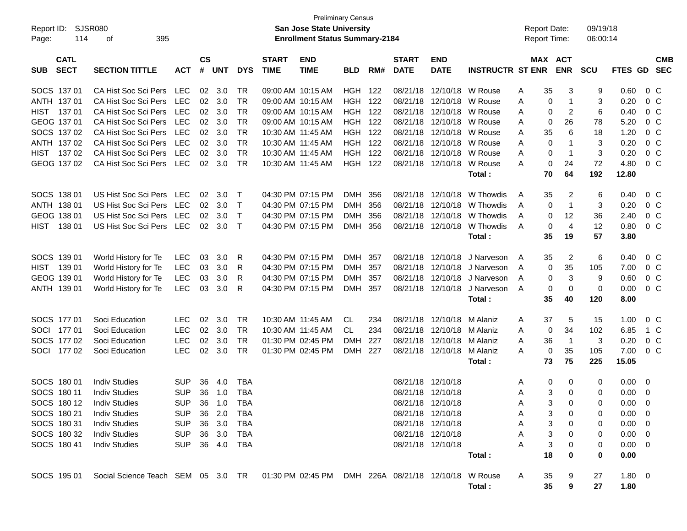| Report ID:<br>114<br>Page:               | SJSR080<br>395<br>оf                                                                    |                |                    |            |              |                             | <b>Preliminary Census</b><br>San Jose State University<br><b>Enrollment Status Summary-2184</b> |                |       |                             |                           |                         |   | <b>Report Date:</b><br><b>Report Time:</b> |                     | 09/19/18<br>06:00:14 |                |                |            |
|------------------------------------------|-----------------------------------------------------------------------------------------|----------------|--------------------|------------|--------------|-----------------------------|-------------------------------------------------------------------------------------------------|----------------|-------|-----------------------------|---------------------------|-------------------------|---|--------------------------------------------|---------------------|----------------------|----------------|----------------|------------|
| <b>CATL</b><br><b>SECT</b><br><b>SUB</b> | <b>SECTION TITTLE</b>                                                                   | <b>ACT</b>     | $\mathsf{cs}$<br># | <b>UNT</b> | <b>DYS</b>   | <b>START</b><br><b>TIME</b> | <b>END</b><br><b>TIME</b>                                                                       | <b>BLD</b>     | RM#   | <b>START</b><br><b>DATE</b> | <b>END</b><br><b>DATE</b> | <b>INSTRUCTR ST ENR</b> |   | MAX ACT                                    | <b>ENR</b>          | <b>SCU</b>           | FTES GD SEC    |                | <b>CMB</b> |
| SOCS 137 01                              | CA Hist Soc Sci Pers                                                                    | <b>LEC</b>     | 02                 | 3.0        | TR           |                             | 09:00 AM 10:15 AM                                                                               | HGH 122        |       |                             | 08/21/18 12/10/18         | W Rouse                 | Α | 35                                         | 3                   | 9                    | 0.60           | $0\,C$         |            |
| ANTH 137 01                              | CA Hist Soc Sci Pers                                                                    | LEC            | 02                 | 3.0        | <b>TR</b>    |                             | 09:00 AM 10:15 AM                                                                               | <b>HGH 122</b> |       |                             | 08/21/18 12/10/18         | W Rouse                 | A | 0                                          | $\mathbf{1}$        | 3                    | 0.20           | 0 <sup>C</sup> |            |
| HIST<br>13701                            | CA Hist Soc Sci Pers                                                                    | LEC            |                    | 02 3.0     | <b>TR</b>    |                             | 09:00 AM 10:15 AM                                                                               | <b>HGH 122</b> |       |                             | 08/21/18 12/10/18         | W Rouse                 | A | 0                                          | $\overline{2}$      | 6                    | 0.40           | 0 <sup>C</sup> |            |
| GEOG 137 01                              | CA Hist Soc Sci Pers                                                                    | LEC            |                    | 02 3.0     | <b>TR</b>    |                             | 09:00 AM 10:15 AM                                                                               | <b>HGH 122</b> |       |                             | 08/21/18 12/10/18         | W Rouse                 | A | 0                                          | 26                  | 78                   | 5.20           | 0 <sup>C</sup> |            |
| SOCS 137 02                              | CA Hist Soc Sci Pers                                                                    | LEC            |                    | 02 3.0     | <b>TR</b>    | 10:30 AM 11:45 AM           |                                                                                                 | <b>HGH 122</b> |       |                             | 08/21/18 12/10/18         | W Rouse                 | A | 35                                         | 6                   | 18                   | 1.20           | 0 <sup>C</sup> |            |
| ANTH 137 02                              | CA Hist Soc Sci Pers                                                                    | LEC            |                    | 02 3.0     | <b>TR</b>    | 10:30 AM 11:45 AM           |                                                                                                 | <b>HGH 122</b> |       |                             | 08/21/18 12/10/18         | W Rouse                 | A | 0                                          | $\mathbf{1}$        | 3                    | 0.20           | 0 <sup>C</sup> |            |
| HIST<br>13702                            | CA Hist Soc Sci Pers                                                                    | LEC            | 02 <sub>2</sub>    | 3.0        | <b>TR</b>    | 10:30 AM 11:45 AM           |                                                                                                 | <b>HGH 122</b> |       |                             | 08/21/18 12/10/18         | W Rouse                 | A | 0                                          | $\overline{1}$      | 3                    | 0.20           | 0 <sup>C</sup> |            |
| GEOG 137 02                              | CA Hist Soc Sci Pers                                                                    | LEC            | 02 <sub>o</sub>    | 3.0        | <b>TR</b>    |                             | 10:30 AM 11:45 AM                                                                               | <b>HGH 122</b> |       |                             | 08/21/18 12/10/18         | W Rouse<br>Total:       | A | 0<br>70                                    | 24<br>64            | 72<br>192            | 4.80<br>12.80  | 0 <sup>C</sup> |            |
| SOCS 138 01                              | US Hist Soc Sci Pers                                                                    | LEC            | 02                 | 3.0        | $\top$       |                             | 04:30 PM 07:15 PM                                                                               | DMH            | - 356 |                             | 08/21/18 12/10/18         | W Thowdis               | A | 35                                         | $\overline{c}$      | 6                    | 0.40           | $0\,C$         |            |
| ANTH 138 01                              | US Hist Soc Sci Pers                                                                    | LEC            | 02 <sub>o</sub>    | 3.0        | $\top$       |                             | 04:30 PM 07:15 PM                                                                               | DMH 356        |       |                             | 08/21/18 12/10/18         | W Thowdis               | A | 0                                          | $\mathbf{1}$        | 3                    | 0.20           | 0 <sup>C</sup> |            |
| GEOG 138 01                              | US Hist Soc Sci Pers                                                                    | LEC            | 02                 | 3.0        | $\mathsf{T}$ |                             | 04:30 PM 07:15 PM                                                                               | <b>DMH</b>     | - 356 |                             | 08/21/18 12/10/18         | W Thowdis               | A | 0                                          | 12                  | 36                   | 2.40           | 0 <sup>C</sup> |            |
| HIST<br>138 01                           | US Hist Soc Sci Pers                                                                    | LEC            | 02                 | 3.0        | $\top$       |                             | 04:30 PM 07:15 PM                                                                               | DMH 356        |       |                             | 08/21/18 12/10/18         | W Thowdis               | A | 0                                          | $\overline{4}$      | 12                   | 0.80           | 0 <sup>C</sup> |            |
|                                          |                                                                                         |                |                    |            |              |                             |                                                                                                 |                |       |                             |                           | Total:                  |   | 35                                         | 19                  | 57                   | 3.80           |                |            |
| SOCS 139 01                              | World History for Te                                                                    | <b>LEC</b>     | 03                 | 3.0        | R            |                             | 04:30 PM 07:15 PM                                                                               | DMH            | - 357 |                             | 08/21/18 12/10/18         | J Narveson              | A | 35                                         | $\overline{2}$      | 6                    | 0.40           | $0\,C$         |            |
| HIST 139 01                              | World History for Te                                                                    | <b>LEC</b>     | 03                 | 3.0        | R            |                             | 04:30 PM 07:15 PM                                                                               | <b>DMH</b>     | - 357 |                             | 08/21/18 12/10/18         | J Narveson              | A | 0                                          | 35                  | 105                  | 7.00           | 0 <sup>C</sup> |            |
| GEOG 139 01                              | World History for Te                                                                    | <b>LEC</b>     | 03                 | 3.0        | R            |                             | 04:30 PM 07:15 PM                                                                               | <b>DMH</b>     | 357   |                             | 08/21/18 12/10/18         | J Narveson              | A | 0                                          | $\mathbf{3}$        | 9                    | 0.60           | 0 <sup>C</sup> |            |
| ANTH 139 01                              | World History for Te                                                                    | <b>LEC</b>     | 03                 | 3.0        | R            |                             | 04:30 PM 07:15 PM                                                                               | DMH 357        |       |                             | 08/21/18 12/10/18         | J Narveson              | A | 0                                          | 0                   | 0                    | 0.00           | 0 <sup>C</sup> |            |
|                                          |                                                                                         |                |                    |            |              |                             |                                                                                                 |                |       |                             |                           | Total:                  |   | 35                                         | 40                  | 120                  | 8.00           |                |            |
| SOCS 177 01                              | Soci Education                                                                          | <b>LEC</b>     | 02                 | 3.0        | <b>TR</b>    | 10:30 AM 11:45 AM           |                                                                                                 | CL.            | 234   |                             | 08/21/18 12/10/18         | M Alaniz                | A | 37                                         | 5                   | 15                   | 1.00           | $0\,C$         |            |
| SOCI 177 01                              | Soci Education                                                                          | <b>LEC</b>     |                    | 02 3.0     | <b>TR</b>    | 10:30 AM 11:45 AM           |                                                                                                 | CL             | 234   |                             | 08/21/18 12/10/18         | M Alaniz                | A | 0                                          | 34                  | 102                  | 6.85           | 1 C            |            |
| SOCS 177 02                              | Soci Education                                                                          | <b>LEC</b>     | 02                 | 3.0        | <b>TR</b>    |                             | 01:30 PM 02:45 PM                                                                               | <b>DMH</b>     | 227   |                             | 08/21/18 12/10/18         | M Alaniz                | A | 36                                         | $\overline{1}$      | 3                    | 0.20           | 0 <sup>C</sup> |            |
| SOCI 177 02                              | Soci Education                                                                          | <b>LEC</b>     | 02                 | 3.0        | <b>TR</b>    |                             | 01:30 PM 02:45 PM                                                                               | DMH 227        |       |                             | 08/21/18 12/10/18         | M Alaniz                | A | 0                                          | 35                  | 105                  | 7.00           | 0 <sup>C</sup> |            |
|                                          |                                                                                         |                |                    |            |              |                             |                                                                                                 |                |       |                             |                           | Total:                  |   | 73                                         | 75                  | 225                  | 15.05          |                |            |
| SOCS 180 01                              | <b>Indiv Studies</b>                                                                    | <b>SUP</b>     | 36                 | 4.0        | <b>TBA</b>   |                             |                                                                                                 |                |       |                             | 08/21/18 12/10/18         |                         | A | 0                                          | 0                   | 0                    | $0.00 \t 0$    |                |            |
| SOCS 180 11                              | <b>Indiv Studies</b>                                                                    | <b>SUP</b>     |                    | 36 1.0     | <b>TBA</b>   |                             |                                                                                                 |                |       |                             | 08/21/18 12/10/18         |                         | A | 3                                          | 0                   | 0                    | $0.00 \t 0$    |                |            |
| SOCS 180 12 Indiv Studies                |                                                                                         | SUP 36 1.0 TBA |                    |            |              |                             |                                                                                                 |                |       |                             | 08/21/18 12/10/18         |                         | Α |                                            | 3 <sup>1</sup><br>0 | 0                    | $0.00 \t 0$    |                |            |
| SOCS 180 21                              | <b>Indiv Studies</b>                                                                    | <b>SUP</b>     |                    | 36 2.0     | TBA          |                             |                                                                                                 |                |       | 08/21/18 12/10/18           |                           |                         | A | 3                                          | 0                   | 0                    | $0.00 \quad 0$ |                |            |
| SOCS 180 31                              | <b>Indiv Studies</b>                                                                    | <b>SUP</b>     |                    | 36 3.0     | TBA          |                             |                                                                                                 |                |       | 08/21/18 12/10/18           |                           |                         | Α | 3                                          | 0                   | 0                    | $0.00 \t 0$    |                |            |
| SOCS 180 32                              | <b>Indiv Studies</b>                                                                    | <b>SUP</b>     |                    | 36 3.0     | TBA          |                             |                                                                                                 |                |       | 08/21/18 12/10/18           |                           |                         | Α | 3                                          | 0                   | 0                    | $0.00 \t 0$    |                |            |
| SOCS 180 41                              | <b>Indiv Studies</b>                                                                    | SUP 36 4.0 TBA |                    |            |              |                             |                                                                                                 |                |       |                             | 08/21/18 12/10/18         |                         | Α | 3                                          | 0                   | 0                    | $0.00 \t 0$    |                |            |
|                                          |                                                                                         |                |                    |            |              |                             |                                                                                                 |                |       |                             |                           | Total:                  |   | 18                                         | 0                   | 0                    | 0.00           |                |            |
| SOCS 195 01                              | Social Science Teach SEM 05 3.0 TR 01:30 PM 02:45 PM DMH 226A 08/21/18 12/10/18 W Rouse |                |                    |            |              |                             |                                                                                                 |                |       |                             |                           |                         | A | 35                                         | 9                   | 27                   | 1.80 0         |                |            |
|                                          |                                                                                         |                |                    |            |              |                             |                                                                                                 |                |       |                             |                           | Total:                  |   | 35                                         | 9                   | 27                   | 1.80           |                |            |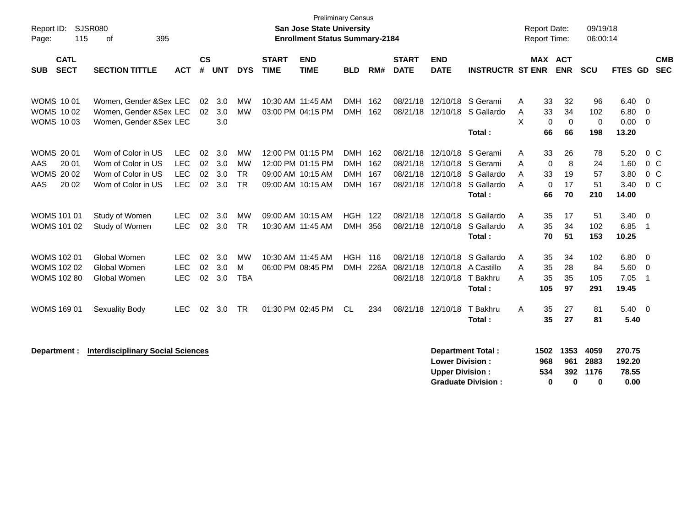| Report ID:<br>115<br>Page:                                                  | <b>SJSR080</b><br>395<br>οf                                                          |                                                      |                      |                          |                                                  |                             | <b>Preliminary Census</b><br><b>San Jose State University</b><br><b>Enrollment Status Summary-2184</b> |                                          |             |                                  |                                                       |                                                            |                    | <b>Report Date:</b><br>Report Time:                             | 09/19/18<br>06:00:14        |                                       |                                                              |                          |
|-----------------------------------------------------------------------------|--------------------------------------------------------------------------------------|------------------------------------------------------|----------------------|--------------------------|--------------------------------------------------|-----------------------------|--------------------------------------------------------------------------------------------------------|------------------------------------------|-------------|----------------------------------|-------------------------------------------------------|------------------------------------------------------------|--------------------|-----------------------------------------------------------------|-----------------------------|---------------------------------------|--------------------------------------------------------------|--------------------------|
| <b>CATL</b><br><b>SECT</b><br><b>SUB</b>                                    | <b>SECTION TITTLE</b>                                                                | <b>ACT</b>                                           | $\mathsf{cs}$<br>#   | <b>UNT</b>               | <b>DYS</b>                                       | <b>START</b><br><b>TIME</b> | <b>END</b><br><b>TIME</b>                                                                              | <b>BLD</b>                               | RM#         | <b>START</b><br><b>DATE</b>      | <b>END</b><br><b>DATE</b>                             | <b>INSTRUCTR ST ENR</b>                                    |                    | MAX ACT<br><b>ENR</b>                                           | <b>SCU</b>                  | FTES GD                               |                                                              | <b>CMB</b><br><b>SEC</b> |
| <b>WOMS 1001</b><br><b>WOMS 1002</b><br><b>WOMS 1003</b>                    | Women, Gender &Sex LEC<br>Women, Gender &Sex LEC<br>Women, Gender & Sex LEC          |                                                      | 02<br>02             | 3.0<br>3.0<br>3.0        | <b>MW</b><br><b>MW</b>                           |                             | 10:30 AM 11:45 AM<br>03:00 PM 04:15 PM                                                                 | DMH 162<br><b>DMH</b>                    | 162         |                                  | 08/21/18 12/10/18                                     | 08/21/18 12/10/18 S Gerami<br>S Gallardo<br>Total:         | A<br>A<br>X        | 32<br>33<br>33<br>34<br>$\mathbf 0$<br>$\Omega$<br>66<br>66     | 96<br>102<br>0<br>198       | 6.40<br>6.80<br>0.00<br>13.20         | - 0<br>0<br>$\overline{0}$                                   |                          |
| <b>WOMS 2001</b><br>20 01<br><b>AAS</b><br><b>WOMS 2002</b><br>AAS<br>20 02 | Wom of Color in US<br>Wom of Color in US<br>Wom of Color in US<br>Wom of Color in US | <b>LEC</b><br><b>LEC</b><br><b>LEC</b><br><b>LEC</b> | 02<br>02<br>02<br>02 | 3.0<br>3.0<br>3.0<br>3.0 | <b>MW</b><br><b>MW</b><br><b>TR</b><br><b>TR</b> |                             | 12:00 PM 01:15 PM<br>12:00 PM 01:15 PM<br>09:00 AM 10:15 AM<br>09:00 AM 10:15 AM                       | DMH 162<br>DMH 162<br>DMH 167<br>DMH 167 |             | 08/21/18<br>08/21/18<br>08/21/18 | 12/10/18<br>12/10/18<br>12/10/18<br>08/21/18 12/10/18 | S Gerami<br>S Gerami<br>S Gallardo<br>S Gallardo<br>Total: | A<br>Α<br>A<br>A   | 33<br>26<br>8<br>$\mathbf 0$<br>33<br>19<br>17<br>0<br>66<br>70 | 78<br>24<br>57<br>51<br>210 | 5.20<br>1.60<br>3.80<br>3.40<br>14.00 | $0\,C$<br>0 <sup>o</sup><br>0 <sup>o</sup><br>0 <sup>o</sup> |                          |
| <b>WOMS 101 01</b><br><b>WOMS 101 02</b>                                    | Study of Women<br>Study of Women                                                     | <b>LEC</b><br><b>LEC</b>                             | 02<br>02             | 3.0<br>3.0               | MW<br><b>TR</b>                                  |                             | 09:00 AM 10:15 AM<br>10:30 AM 11:45 AM                                                                 | <b>HGH</b><br><b>DMH</b>                 | 122<br>356  | 08/21/18<br>08/21/18             | 12/10/18<br>12/10/18                                  | S Gallardo<br>S Gallardo<br>Total:                         | Α<br>A             | 35<br>17<br>35<br>34<br>51<br>70                                | 51<br>102<br>153            | 3.40<br>6.85<br>10.25                 | $\overline{0}$<br>$\overline{1}$                             |                          |
| <b>WOMS 102 01</b><br><b>WOMS 102 02</b><br><b>WOMS 102 80</b>              | Global Women<br>Global Women<br>Global Women                                         | <b>LEC</b><br><b>LEC</b><br><b>LEC</b>               | 02<br>02<br>02       | 3.0<br>3.0<br>3.0        | <b>MW</b><br>M<br><b>TBA</b>                     |                             | 10:30 AM 11:45 AM<br>06:00 PM 08:45 PM                                                                 | <b>HGH</b><br><b>DMH</b>                 | 116<br>226A | 08/21/18<br>08/21/18             | 12/10/18<br>08/21/18 12/10/18                         | S Gallardo<br>12/10/18 A Castillo<br>T Bakhru<br>Total:    | Α<br>Α<br>Α<br>105 | 35<br>34<br>35<br>28<br>35<br>35<br>97                          | 102<br>84<br>105<br>291     | 6.80<br>5.60<br>7.05<br>19.45         | $\overline{0}$<br>$\overline{0}$<br>$\overline{\mathbf{1}}$  |                          |
| <b>WOMS 169 01</b>                                                          | Sexuality Body                                                                       | <b>LEC</b>                                           | 02                   | 3.0                      | <b>TR</b>                                        |                             | 01:30 PM 02:45 PM                                                                                      | <b>CL</b>                                | 234         |                                  | 08/21/18 12/10/18                                     | T Bakhru<br>Total:                                         | A                  | 35<br>27<br>35<br>27                                            | 81<br>81                    | $5.40 \quad 0$<br>5.40                |                                                              |                          |
| Department :                                                                | <b>Interdisciplinary Social Sciences</b>                                             |                                                      |                      |                          |                                                  |                             |                                                                                                        |                                          |             |                                  | <b>Lower Division:</b><br><b>Upper Division:</b>      | <b>Department Total:</b><br><b>Graduate Division:</b>      | 1502<br>968<br>534 | 1353<br>961<br>392<br>$\bf{0}$<br>0                             | 4059<br>2883<br>1176<br>0   | 270.75<br>192.20<br>78.55<br>0.00     |                                                              |                          |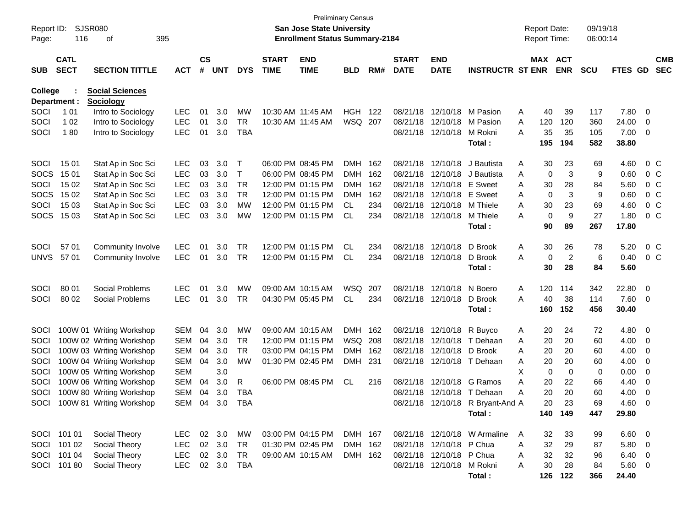| Report ID:<br>Page: | 116                        | SJSR080<br>395<br>οf                |            |                    |            |              |                             | San Jose State University<br><b>Enrollment Status Summary-2184</b> | <b>Preliminary Census</b> |       |                             |                           |                                  |   | <b>Report Date:</b> | Report Time:          | 09/19/18<br>06:00:14 |                 |                          |                          |
|---------------------|----------------------------|-------------------------------------|------------|--------------------|------------|--------------|-----------------------------|--------------------------------------------------------------------|---------------------------|-------|-----------------------------|---------------------------|----------------------------------|---|---------------------|-----------------------|----------------------|-----------------|--------------------------|--------------------------|
| <b>SUB</b>          | <b>CATL</b><br><b>SECT</b> | <b>SECTION TITTLE</b>               | <b>ACT</b> | $\mathsf{cs}$<br># | <b>UNT</b> | <b>DYS</b>   | <b>START</b><br><b>TIME</b> | <b>END</b><br><b>TIME</b>                                          | <b>BLD</b>                | RM#   | <b>START</b><br><b>DATE</b> | <b>END</b><br><b>DATE</b> | <b>INSTRUCTR ST ENR</b>          |   |                     | MAX ACT<br><b>ENR</b> | <b>SCU</b>           | FTES GD         |                          | <b>CMB</b><br><b>SEC</b> |
| College             | Department :               | <b>Social Sciences</b><br>Sociology |            |                    |            |              |                             |                                                                    |                           |       |                             |                           |                                  |   |                     |                       |                      |                 |                          |                          |
| SOCI                | 1 0 1                      | Intro to Sociology                  | <b>LEC</b> | 01                 | 3.0        | МW           |                             | 10:30 AM 11:45 AM                                                  | <b>HGH</b>                | - 122 | 08/21/18                    | 12/10/18                  | M Pasion                         | Α | 40                  | 39                    | 117                  | 7.80 0          |                          |                          |
| SOCI                | 1 0 2                      | Intro to Sociology                  | <b>LEC</b> | 01                 | 3.0        | <b>TR</b>    | 10:30 AM 11:45 AM           |                                                                    | WSQ 207                   |       |                             | 08/21/18 12/10/18         | M Pasion                         | Α | 120                 | 120                   | 360                  | 24.00           | $\overline{\phantom{0}}$ |                          |
| SOCI                | 180                        | Intro to Sociology                  | <b>LEC</b> | 01                 | 3.0        | <b>TBA</b>   |                             |                                                                    |                           |       |                             | 08/21/18 12/10/18         | M Rokni                          | Α | 35                  | 35                    | 105                  | 7.00            | $\overline{\phantom{0}}$ |                          |
|                     |                            |                                     |            |                    |            |              |                             |                                                                    |                           |       |                             |                           | Total:                           |   | 195                 | 194                   | 582                  | 38.80           |                          |                          |
| SOCI                | 15 01                      | Stat Ap in Soc Sci                  | <b>LEC</b> | 03                 | 3.0        | $\top$       |                             | 06:00 PM 08:45 PM                                                  | DMH.                      | 162   |                             | 08/21/18 12/10/18         | J Bautista                       | A | 30                  | 23                    | 69                   | 4.60            |                          | $0\,$ C                  |
| <b>SOCS</b>         | 1501                       | Stat Ap in Soc Sci                  | <b>LEC</b> | 03                 | 3.0        | $\mathsf{T}$ |                             | 06:00 PM 08:45 PM                                                  | <b>DMH</b>                | 162   | 08/21/18                    | 12/10/18                  | J Bautista                       | A | 0                   | 3                     | 9                    | 0.60            |                          | $0\,$ C                  |
| SOCI                | 15 02                      | Stat Ap in Soc Sci                  | <b>LEC</b> | 03                 | 3.0        | <b>TR</b>    |                             | 12:00 PM 01:15 PM                                                  | <b>DMH</b>                | 162   |                             | 08/21/18 12/10/18         | E Sweet                          | A | 30                  | 28                    | 84                   | 5.60            |                          | $0\,$ C                  |
| <b>SOCS</b>         | 15 02                      | Stat Ap in Soc Sci                  | <b>LEC</b> | 03                 | 3.0        | <b>TR</b>    |                             | 12:00 PM 01:15 PM                                                  | <b>DMH</b>                | 162   |                             | 08/21/18 12/10/18         | E Sweet                          | A | $\mathbf 0$         | 3                     | 9                    | 0.60            |                          | 0 <sup>o</sup>           |
| SOCI                | 15 03                      | Stat Ap in Soc Sci                  | <b>LEC</b> | 03                 | 3.0        | MW           |                             | 12:00 PM 01:15 PM                                                  | CL.                       | 234   |                             | 08/21/18 12/10/18         | M Thiele                         | A | 30                  | 23                    | 69                   | 4.60            |                          | 0 <sup>o</sup>           |
| <b>SOCS</b>         | 15 03                      | Stat Ap in Soc Sci                  | <b>LEC</b> | 03                 | 3.0        | MW           |                             | 12:00 PM 01:15 PM                                                  | CL                        | 234   |                             | 08/21/18 12/10/18         | M Thiele                         | A | $\mathbf 0$         | 9                     | 27                   | 1.80            |                          | 0 <sup>o</sup>           |
|                     |                            |                                     |            |                    |            |              |                             |                                                                    |                           |       |                             |                           | Total:                           |   | 90                  | 89                    | 267                  | 17.80           |                          |                          |
| SOCI                | 57 01                      | Community Involve                   | <b>LEC</b> | 01                 | 3.0        | <b>TR</b>    |                             | 12:00 PM 01:15 PM                                                  | CL                        | 234   |                             | 08/21/18 12/10/18         | D Brook                          | A | 30                  | 26                    | 78                   | 5.20            |                          | $0\,$ C                  |
| <b>UNVS</b>         | 5701                       | Community Involve                   | <b>LEC</b> | 01                 | 3.0        | <b>TR</b>    |                             | 12:00 PM 01:15 PM                                                  | CL                        | 234   |                             | 08/21/18 12/10/18         | D Brook                          | Α | $\mathbf 0$         | $\overline{c}$        | 6                    | 0.40            |                          | 0 C                      |
|                     |                            |                                     |            |                    |            |              |                             |                                                                    |                           |       |                             |                           | Total:                           |   | 30                  | 28                    | 84                   | 5.60            |                          |                          |
| SOCI                | 80 01                      | Social Problems                     | <b>LEC</b> | 01                 | 3.0        | MW           |                             | 09:00 AM 10:15 AM                                                  | WSQ                       | 207   |                             | 08/21/18 12/10/18         | N Boero                          | A | 120                 | 114                   | 342                  | 22.80           | $\overline{\phantom{0}}$ |                          |
| SOCI                | 80 02                      | Social Problems                     | <b>LEC</b> | 01                 | 3.0        | <b>TR</b>    |                             | 04:30 PM 05:45 PM                                                  | CL                        | 234   |                             | 08/21/18 12/10/18         | D Brook                          | Α | 40                  | 38                    | 114                  | 7.60 0          |                          |                          |
|                     |                            |                                     |            |                    |            |              |                             |                                                                    |                           |       |                             |                           | Total:                           |   | 160                 | 152                   | 456                  | 30.40           |                          |                          |
| SOCI                |                            | 100W 01 Writing Workshop            | <b>SEM</b> | 04                 | 3.0        | МW           |                             | 09:00 AM 10:15 AM                                                  | <b>DMH</b>                | - 162 |                             | 08/21/18 12/10/18         | R Buyco                          | A | 20                  | 24                    | 72                   | $4.80\ 0$       |                          |                          |
| SOCI                |                            | 100W 02 Writing Workshop            | <b>SEM</b> | 04                 | 3.0        | <b>TR</b>    |                             | 12:00 PM 01:15 PM                                                  | WSQ                       | 208   | 08/21/18                    | 12/10/18                  | T Dehaan                         | A | 20                  | 20                    | 60                   | 4.00            | $\overline{\phantom{0}}$ |                          |
| SOCI                |                            | 100W 03 Writing Workshop            | <b>SEM</b> | 04                 | 3.0        | <b>TR</b>    |                             | 03:00 PM 04:15 PM                                                  | DMH.                      | 162   |                             | 08/21/18 12/10/18         | D Brook                          | A | 20                  | 20                    | 60                   | 4.00            | $\overline{\phantom{0}}$ |                          |
| SOCI                |                            | 100W 04 Writing Workshop            | <b>SEM</b> | 04                 | 3.0        | МW           |                             | 01:30 PM 02:45 PM                                                  | <b>DMH</b>                | 231   |                             |                           | 08/21/18 12/10/18 T Dehaan       | Α | 20                  | 20                    | 60                   | 4.00            | $\overline{\mathbf{0}}$  |                          |
| SOCI                |                            | 100W 05 Writing Workshop            | <b>SEM</b> |                    | 3.0        |              |                             |                                                                    |                           |       |                             |                           |                                  | X | $\mathbf 0$         | 0                     | 0                    | 0.00            | $\overline{\mathbf{0}}$  |                          |
| SOCI                |                            | 100W 06 Writing Workshop            | <b>SEM</b> | 04                 | 3.0        | R            |                             | 06:00 PM 08:45 PM                                                  | CL                        | 216   |                             | 08/21/18 12/10/18         | G Ramos                          | Α | 20                  | 22                    | 66                   | 4.40            | $\overline{\mathbf{0}}$  |                          |
| SOCI                |                            | 100W 80 Writing Workshop            | <b>SEM</b> | 04                 | 3.0        | <b>TBA</b>   |                             |                                                                    |                           |       |                             |                           | 08/21/18 12/10/18 T Dehaan       | Α | 20                  | 20                    | 60                   | 4.00            | - 0                      |                          |
|                     |                            | SOCI 100W 81 Writing Workshop       | SEM 04 3.0 |                    |            | <b>TBA</b>   |                             |                                                                    |                           |       |                             |                           | 08/21/18 12/10/18 R Bryant-And A |   | 20                  | 23                    | 69                   | 4.60            | $\overline{\phantom{0}}$ |                          |
|                     |                            |                                     |            |                    |            |              |                             |                                                                    |                           |       |                             |                           | Total :                          |   |                     | 140 149               | 447                  | 29.80           |                          |                          |
|                     | SOCI 101 01                | Social Theory                       | LEC        |                    | 02 3.0     | MW           |                             | 03:00 PM 04:15 PM                                                  | DMH 167                   |       |                             |                           | 08/21/18 12/10/18 W Armaline     | A | 32                  | 33                    | 99                   | $6.60$ 0        |                          |                          |
|                     | SOCI 101 02                | Social Theory                       | <b>LEC</b> |                    | 02 3.0     | TR           |                             | 01:30 PM 02:45 PM                                                  | DMH 162                   |       |                             | 08/21/18 12/10/18 P Chua  |                                  | Α | 32                  | 29                    | 87                   | 5.80 0          |                          |                          |
|                     | SOCI 101 04                | Social Theory                       | <b>LEC</b> |                    | 02 3.0     | TR           |                             | 09:00 AM 10:15 AM                                                  | DMH 162                   |       |                             | 08/21/18 12/10/18 P Chua  |                                  | A | 32                  | 32                    | 96                   | $6.40\quad 0$   |                          |                          |
|                     | SOCI 101 80                | Social Theory                       | <b>LEC</b> |                    | 02 3.0     | TBA          |                             |                                                                    |                           |       |                             | 08/21/18 12/10/18 M Rokni | Total:                           | A | 30                  | 28<br>126 122         | 84<br>366            | 5.60 0<br>24.40 |                          |                          |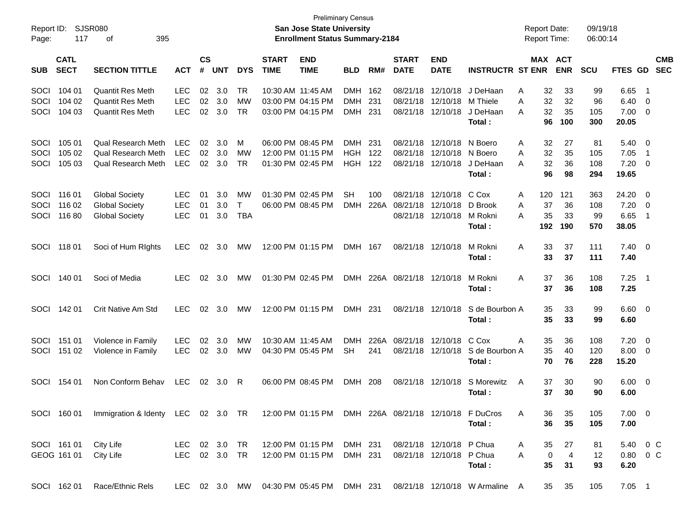| Report ID:<br>Page:  | 117                        | SJSR080<br>395<br>οf                                                                                 |                                        |                    |                   |                                     |                             | <b>Preliminary Census</b><br><b>San Jose State University</b><br><b>Enrollment Status Summary-2184</b> |                                        |                   |                                  |                                                      |                                                                        | <b>Report Date:</b><br><b>Report Time:</b> |                            | 09/19/18<br>06:00:14    |                                |                                                             |                          |
|----------------------|----------------------------|------------------------------------------------------------------------------------------------------|----------------------------------------|--------------------|-------------------|-------------------------------------|-----------------------------|--------------------------------------------------------------------------------------------------------|----------------------------------------|-------------------|----------------------------------|------------------------------------------------------|------------------------------------------------------------------------|--------------------------------------------|----------------------------|-------------------------|--------------------------------|-------------------------------------------------------------|--------------------------|
| <b>SUB</b>           | <b>CATL</b><br><b>SECT</b> | <b>SECTION TITTLE</b>                                                                                | <b>ACT</b>                             | $\mathsf{cs}$<br># | <b>UNT</b>        | <b>DYS</b>                          | <b>START</b><br><b>TIME</b> | <b>END</b><br><b>TIME</b>                                                                              | <b>BLD</b>                             | RM#               | <b>START</b><br><b>DATE</b>      | <b>END</b><br><b>DATE</b>                            | <b>INSTRUCTR ST ENR</b>                                                |                                            | MAX ACT<br><b>ENR</b>      | SCU                     | FTES GD                        |                                                             | <b>CMB</b><br><b>SEC</b> |
| SOCI<br>SOCI<br>SOCI | 104 01<br>104 02<br>104 03 | <b>Quantit Res Meth</b><br><b>Quantit Res Meth</b><br><b>Quantit Res Meth</b>                        | <b>LEC</b><br><b>LEC</b><br><b>LEC</b> | 02<br>02<br>02     | 3.0<br>3.0<br>3.0 | <b>TR</b><br><b>MW</b><br><b>TR</b> |                             | 10:30 AM 11:45 AM<br>03:00 PM 04:15 PM<br>03:00 PM 04:15 PM                                            | <b>DMH</b><br><b>DMH</b><br><b>DMH</b> | 162<br>231<br>231 | 08/21/18<br>08/21/18<br>08/21/18 | 12/10/18<br>12/10/18<br>12/10/18                     | J DeHaan<br>M Thiele<br>J DeHaan<br>Total:                             | 32<br>Α<br>32<br>A<br>32<br>A<br>96        | 33<br>32<br>35<br>100      | 99<br>96<br>105<br>300  | 6.65<br>6.40<br>7.00<br>20.05  | $\overline{\phantom{1}}$<br>- 0<br>$\overline{\phantom{0}}$ |                          |
| SOCI<br>SOCI<br>SOCI | 105 01<br>105 02<br>105 03 | <b>Qual Research Meth</b><br><b>Qual Research Meth</b><br><b>Qual Research Meth</b>                  | <b>LEC</b><br><b>LEC</b><br><b>LEC</b> | 02<br>02<br>02     | 3.0<br>3.0<br>3.0 | M<br>MW<br><b>TR</b>                |                             | 06:00 PM 08:45 PM<br>12:00 PM 01:15 PM<br>01:30 PM 02:45 PM                                            | <b>DMH</b><br><b>HGH</b><br><b>HGH</b> | 231<br>122<br>122 | 08/21/18<br>08/21/18<br>08/21/18 | 12/10/18<br>12/10/18<br>12/10/18                     | N Boero<br>N Boero<br>J DeHaan<br>Total:                               | Α<br>32<br>32<br>Α<br>32<br>A<br>96        | 27<br>35<br>36<br>98       | 81<br>105<br>108<br>294 | 5.40<br>7.05<br>7.20<br>19.65  | - 0<br>$\overline{1}$<br>- 0                                |                          |
| SOCI<br>SOCI<br>SOCI | 116 01<br>116 02<br>116 80 | <b>Global Society</b><br><b>Global Society</b><br><b>Global Society</b>                              | <b>LEC</b><br><b>LEC</b><br><b>LEC</b> | 01<br>01<br>01     | 3.0<br>3.0<br>3.0 | МW<br>$\mathsf{T}$<br><b>TBA</b>    |                             | 01:30 PM 02:45 PM<br>06:00 PM 08:45 PM                                                                 | <b>SH</b><br><b>DMH</b>                | 100<br>226A       | 08/21/18<br>08/21/18<br>08/21/18 | 12/10/18<br>12/10/18<br>12/10/18                     | C Cox<br>D Brook<br>M Rokni<br>Total:                                  | Α<br>120<br>37<br>Α<br>35<br>A<br>192      | 121<br>36<br>33<br>190     | 363<br>108<br>99<br>570 | 24.20<br>7.20<br>6.65<br>38.05 | - 0<br>- 0<br>$\overline{1}$                                |                          |
| SOCI                 | 11801                      | Soci of Hum Rights                                                                                   | <b>LEC</b>                             | 02                 | 3.0               | МW                                  |                             | 12:00 PM 01:15 PM                                                                                      | DMH 167                                |                   | 08/21/18                         | 12/10/18                                             | M Rokni<br>Total :                                                     | A<br>33<br>33                              | 37<br>37                   | 111<br>111              | $7.40 \ 0$<br>7.40             |                                                             |                          |
| SOCI                 | 140 01                     | Soci of Media                                                                                        | <b>LEC</b>                             | 02                 | 3.0               | МW                                  |                             | 01:30 PM 02:45 PM                                                                                      | DMH                                    |                   | 226A 08/21/18                    | 12/10/18                                             | M Rokni<br>Total :                                                     | A<br>37<br>37                              | 36<br>36                   | 108<br>108              | 7.25<br>7.25                   | $\overline{\phantom{0}}$                                    |                          |
| SOCI                 | 142 01                     | Crit Native Am Std                                                                                   | <b>LEC</b>                             | 02                 | 3.0               | МW                                  |                             | 12:00 PM 01:15 PM                                                                                      | DMH 231                                |                   | 08/21/18                         | 12/10/18                                             | S de Bourbon A<br>Total :                                              | 35<br>35                                   | 33<br>33                   | 99<br>99                | $6.60$ 0<br>6.60               |                                                             |                          |
| SOCI<br>SOCI         | 151 01<br>151 02           | Violence in Family<br>Violence in Family                                                             | <b>LEC</b><br><b>LEC</b>               | 02<br>02           | 3.0<br>3.0        | МW<br>МW                            |                             | 10:30 AM 11:45 AM<br>04:30 PM 05:45 PM                                                                 | <b>DMH</b><br><b>SH</b>                | 226A<br>241       | 08/21/18<br>08/21/18             | 12/10/18<br>12/10/18                                 | C Cox<br>S de Bourbon A<br>Total:                                      | 35<br>Α<br>35<br>70                        | 36<br>40<br>76             | 108<br>120<br>228       | 7.20<br>8.00<br>15.20          | - 0<br>- 0                                                  |                          |
| SOCI                 | 154 01                     | Non Conform Behav                                                                                    | <b>LEC</b>                             | 02                 | 3.0               | R                                   |                             | 06:00 PM 08:45 PM                                                                                      | DMH                                    | 208               | 08/21/18                         | 12/10/18                                             | S Morewitz<br>Total :                                                  | A<br>37<br>37                              | 30<br>30                   | 90<br>90                | $6.00 \quad 0$<br>6.00         |                                                             |                          |
|                      |                            | SOCI 160 01 Immigration & Identy LEC 02 3.0 TR 12:00 PM 01:15 PM DMH 226A 08/21/18 12/10/18 F DuCros |                                        |                    |                   |                                     |                             |                                                                                                        |                                        |                   |                                  |                                                      | Total:                                                                 | A<br>36<br>36                              | 35<br>35                   | 105<br>105              | $7.00 \t 0$<br>7.00            |                                                             |                          |
|                      | SOCI 161 01<br>GEOG 161 01 | City Life<br>City Life                                                                               | LEC 02 3.0 TR<br>LEC 02 3.0 TR         |                    |                   |                                     |                             | 12:00 PM 01:15 PM<br>12:00 PM 01:15 PM                                                                 | DMH 231<br>DMH 231                     |                   |                                  | 08/21/18 12/10/18 P Chua<br>08/21/18 12/10/18 P Chua | Total:                                                                 | 35<br>A<br>$\pmb{0}$<br>A<br>35            | 27<br>$\overline{4}$<br>31 | 81<br>$12 \,$<br>93     | 5.40 0 C<br>0.80 0 C<br>6.20   |                                                             |                          |
|                      | SOCI 162 01                | Race/Ethnic Rels                                                                                     |                                        |                    |                   |                                     |                             |                                                                                                        |                                        |                   |                                  |                                                      | LEC 02 3.0 MW 04:30 PM 05:45 PM DMH 231 08/21/18 12/10/18 W Armaline A | 35                                         | 35                         | 105                     | $7.05$ 1                       |                                                             |                          |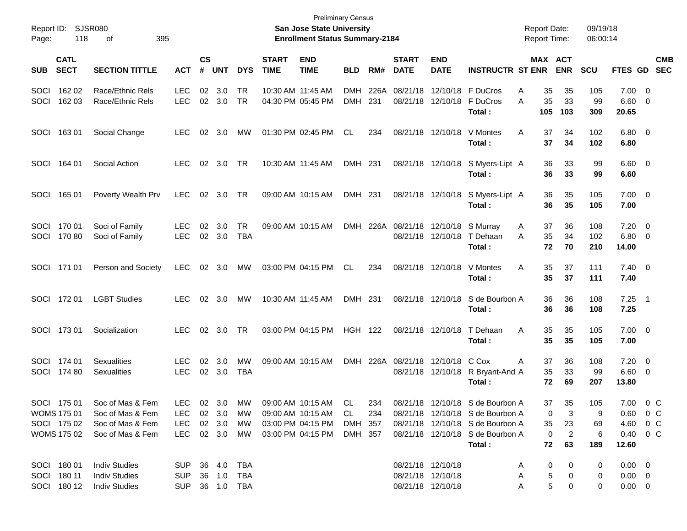| Report ID:<br>Page: | 118                                                      | SJSR080<br>395<br>оf                                                         |                                                |                             |                  |                      |                             | <b>Preliminary Census</b><br><b>San Jose State University</b><br><b>Enrollment Status Summary-2184</b> |                                  |             |                             |                                                             |                                                                                                                                                        |             | <b>Report Date:</b><br><b>Report Time:</b> |                                        | 09/19/18<br>06:00:14       |                                                                             |                                           |                          |
|---------------------|----------------------------------------------------------|------------------------------------------------------------------------------|------------------------------------------------|-----------------------------|------------------|----------------------|-----------------------------|--------------------------------------------------------------------------------------------------------|----------------------------------|-------------|-----------------------------|-------------------------------------------------------------|--------------------------------------------------------------------------------------------------------------------------------------------------------|-------------|--------------------------------------------|----------------------------------------|----------------------------|-----------------------------------------------------------------------------|-------------------------------------------|--------------------------|
| <b>SUB</b>          | <b>CATL</b><br><b>SECT</b>                               | <b>SECTION TITTLE</b>                                                        | <b>ACT</b>                                     | $\mathbf{c}\mathbf{s}$<br># | <b>UNT</b>       | <b>DYS</b>           | <b>START</b><br><b>TIME</b> | <b>END</b><br><b>TIME</b>                                                                              | <b>BLD</b>                       | RM#         | <b>START</b><br><b>DATE</b> | <b>END</b><br><b>DATE</b>                                   | <b>INSTRUCTR ST ENR</b>                                                                                                                                |             | MAX ACT                                    | <b>ENR</b>                             | SCU                        | FTES GD                                                                     |                                           | <b>CMB</b><br><b>SEC</b> |
| SOCI<br>SOCI        | 162 02<br>162 03                                         | Race/Ethnic Rels<br>Race/Ethnic Rels                                         | <b>LEC</b><br>LEC                              | 02                          | 3.0<br>02 3.0    | TR<br>TR             | 10:30 AM 11:45 AM           | 04:30 PM 05:45 PM                                                                                      | <b>DMH</b><br><b>DMH</b>         | 226A<br>231 |                             | 08/21/18 12/10/18                                           | 08/21/18 12/10/18 F DuCros<br>F DuCros<br>Total:                                                                                                       | Α<br>A      | 35<br>35<br>105                            | 35<br>33<br>103                        | 105<br>99<br>309           | 7.00<br>6.60<br>20.65                                                       | $\overline{0}$<br>0                       |                          |
| SOCI                | 16301                                                    | Social Change                                                                | <b>LEC</b>                                     | 02                          | 3.0              | МW                   | 01:30 PM 02:45 PM           |                                                                                                        | CL                               | 234         |                             | 08/21/18 12/10/18                                           | V Montes<br>Total:                                                                                                                                     | Α           | 37<br>37                                   | 34<br>34                               | 102<br>102                 | $6.80\quad 0$<br>6.80                                                       |                                           |                          |
| SOCI                | 164 01                                                   | Social Action                                                                | <b>LEC</b>                                     | 02                          | 3.0              | TR                   |                             | 10:30 AM 11:45 AM                                                                                      | DMH 231                          |             |                             | 08/21/18 12/10/18                                           | S Myers-Lipt A<br>Total:                                                                                                                               |             | 36<br>36                                   | 33<br>33                               | 99<br>99                   | $6.60 \quad 0$<br>6.60                                                      |                                           |                          |
| SOCI                | 165 01                                                   | Poverty Wealth Prv                                                           | <b>LEC</b>                                     | 02                          | 3.0              | TR                   |                             | 09:00 AM 10:15 AM                                                                                      | DMH 231                          |             |                             | 08/21/18 12/10/18                                           | S Myers-Lipt A<br>Total:                                                                                                                               |             | 36<br>36                                   | 35<br>35                               | 105<br>105                 | $7.00 \t 0$<br>7.00                                                         |                                           |                          |
| SOCI<br>SOCI        | 170 01<br>17080                                          | Soci of Family<br>Soci of Family                                             | <b>LEC</b><br>LEC                              | 02                          | 3.0<br>02 3.0    | <b>TR</b><br>TBA     |                             | 09:00 AM 10:15 AM                                                                                      |                                  | DMH 226A    |                             | 08/21/18 12/10/18<br>08/21/18 12/10/18                      | S Murray<br>T Dehaan<br>Total:                                                                                                                         | A<br>A      | 37<br>35<br>72                             | 36<br>34<br>70                         | 108<br>102<br>210          | 7.20<br>6.80<br>14.00                                                       | $\overline{0}$<br>$\overline{\mathbf{0}}$ |                          |
|                     | SOCI 171 01                                              | Person and Society                                                           | LEC                                            |                             | 02 3.0           | MW                   |                             | 03:00 PM 04:15 PM                                                                                      | CL.                              | 234         |                             | 08/21/18 12/10/18                                           | V Montes<br>Total:                                                                                                                                     | Α           | 35<br>35                                   | 37<br>37                               | 111<br>111                 | $7.40 \quad 0$<br>7.40                                                      |                                           |                          |
|                     | SOCI 172 01                                              | <b>LGBT Studies</b>                                                          | <b>LEC</b>                                     |                             | 02 3.0           | МW                   |                             | 10:30 AM 11:45 AM                                                                                      | DMH 231                          |             |                             | 08/21/18 12/10/18                                           | S de Bourbon A<br>Total:                                                                                                                               |             | 36<br>36                                   | 36<br>36                               | 108<br>108                 | $7.25$ 1<br>7.25                                                            |                                           |                          |
|                     | SOCI 173 01                                              | Socialization                                                                | <b>LEC</b>                                     |                             | 02 3.0           | TR                   |                             | 03:00 PM 04:15 PM                                                                                      | <b>HGH 122</b>                   |             |                             | 08/21/18 12/10/18                                           | T Dehaan<br>Total:                                                                                                                                     | A           | 35<br>35                                   | 35<br>35                               | 105<br>105                 | $7.00 \t 0$<br>7.00                                                         |                                           |                          |
| SOCI                | SOCI 174 01<br>174 80                                    | <b>Sexualities</b><br><b>Sexualities</b>                                     | <b>LEC</b><br>LEC                              | 02                          | 3.0<br>02 3.0    | MW<br>TBA            |                             | 09:00 AM 10:15 AM                                                                                      |                                  | DMH 226A    |                             | 08/21/18 12/10/18<br>08/21/18 12/10/18                      | C Cox<br>R Bryant-And A<br>Total:                                                                                                                      | A           | 37<br>35<br>72                             | 36<br>33<br>69                         | 108<br>99<br>207           | 7.20<br>6.60<br>13.80                                                       | $\overline{\mathbf{0}}$<br>$\overline{0}$ |                          |
|                     | SOCI 175 01<br>WOMS 175 01<br>SOCI 175 02<br>WOMS 175 02 | Soc of Mas & Fem<br>Soc of Mas & Fem<br>Soc of Mas & Fem<br>Soc of Mas & Fem | LEC 02 3.0<br>LEC.<br><b>LEC</b><br>LEC 02 3.0 |                             | 02 3.0<br>02 3.0 | MW<br>МW<br>МW<br>MW |                             | 09:00 AM 10:15 AM<br>09:00 AM 10:15 AM<br>03:00 PM 04:15 PM<br>03:00 PM 04:15 PM                       | -CL<br>CL.<br>DMH 357<br>DMH 357 | 234<br>234  |                             |                                                             | 08/21/18 12/10/18 S de Bourbon A<br>08/21/18 12/10/18 S de Bourbon A<br>08/21/18 12/10/18 S de Bourbon A<br>08/21/18 12/10/18 S de Bourbon A<br>Total: |             | 37<br>0<br>35<br>0<br>72                   | 35<br>-3<br>23<br>$\overline{2}$<br>63 | 105<br>9<br>69<br>6<br>189 | 7.00 0 C<br>$0.60 \t 0 \t C$<br>4.60 0 C<br>$0.40 \quad 0 \quad C$<br>12.60 |                                           |                          |
|                     | SOCI 180 01<br>SOCI 180 11<br>SOCI 180 12                | <b>Indiv Studies</b><br><b>Indiv Studies</b><br><b>Indiv Studies</b>         | SUP 36 4.0 TBA<br><b>SUP</b><br>SUP 36 1.0 TBA |                             | 36 1.0           | TBA                  |                             |                                                                                                        |                                  |             |                             | 08/21/18 12/10/18<br>08/21/18 12/10/18<br>08/21/18 12/10/18 |                                                                                                                                                        | A<br>A<br>Α | 0<br>5<br>5                                | 0<br>0<br>0                            | 0<br>0<br>0                | $0.00 \quad 0$<br>$0.00 \quad 0$<br>$0.00 \t 0$                             |                                           |                          |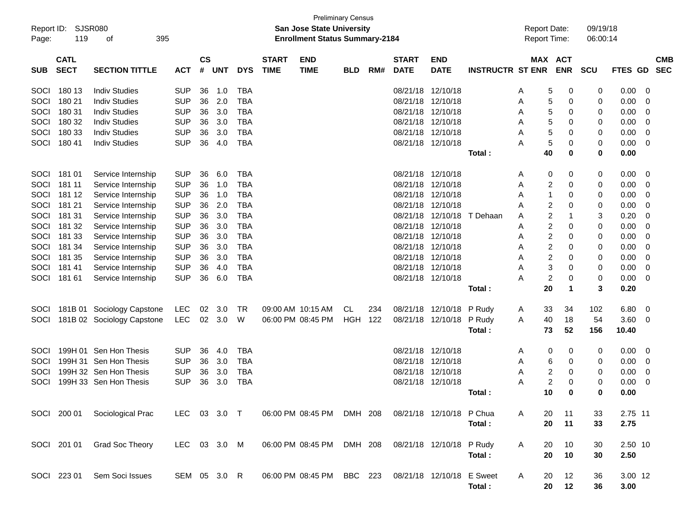| Report ID:<br>Page: | 119                        | SJSR080<br>395<br>οf          |              |                    |            |            |                             | <b>Preliminary Census</b><br><b>San Jose State University</b><br><b>Enrollment Status Summary-2184</b> |            |     |                             |                           |                         | <b>Report Date:</b><br>Report Time: |                       | 09/19/18<br>06:00:14 |                |   |                          |
|---------------------|----------------------------|-------------------------------|--------------|--------------------|------------|------------|-----------------------------|--------------------------------------------------------------------------------------------------------|------------|-----|-----------------------------|---------------------------|-------------------------|-------------------------------------|-----------------------|----------------------|----------------|---|--------------------------|
| <b>SUB</b>          | <b>CATL</b><br><b>SECT</b> | <b>SECTION TITTLE</b>         | <b>ACT</b>   | $\mathsf{cs}$<br># | <b>UNT</b> | <b>DYS</b> | <b>START</b><br><b>TIME</b> | <b>END</b><br><b>TIME</b>                                                                              | <b>BLD</b> | RM# | <b>START</b><br><b>DATE</b> | <b>END</b><br><b>DATE</b> | <b>INSTRUCTR ST ENR</b> |                                     | MAX ACT<br><b>ENR</b> | <b>SCU</b>           | <b>FTES GD</b> |   | <b>CMB</b><br><b>SEC</b> |
| SOCI                | 180 13                     | <b>Indiv Studies</b>          | <b>SUP</b>   | 36                 | 1.0        | <b>TBA</b> |                             |                                                                                                        |            |     | 08/21/18                    | 12/10/18                  |                         | A                                   | 5<br>0                | 0                    | 0.00           | 0 |                          |
| SOCI                | 180 21                     | <b>Indiv Studies</b>          | <b>SUP</b>   | 36                 | 2.0        | <b>TBA</b> |                             |                                                                                                        |            |     | 08/21/18                    | 12/10/18                  |                         | A                                   | 5<br>0                | 0                    | 0.00           | 0 |                          |
| SOCI                | 180 31                     | <b>Indiv Studies</b>          | <b>SUP</b>   | 36                 | 3.0        | <b>TBA</b> |                             |                                                                                                        |            |     | 08/21/18                    | 12/10/18                  |                         | Α                                   | 5<br>0                | 0                    | 0.00           | 0 |                          |
| SOCI                | 180 32                     | <b>Indiv Studies</b>          | <b>SUP</b>   | 36                 | 3.0        | <b>TBA</b> |                             |                                                                                                        |            |     | 08/21/18                    | 12/10/18                  |                         | A                                   | 5<br>0                | 0                    | 0.00           | 0 |                          |
| SOCI                | 180 33                     | <b>Indiv Studies</b>          | <b>SUP</b>   | 36                 | 3.0        | <b>TBA</b> |                             |                                                                                                        |            |     | 08/21/18                    | 12/10/18                  |                         | Α                                   | 5<br>0                | 0                    | 0.00           | 0 |                          |
| SOCI                | 18041                      | <b>Indiv Studies</b>          | <b>SUP</b>   | 36                 | 4.0        | <b>TBA</b> |                             |                                                                                                        |            |     |                             | 08/21/18 12/10/18         |                         | А                                   | 5<br>0                | 0                    | 0.00           | 0 |                          |
|                     |                            |                               |              |                    |            |            |                             |                                                                                                        |            |     |                             |                           | Total:                  | 40                                  | 0                     | 0                    | 0.00           |   |                          |
| SOCI                | 181 01                     | Service Internship            | <b>SUP</b>   | 36                 | 6.0        | <b>TBA</b> |                             |                                                                                                        |            |     | 08/21/18                    | 12/10/18                  |                         | Α                                   | 0<br>0                | 0                    | 0.00           | 0 |                          |
| SOCI                | 181 11                     | Service Internship            | <b>SUP</b>   | 36                 | 1.0        | <b>TBA</b> |                             |                                                                                                        |            |     | 08/21/18                    | 12/10/18                  |                         | Α                                   | 2<br>0                | 0                    | 0.00           | 0 |                          |
| SOCI                | 181 12                     | Service Internship            | <b>SUP</b>   | 36                 | 1.0        | <b>TBA</b> |                             |                                                                                                        |            |     | 08/21/18                    | 12/10/18                  |                         | A                                   | 0<br>1                | 0                    | 0.00           | 0 |                          |
| SOCI                | 181 21                     | Service Internship            | <b>SUP</b>   | 36                 | 2.0        | <b>TBA</b> |                             |                                                                                                        |            |     | 08/21/18                    | 12/10/18                  |                         | A                                   | 2<br>0                | 0                    | 0.00           | 0 |                          |
| SOCI                | 181 31                     | Service Internship            | <b>SUP</b>   | 36                 | 3.0        | <b>TBA</b> |                             |                                                                                                        |            |     | 08/21/18                    | 12/10/18                  | T Dehaan                | Α                                   | 2<br>$\mathbf 1$      | 3                    | 0.20           | 0 |                          |
| SOCI                | 181 32                     | Service Internship            | <b>SUP</b>   | 36                 | 3.0        | <b>TBA</b> |                             |                                                                                                        |            |     | 08/21/18                    | 12/10/18                  |                         | Α                                   | 2<br>0                | 0                    | 0.00           | 0 |                          |
| SOCI                | 181 33                     | Service Internship            | <b>SUP</b>   | 36                 | 3.0        | <b>TBA</b> |                             |                                                                                                        |            |     | 08/21/18                    | 12/10/18                  |                         | Α                                   | 2<br>0                | 0                    | 0.00           | 0 |                          |
| SOCI                | 181 34                     | Service Internship            | <b>SUP</b>   | 36                 | 3.0        | <b>TBA</b> |                             |                                                                                                        |            |     | 08/21/18                    | 12/10/18                  |                         | Α                                   | 2<br>0                | 0                    | 0.00           | 0 |                          |
| SOCI                | 181 35                     | Service Internship            | <b>SUP</b>   | 36                 | 3.0        | <b>TBA</b> |                             |                                                                                                        |            |     | 08/21/18                    | 12/10/18                  |                         | Α                                   | 2<br>0                | 0                    | 0.00           | 0 |                          |
| SOCI                | 18141                      | Service Internship            | <b>SUP</b>   | 36                 | 4.0        | <b>TBA</b> |                             |                                                                                                        |            |     | 08/21/18                    | 12/10/18                  |                         | Α                                   | 3<br>0                | 0                    | 0.00           | 0 |                          |
| SOCI                | 18161                      | Service Internship            | <b>SUP</b>   | 36                 | 6.0        | <b>TBA</b> |                             |                                                                                                        |            |     |                             | 08/21/18 12/10/18         |                         | А                                   | 2<br>0                | 0                    | 0.00           | 0 |                          |
|                     |                            |                               |              |                    |            |            |                             |                                                                                                        |            |     |                             |                           | Total:                  | 20                                  | $\mathbf 1$           | 3                    | 0.20           |   |                          |
| SOCI                |                            | 181B 01 Sociology Capstone    | <b>LEC</b>   | 02                 | 3.0        | TR.        |                             | 09:00 AM 10:15 AM                                                                                      | CL         | 234 | 08/21/18                    | 12/10/18                  | P Rudy                  | 33<br>A                             | 34                    | 102                  | 6.80           | 0 |                          |
| SOCI                |                            | 181B 02 Sociology Capstone    | <b>LEC</b>   | 02                 | 3.0        | W          |                             | 06:00 PM 08:45 PM                                                                                      | HGH        | 122 | 08/21/18                    | 12/10/18                  | P Rudy                  | A<br>40                             | 18                    | 54                   | 3.60           | 0 |                          |
|                     |                            |                               |              |                    |            |            |                             |                                                                                                        |            |     |                             |                           | Total:                  | 73                                  | 52                    | 156                  | 10.40          |   |                          |
| SOCI                |                            | 199H 01 Sen Hon Thesis        | <b>SUP</b>   | 36                 | 4.0        | <b>TBA</b> |                             |                                                                                                        |            |     | 08/21/18                    | 12/10/18                  |                         | A                                   | 0<br>0                | 0                    | 0.00           | 0 |                          |
| SOCI                |                            | 199H 31 Sen Hon Thesis        | <b>SUP</b>   | 36                 | 3.0        | <b>TBA</b> |                             |                                                                                                        |            |     | 08/21/18                    | 12/10/18                  |                         | A                                   | 0<br>6                | 0                    | 0.00           | 0 |                          |
| SOCI                |                            | 199H 32 Sen Hon Thesis        | <b>SUP</b>   | 36                 | 3.0        | <b>TBA</b> |                             |                                                                                                        |            |     | 08/21/18                    | 12/10/18                  |                         | A                                   | 2<br>0                | 0                    | 0.00           | 0 |                          |
| SOCI                |                            | 199H 33 Sen Hon Thesis        | <b>SUP</b>   | 36                 | 3.0        | <b>TBA</b> |                             |                                                                                                        |            |     |                             | 08/21/18 12/10/18         |                         | А                                   | 2<br>0                | 0                    | 0.00           | 0 |                          |
|                     |                            |                               |              |                    |            |            |                             |                                                                                                        |            |     |                             |                           | Total :                 | 10                                  | 0                     | 0                    | 0.00           |   |                          |
|                     |                            | SOCI 200 01 Sociological Prac | LEC 03 3.0 T |                    |            |            |                             | 06:00 PM 08:45 PM DMH 208 08/21/18 12/10/18 P Chua                                                     |            |     |                             |                           |                         | 20<br>A                             | 11                    | 33                   | 2.75 11        |   |                          |
|                     |                            |                               |              |                    |            |            |                             |                                                                                                        |            |     |                             |                           | Total:                  | 20                                  | 11                    | 33                   | 2.75           |   |                          |
|                     |                            | SOCI 201 01 Grad Soc Theory   | LEC 03 3.0 M |                    |            |            |                             | 06:00 PM 08:45 PM DMH 208                                                                              |            |     |                             | 08/21/18 12/10/18         | P Rudy                  | A<br>20                             | 10                    | 30                   | 2.50 10        |   |                          |
|                     |                            |                               |              |                    |            |            |                             |                                                                                                        |            |     |                             |                           | Total:                  | 20                                  | 10                    | 30                   | 2.50           |   |                          |
|                     |                            | SOCI 223 01 Sem Soci Issues   | SEM 05 3.0 R |                    |            |            |                             | 06:00 PM 08:45 PM BBC 223 08/21/18 12/10/18                                                            |            |     |                             |                           | E Sweet                 | A<br>20                             | 12                    | 36                   | 3.00 12        |   |                          |
|                     |                            |                               |              |                    |            |            |                             |                                                                                                        |            |     |                             |                           | Total:                  | 20                                  | 12                    | 36                   | 3.00           |   |                          |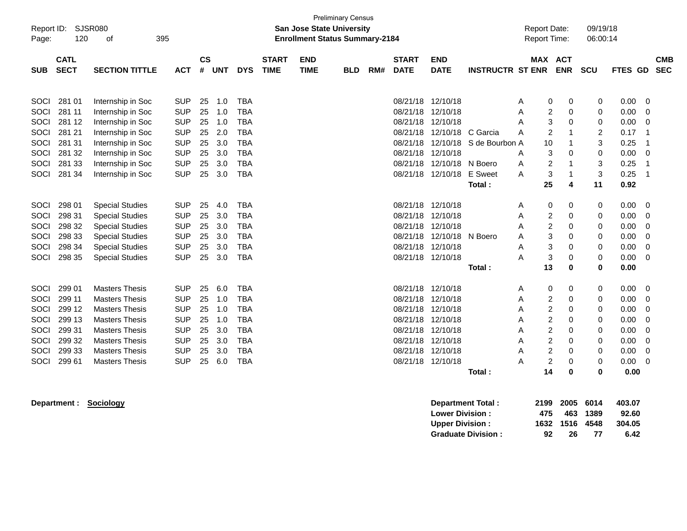| Report ID:<br>Page:                                                        | 120                                                                          | SJSR080<br>395<br>οf                                                                                                                                                                                 |                                                                                                              |                                              |                                                      |                                                                                                              |                             | <b>San Jose State University</b><br><b>Enrollment Status Summary-2184</b> | <b>Preliminary Census</b> |     |                                                                                                                                                             |                                                                                                   |                                            | <b>Report Date:</b><br>Report Time:         |                                                                                                                                                                                     | 09/19/18<br>06:00:14                                |                                                                      |                                                          |
|----------------------------------------------------------------------------|------------------------------------------------------------------------------|------------------------------------------------------------------------------------------------------------------------------------------------------------------------------------------------------|--------------------------------------------------------------------------------------------------------------|----------------------------------------------|------------------------------------------------------|--------------------------------------------------------------------------------------------------------------|-----------------------------|---------------------------------------------------------------------------|---------------------------|-----|-------------------------------------------------------------------------------------------------------------------------------------------------------------|---------------------------------------------------------------------------------------------------|--------------------------------------------|---------------------------------------------|-------------------------------------------------------------------------------------------------------------------------------------------------------------------------------------|-----------------------------------------------------|----------------------------------------------------------------------|----------------------------------------------------------|
| <b>SUB</b>                                                                 | <b>CATL</b><br><b>SECT</b>                                                   | <b>SECTION TITTLE</b>                                                                                                                                                                                | <b>ACT</b>                                                                                                   | <b>CS</b><br>#                               | <b>UNT</b>                                           | <b>DYS</b>                                                                                                   | <b>START</b><br><b>TIME</b> | <b>END</b><br><b>TIME</b>                                                 | <b>BLD</b>                | RM# | <b>START</b><br><b>DATE</b>                                                                                                                                 | <b>END</b><br><b>DATE</b>                                                                         | <b>INSTRUCTR ST ENR</b>                    |                                             | MAX ACT<br><b>ENR</b>                                                                                                                                                               | SCU                                                 | FTES GD SEC                                                          | <b>CMB</b>                                               |
| SOCI<br>SOCI<br><b>SOCI</b><br><b>SOCI</b><br>SOCI<br>SOCI<br>SOCI<br>SOCI | 281 01<br>281 11<br>281 12<br>281 21<br>281 31<br>281 32<br>281 33<br>281 34 | Internship in Soc<br>Internship in Soc<br>Internship in Soc<br>Internship in Soc<br>Internship in Soc<br>Internship in Soc<br>Internship in Soc<br>Internship in Soc                                 | <b>SUP</b><br><b>SUP</b><br><b>SUP</b><br><b>SUP</b><br><b>SUP</b><br><b>SUP</b><br><b>SUP</b><br><b>SUP</b> | 25<br>25<br>25<br>25<br>25<br>25<br>25<br>25 | 1.0<br>1.0<br>1.0<br>2.0<br>3.0<br>3.0<br>3.0<br>3.0 | <b>TBA</b><br><b>TBA</b><br><b>TBA</b><br><b>TBA</b><br><b>TBA</b><br><b>TBA</b><br><b>TBA</b><br><b>TBA</b> |                             |                                                                           |                           |     | 08/21/18 12/10/18<br>08/21/18 12/10/18<br>08/21/18 12/10/18<br>08/21/18 12/10/18                                                                            | 08/21/18 12/10/18 C Garcia<br>08/21/18 12/10/18<br>08/21/18 12/10/18 N Boero<br>08/21/18 12/10/18 | S de Bourbon A<br><b>E</b> Sweet<br>Total: | Α<br>Α<br>A<br>A<br>10<br>Α<br>Α<br>A<br>25 | 0<br>0<br>$\overline{c}$<br>0<br>3<br>0<br>2<br>1<br>1<br>3<br>0<br>$\overline{c}$<br>1<br>3<br>1<br>4                                                                              | 0<br>0<br>0<br>2<br>3<br>0<br>3<br>3<br>11          | 0.00<br>0.00<br>0.00<br>0.17<br>0.25<br>0.00<br>0.25<br>0.25<br>0.92 | $\mathbf 0$<br>0<br>0<br>-1<br>0                         |
| SOCI<br>SOCI<br>SOCI<br>SOCI<br>SOCI<br>SOCI                               | 298 01<br>298 31<br>298 32<br>298 33<br>298 34<br>298 35                     | <b>Special Studies</b><br><b>Special Studies</b><br><b>Special Studies</b><br><b>Special Studies</b><br><b>Special Studies</b><br><b>Special Studies</b>                                             | <b>SUP</b><br><b>SUP</b><br><b>SUP</b><br><b>SUP</b><br><b>SUP</b><br><b>SUP</b>                             | 25<br>25<br>25<br>25<br>25<br>25             | 4.0<br>3.0<br>3.0<br>3.0<br>3.0<br>3.0               | <b>TBA</b><br><b>TBA</b><br><b>TBA</b><br><b>TBA</b><br><b>TBA</b><br><b>TBA</b>                             |                             |                                                                           |                           |     | 08/21/18 12/10/18<br>08/21/18<br>08/21/18<br>08/21/18 12/10/18<br>08/21/18 12/10/18                                                                         | 12/10/18<br>12/10/18<br>08/21/18 12/10/18                                                         | N Boero<br>Total:                          | Α<br>Α<br>Α<br>A<br>A<br>A<br>13            | 0<br>0<br>$\overline{\mathbf{c}}$<br>0<br>$\overline{c}$<br>0<br>3<br>0<br>3<br>$\mathbf 0$<br>3<br>$\mathbf 0$<br>0                                                                | 0<br>0<br>0<br>0<br>0<br>0<br>$\mathbf 0$           | 0.00<br>0.00<br>0.00<br>0.00<br>0.00<br>0.00<br>0.00                 | 0<br>0<br>0<br>0<br>0<br>0                               |
| SOCI<br>SOCI<br>SOCI<br>SOCI<br>SOCI<br>SOCI<br>SOCI<br>SOCI               | 299 01<br>299 11<br>299 12<br>299 13<br>299 31<br>299 32<br>299 33<br>299 61 | <b>Masters Thesis</b><br><b>Masters Thesis</b><br><b>Masters Thesis</b><br><b>Masters Thesis</b><br><b>Masters Thesis</b><br><b>Masters Thesis</b><br><b>Masters Thesis</b><br><b>Masters Thesis</b> | <b>SUP</b><br><b>SUP</b><br><b>SUP</b><br><b>SUP</b><br><b>SUP</b><br><b>SUP</b><br><b>SUP</b><br><b>SUP</b> | 25<br>25<br>25<br>25<br>25<br>25<br>25<br>25 | 6.0<br>1.0<br>1.0<br>1.0<br>3.0<br>3.0<br>3.0<br>6.0 | <b>TBA</b><br><b>TBA</b><br><b>TBA</b><br><b>TBA</b><br><b>TBA</b><br><b>TBA</b><br><b>TBA</b><br><b>TBA</b> |                             |                                                                           |                           |     | 08/21/18 12/10/18<br>08/21/18<br>08/21/18 12/10/18<br>08/21/18 12/10/18<br>08/21/18 12/10/18<br>08/21/18 12/10/18<br>08/21/18 12/10/18<br>08/21/18 12/10/18 | 12/10/18                                                                                          | Total:                                     | Α<br>A<br>A<br>A<br>A<br>A<br>Α<br>Α<br>14  | 0<br>0<br>$\overline{c}$<br>0<br>$\overline{c}$<br>0<br>$\overline{c}$<br>0<br>$\overline{c}$<br>0<br>$\overline{2}$<br>0<br>$\overline{c}$<br>0<br>$\overline{c}$<br>0<br>$\bf{0}$ | 0<br>0<br>0<br>0<br>0<br>0<br>0<br>0<br>$\mathbf 0$ | 0.00<br>0.00<br>0.00<br>0.00<br>0.00<br>0.00<br>0.00<br>0.00<br>0.00 | 0<br>0<br>0<br>$\mathbf 0$<br>0<br>0<br>0<br>$\mathbf 0$ |

| Department |  | Sociology |
|------------|--|-----------|
|            |  |           |

**Department Total : 2199 2005 6014 403.07<br>
Lower Division : 275 463 1389 92.60 Lower Division : 475 463 1389 92.60<br>
Upper Division : 4632 1516 4548 304.05** 1632 1516 4548<br>92 26 77 **Graduate Division : 92 26 77 6.42**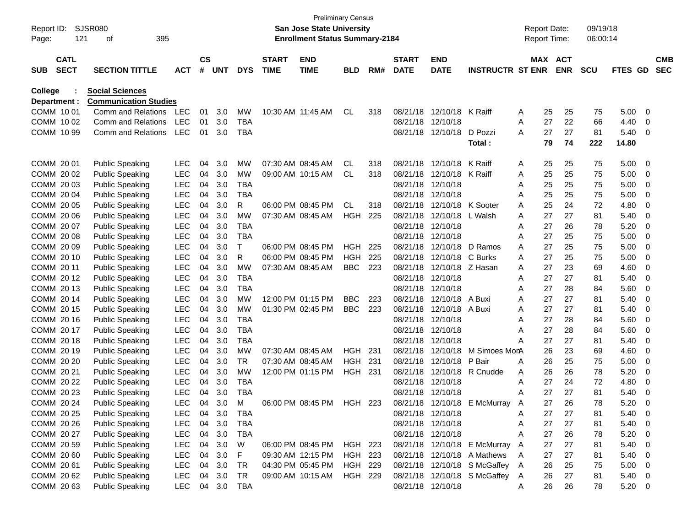| Report ID:<br>Page: | 121                        | SJSR080<br>395<br>οf                               |            |                |            |            |                             | <b>Preliminary Census</b><br>San Jose State University<br><b>Enrollment Status Summary-2184</b> |            |     |                             |                           |                         | <b>Report Date:</b><br><b>Report Time:</b> |         |            | 09/19/18<br>06:00:14 |                |                          |                          |
|---------------------|----------------------------|----------------------------------------------------|------------|----------------|------------|------------|-----------------------------|-------------------------------------------------------------------------------------------------|------------|-----|-----------------------------|---------------------------|-------------------------|--------------------------------------------|---------|------------|----------------------|----------------|--------------------------|--------------------------|
| <b>SUB</b>          | <b>CATL</b><br><b>SECT</b> | <b>SECTION TITTLE</b>                              | <b>ACT</b> | <b>CS</b><br># | <b>UNT</b> | <b>DYS</b> | <b>START</b><br><b>TIME</b> | <b>END</b><br><b>TIME</b>                                                                       | BLD        | RM# | <b>START</b><br><b>DATE</b> | <b>END</b><br><b>DATE</b> | <b>INSTRUCTR ST ENR</b> |                                            | MAX ACT | <b>ENR</b> | <b>SCU</b>           | <b>FTES GD</b> |                          | <b>CMB</b><br><b>SEC</b> |
|                     |                            |                                                    |            |                |            |            |                             |                                                                                                 |            |     |                             |                           |                         |                                            |         |            |                      |                |                          |                          |
| College             |                            | <b>Social Sciences</b>                             |            |                |            |            |                             |                                                                                                 |            |     |                             |                           |                         |                                            |         |            |                      |                |                          |                          |
|                     | Department :<br>COMM 10 01 | <b>Communication Studies</b><br>Comm and Relations |            |                |            |            |                             |                                                                                                 |            |     |                             | 12/10/18                  |                         |                                            |         |            |                      |                |                          |                          |
|                     | COMM 1002                  |                                                    | LEC        | 01             | 3.0        | <b>MW</b>  |                             | 10:30 AM 11:45 AM                                                                               | <b>CL</b>  | 318 | 08/21/18                    | 12/10/18                  | K Raiff                 | A                                          | 25      | 25<br>22   | 75                   | 5.00           | 0                        |                          |
|                     |                            | Comm and Relations<br>Comm and Relations           | <b>LEC</b> | 01             | 3.0        | TBA        |                             |                                                                                                 |            |     | 08/21/18<br>08/21/18        |                           |                         | A                                          | 27      | 27         | 66                   | 4.40           | 0                        |                          |
|                     | COMM 10 99                 |                                                    | <b>LEC</b> | 01             | 3.0        | <b>TBA</b> |                             |                                                                                                 |            |     |                             | 12/10/18                  | D Pozzi                 | A                                          | 27      | 74         | 81                   | 5.40           | 0                        |                          |
|                     |                            |                                                    |            |                |            |            |                             |                                                                                                 |            |     |                             |                           | Total :                 |                                            | 79      |            | 222                  | 14.80          |                          |                          |
|                     | COMM 20 01                 | <b>Public Speaking</b>                             | <b>LEC</b> | 04             | 3.0        | MW         |                             | 07:30 AM 08:45 AM                                                                               | <b>CL</b>  | 318 | 08/21/18                    | 12/10/18                  | K Raiff                 | A                                          | 25      | 25         | 75                   | 5.00           | 0                        |                          |
|                     | COMM 20 02                 | <b>Public Speaking</b>                             | <b>LEC</b> | 04             | 3.0        | <b>MW</b>  |                             | 09:00 AM 10:15 AM                                                                               | <b>CL</b>  | 318 | 08/21/18                    | 12/10/18                  | K Raiff                 | A                                          | 25      | 25         | 75                   | 5.00           | 0                        |                          |
|                     | COMM 2003                  | <b>Public Speaking</b>                             | <b>LEC</b> | 04             | 3.0        | <b>TBA</b> |                             |                                                                                                 |            |     | 08/21/18                    | 12/10/18                  |                         | A                                          | 25      | 25         | 75                   | 5.00           | 0                        |                          |
|                     | COMM 2004                  | <b>Public Speaking</b>                             | <b>LEC</b> | 04             | 3.0        | <b>TBA</b> |                             |                                                                                                 |            |     | 08/21/18                    | 12/10/18                  |                         | Α                                          | 25      | 25         | 75                   | 5.00           | 0                        |                          |
|                     | COMM 20 05                 | <b>Public Speaking</b>                             | <b>LEC</b> | 04             | 3.0        | R          |                             | 06:00 PM 08:45 PM                                                                               | <b>CL</b>  | 318 | 08/21/18                    | 12/10/18                  | K Sooter                | Α                                          | 25      | 24         | 72                   | 4.80           | 0                        |                          |
|                     | COMM 20 06                 | <b>Public Speaking</b>                             | <b>LEC</b> | 04             | 3.0        | <b>MW</b>  |                             | 07:30 AM 08:45 AM                                                                               | HGH        | 225 | 08/21/18                    | 12/10/18                  | L Walsh                 | A                                          | 27      | 27         | 81                   | 5.40           | 0                        |                          |
|                     | COMM 20 07                 | <b>Public Speaking</b>                             | <b>LEC</b> | 04             | 3.0        | <b>TBA</b> |                             |                                                                                                 |            |     | 08/21/18                    | 12/10/18                  |                         | Α                                          | 27      | 26         | 78                   | 5.20           | 0                        |                          |
|                     | COMM 20 08                 | <b>Public Speaking</b>                             | <b>LEC</b> | 04             | 3.0        | <b>TBA</b> |                             |                                                                                                 |            |     | 08/21/18                    | 12/10/18                  |                         | Α                                          | 27      | 25         | 75                   | 5.00           | 0                        |                          |
|                     | COMM 20 09                 | <b>Public Speaking</b>                             | <b>LEC</b> | 04             | 3.0        | Т          |                             | 06:00 PM 08:45 PM                                                                               | <b>HGH</b> | 225 | 08/21/18                    | 12/10/18                  | D Ramos                 | A                                          | 27      | 25         | 75                   | 5.00           | 0                        |                          |
|                     | COMM 20 10                 | <b>Public Speaking</b>                             | <b>LEC</b> | 04             | 3.0        | R          |                             | 06:00 PM 08:45 PM                                                                               | HGH        | 225 | 08/21/18                    | 12/10/18                  | C Burks                 | A                                          | 27      | 25         | 75                   | 5.00           | 0                        |                          |
|                     | COMM 20 11                 | <b>Public Speaking</b>                             | <b>LEC</b> | 04             | 3.0        | <b>MW</b>  |                             | 07:30 AM 08:45 AM                                                                               | <b>BBC</b> | 223 | 08/21/18                    | 12/10/18 Z Hasan          |                         | A                                          | 27      | 23         | 69                   | 4.60           | 0                        |                          |
|                     | COMM 2012                  | <b>Public Speaking</b>                             | <b>LEC</b> | 04             | 3.0        | <b>TBA</b> |                             |                                                                                                 |            |     | 08/21/18                    | 12/10/18                  |                         | A                                          | 27      | 27         | 81                   | 5.40           | 0                        |                          |
|                     | COMM 2013                  | <b>Public Speaking</b>                             | <b>LEC</b> | 04             | 3.0        | <b>TBA</b> |                             |                                                                                                 |            |     | 08/21/18                    | 12/10/18                  |                         | Α                                          | 27      | 28         | 84                   | 5.60           | 0                        |                          |
|                     | COMM 2014                  | <b>Public Speaking</b>                             | <b>LEC</b> | 04             | 3.0        | MW         |                             | 12:00 PM 01:15 PM                                                                               | <b>BBC</b> | 223 | 08/21/18                    | 12/10/18                  | A Buxi                  | Α                                          | 27      | 27         | 81                   | 5.40           | 0                        |                          |
|                     | COMM 20 15                 | <b>Public Speaking</b>                             | <b>LEC</b> | 04             | 3.0        | <b>MW</b>  |                             | 01:30 PM 02:45 PM                                                                               | <b>BBC</b> | 223 | 08/21/18                    | 12/10/18                  | A Buxi                  | A                                          | 27      | 27         | 81                   | 5.40           | 0                        |                          |
|                     | COMM 20 16                 | <b>Public Speaking</b>                             | <b>LEC</b> | 04             | 3.0        | <b>TBA</b> |                             |                                                                                                 |            |     | 08/21/18                    | 12/10/18                  |                         | Α                                          | 27      | 28         | 84                   | 5.60           | 0                        |                          |
|                     | COMM 20 17                 | <b>Public Speaking</b>                             | <b>LEC</b> | 04             | 3.0        | <b>TBA</b> |                             |                                                                                                 |            |     | 08/21/18                    | 12/10/18                  |                         | Α                                          | 27      | 28         | 84                   | 5.60           | 0                        |                          |
|                     | COMM 20 18                 | <b>Public Speaking</b>                             | <b>LEC</b> | 04             | 3.0        | TBA        |                             |                                                                                                 |            |     | 08/21/18                    | 12/10/18                  |                         | Α                                          | 27      | 27         | 81                   | 5.40           | 0                        |                          |
|                     | COMM 20 19                 | <b>Public Speaking</b>                             | <b>LEC</b> | 04             | 3.0        | MW         |                             | 07:30 AM 08:45 AM                                                                               | HGH        | 231 | 08/21/18                    | 12/10/18                  | M Simoes MonA           |                                            | 26      | 23         | 69                   | 4.60           | 0                        |                          |
|                     | COMM 20 20                 | <b>Public Speaking</b>                             | <b>LEC</b> | 04             | 3.0        | TR         |                             | 07:30 AM 08:45 AM                                                                               | HGH.       | 231 | 08/21/18                    | 12/10/18                  | P Bair                  | A                                          | 26      | 25         | 75                   | 5.00           | 0                        |                          |
|                     | COMM 20 21                 | <b>Public Speaking</b>                             | <b>LEC</b> | 04             | 3.0        | <b>MW</b>  |                             | 12:00 PM 01:15 PM                                                                               | HGH        | 231 | 08/21/18                    | 12/10/18                  | R Cnudde                | Α                                          | 26      | 26         | 78                   | 5.20           | 0                        |                          |
|                     | COMM 20 22                 | <b>Public Speaking</b>                             | <b>LEC</b> | 04             | 3.0        | <b>TBA</b> |                             |                                                                                                 |            |     | 08/21/18                    | 12/10/18                  |                         | A                                          | 27      | 24         | 72                   | 4.80           | 0                        |                          |
|                     | COMM 20 23                 | <b>Public Speaking</b>                             | <b>LEC</b> | 04             | 3.0        | <b>TBA</b> |                             |                                                                                                 |            |     | 08/21/18                    | 12/10/18                  |                         | Α                                          | 27      | 27         | 81                   | 5.40           | 0                        |                          |
|                     | COMM 20 24                 | <b>Public Speaking</b>                             | LEC.       | 04             | 3.0        | м          |                             | 06:00 PM 08:45 PM                                                                               | <b>HGH</b> | 223 |                             | 08/21/18 12/10/18         | E McMurray              | Α                                          | 27      | 26         | 78                   | 5.20           | 0                        |                          |
|                     | COMM 20 25                 | <b>Public Speaking</b>                             | <b>LEC</b> | 04             | 3.0        | <b>TBA</b> |                             |                                                                                                 |            |     |                             | 08/21/18 12/10/18         |                         | Α                                          | 27      | 27         | 81                   | 5.40           | - 0                      |                          |
|                     | COMM 20 26                 | <b>Public Speaking</b>                             | <b>LEC</b> | 04             | 3.0        | <b>TBA</b> |                             |                                                                                                 |            |     |                             | 08/21/18 12/10/18         |                         | A                                          | 27      | 27         | 81                   | 5.40           | - 0                      |                          |
|                     | COMM 20 27                 | <b>Public Speaking</b>                             | <b>LEC</b> | 04             | 3.0        | TBA        |                             |                                                                                                 |            |     |                             | 08/21/18 12/10/18         |                         | Α                                          | 27      | 26         | 78                   | 5.20           | 0                        |                          |
|                     | COMM 20 59                 | <b>Public Speaking</b>                             | <b>LEC</b> | 04             | 3.0        | W          |                             | 06:00 PM 08:45 PM                                                                               | HGH 223    |     |                             | 08/21/18 12/10/18         | E McMurray              | A                                          | 27      | 27         | 81                   | 5.40           | - 0                      |                          |
|                     | COMM 20 60                 | <b>Public Speaking</b>                             | <b>LEC</b> | 04             | 3.0        | F          |                             | 09:30 AM 12:15 PM                                                                               | HGH 223    |     |                             | 08/21/18 12/10/18         | A Mathews               | A                                          | 27      | 27         | 81                   | 5.40           | - 0                      |                          |
|                     | COMM 20 61                 | <b>Public Speaking</b>                             | <b>LEC</b> | 04             | 3.0        | TR         |                             | 04:30 PM 05:45 PM                                                                               | HGH 229    |     |                             | 08/21/18 12/10/18         | S McGaffey              | A                                          | 26      | 25         | 75                   | 5.00           | - 0                      |                          |
|                     | COMM 20 62                 | <b>Public Speaking</b>                             | <b>LEC</b> | 04             | 3.0        | TR         |                             | 09:00 AM 10:15 AM                                                                               | HGH 229    |     |                             | 08/21/18 12/10/18         | S McGaffey              | A                                          | 26      | 27         | 81                   | 5.40           | - 0                      |                          |
|                     | COMM 20 63                 | <b>Public Speaking</b>                             | LEC 04 3.0 |                |            | <b>TBA</b> |                             |                                                                                                 |            |     |                             | 08/21/18 12/10/18         |                         | A                                          | 26      | 26         | 78                   | 5.20           | $\overline{\phantom{0}}$ |                          |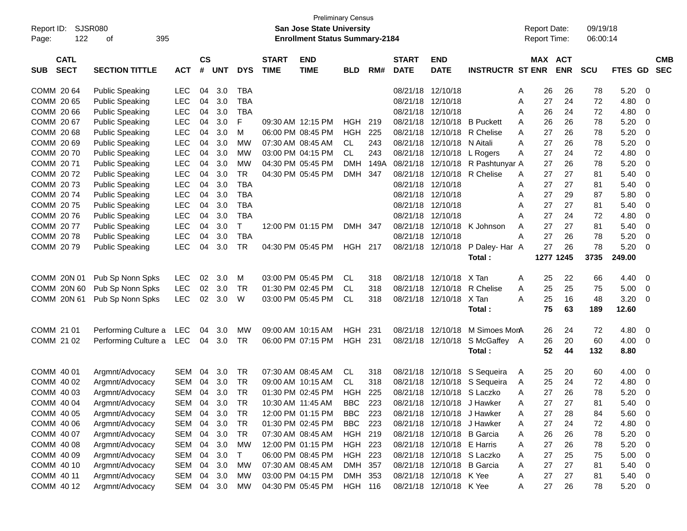| Report ID:<br>122<br>Page:               | <b>SJSR080</b><br>395<br>οf |            |                |            |            |                             | <b>Preliminary Census</b><br>San Jose State University<br><b>Enrollment Status Summary-2184</b> |                |      |                             |                            |                         |   | <b>Report Date:</b><br><b>Report Time:</b> |            | 09/19/18<br>06:00:14 |         |             |                          |
|------------------------------------------|-----------------------------|------------|----------------|------------|------------|-----------------------------|-------------------------------------------------------------------------------------------------|----------------|------|-----------------------------|----------------------------|-------------------------|---|--------------------------------------------|------------|----------------------|---------|-------------|--------------------------|
| <b>CATL</b><br><b>SECT</b><br><b>SUB</b> | <b>SECTION TITTLE</b>       | <b>ACT</b> | <b>CS</b><br># | <b>UNT</b> | <b>DYS</b> | <b>START</b><br><b>TIME</b> | <b>END</b><br><b>TIME</b>                                                                       | <b>BLD</b>     | RM#  | <b>START</b><br><b>DATE</b> | <b>END</b><br><b>DATE</b>  | <b>INSTRUCTR ST ENR</b> |   | <b>MAX ACT</b>                             | <b>ENR</b> | <b>SCU</b>           | FTES GD |             | <b>CMB</b><br><b>SEC</b> |
| COMM 2064                                | <b>Public Speaking</b>      | <b>LEC</b> | 04             | 3.0        | <b>TBA</b> |                             |                                                                                                 |                |      | 08/21/18                    | 12/10/18                   |                         | A | 26                                         | 26         | 78                   | 5.20    | 0           |                          |
| COMM 20 65                               | <b>Public Speaking</b>      | <b>LEC</b> | 04             | 3.0        | <b>TBA</b> |                             |                                                                                                 |                |      | 08/21/18                    | 12/10/18                   |                         | A | 27                                         | 24         | 72                   | 4.80    | 0           |                          |
| COMM 20 66                               | <b>Public Speaking</b>      | <b>LEC</b> | 04             | 3.0        | <b>TBA</b> |                             |                                                                                                 |                |      | 08/21/18                    | 12/10/18                   |                         | A | 26                                         | 24         | 72                   | 4.80    | 0           |                          |
| COMM 2067                                | <b>Public Speaking</b>      | <b>LEC</b> | 04             | 3.0        | F          |                             | 09:30 AM 12:15 PM                                                                               | <b>HGH</b>     | 219  | 08/21/18                    | 12/10/18                   | <b>B</b> Puckett        | A | 26                                         | 26         | 78                   | 5.20    | 0           |                          |
| COMM 20 68                               | <b>Public Speaking</b>      | <b>LEC</b> | 04             | 3.0        | М          |                             | 06:00 PM 08:45 PM                                                                               | <b>HGH</b>     | 225  | 08/21/18                    | 12/10/18                   | R Chelise               | A | 27                                         | 26         | 78                   | 5.20    | 0           |                          |
| COMM 20 69                               | <b>Public Speaking</b>      | <b>LEC</b> | 04             | 3.0        | МW         |                             | 07:30 AM 08:45 AM                                                                               | <b>CL</b>      | 243  | 08/21/18                    | 12/10/18                   | N Aitali                | A | 27                                         | 26         | 78                   | 5.20    | $\mathbf 0$ |                          |
| COMM 2070                                | <b>Public Speaking</b>      | <b>LEC</b> | 04             | 3.0        | МW         |                             | 03:00 PM 04:15 PM                                                                               | <b>CL</b>      | 243  | 08/21/18                    | 12/10/18                   | L Rogers                | A | 27                                         | 24         | 72                   | 4.80    | $\mathbf 0$ |                          |
| COMM 2071                                | <b>Public Speaking</b>      | <b>LEC</b> | 04             | 3.0        | МW         |                             | 04:30 PM 05:45 PM                                                                               | <b>DMH</b>     | 149A | 08/21/18                    | 12/10/18                   | R Pashtunyar A          |   | 27                                         | 26         | 78                   | 5.20    | $\mathbf 0$ |                          |
| COMM 2072                                | <b>Public Speaking</b>      | <b>LEC</b> | 04             | 3.0        | <b>TR</b>  |                             | 04:30 PM 05:45 PM                                                                               | DMH            | 347  | 08/21/18                    | 12/10/18                   | R Chelise               | A | 27                                         | 27         | 81                   | 5.40    | 0           |                          |
| COMM 2073                                | <b>Public Speaking</b>      | <b>LEC</b> | 04             | 3.0        | <b>TBA</b> |                             |                                                                                                 |                |      | 08/21/18                    | 12/10/18                   |                         | A | 27                                         | 27         | 81                   | 5.40    | 0           |                          |
| COMM 2074                                | <b>Public Speaking</b>      | <b>LEC</b> | 04             | 3.0        | <b>TBA</b> |                             |                                                                                                 |                |      | 08/21/18                    | 12/10/18                   |                         | A | 27                                         | 29         | 87                   | 5.80    | $\mathbf 0$ |                          |
| COMM 2075                                | <b>Public Speaking</b>      | <b>LEC</b> | 04             | 3.0        | <b>TBA</b> |                             |                                                                                                 |                |      | 08/21/18                    | 12/10/18                   |                         | A | 27                                         | 27         | 81                   | 5.40    | 0           |                          |
| COMM 2076                                | <b>Public Speaking</b>      | <b>LEC</b> | 04             | 3.0        | <b>TBA</b> |                             |                                                                                                 |                |      | 08/21/18                    | 12/10/18                   |                         | A | 27                                         | 24         | 72                   | 4.80    | 0           |                          |
| COMM 2077                                | <b>Public Speaking</b>      | <b>LEC</b> | 04             | 3.0        | т          |                             | 12:00 PM 01:15 PM                                                                               | DMH 347        |      | 08/21/18                    | 12/10/18                   | K Johnson               | A | 27                                         | 27         | 81                   | 5.40    | 0           |                          |
| COMM 2078                                | <b>Public Speaking</b>      | <b>LEC</b> | 04             | 3.0        | <b>TBA</b> |                             |                                                                                                 |                |      | 08/21/18                    | 12/10/18                   |                         | А | 27                                         | 26         | 78                   | 5.20    | $\mathbf 0$ |                          |
| COMM 2079                                | <b>Public Speaking</b>      | <b>LEC</b> | 04             | 3.0        | <b>TR</b>  |                             | 04:30 PM 05:45 PM                                                                               | <b>HGH 217</b> |      | 08/21/18                    | 12/10/18                   | P Daley-Har A           |   | 27                                         | 26         | 78                   | 5.20    | $\Omega$    |                          |
|                                          |                             |            |                |            |            |                             |                                                                                                 |                |      |                             |                            | Total:                  |   |                                            | 1277 1245  | 3735                 | 249.00  |             |                          |
| COMM 20N 01                              | Pub Sp Nonn Spks            | <b>LEC</b> | 02             | 3.0        | м          |                             | 03:00 PM 05:45 PM                                                                               | <b>CL</b>      | 318  | 08/21/18                    | 12/10/18                   | X Tan                   | A | 25                                         | 22         | 66                   | 4.40    | 0           |                          |
| COMM 20N 60                              | Pub Sp Nonn Spks            | <b>LEC</b> | 02             | 3.0        | <b>TR</b>  |                             | 01:30 PM 02:45 PM                                                                               | <b>CL</b>      | 318  | 08/21/18                    | 12/10/18                   | R Chelise               | Α | 25                                         | 25         | 75                   | 5.00    | 0           |                          |
| COMM 20N 61                              | Pub Sp Nonn Spks            | <b>LEC</b> | 02             | 3.0        | W          |                             | 03:00 PM 05:45 PM                                                                               | <b>CL</b>      | 318  |                             | 08/21/18 12/10/18          | X Tan                   | Α | 25                                         | 16         | 48                   | 3.20    | 0           |                          |
|                                          |                             |            |                |            |            |                             |                                                                                                 |                |      |                             |                            | Total:                  |   | 75                                         | 63         | 189                  | 12.60   |             |                          |
| COMM 21 01                               | Performing Culture a        | <b>LEC</b> | 04             | 3.0        | MW         |                             | 09:00 AM 10:15 AM                                                                               | <b>HGH</b>     | 231  | 08/21/18                    | 12/10/18                   | M Simoes MonA           |   | 26                                         | 24         | 72                   | 4.80    | 0           |                          |
| COMM 21 02                               | Performing Culture a        | LEC        | 04             | 3.0        | TR         |                             | 06:00 PM 07:15 PM                                                                               | <b>HGH</b>     | 231  | 08/21/18                    | 12/10/18                   | S McGaffey A            |   | 26                                         | 20         | 60                   | 4.00    | 0           |                          |
|                                          |                             |            |                |            |            |                             |                                                                                                 |                |      |                             |                            | Total:                  |   | 52                                         | 44         | 132                  | 8.80    |             |                          |
| COMM 40 01                               | Argmnt/Advocacy             | <b>SEM</b> | 04             | 3.0        | TR.        |                             | 07:30 AM 08:45 AM                                                                               | <b>CL</b>      | 318  | 08/21/18                    | 12/10/18                   | S Sequeira              | A | 25                                         | 20         | 60                   | 4.00    | 0           |                          |
| COMM 40 02                               | Argmnt/Advocacy             | <b>SEM</b> | 04             | 3.0        | <b>TR</b>  |                             | 09:00 AM 10:15 AM                                                                               | <b>CL</b>      | 318  | 08/21/18                    | 12/10/18                   | S Sequeira              | A | 25                                         | 24         | 72                   | 4.80    | 0           |                          |
| COMM 40 03                               | Argmnt/Advocacy             | <b>SEM</b> | 04             | 3.0        | <b>TR</b>  |                             | 01:30 PM 02:45 PM                                                                               | HGH            | 225  |                             | 08/21/18 12/10/18 S Laczko |                         | A | 27                                         | 26         | 78                   | 5.20    | 0           |                          |
| COMM 40 04                               | Argmnt/Advocacy             | <b>SEM</b> | 04             | 3.0        | TR         |                             | 10:30 AM 11:45 AM                                                                               | <b>BBC</b>     | 223  |                             | 08/21/18 12/10/18          | J Hawker                | A | 27                                         | 27         | 81                   | 5.40    | 0           |                          |
| COMM 40 05                               | Argmnt/Advocacy             | <b>SEM</b> | 04             | 3.0        | TR         |                             | 12:00 PM 01:15 PM                                                                               | <b>BBC</b>     | 223  |                             | 08/21/18 12/10/18          | J Hawker                | A | 27                                         | 28         | 84                   | 5.60    | 0           |                          |
| COMM 40 06                               | Argmnt/Advocacy             | <b>SEM</b> | 04             | 3.0        | <b>TR</b>  |                             | 01:30 PM 02:45 PM                                                                               | <b>BBC</b>     | 223  |                             | 08/21/18 12/10/18          | J Hawker                | A | 27                                         | 24         | 72                   | 4.80    | 0           |                          |
| COMM 40 07                               | Argmnt/Advocacy             | <b>SEM</b> | 04             | 3.0        | <b>TR</b>  |                             | 07:30 AM 08:45 AM                                                                               | HGH 219        |      |                             | 08/21/18 12/10/18          | <b>B</b> Garcia         | Α | 26                                         | 26         | 78                   | 5.20    | 0           |                          |
| COMM 40 08                               | Argmnt/Advocacy             | <b>SEM</b> | 04             | 3.0        | MW         |                             | 12:00 PM 01:15 PM                                                                               | <b>HGH 223</b> |      |                             | 08/21/18 12/10/18 E Harris |                         | Α | 27                                         | 26         | 78                   | 5.20    | 0           |                          |
| COMM 40 09                               | Argmnt/Advocacy             | <b>SEM</b> | 04             | 3.0        | Т          |                             | 06:00 PM 08:45 PM                                                                               | <b>HGH 223</b> |      |                             | 08/21/18 12/10/18 S Laczko |                         | A | 27                                         | 25         | 75                   | 5.00    | 0           |                          |
| COMM 40 10                               | Argmnt/Advocacy             | <b>SEM</b> | 04             | 3.0        | <b>MW</b>  |                             | 07:30 AM 08:45 AM                                                                               | DMH 357        |      |                             | 08/21/18 12/10/18          | <b>B</b> Garcia         | Α | 27                                         | 27         | 81                   | 5.40    | 0           |                          |
| COMM 40 11                               | Argmnt/Advocacy             | <b>SEM</b> | 04             | 3.0        | MW         |                             | 03:00 PM 04:15 PM                                                                               | DMH 353        |      |                             | 08/21/18 12/10/18 K Yee    |                         | Α | 27                                         | 27         | 81                   | 5.40    | 0           |                          |
| COMM 40 12                               | Argmnt/Advocacy             | SEM        |                | 04 3.0     | МW         |                             | 04:30 PM 05:45 PM                                                                               | HGH 116        |      |                             | 08/21/18 12/10/18 K Yee    |                         | Α | 27                                         | 26         | 78                   | 5.20    | 0           |                          |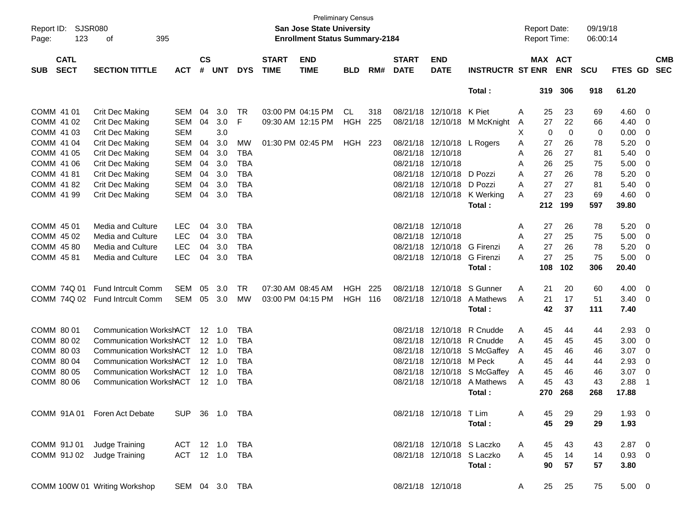| Report ID:<br>123<br>Page:               | SJSR080<br>395<br>оf           |                |                    |                |            |                             | <b>Preliminary Census</b><br><b>San Jose State University</b><br><b>Enrollment Status Summary-2184</b> |                |     |                             |                            |                         |   | <b>Report Date:</b><br>Report Time: |             | 09/19/18<br>06:00:14 |             |                         |                          |
|------------------------------------------|--------------------------------|----------------|--------------------|----------------|------------|-----------------------------|--------------------------------------------------------------------------------------------------------|----------------|-----|-----------------------------|----------------------------|-------------------------|---|-------------------------------------|-------------|----------------------|-------------|-------------------------|--------------------------|
| <b>CATL</b><br><b>SECT</b><br><b>SUB</b> | <b>SECTION TITTLE</b>          | <b>ACT</b>     | $\mathsf{cs}$<br># | <b>UNT</b>     | <b>DYS</b> | <b>START</b><br><b>TIME</b> | <b>END</b><br><b>TIME</b>                                                                              | <b>BLD</b>     | RM# | <b>START</b><br><b>DATE</b> | <b>END</b><br><b>DATE</b>  | <b>INSTRUCTR ST ENR</b> |   | MAX ACT                             | <b>ENR</b>  | <b>SCU</b>           | FTES GD     |                         | <b>CMB</b><br><b>SEC</b> |
|                                          |                                |                |                    |                |            |                             |                                                                                                        |                |     |                             |                            | Total:                  |   | 319                                 | 306         | 918                  | 61.20       |                         |                          |
| COMM 41 01                               | Crit Dec Making                | <b>SEM</b>     | 04                 | 3.0            | <b>TR</b>  |                             | 03:00 PM 04:15 PM                                                                                      | CL             | 318 | 08/21/18                    | 12/10/18                   | K Piet                  | Α | 25                                  | 23          | 69                   | 4.60        | 0                       |                          |
| COMM 41 02                               | <b>Crit Dec Making</b>         | <b>SEM</b>     | 04                 | 3.0            | F          |                             | 09:30 AM 12:15 PM                                                                                      | <b>HGH</b>     | 225 | 08/21/18                    | 12/10/18                   | M McKnight              | A | 27                                  | 22          | 66                   | 4.40        | 0                       |                          |
| COMM 41 03                               | <b>Crit Dec Making</b>         | <b>SEM</b>     |                    | 3.0            |            |                             |                                                                                                        |                |     |                             |                            |                         | Χ | 0                                   | $\mathbf 0$ | 0                    | 0.00        | 0                       |                          |
| COMM 41 04                               | <b>Crit Dec Making</b>         | <b>SEM</b>     | 04                 | 3.0            | МW         |                             | 01:30 PM 02:45 PM                                                                                      | HGH            | 223 |                             | 08/21/18 12/10/18          | L Rogers                | Α | 27                                  | 26          | 78                   | 5.20        | 0                       |                          |
| COMM 41 05                               | <b>Crit Dec Making</b>         | <b>SEM</b>     | 04                 | 3.0            | <b>TBA</b> |                             |                                                                                                        |                |     | 08/21/18                    | 12/10/18                   |                         | Α | 26                                  | 27          | 81                   | 5.40        | 0                       |                          |
| COMM 41 06                               | <b>Crit Dec Making</b>         | <b>SEM</b>     | 04                 | 3.0            | <b>TBA</b> |                             |                                                                                                        |                |     | 08/21/18                    | 12/10/18                   |                         | A | 26                                  | 25          | 75                   | 5.00        | 0                       |                          |
| COMM 41 81                               | <b>Crit Dec Making</b>         | <b>SEM</b>     | 04                 | 3.0            | <b>TBA</b> |                             |                                                                                                        |                |     | 08/21/18                    | 12/10/18                   | D Pozzi                 | A | 27                                  | 26          | 78                   | 5.20        | 0                       |                          |
| COMM 41 82                               | <b>Crit Dec Making</b>         | <b>SEM</b>     | 04                 | 3.0            | <b>TBA</b> |                             |                                                                                                        |                |     | 08/21/18                    | 12/10/18                   | D Pozzi                 | Α | 27                                  | 27          | 81                   | 5.40        | 0                       |                          |
| COMM 41 99                               | <b>Crit Dec Making</b>         | <b>SEM</b>     | 04                 | 3.0            | <b>TBA</b> |                             |                                                                                                        |                |     |                             | 08/21/18 12/10/18          | K Werking               | A | 27                                  | 23          | 69                   | 4.60        | 0                       |                          |
|                                          |                                |                |                    |                |            |                             |                                                                                                        |                |     |                             |                            | Total:                  |   | 212                                 | 199         | 597                  | 39.80       |                         |                          |
| COMM 45 01                               | Media and Culture              | <b>LEC</b>     | 04                 | 3.0            | <b>TBA</b> |                             |                                                                                                        |                |     | 08/21/18 12/10/18           |                            |                         | Α | 27                                  | 26          | 78                   | 5.20        | 0                       |                          |
| COMM 45 02                               | Media and Culture              | <b>LEC</b>     | 04                 | 3.0            | <b>TBA</b> |                             |                                                                                                        |                |     | 08/21/18                    | 12/10/18                   |                         | Α | 27                                  | 25          | 75                   | 5.00        | 0                       |                          |
| COMM 45 80                               | Media and Culture              | <b>LEC</b>     | 04                 | 3.0            | <b>TBA</b> |                             |                                                                                                        |                |     | 08/21/18                    | 12/10/18                   | G Firenzi               | A | 27                                  | 26          | 78                   | 5.20        | 0                       |                          |
| COMM 45 81                               | Media and Culture              | <b>LEC</b>     | 04                 | 3.0            | <b>TBA</b> |                             |                                                                                                        |                |     |                             | 08/21/18 12/10/18          | <b>G</b> Firenzi        | А | 27                                  | 25          | 75                   | 5.00        | 0                       |                          |
|                                          |                                |                |                    |                |            |                             |                                                                                                        |                |     |                             |                            | Total:                  |   | 108                                 | 102         | 306                  | 20.40       |                         |                          |
| COMM 74Q 01                              | <b>Fund Intrcult Comm</b>      | <b>SEM</b>     | 05                 | 3.0            | <b>TR</b>  | 07:30 AM 08:45 AM           |                                                                                                        | <b>HGH</b>     | 225 | 08/21/18                    | 12/10/18                   | S Gunner                | Α | 21                                  | 20          | 60                   | 4.00        | 0                       |                          |
| COMM 74Q 02                              | <b>Fund Intrcult Comm</b>      | <b>SEM</b>     | 05                 | 3.0            | МW         |                             | 03:00 PM 04:15 PM                                                                                      | <b>HGH 116</b> |     |                             | 08/21/18 12/10/18          | A Mathews               | A | 21                                  | 17          | 51                   | 3.40        | 0                       |                          |
|                                          |                                |                |                    |                |            |                             |                                                                                                        |                |     |                             |                            | Total:                  |   | 42                                  | 37          | 111                  | 7.40        |                         |                          |
| COMM 80 01                               | <b>Communication WorkshACT</b> |                |                    | $12 \quad 1.0$ | <b>TBA</b> |                             |                                                                                                        |                |     | 08/21/18                    | 12/10/18                   | R Cnudde                | Α | 45                                  | 44          | 44                   | 2.93        | 0                       |                          |
| COMM 80 02                               | <b>Communication WorkshACT</b> |                |                    | $12 \quad 1.0$ | <b>TBA</b> |                             |                                                                                                        |                |     | 08/21/18                    | 12/10/18                   | R Cnudde                | Α | 45                                  | 45          | 45                   | 3.00        | 0                       |                          |
| COMM 80 03                               | <b>Communication WorkshACT</b> |                |                    | $12 \quad 1.0$ | <b>TBA</b> |                             |                                                                                                        |                |     | 08/21/18                    | 12/10/18                   | S McGaffey              | A | 45                                  | 46          | 46                   | 3.07        | 0                       |                          |
| COMM 80 04                               | <b>Communication WorkshACT</b> |                |                    | $12 \quad 1.0$ | <b>TBA</b> |                             |                                                                                                        |                |     | 08/21/18                    | 12/10/18                   | M Peck                  | A | 45                                  | 44          | 44                   | 2.93        | 0                       |                          |
| COMM 80 05                               | <b>Communication WorkshACT</b> |                |                    | $12 \quad 1.0$ | <b>TBA</b> |                             |                                                                                                        |                |     | 08/21/18                    | 12/10/18                   | S McGaffey              | A | 45                                  | 46          | 46                   | 3.07        | 0                       |                          |
| COMM 80 06                               | <b>Communication WorkshACT</b> |                |                    | $12 \quad 1.0$ | <b>TBA</b> |                             |                                                                                                        |                |     |                             | 08/21/18 12/10/18          | A Mathews               | A | 45                                  | 43          | 43                   | 2.88        | $\overline{\mathbf{1}}$ |                          |
|                                          |                                |                |                    |                |            |                             |                                                                                                        |                |     |                             |                            | Total:                  |   | 270                                 | 268         | 268                  | 17.88       |                         |                          |
|                                          | COMM 91A 01 Foren Act Debate   | SUP 36 1.0 TBA |                    |                |            |                             |                                                                                                        |                |     |                             | 08/21/18 12/10/18 T Lim    |                         | A | 45                                  | 29          | 29                   | $1.93 \ 0$  |                         |                          |
|                                          |                                |                |                    |                |            |                             |                                                                                                        |                |     |                             |                            | Total:                  |   | 45                                  | 29          | 29                   | 1.93        |                         |                          |
| COMM 91J 01                              | Judge Training                 | ACT 12 1.0     |                    |                | TBA        |                             |                                                                                                        |                |     |                             | 08/21/18 12/10/18 S Laczko |                         | A | 45                                  | 43          | 43                   | $2.87$ 0    |                         |                          |
| COMM 91J 02                              | Judge Training                 | <b>ACT</b>     |                    | $12$ 1.0       | TBA        |                             |                                                                                                        |                |     |                             | 08/21/18 12/10/18 S Laczko |                         | A | 45                                  | 14          | 14                   | $0.93$ 0    |                         |                          |
|                                          |                                |                |                    |                |            |                             |                                                                                                        |                |     |                             |                            | Total:                  |   | 90                                  | 57          | 57                   | 3.80        |                         |                          |
|                                          | COMM 100W 01 Writing Workshop  | SEM 04 3.0 TBA |                    |                |            |                             |                                                                                                        |                |     | 08/21/18 12/10/18           |                            |                         | A | 25                                  | 25          | 75                   | $5.00 \t 0$ |                         |                          |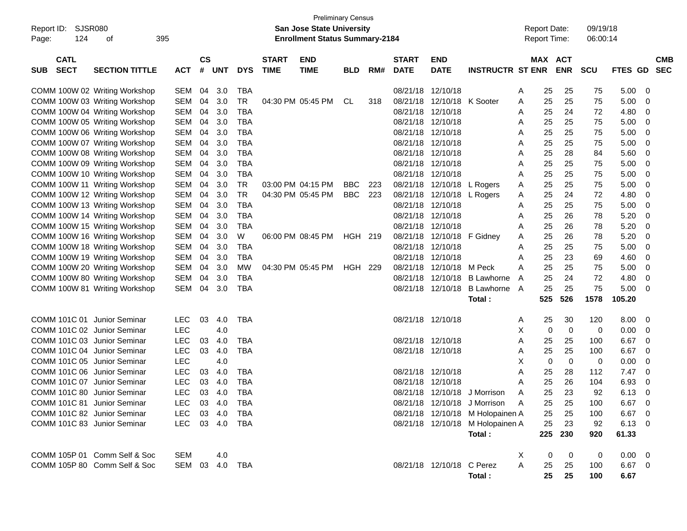| SJSR080<br>Report ID:<br>124<br>Page:    | 395                           |            |                    |                |            | <b>Preliminary Census</b><br><b>San Jose State University</b><br><b>Enrollment Status Summary-2184</b> |                           |            |     |                             |                            |                                  | <b>Report Date:</b><br><b>Report Time:</b> |     | 09/19/18<br>06:00:14  |            |                |                          |  |
|------------------------------------------|-------------------------------|------------|--------------------|----------------|------------|--------------------------------------------------------------------------------------------------------|---------------------------|------------|-----|-----------------------------|----------------------------|----------------------------------|--------------------------------------------|-----|-----------------------|------------|----------------|--------------------------|--|
| <b>CATL</b><br><b>SECT</b><br><b>SUB</b> | <b>SECTION TITTLE</b>         | <b>ACT</b> | $\mathsf{cs}$<br># | <b>UNT</b>     | <b>DYS</b> | <b>START</b><br><b>TIME</b>                                                                            | <b>END</b><br><b>TIME</b> | <b>BLD</b> | RM# | <b>START</b><br><b>DATE</b> | <b>END</b><br><b>DATE</b>  | <b>INSTRUCTR ST ENR</b>          |                                            |     | MAX ACT<br><b>ENR</b> | <b>SCU</b> | FTES GD        | <b>CMB</b><br><b>SEC</b> |  |
|                                          | COMM 100W 02 Writing Workshop | SEM        | 04                 | 3.0            | <b>TBA</b> |                                                                                                        |                           |            |     | 08/21/18                    | 12/10/18                   |                                  | A                                          | 25  | 25                    | 75         | 5.00           | 0                        |  |
|                                          | COMM 100W 03 Writing Workshop | <b>SEM</b> | 04                 | 3.0            | <b>TR</b>  |                                                                                                        | 04:30 PM 05:45 PM         | CL         | 318 | 08/21/18                    | 12/10/18                   | K Sooter                         | A                                          | 25  | 25                    | 75         | 5.00           | 0                        |  |
|                                          | COMM 100W 04 Writing Workshop | <b>SEM</b> | 04                 | 3.0            | <b>TBA</b> |                                                                                                        |                           |            |     | 08/21/18                    | 12/10/18                   |                                  | A                                          | 25  | 24                    | 72         | 4.80           | 0                        |  |
|                                          | COMM 100W 05 Writing Workshop | <b>SEM</b> | 04                 | 3.0            | TBA        |                                                                                                        |                           |            |     |                             | 08/21/18 12/10/18          |                                  | A                                          | 25  | 25                    | 75         | 5.00           | 0                        |  |
|                                          | COMM 100W 06 Writing Workshop | <b>SEM</b> | 04                 | 3.0            | <b>TBA</b> |                                                                                                        |                           |            |     |                             | 08/21/18 12/10/18          |                                  | A                                          | 25  | 25                    | 75         | 5.00           | 0                        |  |
|                                          | COMM 100W 07 Writing Workshop | <b>SEM</b> | 04                 | 3.0            | <b>TBA</b> |                                                                                                        |                           |            |     |                             | 08/21/18 12/10/18          |                                  | A                                          | 25  | 25                    | 75         | 5.00           | 0                        |  |
|                                          | COMM 100W 08 Writing Workshop | <b>SEM</b> | 04                 | 3.0            | <b>TBA</b> |                                                                                                        |                           |            |     |                             | 08/21/18 12/10/18          |                                  | A                                          | 25  | 28                    | 84         | 5.60           | 0                        |  |
|                                          | COMM 100W 09 Writing Workshop | <b>SEM</b> | 04                 | 3.0            | <b>TBA</b> |                                                                                                        |                           |            |     |                             | 08/21/18 12/10/18          |                                  | A                                          | 25  | 25                    | 75         | 5.00           | 0                        |  |
|                                          | COMM 100W 10 Writing Workshop | <b>SEM</b> | 04                 | 3.0            | <b>TBA</b> |                                                                                                        |                           |            |     |                             | 08/21/18 12/10/18          |                                  | A                                          | 25  | 25                    | 75         | 5.00           | 0                        |  |
|                                          | COMM 100W 11 Writing Workshop | <b>SEM</b> | 04                 | 3.0            | <b>TR</b>  |                                                                                                        | 03:00 PM 04:15 PM         | BBC        | 223 |                             | 08/21/18 12/10/18 L Rogers |                                  | A                                          | 25  | 25                    | 75         | 5.00           | 0                        |  |
|                                          | COMM 100W 12 Writing Workshop | <b>SEM</b> | 04                 | 3.0            | TR         |                                                                                                        | 04:30 PM 05:45 PM         | <b>BBC</b> | 223 |                             | 08/21/18 12/10/18          | L Rogers                         | A                                          | 25  | 24                    | 72         | 4.80           | 0                        |  |
|                                          | COMM 100W 13 Writing Workshop | <b>SEM</b> | 04                 | 3.0            | <b>TBA</b> |                                                                                                        |                           |            |     |                             | 08/21/18 12/10/18          |                                  | A                                          | 25  | 25                    | 75         | 5.00           | 0                        |  |
|                                          | COMM 100W 14 Writing Workshop | <b>SEM</b> | 04                 | 3.0            | <b>TBA</b> |                                                                                                        |                           |            |     |                             | 08/21/18 12/10/18          |                                  | A                                          | 25  | 26                    | 78         | 5.20           | 0                        |  |
|                                          | COMM 100W 15 Writing Workshop | <b>SEM</b> | 04                 | 3.0            | <b>TBA</b> |                                                                                                        |                           |            |     |                             | 08/21/18 12/10/18          |                                  | A                                          | 25  | 26                    | 78         | 5.20           | 0                        |  |
|                                          | COMM 100W 16 Writing Workshop | <b>SEM</b> | 04                 | 3.0            | W          |                                                                                                        | 06:00 PM 08:45 PM         | HGH 219    |     |                             | 08/21/18 12/10/18          | F Gidney                         | A                                          | 25  | 26                    | 78         | 5.20           | 0                        |  |
|                                          | COMM 100W 18 Writing Workshop | <b>SEM</b> | 04                 | 3.0            | <b>TBA</b> |                                                                                                        |                           |            |     |                             | 08/21/18 12/10/18          |                                  | Α                                          | 25  | 25                    | 75         | 5.00           | 0                        |  |
|                                          | COMM 100W 19 Writing Workshop | <b>SEM</b> | 04                 | 3.0            | <b>TBA</b> |                                                                                                        |                           |            |     |                             | 08/21/18 12/10/18          |                                  | A                                          | 25  | 23                    | 69         | 4.60           | 0                        |  |
|                                          | COMM 100W 20 Writing Workshop | <b>SEM</b> | 04                 | 3.0            | MW         |                                                                                                        | 04:30 PM 05:45 PM         | HGH        | 229 | 08/21/18                    | 12/10/18 M Peck            |                                  | A                                          | 25  | 25                    | 75         | 5.00           | 0                        |  |
|                                          | COMM 100W 80 Writing Workshop | <b>SEM</b> | 04                 | 3.0            | TBA        |                                                                                                        |                           |            |     | 08/21/18                    | 12/10/18                   | <b>B</b> Lawhorne                | A                                          | 25  | 24                    | 72         | 4.80           | 0                        |  |
|                                          | COMM 100W 81 Writing Workshop | <b>SEM</b> | 04                 | 3.0            | <b>TBA</b> |                                                                                                        |                           |            |     |                             | 08/21/18 12/10/18          | <b>B</b> Lawhorne                | A                                          | 25  | 25                    | 75         | 5.00           | 0                        |  |
|                                          |                               |            |                    |                |            |                                                                                                        |                           |            |     |                             |                            | Total :                          |                                            | 525 | 526                   | 1578       | 105.20         |                          |  |
| COMM 101C 01 Junior Seminar              |                               | <b>LEC</b> | 03                 | 4.0            | <b>TBA</b> |                                                                                                        |                           |            |     |                             | 08/21/18 12/10/18          |                                  | A                                          | 25  | 30                    | 120        | 8.00           | 0                        |  |
| COMM 101C 02 Junior Seminar              |                               | <b>LEC</b> |                    | 4.0            |            |                                                                                                        |                           |            |     |                             |                            |                                  | Х                                          | 0   | $\mathbf 0$           | 0          | 0.00           | 0                        |  |
| COMM 101C 03 Junior Seminar              |                               | <b>LEC</b> | 03                 | 4.0            | TBA        |                                                                                                        |                           |            |     |                             | 08/21/18 12/10/18          |                                  | A                                          | 25  | 25                    | 100        | 6.67           | 0                        |  |
| COMM 101C 04 Junior Seminar              |                               | <b>LEC</b> | 03                 | 4.0            | <b>TBA</b> |                                                                                                        |                           |            |     |                             | 08/21/18 12/10/18          |                                  | A                                          | 25  | 25                    | 100        | 6.67           | 0                        |  |
| COMM 101C 05 Junior Seminar              |                               | <b>LEC</b> |                    | 4.0            |            |                                                                                                        |                           |            |     |                             |                            |                                  | х                                          | 0   | $\mathbf 0$           | 0          | 0.00           | 0                        |  |
| COMM 101C 06 Junior Seminar              |                               | <b>LEC</b> | 03                 | 4.0            | <b>TBA</b> |                                                                                                        |                           |            |     |                             | 08/21/18 12/10/18          |                                  | A                                          | 25  | 28                    | 112        | 7.47           | 0                        |  |
| COMM 101C 07 Junior Seminar              |                               | <b>LEC</b> | 03                 | 4.0            | <b>TBA</b> |                                                                                                        |                           |            |     | 08/21/18                    | 12/10/18                   |                                  | Α                                          | 25  | 26                    | 104        | 6.93           | 0                        |  |
| COMM 101C 80 Junior Seminar              |                               | <b>LEC</b> | 03                 | 4.0            | <b>TBA</b> |                                                                                                        |                           |            |     |                             |                            | 08/21/18 12/10/18 J Morrison     | A                                          | 25  | 23                    | 92         | 6.13           | 0                        |  |
| COMM 101C 81 Junior Seminar              |                               | <b>LEC</b> |                    | 03 4.0         | <b>TBA</b> |                                                                                                        |                           |            |     |                             |                            | 08/21/18 12/10/18 J Morrison     | A                                          | 25  | 25                    | 100        | 6.67           | $\overline{0}$           |  |
| COMM 101C 82 Junior Seminar              |                               | LEC.       |                    | 03 4.0         | TBA        |                                                                                                        |                           |            |     |                             |                            | 08/21/18 12/10/18 M Holopainen A |                                            | 25  | 25                    | 100        | 6.67           | - 0                      |  |
| COMM 101C 83 Junior Seminar              |                               | <b>LEC</b> |                    | 03  4.0  TBA   |            |                                                                                                        |                           |            |     |                             |                            | 08/21/18 12/10/18 M Holopainen A |                                            | 25  | 23                    | 92         | $6.13 \quad 0$ |                          |  |
|                                          |                               |            |                    |                |            |                                                                                                        |                           |            |     |                             |                            | Total:                           |                                            | 225 | 230                   | 920        | 61.33          |                          |  |
|                                          | COMM 105P 01 Comm Self & Soc  | <b>SEM</b> |                    | 4.0            |            |                                                                                                        |                           |            |     |                             |                            |                                  | X                                          | 0   | 0                     | 0          | $0.00 \t 0$    |                          |  |
|                                          | COMM 105P 80 Comm Self & Soc  |            |                    | SEM 03 4.0 TBA |            |                                                                                                        |                           |            |     |                             | 08/21/18 12/10/18 C Perez  |                                  | Α                                          | 25  | 25                    | 100        | $6.67$ 0       |                          |  |
|                                          |                               |            |                    |                |            |                                                                                                        |                           |            |     |                             |                            | Total:                           |                                            | 25  | 25                    | 100        | 6.67           |                          |  |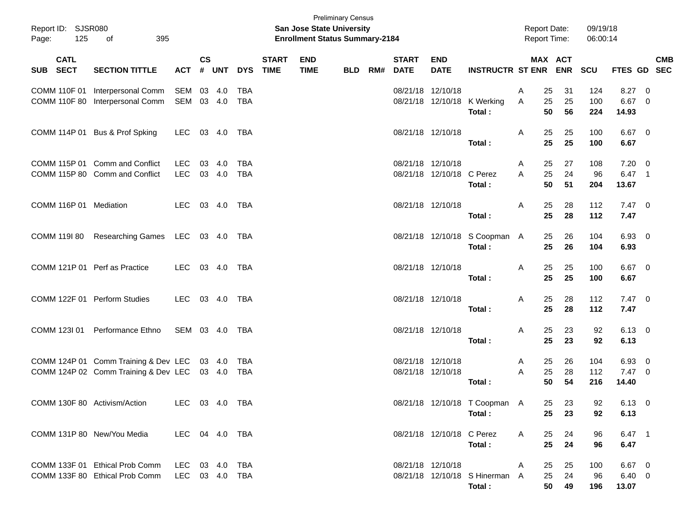| 125<br>Page:                  | Report ID: SJSR080<br>395<br>of<br><b>CATL</b>                                             |                                  |                    |            |                   |                             | San Jose State University<br><b>Enrollment Status Summary-2184</b> | <b>Preliminary Census</b> |     |                             |                                                |                                          |              | <b>Report Date:</b><br>Report Time: |                | 09/19/18<br>06:00:14 |                                  |                          |            |
|-------------------------------|--------------------------------------------------------------------------------------------|----------------------------------|--------------------|------------|-------------------|-----------------------------|--------------------------------------------------------------------|---------------------------|-----|-----------------------------|------------------------------------------------|------------------------------------------|--------------|-------------------------------------|----------------|----------------------|----------------------------------|--------------------------|------------|
| SUB SECT                      | <b>SECTION TITTLE</b>                                                                      | <b>ACT</b>                       | $\mathsf{cs}$<br># | UNT        | <b>DYS</b>        | <b>START</b><br><b>TIME</b> | <b>END</b><br><b>TIME</b>                                          | <b>BLD</b>                | RM# | <b>START</b><br><b>DATE</b> | <b>END</b><br><b>DATE</b>                      | <b>INSTRUCTR ST ENR</b>                  |              | MAX ACT                             | ENR SCU        |                      | FTES GD SEC                      |                          | <b>CMB</b> |
| COMM 110F 01<br>COMM 110F 80  | Interpersonal Comm<br>Interpersonal Comm                                                   | SEM 03 4.0<br>SEM 03 4.0         |                    |            | <b>TBA</b><br>TBA |                             |                                                                    |                           |     |                             | 08/21/18 12/10/18                              | 08/21/18 12/10/18 K Werking<br>Total:    | Α<br>A       | 25<br>25<br>50                      | 31<br>25<br>56 | 124<br>100<br>224    | 8.27<br>6.67 0<br>14.93          | $\overline{\mathbf{0}}$  |            |
|                               | COMM 114P 01 Bus & Prof Spking                                                             | LEC                              |                    | 03 4.0     | TBA               |                             |                                                                    |                           |     |                             | 08/21/18 12/10/18                              | Total:                                   | Α            | 25<br>25                            | 25<br>25       | 100<br>100           | $6.67$ 0<br>6.67                 |                          |            |
|                               | COMM 115P 01 Comm and Conflict<br>COMM 115P 80 Comm and Conflict                           | LEC.<br>LEC                      | 03 4.0             | 03 4.0     | <b>TBA</b><br>TBA |                             |                                                                    |                           |     |                             | 08/21/18 12/10/18<br>08/21/18 12/10/18 C Perez | Total:                                   | A<br>A       | 25<br>25<br>50                      | 27<br>24<br>51 | 108<br>96<br>204     | $7.20 \ 0$<br>6.47 1<br>13.67    |                          |            |
| COMM 116P 01 Mediation        |                                                                                            | LEC                              |                    | 03 4.0 TBA |                   |                             |                                                                    |                           |     |                             | 08/21/18 12/10/18                              | Total:                                   | A            | 25<br>25                            | 28<br>28       | 112<br>112           | $7.47\ 0$<br>7.47                |                          |            |
| COMM 119I 80                  | Researching Games LEC 03 4.0 TBA                                                           |                                  |                    |            |                   |                             |                                                                    |                           |     |                             |                                                | 08/21/18 12/10/18 S Coopman A<br>Total:  |              | 25<br>25                            | 26<br>26       | 104<br>104           | $6.93$ 0<br>6.93                 |                          |            |
| COMM 121P 01 Perf as Practice |                                                                                            | LEC                              |                    |            |                   |                             |                                                                    |                           |     |                             | 08/21/18 12/10/18                              | Total:                                   | Α            | 25<br>25                            | 25<br>25       | 100<br>100           | $6.67$ 0<br>6.67                 |                          |            |
|                               | COMM 122F 01 Perform Studies                                                               | LEC                              |                    |            |                   |                             |                                                                    |                           |     |                             | 08/21/18 12/10/18                              | Total:                                   | Α            | 25<br>25                            | 28<br>28       | 112<br>112           | $7.47\ 0$<br>7.47                |                          |            |
| COMM 123I 01                  | Performance Ethno                                                                          | SEM 03 4.0 TBA                   |                    |            |                   |                             |                                                                    |                           |     |                             | 08/21/18 12/10/18                              | Total:                                   | Α            | 25<br>25                            | 23<br>23       | 92<br>92             | $6.13 \quad 0$<br>6.13           |                          |            |
|                               | COMM 124P 01 Comm Training & Dev LEC 03 4.0<br>COMM 124P 02 Comm Training & Dev LEC 03 4.0 |                                  |                    |            | TBA<br>TBA        |                             |                                                                    |                           |     |                             | 08/21/18 12/10/18<br>08/21/18 12/10/18         | Total:                                   | A<br>A       | 25<br>25<br>50                      | 26<br>28<br>54 | 104<br>112<br>216    | 6.93<br>$7.47$ 0<br>14.40        | $\overline{\phantom{0}}$ |            |
| COMM 130F 80 Activism/Action  |                                                                                            | LEC 03 4.0 TBA                   |                    |            |                   |                             |                                                                    |                           |     |                             |                                                | 08/21/18 12/10/18 T Coopman A<br>Total:  |              |                                     | 25 23<br>25 23 | 92<br>92             | $6.13 \quad 0$<br>6.13           |                          |            |
| COMM 131P 80 New/You Media    |                                                                                            | LEC 04 4.0 TBA                   |                    |            |                   |                             |                                                                    |                           |     |                             | 08/21/18 12/10/18 C Perez                      | Total:                                   | $\mathsf{A}$ | 25<br>25                            | 24<br>24       | 96<br>96             | $6.47$ 1<br>6.47                 |                          |            |
|                               | COMM 133F 01 Ethical Prob Comm<br>COMM 133F 80 Ethical Prob Comm                           | LEC 03 4.0 TBA<br>LEC 03 4.0 TBA |                    |            |                   |                             |                                                                    |                           |     |                             | 08/21/18 12/10/18                              | 08/21/18 12/10/18 S Hinerman A<br>Total: | A            | 25<br>25<br>50                      | 25<br>24<br>49 | 100<br>96<br>196     | 6.67 0<br>$6.40\quad 0$<br>13.07 |                          |            |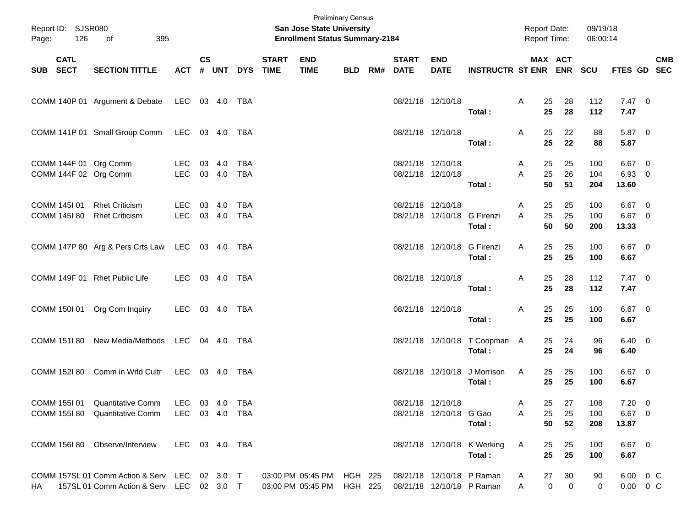| Page:    | Report ID: SJSR080<br>126<br>of<br>395<br><b>CATL</b> |                                                                                           |                    |           |                  |                          |                                        | <b>Preliminary Census</b><br><b>San Jose State University</b><br><b>Enrollment Status Summary-2184</b> |                           |                                        |                                                        |                                         | <b>Report Date:</b><br>Report Time: |                                   | 09/19/18<br>06:00:14 |                             |                           |
|----------|-------------------------------------------------------|-------------------------------------------------------------------------------------------|--------------------|-----------|------------------|--------------------------|----------------------------------------|--------------------------------------------------------------------------------------------------------|---------------------------|----------------------------------------|--------------------------------------------------------|-----------------------------------------|-------------------------------------|-----------------------------------|----------------------|-----------------------------|---------------------------|
| SUB SECT |                                                       | <b>SECTION TITTLE</b>                                                                     | <b>ACT</b>         | <b>CS</b> |                  | # UNT DYS                | <b>START</b><br><b>TIME</b>            | <b>END</b><br><b>TIME</b>                                                                              |                           | <b>START</b><br><b>BLD RM# DATE</b>    | <b>END</b><br><b>DATE</b>                              | INSTRUCTR ST ENR ENR SCU                |                                     | MAX ACT                           |                      |                             | <b>CMB</b><br>FTES GD SEC |
|          |                                                       | COMM 140P 01 Argument & Debate LEC 03 4.0 TBA                                             |                    |           |                  |                          |                                        |                                                                                                        |                           | 08/21/18 12/10/18                      |                                                        | Total:                                  | 25<br>A<br>25                       | 28<br>28                          | 112<br>112           | $7.47\quad 0$<br>7.47       |                           |
|          |                                                       | COMM 141P 01 Small Group Comm                                                             | LEC 03 4.0         |           |                  | TBA                      |                                        |                                                                                                        |                           | 08/21/18 12/10/18                      |                                                        | Total:                                  | 25<br>A<br>25                       | 22<br>22                          | 88<br>88             | 5.87 0<br>5.87              |                           |
|          |                                                       | COMM 144F 01 Org Comm<br>COMM 144F 02 Org Comm                                            | LEC<br><b>LEC</b>  | 03 4.0    | 03 4.0           | <b>TBA</b><br><b>TBA</b> |                                        |                                                                                                        |                           | 08/21/18 12/10/18<br>08/21/18 12/10/18 |                                                        | Total:                                  | 25<br>A<br>25<br>A<br>50            | 25<br>26<br>51                    | 100<br>104<br>204    | $6.67$ 0<br>6.93 0<br>13.60 |                           |
|          | COMM 145I 01<br>COMM 145I 80                          | <b>Rhet Criticism</b><br><b>Rhet Criticism</b>                                            | LEC.<br><b>LEC</b> |           | 03 4.0<br>03 4.0 | <b>TBA</b><br><b>TBA</b> |                                        |                                                                                                        |                           | 08/21/18 12/10/18                      | 08/21/18 12/10/18 G Firenzi                            | Total:                                  | 25<br>A<br>A<br>25<br>50            | 25<br>25<br>50                    | 100<br>100<br>200    | $6.67$ 0<br>6.67 0<br>13.33 |                           |
|          |                                                       | COMM 147P 80 Arg & Pers Crts Law LEC 03 4.0 TBA                                           |                    |           |                  |                          |                                        |                                                                                                        |                           |                                        | 08/21/18 12/10/18 G Firenzi                            | Total:                                  | 25<br>A<br>25                       | 25<br>25                          | 100<br>100           | $6.67$ 0<br>6.67            |                           |
|          |                                                       | COMM 149F 01 Rhet Public Life                                                             | LEC                |           | 03 4.0           | TBA                      |                                        |                                                                                                        |                           | 08/21/18 12/10/18                      |                                                        | Total:                                  | 25<br>A<br>25                       | 28<br>28                          | 112<br>112           | $7.47\quad 0$<br>7.47       |                           |
|          |                                                       | COMM 150I 01 Org Com Inquiry                                                              | LEC                |           | 03 4.0           | TBA                      |                                        |                                                                                                        |                           | 08/21/18 12/10/18                      |                                                        | Total:                                  | 25<br>A<br>25                       | 25<br>25                          | 100<br>100           | $6.67$ 0<br>6.67            |                           |
|          |                                                       | COMM 151180 New Media/Methods LEC 04 4.0                                                  |                    |           |                  | TBA                      |                                        |                                                                                                        |                           |                                        |                                                        | 08/21/18 12/10/18 T Coopman A<br>Total: | 25<br>25                            | 24<br>24                          | 96<br>96             | $6.40 \quad 0$<br>6.40      |                           |
|          | COMM 152l 80                                          | Comm in Wrld Cultr                                                                        | LEC 03 4.0         |           |                  | TBA                      |                                        |                                                                                                        |                           |                                        |                                                        | 08/21/18 12/10/18 J Morrison<br>Total:  | 25<br>A<br>25                       | 25<br>25                          | 100<br>100           | 6.67 0<br>6.67              |                           |
|          | COMM 155I 01                                          | Quantitative Comm                                                                         | LEC                |           | 03 4.0           | <b>TBA</b>               |                                        |                                                                                                        |                           |                                        | 08/21/18 12/10/18                                      |                                         | Α<br>25                             | $27\,$                            | 108                  | $7.20 \ 0$                  |                           |
|          | COMM 155I 80                                          | <b>Quantitative Comm</b>                                                                  | LEC.               | 03 4.0    |                  | TBA                      |                                        |                                                                                                        |                           |                                        | 08/21/18 12/10/18 G Gao                                | Total:                                  | 25<br>Α<br>50                       | 25<br>52                          | 100<br>208           | $6.67$ 0<br>13.87           |                           |
|          |                                                       | COMM 156I 80 Observe/Interview                                                            | LEC 03 4.0 TBA     |           |                  |                          |                                        |                                                                                                        |                           |                                        |                                                        | 08/21/18 12/10/18 K Werking<br>Total:   | 25<br>A<br>25                       | 25<br>25                          | 100<br>100           | $6.67$ 0<br>6.67            |                           |
| HA       |                                                       | COMM 157SL 01 Comm Action & Serv LEC 02 3.0 T<br>157SL 01 Comm Action & Serv LEC 02 3.0 T |                    |           |                  |                          | 03:00 PM 05:45 PM<br>03:00 PM 05:45 PM |                                                                                                        | HGH 225<br><b>HGH 225</b> |                                        | 08/21/18 12/10/18 P Raman<br>08/21/18 12/10/18 P Raman |                                         | 27<br>A<br>A                        | 30<br>$\pmb{0}$<br>$\overline{0}$ | 90<br>0              |                             | 6.00 0 C<br>$0.00 \t 0 C$ |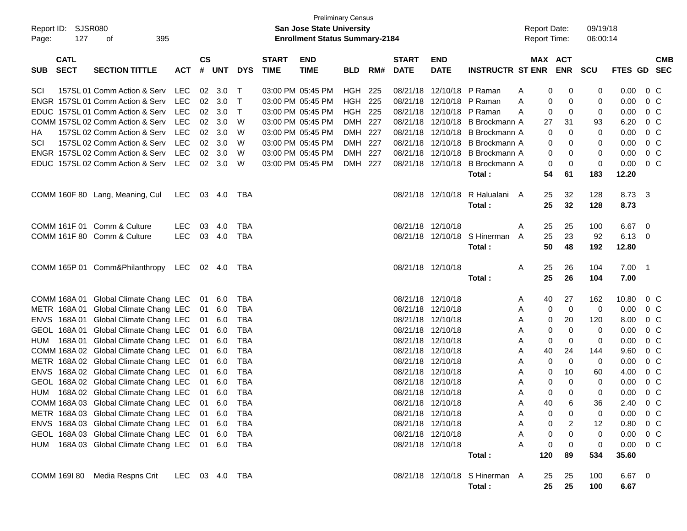| Report ID: SJSR080<br>127<br>Page:       | 395<br>οf                                        |                |                    |        |              |                             | <b>Preliminary Census</b><br>San Jose State University<br><b>Enrollment Status Summary-2184</b> |                |     |                             |                           |                                           |   | <b>Report Date:</b><br><b>Report Time:</b> |                | 09/19/18<br>06:00:14 |                  |                           |
|------------------------------------------|--------------------------------------------------|----------------|--------------------|--------|--------------|-----------------------------|-------------------------------------------------------------------------------------------------|----------------|-----|-----------------------------|---------------------------|-------------------------------------------|---|--------------------------------------------|----------------|----------------------|------------------|---------------------------|
| <b>CATL</b><br><b>SECT</b><br><b>SUB</b> | <b>SECTION TITTLE</b>                            | <b>ACT</b>     | $\mathsf{cs}$<br># | UNT    | <b>DYS</b>   | <b>START</b><br><b>TIME</b> | <b>END</b><br><b>TIME</b>                                                                       | <b>BLD</b>     | RM# | <b>START</b><br><b>DATE</b> | <b>END</b><br><b>DATE</b> | <b>INSTRUCTR ST ENR</b>                   |   | <b>MAX ACT</b>                             | <b>ENR</b>     | <b>SCU</b>           |                  | <b>CMB</b><br>FTES GD SEC |
| SCI                                      | 157SL 01 Comm Action & Serv                      | <b>LEC</b>     | 02                 | 3.0    | $\top$       |                             | 03:00 PM 05:45 PM                                                                               | <b>HGH 225</b> |     |                             | 08/21/18 12/10/18 P Raman |                                           | A | 0                                          | 0              | 0                    | 0.00             | $0\,$ C                   |
|                                          | ENGR 157SL 01 Comm Action & Serv                 | <b>LEC</b>     | 02                 | 3.0    | $\mathsf{T}$ |                             | 03:00 PM 05:45 PM                                                                               | <b>HGH 225</b> |     | 08/21/18                    |                           | 12/10/18 P Raman                          | A | 0                                          | 0              | 0                    | 0.00             | 0 C                       |
|                                          | EDUC 157SL 01 Comm Action & Serv                 | <b>LEC</b>     | 02                 | 3.0    | $\mathsf{T}$ |                             | 03:00 PM 05:45 PM                                                                               | <b>HGH 225</b> |     | 08/21/18                    |                           | 12/10/18 P Raman                          | A | 0                                          | 0              | 0                    | 0.00             | 0 C                       |
|                                          | COMM 157SL 02 Comm Action & Serv                 | <b>LEC</b>     | 02                 | 3.0    | W            |                             | 03:00 PM 05:45 PM                                                                               | DMH 227        |     | 08/21/18                    |                           | 12/10/18 B Brockmann A                    |   | 27                                         | 31             | 93                   | 6.20             | 0 C                       |
| НA                                       | 157SL 02 Comm Action & Serv                      | <b>LEC</b>     | 02                 | 3.0    | W            |                             | 03:00 PM 05:45 PM                                                                               | DMH 227        |     | 08/21/18                    |                           | 12/10/18 B Brockmann A                    |   | 0                                          | 0              | 0                    | 0.00             | 0 <sup>o</sup>            |
| SCI                                      | 157SL 02 Comm Action & Serv                      | <b>LEC</b>     | 02                 | 3.0    | W            |                             | 03:00 PM 05:45 PM                                                                               | DMH 227        |     | 08/21/18                    |                           | 12/10/18 B Brockmann A                    |   | 0                                          | 0              | 0                    | 0.00             | 0 <sup>o</sup>            |
|                                          | ENGR 157SL 02 Comm Action & Serv                 | <b>LEC</b>     | 02                 | 3.0    | W            |                             | 03:00 PM 05:45 PM                                                                               | DMH 227        |     |                             |                           | 08/21/18 12/10/18 B Brockmann A           |   | 0                                          | 0              | 0                    | 0.00             | 0 <sup>o</sup>            |
|                                          | EDUC 157SL 02 Comm Action & Serv                 | <b>LEC</b>     |                    | 02 3.0 | W            |                             | 03:00 PM 05:45 PM                                                                               | DMH 227        |     |                             |                           | 08/21/18 12/10/18 B Brockmann A<br>Total: |   | 0<br>54                                    | 0<br>61        | 0<br>183             | 0.00<br>12.20    | 0 C                       |
|                                          | COMM 160F 80 Lang, Meaning, Cul                  | <b>LEC</b>     |                    | 03 4.0 | TBA          |                             |                                                                                                 |                |     |                             |                           | 08/21/18 12/10/18 R Halualani A           |   | 25                                         | 32             | 128                  | 8.73             | $\overline{\mathbf{3}}$   |
|                                          |                                                  |                |                    |        |              |                             |                                                                                                 |                |     |                             |                           | Total:                                    |   | 25                                         | 32             | 128                  | 8.73             |                           |
|                                          | COMM 161F 01 Comm & Culture                      | <b>LEC</b>     | 03                 | 4.0    | TBA          |                             |                                                                                                 |                |     | 08/21/18 12/10/18           |                           |                                           | A | 25                                         | 25             | 100                  | 6.67             | $\overline{\mathbf{0}}$   |
|                                          | COMM 161F 80 Comm & Culture                      | <b>LEC</b>     |                    | 03 4.0 | TBA          |                             |                                                                                                 |                |     |                             |                           | 08/21/18 12/10/18 S Hinerman              | A | 25                                         | 23             | 92                   | $6.13$ 0         |                           |
|                                          |                                                  |                |                    |        |              |                             |                                                                                                 |                |     |                             |                           | Total:                                    |   | 50                                         | 48             | 192                  | 12.80            |                           |
|                                          | COMM 165P 01 Comm&Philanthropy                   | LEC.           |                    | 02 4.0 | TBA          |                             |                                                                                                 |                |     |                             | 08/21/18 12/10/18         |                                           | A | 25                                         | 26             | 104                  | $7.00$ 1         |                           |
|                                          |                                                  |                |                    |        |              |                             |                                                                                                 |                |     |                             |                           | Total:                                    |   | 25                                         | 26             | 104                  | 7.00             |                           |
|                                          | COMM 168A 01 Global Climate Chang LEC            |                | 01                 | 6.0    | TBA          |                             |                                                                                                 |                |     |                             | 08/21/18 12/10/18         |                                           | A | 40                                         | 27             | 162                  | 10.80            | 0 C                       |
|                                          | METR 168A 01 Global Climate Chang LEC            |                | 01                 | 6.0    | <b>TBA</b>   |                             |                                                                                                 |                |     |                             | 08/21/18 12/10/18         |                                           | Α | 0                                          | $\mathbf 0$    | 0                    | 0.00             | 0 C                       |
|                                          | ENVS 168A 01 Global Climate Chang LEC            |                | 01                 | 6.0    | <b>TBA</b>   |                             |                                                                                                 |                |     |                             | 08/21/18 12/10/18         |                                           | Α | 0                                          | 20             | 120                  | 8.00             | 0 C                       |
|                                          | GEOL 168A 01 Global Climate Chang LEC            |                | 01                 | 6.0    | <b>TBA</b>   |                             |                                                                                                 |                |     |                             | 08/21/18 12/10/18         |                                           | Α | 0                                          | 0              | $\mathbf 0$          | 0.00             | 0 C                       |
| HUM                                      | 168A 01 Global Climate Chang LEC                 |                | 01                 | 6.0    | <b>TBA</b>   |                             |                                                                                                 |                |     |                             | 08/21/18 12/10/18         |                                           | Α | 0                                          | 0              | 0                    | 0.00             | 0 C                       |
|                                          | COMM 168A 02 Global Climate Chang LEC            |                | 01                 | 6.0    | <b>TBA</b>   |                             |                                                                                                 |                |     |                             | 08/21/18 12/10/18         |                                           | Α | 40                                         | 24             | 144                  | 9.60             | 0 C                       |
|                                          | METR 168A 02 Global Climate Chang LEC            |                | 01                 | 6.0    | <b>TBA</b>   |                             |                                                                                                 |                |     |                             | 08/21/18 12/10/18         |                                           | Α | 0                                          | $\mathbf 0$    | 0                    | 0.00             | 0 C                       |
|                                          | ENVS 168A 02 Global Climate Chang LEC            |                | 01                 | 6.0    | <b>TBA</b>   |                             |                                                                                                 |                |     |                             | 08/21/18 12/10/18         |                                           | Α | 0                                          | 10             | 60                   | 4.00             | $0\,$ C                   |
|                                          | GEOL 168A 02 Global Climate Chang LEC            |                | 01                 | 6.0    | <b>TBA</b>   |                             |                                                                                                 |                |     |                             | 08/21/18 12/10/18         |                                           | A | 0                                          | $\mathbf 0$    | 0                    | 0.00             | 0 C                       |
|                                          | HUM 168A 02 Global Climate Chang LEC             |                |                    | 01 6.0 | <b>TBA</b>   |                             |                                                                                                 |                |     |                             | 08/21/18 12/10/18         |                                           | A | 0                                          | $\Omega$       | 0                    | 0.00             | 0 <sup>o</sup>            |
|                                          | COMM 168A 03 Global Climate Chang LEC 01 6.0 TBA |                |                    |        |              |                             |                                                                                                 |                |     |                             | 08/21/18 12/10/18         |                                           | Α | 40                                         | 6              | 36                   | 2.40 0 C         |                           |
|                                          | METR 168A 03 Global Climate Chang LEC 01 6.0 TBA |                |                    |        |              |                             |                                                                                                 |                |     |                             | 08/21/18 12/10/18         |                                           | A | 0                                          | 0              | 0                    | $0.00 \t 0 C$    |                           |
|                                          | ENVS 168A 03 Global Climate Chang LEC            |                |                    | 01 6.0 | <b>TBA</b>   |                             |                                                                                                 |                |     | 08/21/18 12/10/18           |                           |                                           | Α | 0                                          | $\overline{a}$ | 12                   | 0.80 0 C         |                           |
|                                          | GEOL 168A 03 Global Climate Chang LEC            |                |                    | 01 6.0 | TBA          |                             |                                                                                                 |                |     | 08/21/18 12/10/18           |                           |                                           | A | 0                                          | 0              | 0                    | $0.00 \t 0 C$    |                           |
|                                          | HUM 168A 03 Global Climate Chang LEC 01 6.0 TBA  |                |                    |        |              |                             |                                                                                                 |                |     |                             | 08/21/18 12/10/18         |                                           | A | 0                                          | 0              | 0                    | $0.00 \t 0 C$    |                           |
|                                          |                                                  |                |                    |        |              |                             |                                                                                                 |                |     |                             |                           | Total:                                    |   | 120                                        | 89             | 534                  | 35.60            |                           |
|                                          | COMM 169I 80 Media Respns Crit                   | LEC 03 4.0 TBA |                    |        |              |                             |                                                                                                 |                |     |                             |                           | 08/21/18 12/10/18 S Hinerman A<br>Total:  |   | 25<br>25                                   | 25<br>25       | 100<br>100           | $6.67$ 0<br>6.67 |                           |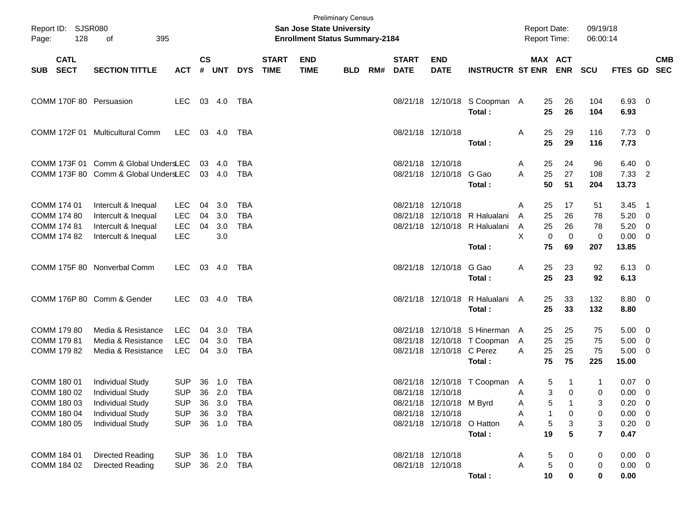| Page:      | Report ID: SJSR080<br>128<br>395<br>of<br><b>CATL</b> |                                      |            |                    |        |            |                             | <b>San Jose State University</b><br><b>Enrollment Status Summary-2184</b> | <b>Preliminary Census</b> |     |                             |                            |                                         |   | <b>Report Date:</b><br>Report Time: |             | 09/19/18<br>06:00:14 |                        |                          |            |
|------------|-------------------------------------------------------|--------------------------------------|------------|--------------------|--------|------------|-----------------------------|---------------------------------------------------------------------------|---------------------------|-----|-----------------------------|----------------------------|-----------------------------------------|---|-------------------------------------|-------------|----------------------|------------------------|--------------------------|------------|
| <b>SUB</b> | <b>SECT</b>                                           | <b>SECTION TITTLE</b>                | <b>ACT</b> | $\mathsf{cs}$<br># | UNT    | <b>DYS</b> | <b>START</b><br><b>TIME</b> | <b>END</b><br><b>TIME</b>                                                 | <b>BLD</b>                | RM# | <b>START</b><br><b>DATE</b> | <b>END</b><br><b>DATE</b>  | <b>INSTRUCTR ST ENR</b>                 |   | MAX ACT                             | <b>ENR</b>  | <b>SCU</b>           | FTES GD SEC            |                          | <b>CMB</b> |
|            |                                                       | COMM 170F 80 Persuasion              | LEC        |                    | 03 4.0 | TBA        |                             |                                                                           |                           |     |                             |                            | 08/21/18 12/10/18 S Coopman A<br>Total: |   | 25<br>25                            | 26<br>26    | 104<br>104           | 6.93 0<br>6.93         |                          |            |
|            |                                                       | COMM 172F 01 Multicultural Comm      | LEC        |                    | 03 4.0 | TBA        |                             |                                                                           |                           |     |                             | 08/21/18 12/10/18          | Total:                                  | Α | 25<br>25                            | 29<br>29    | 116<br>116           | $7.73 \quad 0$<br>7.73 |                          |            |
|            |                                                       | COMM 173F 01 Comm & Global UndersLEC |            | 03                 | 4.0    | TBA        |                             |                                                                           |                           |     | 08/21/18 12/10/18           |                            |                                         | A | 25                                  | 24          | 96                   | 6.40                   | $\overline{\mathbf{0}}$  |            |
|            |                                                       | COMM 173F 80 Comm & Global UndersLEC |            |                    | 03 4.0 | <b>TBA</b> |                             |                                                                           |                           |     |                             | 08/21/18 12/10/18 G Gao    | Total:                                  | A | 25<br>50                            | 27<br>51    | 108<br>204           | 7.33 2<br>13.73        |                          |            |
|            | COMM 174 01                                           | Intercult & Inequal                  | LEC        | 04                 | 3.0    | TBA        |                             |                                                                           |                           |     | 08/21/18 12/10/18           |                            |                                         | A | 25                                  | 17          | 51                   | $3.45$ 1               |                          |            |
|            | <b>COMM 174 80</b>                                    | Intercult & Inequal                  | LEC        | 04                 | 3.0    | <b>TBA</b> |                             |                                                                           |                           |     |                             |                            | 08/21/18 12/10/18 R Halualani           | A | 25                                  | 26          | 78                   | 5.20                   | $\overline{\phantom{0}}$ |            |
|            | <b>COMM 174 81</b>                                    | Intercult & Inequal                  | <b>LEC</b> | 04                 | 3.0    | <b>TBA</b> |                             |                                                                           |                           |     |                             |                            | 08/21/18 12/10/18 R Halualani           | Α | 25                                  | 26          | 78                   | 5.20                   | $\overline{\phantom{0}}$ |            |
|            | COMM 174 82                                           | Intercult & Inequal                  | <b>LEC</b> |                    | 3.0    |            |                             |                                                                           |                           |     |                             |                            |                                         | X | 0                                   | $\mathbf 0$ | 0                    | 0.00                   | $\overline{\mathbf{0}}$  |            |
|            |                                                       |                                      |            |                    |        |            |                             |                                                                           |                           |     |                             |                            | Total:                                  |   | 75                                  | 69          | 207                  | 13.85                  |                          |            |
|            |                                                       | COMM 175F 80 Nonverbal Comm          | <b>LEC</b> |                    | 03 4.0 | TBA        |                             |                                                                           |                           |     |                             | 08/21/18 12/10/18          | G Gao<br>Total:                         | Α | 25<br>25                            | 23<br>23    | 92<br>92             | $6.13 \quad 0$<br>6.13 |                          |            |
|            |                                                       |                                      |            |                    |        |            |                             |                                                                           |                           |     |                             |                            |                                         |   |                                     |             |                      |                        |                          |            |
|            |                                                       | COMM 176P 80 Comm & Gender           | LEC        |                    | 03 4.0 | TBA        |                             |                                                                           |                           |     |                             |                            | 08/21/18 12/10/18 R Halualani<br>Total: | A | 25<br>25                            | 33<br>33    | 132<br>132           | 8.80 0<br>8.80         |                          |            |
|            | COMM 179 80                                           | Media & Resistance                   | LEC        | 04                 | 3.0    | TBA        |                             |                                                                           |                           |     |                             |                            | 08/21/18 12/10/18 S Hinerman A          |   | 25                                  | 25          | 75                   | $5.00 \t 0$            |                          |            |
|            | COMM 179 81                                           | Media & Resistance                   | LEC        | 04                 | 3.0    | <b>TBA</b> |                             |                                                                           |                           |     |                             |                            | 08/21/18 12/10/18 T Coopman             | A | 25                                  | 25          | 75                   | 5.00                   | $\overline{\phantom{0}}$ |            |
|            | COMM 179 82                                           | Media & Resistance                   | <b>LEC</b> | 04                 | 3.0    | <b>TBA</b> |                             |                                                                           |                           |     |                             | 08/21/18 12/10/18 C Perez  |                                         | A | 25                                  | 25          | 75                   | 5.00                   | $\overline{\phantom{0}}$ |            |
|            |                                                       |                                      |            |                    |        |            |                             |                                                                           |                           |     |                             |                            | Total:                                  |   | 75                                  | 75          | 225                  | 15.00                  |                          |            |
|            | COMM 180 01                                           | <b>Individual Study</b>              | <b>SUP</b> | 36                 | 1.0    | TBA        |                             |                                                                           |                           |     |                             |                            | 08/21/18 12/10/18 T Coopman             | A | 5                                   | 1           | 1                    | $0.07 \quad 0$         |                          |            |
|            | COMM 180 02                                           | <b>Individual Study</b>              | <b>SUP</b> |                    | 36 2.0 | <b>TBA</b> |                             |                                                                           |                           |     |                             | 08/21/18 12/10/18          |                                         | A | 3                                   | 0           | 0                    | 0.00                   | $\overline{\mathbf{0}}$  |            |
|            | COMM 180 03                                           | Individual Study                     | <b>SUP</b> |                    | 36 3.0 | TBA        |                             |                                                                           |                           |     |                             | 08/21/18 12/10/18 M Byrd   |                                         | Α | 5                                   |             | 3                    | 0.20                   | $\overline{\mathbf{0}}$  |            |
|            | COMM 180 04                                           | Individual Study                     | <b>SUP</b> | 36                 | 3.0    | <b>TBA</b> |                             |                                                                           |                           |     |                             | 08/21/18 12/10/18          |                                         | Α | 1                                   | 0           | 0                    | $0.00 \t 0$            |                          |            |
|            | COMM 180 05                                           | <b>Individual Study</b>              | <b>SUP</b> |                    | 36 1.0 | TBA        |                             |                                                                           |                           |     |                             | 08/21/18 12/10/18 O Hatton |                                         | Α | 5                                   | 3           | 3                    | $0.20 \t 0$            |                          |            |
|            |                                                       |                                      |            |                    |        |            |                             |                                                                           |                           |     |                             |                            | Total:                                  |   | 19                                  | 5           | $\overline{7}$       | 0.47                   |                          |            |
|            | COMM 184 01                                           | Directed Reading                     | <b>SUP</b> |                    | 36 1.0 | <b>TBA</b> |                             |                                                                           |                           |     |                             | 08/21/18 12/10/18          |                                         | A | 5                                   | 0           | 0                    | $0.00 \t 0$            |                          |            |
|            | COMM 184 02                                           | Directed Reading                     | <b>SUP</b> |                    | 36 2.0 | <b>TBA</b> |                             |                                                                           |                           |     |                             | 08/21/18 12/10/18          |                                         | Α | 5                                   | 0           | 0                    | $0.00 \t 0$            |                          |            |
|            |                                                       |                                      |            |                    |        |            |                             |                                                                           |                           |     |                             |                            | Total:                                  |   | 10                                  | 0           | $\bf{0}$             | 0.00                   |                          |            |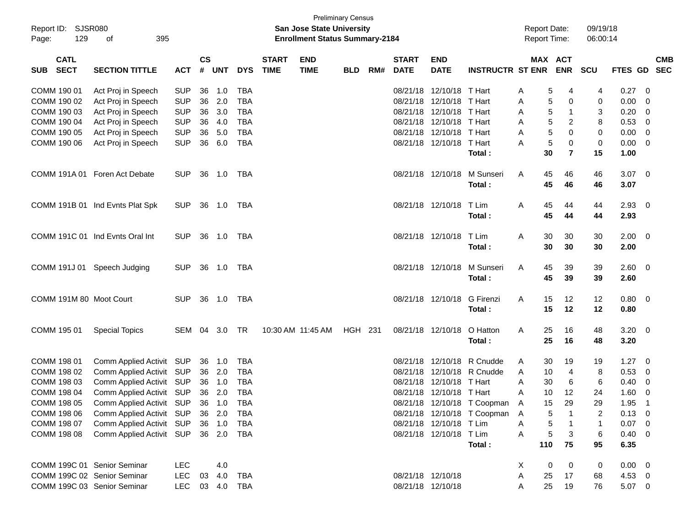|                             |                                 |            |               |            |            |              |                                       | <b>Preliminary Census</b> |     |              |                                        |                               |                     |     |                |            |                |                          |            |
|-----------------------------|---------------------------------|------------|---------------|------------|------------|--------------|---------------------------------------|---------------------------|-----|--------------|----------------------------------------|-------------------------------|---------------------|-----|----------------|------------|----------------|--------------------------|------------|
| Report ID: SJSR080          |                                 |            |               |            |            |              | <b>San Jose State University</b>      |                           |     |              |                                        |                               | <b>Report Date:</b> |     |                | 09/19/18   |                |                          |            |
| 129<br>Page:                | 395<br>оf                       |            |               |            |            |              | <b>Enrollment Status Summary-2184</b> |                           |     |              |                                        |                               | <b>Report Time:</b> |     |                | 06:00:14   |                |                          |            |
|                             |                                 |            |               |            |            |              |                                       |                           |     |              |                                        |                               |                     |     |                |            |                |                          |            |
| <b>CATL</b>                 |                                 |            | $\mathsf{cs}$ |            |            | <b>START</b> | <b>END</b>                            |                           |     | <b>START</b> | <b>END</b>                             |                               |                     |     | MAX ACT        |            |                |                          | <b>CMB</b> |
| <b>SECT</b><br><b>SUB</b>   | <b>SECTION TITTLE</b>           | <b>ACT</b> | #             | <b>UNT</b> | <b>DYS</b> | <b>TIME</b>  | <b>TIME</b>                           | <b>BLD</b>                | RM# | <b>DATE</b>  | <b>DATE</b>                            | <b>INSTRUCTR ST ENR</b>       |                     |     | <b>ENR</b>     | <b>SCU</b> | <b>FTES GD</b> |                          | <b>SEC</b> |
|                             |                                 |            |               |            |            |              |                                       |                           |     |              |                                        |                               |                     |     |                |            |                |                          |            |
| COMM 190 01                 | Act Proj in Speech              | <b>SUP</b> | 36            | 1.0        | <b>TBA</b> |              |                                       |                           |     |              | 08/21/18 12/10/18<br>08/21/18 12/10/18 | T Hart                        | Α                   | 5   | 4              | 4          | 0.27           | - 0                      |            |
| COMM 190 02                 | Act Proj in Speech              | <b>SUP</b> | 36            | 2.0        | <b>TBA</b> |              |                                       |                           |     |              | 08/21/18 12/10/18                      | T Hart                        | Α                   | 5   | 0              | 0          | 0.00           | 0                        |            |
| COMM 190 03                 | Act Proj in Speech              | <b>SUP</b> | 36            | 3.0        | <b>TBA</b> |              |                                       |                           |     |              |                                        | T Hart                        | Α                   | 5   | $\mathbf{1}$   | 3          | 0.20           | 0                        |            |
| COMM 190 04                 | Act Proj in Speech              | <b>SUP</b> | 36            | 4.0        | <b>TBA</b> |              |                                       |                           |     |              | 08/21/18 12/10/18                      | T Hart                        | A                   | 5   | $\overline{c}$ | 8          | 0.53           | 0                        |            |
| COMM 190 05                 | Act Proj in Speech              | <b>SUP</b> | 36            | 5.0        | <b>TBA</b> |              |                                       |                           |     |              | 08/21/18 12/10/18                      | T Hart                        | Α                   | 5   | 0              | 0          | 0.00           | $\overline{0}$           |            |
| COMM 190 06                 | Act Proj in Speech              | <b>SUP</b> | 36            | 6.0        | <b>TBA</b> |              |                                       |                           |     |              | 08/21/18 12/10/18                      | T Hart                        | А                   | 5   | 0              | 0          | 0.00           | 0                        |            |
|                             |                                 |            |               |            |            |              |                                       |                           |     |              |                                        | Total:                        |                     | 30  | $\overline{7}$ | 15         | 1.00           |                          |            |
|                             | COMM 191A 01 Foren Act Debate   | <b>SUP</b> | 36            | 1.0        | TBA        |              |                                       |                           |     |              | 08/21/18 12/10/18                      | M Sunseri                     | A                   | 45  | 46             | 46         | 3.07           | $\overline{0}$           |            |
|                             |                                 |            |               |            |            |              |                                       |                           |     |              |                                        | Total:                        |                     | 45  | 46             | 46         | 3.07           |                          |            |
|                             |                                 |            |               |            |            |              |                                       |                           |     |              |                                        |                               |                     |     |                |            |                |                          |            |
|                             | COMM 191B 01 Ind Evnts Plat Spk | <b>SUP</b> | 36            | 1.0        | TBA        |              |                                       |                           |     |              | 08/21/18 12/10/18                      | T Lim                         | A                   | 45  | 44             | 44         | 2.93           | 0                        |            |
|                             |                                 |            |               |            |            |              |                                       |                           |     |              |                                        | Total:                        |                     | 45  | 44             | 44         | 2.93           |                          |            |
|                             |                                 |            |               |            |            |              |                                       |                           |     |              |                                        |                               |                     |     |                |            |                |                          |            |
|                             | COMM 191C 01 Ind Evnts Oral Int | <b>SUP</b> |               | 36 1.0     | TBA        |              |                                       |                           |     |              | 08/21/18 12/10/18                      | T Lim                         | A                   | 30  | 30             | 30         | 2.00           | $\overline{\phantom{0}}$ |            |
|                             |                                 |            |               |            |            |              |                                       |                           |     |              |                                        | Total:                        |                     | 30  | 30             | 30         | 2.00           |                          |            |
|                             |                                 |            |               |            |            |              |                                       |                           |     |              |                                        |                               |                     |     |                |            |                |                          |            |
|                             | COMM 191J 01 Speech Judging     | <b>SUP</b> |               | 36 1.0     | TBA        |              |                                       |                           |     |              | 08/21/18 12/10/18                      | M Sunseri                     | A                   | 45  | 39             | 39         | 2.60           | $\overline{\mathbf{0}}$  |            |
|                             |                                 |            |               |            |            |              |                                       |                           |     |              |                                        | Total:                        |                     | 45  | 39             | 39         | 2.60           |                          |            |
|                             |                                 |            |               |            |            |              |                                       |                           |     |              |                                        |                               |                     |     |                |            |                |                          |            |
| COMM 191M 80 Moot Court     |                                 | <b>SUP</b> |               | 36 1.0     | TBA        |              |                                       |                           |     |              | 08/21/18 12/10/18                      | <b>G</b> Firenzi              | A                   | 15  | 12             | 12         | 0.80           | $\overline{\mathbf{0}}$  |            |
|                             |                                 |            |               |            |            |              |                                       |                           |     |              |                                        | Total:                        |                     | 15  | 12             | 12         | 0.80           |                          |            |
|                             |                                 |            |               |            |            |              |                                       |                           |     |              |                                        |                               |                     |     |                |            |                |                          |            |
| COMM 195 01                 | <b>Special Topics</b>           | SEM        | 04            | 3.0        | TR         |              | 10:30 AM 11:45 AM                     | HGH 231                   |     |              | 08/21/18 12/10/18                      | O Hatton                      | A                   | 25  | 16             | 48         | $3.20 \ 0$     |                          |            |
|                             |                                 |            |               |            |            |              |                                       |                           |     |              |                                        | Total:                        |                     | 25  | 16             | 48         | 3.20           |                          |            |
|                             |                                 |            |               |            |            |              |                                       |                           |     |              |                                        |                               |                     |     |                |            |                |                          |            |
| COMM 198 01                 | Comm Applied Activit SUP        |            |               | 36 1.0     | <b>TBA</b> |              |                                       |                           |     | 08/21/18     | 12/10/18                               | R Cnudde                      | A                   | 30  | 19             | 19         | 1.27           | 0                        |            |
| COMM 198 02                 | Comm Applied Activit SUP        |            |               | 36 2.0     | <b>TBA</b> |              |                                       |                           |     |              | 08/21/18 12/10/18                      | R Cnudde                      | A                   | 10  | 4              | 8          | 0.53           | 0                        |            |
| COMM 198 03                 | Comm Applied Activit SUP        |            |               | 36 1.0     | <b>TBA</b> |              |                                       |                           |     |              | 08/21/18 12/10/18                      | T Hart                        | A                   | 30  | 6              | 6          | 0.40           | 0                        |            |
| COMM 198 04                 | Comm Applied Activit SUP        |            |               | 36 2.0     | <b>TBA</b> |              |                                       |                           |     |              | 08/21/18 12/10/18 T Hart               |                               | A                   | 10  | 12             | 24         | 1.60           | $\mathbf 0$              |            |
| COMM 198 05                 | Comm Applied Activit SUP 36 1.0 |            |               |            | <b>TBA</b> |              |                                       |                           |     |              |                                        | 08/21/18 12/10/18 T Coopman A |                     | 15  | 29             | 29         | 1.95           | $\overline{1}$           |            |
| COMM 198 06                 | Comm Applied Activit SUP        |            |               | 36 2.0     | TBA        |              |                                       |                           |     |              |                                        | 08/21/18 12/10/18 T Coopman A |                     | 5   | $\mathbf 1$    | 2          | 0.13           | $\overline{\mathbf{0}}$  |            |
| COMM 198 07                 | Comm Applied Activit SUP        |            |               | 36 1.0     | TBA        |              |                                       |                           |     |              | 08/21/18 12/10/18 T Lim                |                               | Α                   | 5   | $\overline{1}$ | 1          | 0.07           | $\overline{\mathbf{0}}$  |            |
| COMM 198 08                 | Comm Applied Activit SUP 36 2.0 |            |               |            | TBA        |              |                                       |                           |     |              | 08/21/18 12/10/18 T Lim                |                               | Α                   | 5   | 3              | $\,6$      | 0.40           | $\overline{\mathbf{0}}$  |            |
|                             |                                 |            |               |            |            |              |                                       |                           |     |              |                                        | Total:                        |                     | 110 | 75             | 95         | 6.35           |                          |            |
|                             |                                 |            |               |            |            |              |                                       |                           |     |              |                                        |                               |                     |     |                |            |                |                          |            |
| COMM 199C 01 Senior Seminar |                                 | <b>LEC</b> |               | 4.0        |            |              |                                       |                           |     |              |                                        |                               | X                   | 0   | 0              | 0          | $0.00 \t 0$    |                          |            |
| COMM 199C 02 Senior Seminar |                                 | <b>LEC</b> | 03            | 4.0        | TBA        |              |                                       |                           |     |              | 08/21/18 12/10/18                      |                               | Α                   | 25  | 17             | 68         | 4.53           | $\overline{\mathbf{0}}$  |            |
| COMM 199C 03 Senior Seminar |                                 | LEC.       |               | 03 4.0 TBA |            |              |                                       |                           |     |              | 08/21/18 12/10/18                      |                               | Α                   | 25  | 19             | 76         | $5.07$ 0       |                          |            |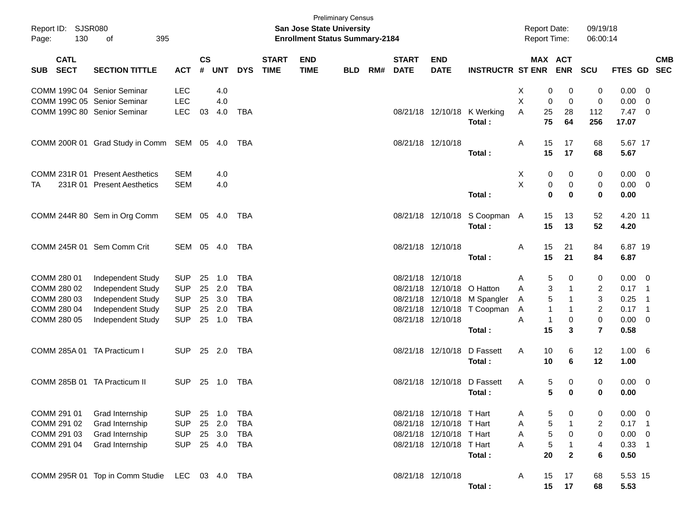| Report ID: SJSR080<br>130<br>Page: | 395<br>of                                      |            |                    |            |            |                             | <b>San Jose State University</b><br><b>Enrollment Status Summary-2184</b> | <b>Preliminary Census</b> |     |                             |                            |                                       |   |              | <b>Report Date:</b><br>Report Time: | 09/19/18<br>06:00:14 |                        |                            |            |
|------------------------------------|------------------------------------------------|------------|--------------------|------------|------------|-----------------------------|---------------------------------------------------------------------------|---------------------------|-----|-----------------------------|----------------------------|---------------------------------------|---|--------------|-------------------------------------|----------------------|------------------------|----------------------------|------------|
| <b>CATL</b><br><b>SECT</b><br>SUB  | <b>SECTION TITTLE</b>                          | <b>ACT</b> | $\mathsf{cs}$<br># | <b>UNT</b> | <b>DYS</b> | <b>START</b><br><b>TIME</b> | <b>END</b><br><b>TIME</b>                                                 | <b>BLD</b>                | RM# | <b>START</b><br><b>DATE</b> | <b>END</b><br><b>DATE</b>  | <b>INSTRUCTR ST ENR</b>               |   |              | MAX ACT<br><b>ENR</b>               | SCU                  | FTES GD SEC            |                            | <b>CMB</b> |
|                                    | COMM 199C 04 Senior Seminar                    | <b>LEC</b> |                    | 4.0        |            |                             |                                                                           |                           |     |                             |                            |                                       | X | 0            | 0                                   | 0                    | 0.00                   | - 0                        |            |
|                                    | COMM 199C 05 Senior Seminar                    | <b>LEC</b> |                    | 4.0        |            |                             |                                                                           |                           |     |                             |                            |                                       | X | 0            | $\mathbf 0$                         | 0                    | 0.00                   | $\overline{0}$             |            |
|                                    | COMM 199C 80 Senior Seminar                    | <b>LEC</b> | 03                 | 4.0        | <b>TBA</b> |                             |                                                                           |                           |     |                             |                            | 08/21/18 12/10/18 K Werking<br>Total: | A | 25<br>75     | 28<br>64                            | 112<br>256           | $7.47\quad 0$<br>17.07 |                            |            |
|                                    | COMM 200R 01 Grad Study in Comm SEM 05 4.0     |            |                    |            | TBA        |                             |                                                                           |                           |     | 08/21/18 12/10/18           |                            |                                       | A | 15           | 17                                  | 68                   | 5.67 17                |                            |            |
|                                    |                                                |            |                    |            |            |                             |                                                                           |                           |     |                             |                            | Total:                                |   | 15           | 17                                  | 68                   | 5.67                   |                            |            |
| COMM 231R 01                       | <b>Present Aesthetics</b>                      | <b>SEM</b> |                    | 4.0        |            |                             |                                                                           |                           |     |                             |                            |                                       | Χ | 0            | 0                                   | 0                    | 0.00                   | $\overline{\mathbf{0}}$    |            |
| TA                                 | 231R 01 Present Aesthetics                     | <b>SEM</b> |                    | 4.0        |            |                             |                                                                           |                           |     |                             |                            |                                       | X | 0            | 0                                   | 0                    | 0.00                   | $\overline{\mathbf{0}}$    |            |
|                                    |                                                |            |                    |            |            |                             |                                                                           |                           |     |                             |                            | Total:                                |   | $\bf{0}$     | 0                                   | $\mathbf 0$          | 0.00                   |                            |            |
|                                    | COMM 244R 80 Sem in Org Comm                   | SEM 05 4.0 |                    |            | TBA        |                             |                                                                           |                           |     |                             |                            | 08/21/18 12/10/18 S Coopman A         |   | 15           | 13                                  | 52                   | 4.20 11                |                            |            |
|                                    |                                                |            |                    |            |            |                             |                                                                           |                           |     |                             |                            | Total:                                |   | 15           | 13                                  | 52                   | 4.20                   |                            |            |
|                                    | COMM 245R 01 Sem Comm Crit                     | SEM 05 4.0 |                    |            | TBA        |                             |                                                                           |                           |     |                             | 08/21/18 12/10/18          |                                       | A | 15           | 21                                  | 84                   | 6.87 19                |                            |            |
|                                    |                                                |            |                    |            |            |                             |                                                                           |                           |     |                             |                            | Total:                                |   | 15           | 21                                  | 84                   | 6.87                   |                            |            |
| COMM 280 01                        | Independent Study                              | <b>SUP</b> | 25                 | 1.0        | <b>TBA</b> |                             |                                                                           |                           |     | 08/21/18 12/10/18           |                            |                                       | A | 5            | 0                                   | 0                    | $0.00\,$               | $\overline{\phantom{0}}$   |            |
| COMM 280 02                        | Independent Study                              | <b>SUP</b> | 25                 | 2.0        | <b>TBA</b> |                             |                                                                           |                           |     |                             | 08/21/18 12/10/18 O Hatton |                                       | A | 3            | 1                                   | $\overline{2}$       | $0.17$ 1               |                            |            |
| COMM 280 03                        | Independent Study                              | <b>SUP</b> | 25                 | 3.0        | <b>TBA</b> |                             |                                                                           |                           |     |                             |                            | 08/21/18 12/10/18 M Spangler          | Α | 5            | 1                                   | $\mathbf{3}$         | 0.25                   | $\overline{\phantom{0}}$ 1 |            |
| COMM 280 04                        | Independent Study                              | <b>SUP</b> | 25                 | 2.0        | <b>TBA</b> |                             |                                                                           |                           |     |                             |                            | 08/21/18 12/10/18 T Coopman           | Α | $\mathbf{1}$ | 1                                   | $\overline{2}$       | $0.17$ 1               |                            |            |
| COMM 280 05                        | Independent Study                              | SUP        | 25                 | 1.0        | <b>TBA</b> |                             |                                                                           |                           |     |                             | 08/21/18 12/10/18          |                                       | A | $\mathbf{1}$ | 0                                   | $\mathbf 0$          | 0.00                   | $\overline{\mathbf{0}}$    |            |
|                                    |                                                |            |                    |            |            |                             |                                                                           |                           |     |                             |                            | Total:                                |   | 15           | 3                                   | $\overline{7}$       | 0.58                   |                            |            |
| COMM 285A 01 TA Practicum I        |                                                | <b>SUP</b> |                    | 25 2.0     | TBA        |                             |                                                                           |                           |     |                             | 08/21/18 12/10/18          | D Fassett                             | A | 10           | 6                                   | 12                   | $1.00 \t 6$            |                            |            |
|                                    |                                                |            |                    |            |            |                             |                                                                           |                           |     |                             |                            | Total:                                |   | 10           | 6                                   | 12                   | 1.00                   |                            |            |
| COMM 285B 01 TA Practicum II       |                                                | <b>SUP</b> | 25                 | 1.0        | TBA        |                             |                                                                           |                           |     |                             | 08/21/18 12/10/18          | D Fassett                             | A | 5            | 0                                   | 0                    | $0.00 \t 0$            |                            |            |
|                                    |                                                |            |                    |            |            |                             |                                                                           |                           |     |                             |                            | Total:                                |   | 5            | 0                                   | $\mathbf 0$          | 0.00                   |                            |            |
| COMM 291 01                        | Grad Internship                                | <b>SUP</b> | 25                 | 1.0        | <b>TBA</b> |                             |                                                                           |                           |     |                             | 08/21/18 12/10/18 T Hart   |                                       | A | 5            | 0                                   | 0                    | 0.00                   | $\overline{\phantom{0}}$   |            |
| COMM 291 02                        | Grad Internship                                | <b>SUP</b> | 25                 | 2.0        | <b>TBA</b> |                             |                                                                           |                           |     |                             | 08/21/18 12/10/18 T Hart   |                                       | Α | 5            | 1                                   | $\overline{2}$       | $0.17$ 1               |                            |            |
| COMM 291 03                        | Grad Internship                                | <b>SUP</b> | 25                 | 3.0        | <b>TBA</b> |                             |                                                                           |                           |     |                             | 08/21/18 12/10/18 T Hart   |                                       | Α | $\sqrt{5}$   | 0                                   | 0                    | $0.00 \t 0$            |                            |            |
| COMM 291 04                        | Grad Internship                                | <b>SUP</b> |                    | 25 4.0     | <b>TBA</b> |                             |                                                                           |                           |     |                             | 08/21/18 12/10/18 T Hart   |                                       | Α | 5            | 1                                   | $\overline{4}$       | $0.33$ 1               |                            |            |
|                                    |                                                |            |                    |            |            |                             |                                                                           |                           |     |                             |                            | Total:                                |   | 20           | $\mathbf{2}$                        | $\bf 6$              | 0.50                   |                            |            |
|                                    | COMM 295R 01 Top in Comm Studie LEC 03 4.0 TBA |            |                    |            |            |                             |                                                                           |                           |     | 08/21/18 12/10/18           |                            |                                       | A | 15           | 17                                  | 68                   | 5.53 15                |                            |            |
|                                    |                                                |            |                    |            |            |                             |                                                                           |                           |     |                             |                            | Total:                                |   | 15           | 17                                  | 68                   | 5.53                   |                            |            |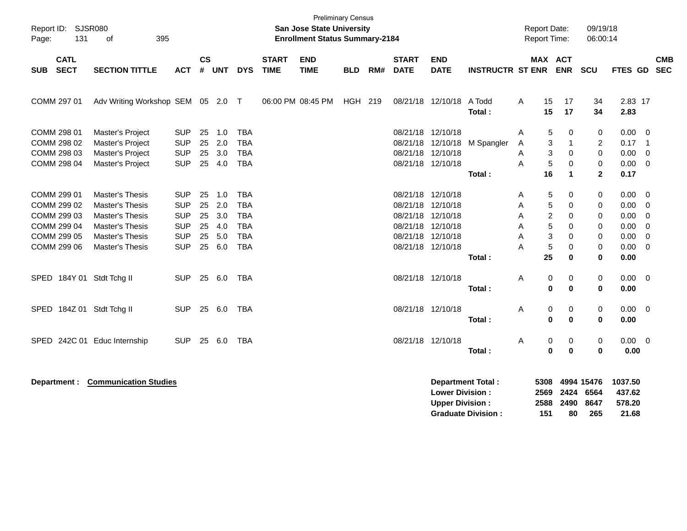| Report ID: SJSR080<br>131<br>Page:                                                     | 395<br>οf                                                                                                             |                                                                                  |                                  |                                        |                                                                                  |                             | <b>San Jose State University</b><br><b>Enrollment Status Summary-2184</b> | <b>Preliminary Census</b> |     |                                           |                                                                                                 |                         |                            | <b>Report Date:</b><br><b>Report Time:</b>    |                                 | 09/19/18<br>06:00:14                         |                                                                           |                                                                      |            |
|----------------------------------------------------------------------------------------|-----------------------------------------------------------------------------------------------------------------------|----------------------------------------------------------------------------------|----------------------------------|----------------------------------------|----------------------------------------------------------------------------------|-----------------------------|---------------------------------------------------------------------------|---------------------------|-----|-------------------------------------------|-------------------------------------------------------------------------------------------------|-------------------------|----------------------------|-----------------------------------------------|---------------------------------|----------------------------------------------|---------------------------------------------------------------------------|----------------------------------------------------------------------|------------|
| <b>CATL</b><br><b>SECT</b><br><b>SUB</b>                                               | <b>SECTION TITTLE</b>                                                                                                 | <b>ACT</b>                                                                       | $\mathsf{cs}$<br>#               | <b>UNT</b>                             | <b>DYS</b>                                                                       | <b>START</b><br><b>TIME</b> | <b>END</b><br><b>TIME</b>                                                 | <b>BLD</b>                | RM# | <b>START</b><br><b>DATE</b>               | <b>END</b><br><b>DATE</b>                                                                       | <b>INSTRUCTR ST ENR</b> |                            | MAX ACT                                       | <b>ENR</b>                      | <b>SCU</b>                                   | FTES GD SEC                                                               |                                                                      | <b>CMB</b> |
| COMM 297 01                                                                            | Adv Writing Workshop SEM 05 2.0 T                                                                                     |                                                                                  |                                  |                                        |                                                                                  |                             | 06:00 PM 08:45 PM                                                         | HGH 219                   |     |                                           | 08/21/18 12/10/18                                                                               | A Todd<br>Total:        | A                          | 15<br>15                                      | 17<br>17                        | 34<br>34                                     | 2.83 17<br>2.83                                                           |                                                                      |            |
| COMM 298 01<br>COMM 298 02<br>COMM 298 03<br>COMM 298 04                               | Master's Project<br>Master's Project<br>Master's Project<br>Master's Project                                          | <b>SUP</b><br><b>SUP</b><br><b>SUP</b><br><b>SUP</b>                             | 25<br>25<br>25<br>25             | 1.0<br>2.0<br>3.0<br>4.0               | <b>TBA</b><br><b>TBA</b><br><b>TBA</b><br><b>TBA</b>                             |                             |                                                                           |                           |     | 08/21/18 12/10/18<br>08/21/18<br>08/21/18 | 12/10/18<br>12/10/18<br>08/21/18 12/10/18                                                       | M Spangler              | A<br>A<br>A<br>Α           | 5<br>3<br>3<br>5                              | 0<br>$\mathbf{1}$<br>0<br>0     | 0<br>2<br>$\mathbf 0$<br>0                   | $0.00 \t 0$<br>0.17<br>0.00<br>$0.00 \t 0$                                | $\overline{\phantom{0}}$ 1<br>$\overline{\mathbf{0}}$                |            |
| COMM 299 01<br>COMM 299 02<br>COMM 299 03<br>COMM 299 04<br>COMM 299 05<br>COMM 299 06 | Master's Thesis<br>Master's Thesis<br><b>Master's Thesis</b><br>Master's Thesis<br>Master's Thesis<br>Master's Thesis | <b>SUP</b><br><b>SUP</b><br><b>SUP</b><br><b>SUP</b><br><b>SUP</b><br><b>SUP</b> | 25<br>25<br>25<br>25<br>25<br>25 | 1.0<br>2.0<br>3.0<br>4.0<br>5.0<br>6.0 | <b>TBA</b><br><b>TBA</b><br><b>TBA</b><br><b>TBA</b><br><b>TBA</b><br><b>TBA</b> |                             |                                                                           |                           |     | 08/21/18<br>08/21/18<br>08/21/18          | 08/21/18 12/10/18<br>12/10/18<br>12/10/18<br>08/21/18 12/10/18<br>12/10/18<br>08/21/18 12/10/18 | Total:                  | A<br>A<br>A<br>A<br>Α<br>A | 16<br>5<br>5<br>$\overline{c}$<br>5<br>3<br>5 | 1<br>0<br>0<br>0<br>0<br>0<br>0 | $\overline{2}$<br>0<br>0<br>0<br>0<br>0<br>0 | 0.17<br>$0.00 \t 0$<br>0.00<br>0.00<br>$0.00 \t 0$<br>0.00<br>$0.00 \t 0$ | $\overline{\mathbf{0}}$<br>$\overline{0}$<br>$\overline{\mathbf{0}}$ |            |
| SPED 184Y 01 Stdt Tchg II                                                              |                                                                                                                       | <b>SUP</b>                                                                       |                                  | 25 6.0                                 | <b>TBA</b>                                                                       |                             |                                                                           |                           |     | 08/21/18 12/10/18                         |                                                                                                 | Total:<br>Total:        | Α                          | 25<br>0<br>0                                  | $\bf{0}$<br>0<br>$\mathbf 0$    | 0<br>0<br>$\mathbf 0$                        | 0.00<br>$0.00 \t 0$<br>0.00                                               |                                                                      |            |
| SPED 184Z 01 Stdt Tchg II<br>242C 01<br>SPED                                           | Educ Internship                                                                                                       | <b>SUP</b><br><b>SUP</b>                                                         | 25<br>25                         | 6.0<br>6.0                             | <b>TBA</b><br><b>TBA</b>                                                         |                             |                                                                           |                           |     | 08/21/18 12/10/18<br>08/21/18 12/10/18    |                                                                                                 | Total:<br>Total:        | Α<br>Α                     | 0<br>0<br>0<br>$\bf{0}$                       | 0<br>$\bf{0}$<br>0<br>$\bf{0}$  | 0<br>$\bf{0}$<br>0<br>$\bf{0}$               | $0.00 \t 0$<br>0.00<br>$0.00 \t 0$<br>0.00                                |                                                                      |            |
|                                                                                        | Denartment: Communication Studies                                                                                     |                                                                                  |                                  |                                        |                                                                                  |                             |                                                                           |                           |     |                                           |                                                                                                 | Denartment Total .      |                            | 5308                                          |                                 | 4994 15476                                   | 1037.50                                                                   |                                                                      |            |

**Department : Communication Studies Department Total : 5308 4994 15476 1037.50 Lower Division : 2569 2424 6564 437.62 Upper Division : 2588 2490 8647 578.20 Graduate Division : 151 80 265 21.68**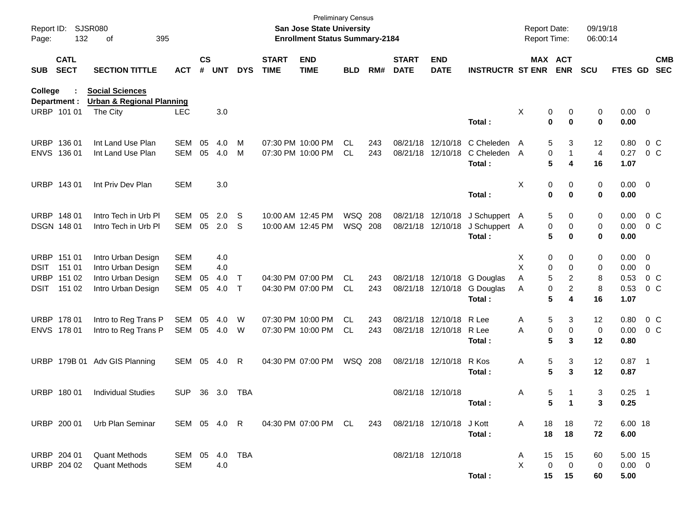| <b>SJSR080</b><br>Report ID:<br>132<br>Page:<br>395<br>оf |                                                     |                                                                                      |                                                      |                    |                          |                   |                             | <b>Preliminary Census</b><br><b>San Jose State University</b><br><b>Enrollment Status Summary-2184</b> |                    | <b>Report Date:</b><br>Report Time: |                             | 09/19/18<br>06:00:14                   |                                                    |                                           |                                             |                        |                                                |                                       |
|-----------------------------------------------------------|-----------------------------------------------------|--------------------------------------------------------------------------------------|------------------------------------------------------|--------------------|--------------------------|-------------------|-----------------------------|--------------------------------------------------------------------------------------------------------|--------------------|-------------------------------------|-----------------------------|----------------------------------------|----------------------------------------------------|-------------------------------------------|---------------------------------------------|------------------------|------------------------------------------------|---------------------------------------|
| <b>SUB</b>                                                | <b>CATL</b><br><b>SECT</b>                          | <b>SECTION TITTLE</b>                                                                | <b>ACT</b>                                           | $\mathsf{cs}$<br># | <b>UNT</b>               | <b>DYS</b>        | <b>START</b><br><b>TIME</b> | <b>END</b><br><b>TIME</b>                                                                              | <b>BLD</b>         | RM#                                 | <b>START</b><br><b>DATE</b> | <b>END</b><br><b>DATE</b>              | <b>INSTRUCTR ST ENR</b>                            |                                           | <b>MAX ACT</b><br><b>ENR</b>                | <b>SCU</b>             | <b>FTES GD</b>                                 | <b>CMB</b><br><b>SEC</b>              |
| <b>College</b>                                            | Department :<br>URBP 101 01                         | <b>Social Sciences</b><br><b>Urban &amp; Regional Planning</b><br>The City           | <b>LEC</b>                                           |                    | 3.0                      |                   |                             |                                                                                                        |                    |                                     |                             |                                        |                                                    | X<br>0                                    | 0                                           | 0                      | $0.00 \t 0$                                    |                                       |
|                                                           |                                                     |                                                                                      |                                                      |                    |                          |                   |                             |                                                                                                        |                    |                                     |                             |                                        | Total:                                             | 0                                         | $\bf{0}$                                    | 0                      | 0.00                                           |                                       |
|                                                           | URBP 136 01<br>ENVS 136 01                          | Int Land Use Plan<br>Int Land Use Plan                                               | SEM<br><b>SEM</b>                                    | 05<br>05           | 4.0<br>4.0               | м<br>M            |                             | 07:30 PM 10:00 PM<br>07:30 PM 10:00 PM                                                                 | CL.<br><b>CL</b>   | 243<br>243                          |                             | 08/21/18 12/10/18<br>08/21/18 12/10/18 | C Cheleden<br>C Cheleden<br>Total:                 | 5<br>A<br>0<br>A<br>5                     | 3<br>1<br>4                                 | 12<br>4<br>16          | 0.80<br>0.27<br>1.07                           | $0\,C$<br>0 <sup>o</sup>              |
|                                                           | URBP 143 01                                         | Int Priv Dev Plan                                                                    | <b>SEM</b>                                           |                    | 3.0                      |                   |                             |                                                                                                        |                    |                                     |                             |                                        | Total:                                             | х<br>0<br>0                               | 0<br>0                                      | 0<br>0                 | $0.00 \t 0$<br>0.00                            |                                       |
|                                                           | URBP 148 01<br>DSGN 148 01                          | Intro Tech in Urb PI<br>Intro Tech in Urb PI                                         | SEM<br><b>SEM</b>                                    | 05<br>05           | 2.0<br>2.0               | S<br>S            |                             | 10:00 AM 12:45 PM<br>10:00 AM 12:45 PM                                                                 | WSQ 208<br>WSQ 208 |                                     |                             | 08/21/18 12/10/18<br>08/21/18 12/10/18 | J Schuppert A<br>J Schuppert A<br>Total:           | 5<br>0<br>5                               | 0<br>0<br>0                                 | 0<br>0<br>0            | 0.00<br>0.00<br>0.00                           | $0\,$ C<br>0 <sup>o</sup>             |
| DSIT                                                      | URBP 151 01<br>151 01<br>URBP 151 02<br>DSIT 151 02 | Intro Urban Design<br>Intro Urban Design<br>Intro Urban Design<br>Intro Urban Design | <b>SEM</b><br><b>SEM</b><br><b>SEM</b><br><b>SEM</b> | 05<br>05           | 4.0<br>4.0<br>4.0<br>4.0 | Т<br>$\mathsf{T}$ |                             | 04:30 PM 07:00 PM<br>04:30 PM 07:00 PM                                                                 | CL.<br><b>CL</b>   | 243<br>243                          |                             | 08/21/18 12/10/18                      | 08/21/18 12/10/18 G Douglas<br>G Douglas<br>Total: | X<br>0<br>х<br>0<br>5<br>Α<br>0<br>Α<br>5 | 0<br>0<br>$\overline{\mathbf{c}}$<br>2<br>4 | 0<br>0<br>8<br>8<br>16 | $0.00 \quad 0$<br>0.00<br>0.53<br>0.53<br>1.07 | 0<br>0 <sup>o</sup><br>0 <sup>o</sup> |
|                                                           | URBP 178 01<br>ENVS 178 01                          | Intro to Reg Trans P<br>Intro to Reg Trans P                                         | SEM<br>SEM                                           | 05<br>05           | 4.0<br>4.0               | W<br>W            |                             | 07:30 PM 10:00 PM<br>07:30 PM 10:00 PM                                                                 | CL.<br><b>CL</b>   | 243<br>243                          |                             | 08/21/18 12/10/18<br>08/21/18 12/10/18 | R Lee<br>R Lee<br>Total:                           | 5<br>Α<br>0<br>Α<br>5                     | 3<br>0<br>3                                 | 12<br>0<br>12          | 0.80<br>0.00<br>0.80                           | 0 C<br>0 <sup>o</sup>                 |
|                                                           |                                                     | URBP 179B 01 Adv GIS Planning                                                        | SEM                                                  | 05                 | 4.0                      | R                 |                             | 04:30 PM 07:00 PM                                                                                      | <b>WSQ 208</b>     |                                     |                             | 08/21/18 12/10/18                      | R Kos<br>Total:                                    | 5<br>Α<br>5                               | 3<br>3                                      | 12<br>12               | $0.87$ 1<br>0.87                               |                                       |
|                                                           | URBP 180 01                                         | <b>Individual Studies</b>                                                            | <b>SUP</b>                                           |                    | 36 3.0                   | TBA               |                             |                                                                                                        |                    |                                     | 08/21/18 12/10/18           |                                        | Total:                                             | 5<br>Α<br>5                               | 1<br>$\mathbf{1}$                           | 3<br>3                 | 0.25<br>0.25                                   | $\overline{\phantom{1}}$              |
|                                                           | URBP 200 01                                         | Urb Plan Seminar                                                                     | SEM 05 4.0 R                                         |                    |                          |                   |                             | 04:30 PM 07:00 PM CL                                                                                   |                    | 243                                 |                             | 08/21/18 12/10/18 J Kott               | Total:                                             | 18<br>Α<br>18                             | 18<br>18                                    | 72<br>72               | 6.00 18<br>6.00                                |                                       |
|                                                           | URBP 204 01<br>URBP 204 02                          | <b>Quant Methods</b><br><b>Quant Methods</b>                                         | SEM 05<br><b>SEM</b>                                 |                    | 4.0<br>4.0               | TBA               |                             |                                                                                                        |                    |                                     | 08/21/18 12/10/18           |                                        | Total:                                             | 15<br>A<br>X<br>0<br>15                   | 15<br>$\mathbf 0$<br>15                     | 60<br>0<br>60          | 5.00 15<br>$0.00 \t 0$<br>5.00                 |                                       |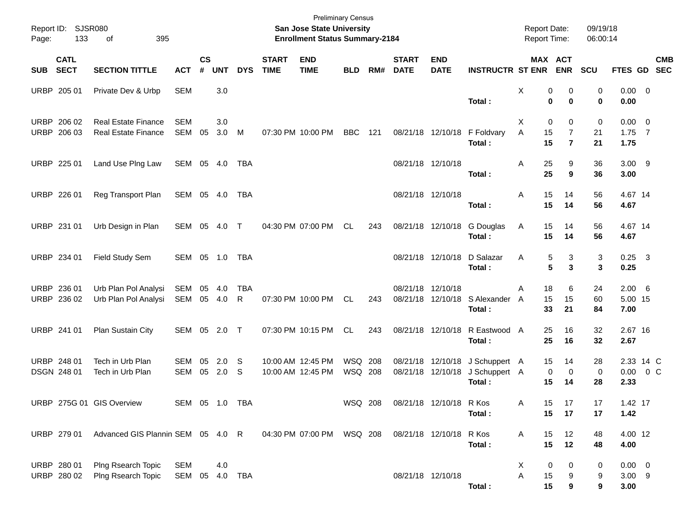| Page:      | Report ID: SJSR080<br>133  | of<br>395                                                |                              |                |               |                    |                             | <b>Preliminary Census</b><br><b>San Jose State University</b><br><b>Enrollment Status Summary-2184</b> |                    |     |                             |                           |                                                            | <b>Report Date:</b><br>Report Time:    |                                       | 09/19/18<br>06:00:14 |                                  |                           |
|------------|----------------------------|----------------------------------------------------------|------------------------------|----------------|---------------|--------------------|-----------------------------|--------------------------------------------------------------------------------------------------------|--------------------|-----|-----------------------------|---------------------------|------------------------------------------------------------|----------------------------------------|---------------------------------------|----------------------|----------------------------------|---------------------------|
| <b>SUB</b> | <b>CATL</b><br><b>SECT</b> | <b>SECTION TITTLE</b>                                    | <b>ACT</b>                   | <b>CS</b><br># | <b>UNT</b>    | <b>DYS</b>         | <b>START</b><br><b>TIME</b> | <b>END</b><br><b>TIME</b>                                                                              | <b>BLD</b>         | RM# | <b>START</b><br><b>DATE</b> | <b>END</b><br><b>DATE</b> | <b>INSTRUCTR ST ENR</b>                                    |                                        | MAX ACT<br><b>ENR</b>                 | SCU                  |                                  | <b>CMB</b><br>FTES GD SEC |
|            | URBP 205 01                | Private Dev & Urbp                                       | <b>SEM</b>                   |                | 3.0           |                    |                             |                                                                                                        |                    |     |                             |                           | Total:                                                     | Χ<br>0<br>0                            | 0<br>$\bf{0}$                         | 0<br>0               | $0.00 \t 0$<br>0.00              |                           |
|            | URBP 206 02<br>URBP 206 03 | <b>Real Estate Finance</b><br><b>Real Estate Finance</b> | <b>SEM</b><br><b>SEM</b>     | 05             | 3.0<br>3.0    | M                  |                             | 07:30 PM 10:00 PM                                                                                      | BBC                | 121 |                             |                           | 08/21/18 12/10/18 F Foldvary<br>Total:                     | X<br>0<br>15<br>A<br>15                | 0<br>$\overline{7}$<br>$\overline{7}$ | 0<br>21<br>21        | $0.00 \t 0$<br>$1.75$ 7<br>1.75  |                           |
|            | URBP 225 01                | Land Use Plng Law                                        | SEM 05 4.0                   |                |               | TBA                |                             |                                                                                                        |                    |     | 08/21/18 12/10/18           |                           | Total:                                                     | 25<br>A<br>25                          | 9<br>9                                | 36<br>36             | $3.00$ 9<br>3.00                 |                           |
|            | URBP 226 01                | Reg Transport Plan                                       | SEM 05 4.0                   |                |               | TBA                |                             |                                                                                                        |                    |     | 08/21/18 12/10/18           |                           | Total:                                                     | 15<br>A<br>15                          | 14<br>14                              | 56<br>56             | 4.67 14<br>4.67                  |                           |
|            | URBP 231 01                | Urb Design in Plan                                       | SEM 05 4.0 T                 |                |               |                    |                             | 04:30 PM 07:00 PM                                                                                      | CL                 | 243 |                             |                           | 08/21/18 12/10/18 G Douglas<br>Total:                      | 15<br>Α<br>15                          | 14<br>14                              | 56<br>56             | 4.67 14<br>4.67                  |                           |
|            | URBP 234 01                | Field Study Sem                                          | SEM 05 1.0 TBA               |                |               |                    |                             |                                                                                                        |                    |     |                             | 08/21/18 12/10/18         | D Salazar<br>Total:                                        | 5<br>A<br>5                            | 3<br>3                                | 3<br>3               | $0.25 \quad 3$<br>0.25           |                           |
|            | URBP 236 01<br>URBP 236 02 | Urb Plan Pol Analysi<br>Urb Plan Pol Analysi             | SEM<br>SEM                   | 05             | 4.0<br>05 4.0 | <b>TBA</b><br>R    |                             | 07:30 PM 10:00 PM                                                                                      | CL                 | 243 | 08/21/18 12/10/18           |                           | 08/21/18 12/10/18 S Alexander<br>Total:                    | 18<br>A<br>15<br>A<br>33               | 6<br>15<br>21                         | 24<br>60<br>84       | $2.00\quad 6$<br>5.00 15<br>7.00 |                           |
|            | URBP 241 01                | Plan Sustain City                                        | SEM 05 2.0 T                 |                |               |                    |                             | 07:30 PM 10:15 PM                                                                                      | CL.                | 243 |                             |                           | 08/21/18 12/10/18 R Eastwood A<br>Total:                   | 25<br>25                               | 16<br>16                              | 32<br>32             | 2.67 16<br>2.67                  |                           |
|            | URBP 248 01<br>DSGN 248 01 | Tech in Urb Plan<br>Tech in Urb Plan                     | <b>SEM</b><br>SEM            | 05<br>05       | 2.0<br>2.0    | -S<br><sub>S</sub> |                             | 10:00 AM 12:45 PM<br>10:00 AM 12:45 PM                                                                 | WSQ 208<br>WSQ 208 |     |                             | 08/21/18 12/10/18         | 08/21/18 12/10/18 J Schuppert A<br>J Schuppert A<br>Total: | 15<br>0<br>15                          | 14<br>$\mathbf 0$<br>14               | 28<br>0<br>28        | 2.33 14 C<br>2.33                | $0.00 \t 0 C$             |
|            |                            | URBP 275G 01 GIS Overview                                | SEM 05 1.0 TBA               |                |               |                    |                             |                                                                                                        | WSQ 208            |     | 08/21/18 12/10/18 R Kos     |                           | Total:                                                     | 15<br>Α<br>15                          | 17<br>17                              | 17<br>17             | 1.42 17<br>1.42                  |                           |
|            | URBP 279 01                | Advanced GIS Plannin SEM 05 4.0 R                        |                              |                |               |                    |                             | 04:30 PM 07:00 PM WSQ 208                                                                              |                    |     |                             | 08/21/18 12/10/18 R Kos   | Total:                                                     | 15<br>A<br>15                          | 12<br>12                              | 48<br>48             | 4.00 12<br>4.00                  |                           |
|            | URBP 280 01<br>URBP 280 02 | Plng Rsearch Topic<br>Plng Rsearch Topic                 | <b>SEM</b><br>SEM 05 4.0 TBA |                | 4.0           |                    |                             |                                                                                                        |                    |     | 08/21/18 12/10/18           |                           | Total:                                                     | X<br>$\boldsymbol{0}$<br>Α<br>15<br>15 | 0<br>9<br>9                           | 0<br>9<br>9          | $0.00 \t 0$<br>$3.00$ 9<br>3.00  |                           |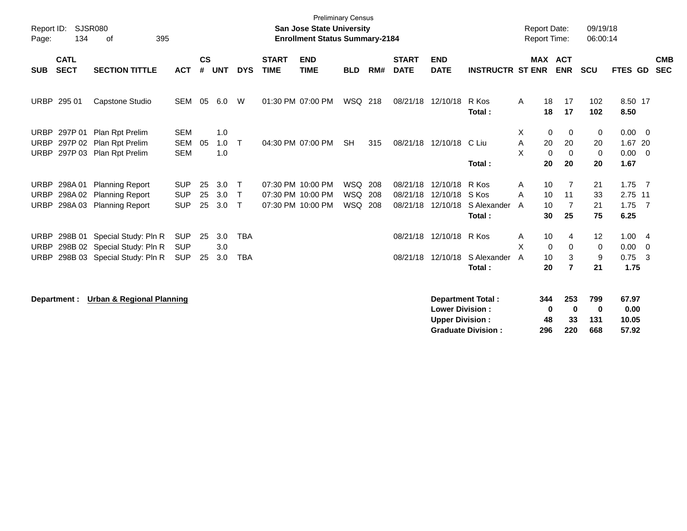| Report ID:<br>SJSR080<br>134<br>395<br>Page:<br>of             |                                                                                              |                                        |                    |                   |                                        |                             | <b>Preliminary Census</b><br><b>San Jose State University</b><br><b>Enrollment Status Summary-2184</b> |                                 | 09/19/18<br><b>Report Date:</b><br>06:00:14<br><b>Report Time:</b> |                                  |                                                  |                                                       |             |                                                                      |                              |                                                  |                          |
|----------------------------------------------------------------|----------------------------------------------------------------------------------------------|----------------------------------------|--------------------|-------------------|----------------------------------------|-----------------------------|--------------------------------------------------------------------------------------------------------|---------------------------------|--------------------------------------------------------------------|----------------------------------|--------------------------------------------------|-------------------------------------------------------|-------------|----------------------------------------------------------------------|------------------------------|--------------------------------------------------|--------------------------|
| <b>CATL</b><br><b>SECT</b><br><b>SUB</b>                       | <b>SECTION TITTLE</b>                                                                        | <b>ACT</b>                             | $\mathsf{cs}$<br># | <b>UNT</b>        | <b>DYS</b>                             | <b>START</b><br><b>TIME</b> | <b>END</b><br><b>TIME</b>                                                                              | <b>BLD</b>                      | RM#                                                                | <b>START</b><br><b>DATE</b>      | <b>END</b><br><b>DATE</b>                        | <b>INSTRUCTR ST ENR</b>                               |             | <b>MAX ACT</b><br><b>ENR</b>                                         | <b>SCU</b>                   | FTES GD                                          | <b>CMB</b><br><b>SEC</b> |
| URBP 295 01                                                    | Capstone Studio                                                                              | <b>SEM</b>                             | 05                 | 6.0               | W                                      |                             | 01:30 PM 07:00 PM                                                                                      | WSQ 218                         |                                                                    | 08/21/18                         | 12/10/18                                         | R Kos<br>Total:                                       | A           | 18<br>17<br>18<br>17                                                 | 102<br>102                   | 8.50 17<br>8.50                                  |                          |
| <b>URBP</b><br><b>URBP</b><br><b>URBP</b>                      | 297P 01 Plan Rpt Prelim<br>297P 02 Plan Rpt Prelim<br>297P 03 Plan Rpt Prelim                | <b>SEM</b><br><b>SEM</b><br><b>SEM</b> | 05                 | 1.0<br>1.0<br>1.0 | $\top$                                 |                             | 04:30 PM 07:00 PM                                                                                      | <b>SH</b>                       | 315                                                                | 08/21/18                         | 12/10/18                                         | C Liu<br>Total:                                       | X<br>Α<br>X | 0<br>0<br>20<br>20<br>$\mathbf 0$<br>$\mathbf 0$<br>20<br>20         | 0<br>20<br>$\mathbf 0$<br>20 | $0.00 \quad 0$<br>1.67 20<br>$0.00 \t 0$<br>1.67 |                          |
| <b>URBP</b><br>298A 01<br><b>URBP</b><br>298A02<br><b>URBP</b> | <b>Planning Report</b><br><b>Planning Report</b><br>298A 03 Planning Report                  | <b>SUP</b><br><b>SUP</b><br><b>SUP</b> | 25<br>25<br>25     | 3.0<br>3.0<br>3.0 | $\top$<br>$\mathsf{T}$<br>$\mathsf{T}$ |                             | 07:30 PM 10:00 PM<br>07:30 PM 10:00 PM<br>07:30 PM 10:00 PM                                            | <b>WSQ</b><br><b>WSQ</b><br>WSQ | 208<br>208<br>208                                                  | 08/21/18<br>08/21/18<br>08/21/18 | 12/10/18<br>12/10/18<br>12/10/18                 | R Kos<br>S Kos<br>S Alexander<br>Total:               | Α<br>A<br>A | 10<br>$\overline{7}$<br>10<br>11<br>10<br>$\overline{7}$<br>30<br>25 | 21<br>33<br>21<br>75         | $1.75$ 7<br>2.75 11<br>$1.75$ 7<br>6.25          |                          |
| <b>URBP</b><br><b>URBP</b><br><b>URBP</b>                      | 298B 01 Special Study: Pln R<br>298B 02 Special Study: Pln R<br>298B 03 Special Study: Pln R | <b>SUP</b><br><b>SUP</b><br><b>SUP</b> | 25<br>25           | 3.0<br>3.0<br>3.0 | <b>TBA</b><br><b>TBA</b>               |                             |                                                                                                        |                                 |                                                                    | 08/21/18<br>08/21/18             | 12/10/18<br>12/10/18                             | R Kos<br>S Alexander<br>Total:                        | Α<br>X<br>A | 10<br>4<br>$\mathbf 0$<br>0<br>3<br>10<br>$\overline{7}$<br>20       | 12<br>0<br>9<br>21           | 1.004<br>$0.00 \t 0$<br>$0.75 \quad 3$<br>1.75   |                          |
| Department :                                                   | <b>Urban &amp; Regional Planning</b>                                                         |                                        |                    |                   |                                        |                             |                                                                                                        |                                 |                                                                    |                                  | <b>Lower Division:</b><br><b>Upper Division:</b> | <b>Department Total:</b><br><b>Graduate Division:</b> | 344<br>296  | 253<br>$\mathbf 0$<br>$\mathbf 0$<br>33<br>48<br>220                 | 799<br>0<br>131<br>668       | 67.97<br>0.00<br>10.05<br>57.92                  |                          |